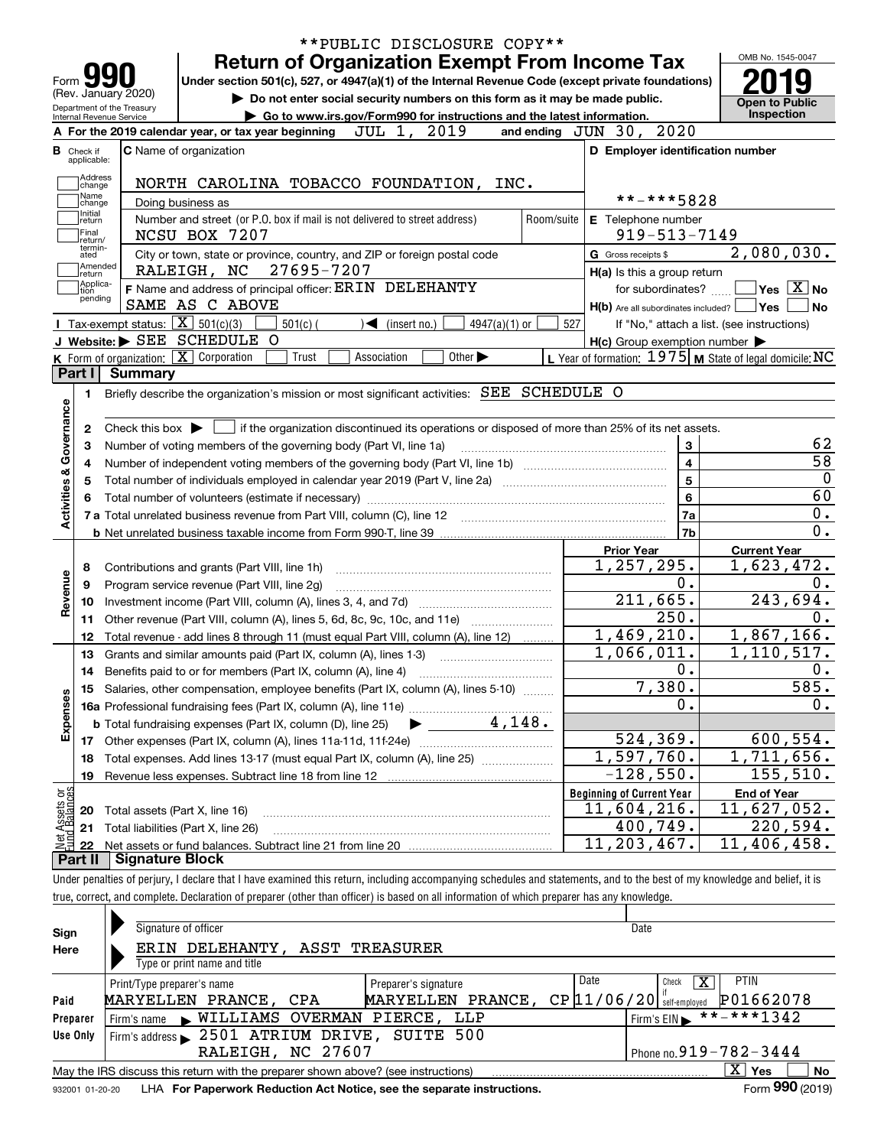| Form 99<br>Under section 501(c), 527, or 4947(a)(1) of the Internal Revenue Code (except private foundations)<br>(Rev. January 2020)<br>Do not enter social security numbers on this form as it may be made public.<br>Department of the Treasury<br>Go to www.irs.gov/Form990 for instructions and the latest information.<br>Internal Revenue Service<br>JUL 1, 2019<br>A For the 2019 calendar year, or tax year beginning<br><b>C</b> Name of organization<br><b>B</b> Check if<br>applicable:<br>Address<br>NORTH CAROLINA TOBACCO FOUNDATION, INC.<br>change<br>Name<br>Doing business as<br>change<br>Initial<br>Number and street (or P.O. box if mail is not delivered to street address)<br>Room/suite<br> return<br> Final<br>NCSU BOX 7207<br>return/<br>termin-<br>City or town, state or province, country, and ZIP or foreign postal code<br>ated<br> Amended<br>27695-7207<br>RALEIGH, NC<br>return]<br> Applica-<br>F Name and address of principal officer: ERIN DELEHANTY<br>tion<br>pending<br>SAME AS C ABOVE<br>Tax-exempt status: $\boxed{\mathbf{X}}$ 501(c)(3)<br>501(c)<br>$\sqrt{\frac{1}{1}}$ (insert no.)<br>$4947(a)(1)$ or | and ending JUN 30, 2020<br>D Employer identification number<br>**-***5828<br>E Telephone number<br>$919 - 513 - 7149$<br>G Gross receipts \$<br>H(a) Is this a group return<br>for subordinates? | <b>Open to Public</b><br>Inspection<br>2,080,030.         |
|-----------------------------------------------------------------------------------------------------------------------------------------------------------------------------------------------------------------------------------------------------------------------------------------------------------------------------------------------------------------------------------------------------------------------------------------------------------------------------------------------------------------------------------------------------------------------------------------------------------------------------------------------------------------------------------------------------------------------------------------------------------------------------------------------------------------------------------------------------------------------------------------------------------------------------------------------------------------------------------------------------------------------------------------------------------------------------------------------------------------------------------------------------------|--------------------------------------------------------------------------------------------------------------------------------------------------------------------------------------------------|-----------------------------------------------------------|
|                                                                                                                                                                                                                                                                                                                                                                                                                                                                                                                                                                                                                                                                                                                                                                                                                                                                                                                                                                                                                                                                                                                                                           |                                                                                                                                                                                                  |                                                           |
|                                                                                                                                                                                                                                                                                                                                                                                                                                                                                                                                                                                                                                                                                                                                                                                                                                                                                                                                                                                                                                                                                                                                                           |                                                                                                                                                                                                  |                                                           |
|                                                                                                                                                                                                                                                                                                                                                                                                                                                                                                                                                                                                                                                                                                                                                                                                                                                                                                                                                                                                                                                                                                                                                           |                                                                                                                                                                                                  |                                                           |
|                                                                                                                                                                                                                                                                                                                                                                                                                                                                                                                                                                                                                                                                                                                                                                                                                                                                                                                                                                                                                                                                                                                                                           |                                                                                                                                                                                                  |                                                           |
|                                                                                                                                                                                                                                                                                                                                                                                                                                                                                                                                                                                                                                                                                                                                                                                                                                                                                                                                                                                                                                                                                                                                                           |                                                                                                                                                                                                  |                                                           |
|                                                                                                                                                                                                                                                                                                                                                                                                                                                                                                                                                                                                                                                                                                                                                                                                                                                                                                                                                                                                                                                                                                                                                           |                                                                                                                                                                                                  |                                                           |
|                                                                                                                                                                                                                                                                                                                                                                                                                                                                                                                                                                                                                                                                                                                                                                                                                                                                                                                                                                                                                                                                                                                                                           |                                                                                                                                                                                                  |                                                           |
|                                                                                                                                                                                                                                                                                                                                                                                                                                                                                                                                                                                                                                                                                                                                                                                                                                                                                                                                                                                                                                                                                                                                                           |                                                                                                                                                                                                  | $\blacksquare$ Yes $\boxed{\text{X}}$ No                  |
|                                                                                                                                                                                                                                                                                                                                                                                                                                                                                                                                                                                                                                                                                                                                                                                                                                                                                                                                                                                                                                                                                                                                                           |                                                                                                                                                                                                  | $H(b)$ Are all subordinates included? $\Box$ Yes  <br>∣No |
|                                                                                                                                                                                                                                                                                                                                                                                                                                                                                                                                                                                                                                                                                                                                                                                                                                                                                                                                                                                                                                                                                                                                                           | 527                                                                                                                                                                                              | If "No," attach a list. (see instructions)                |
| J Website: > SEE SCHEDULE O                                                                                                                                                                                                                                                                                                                                                                                                                                                                                                                                                                                                                                                                                                                                                                                                                                                                                                                                                                                                                                                                                                                               | $H(c)$ Group exemption number $\blacktriangleright$                                                                                                                                              |                                                           |
| K Form of organization:   X Corporation<br>Other $\blacktriangleright$<br>Trust<br>Association                                                                                                                                                                                                                                                                                                                                                                                                                                                                                                                                                                                                                                                                                                                                                                                                                                                                                                                                                                                                                                                            | L Year of formation: $1975$ M State of legal domicile: NC                                                                                                                                        |                                                           |
| Part I<br><b>Summary</b>                                                                                                                                                                                                                                                                                                                                                                                                                                                                                                                                                                                                                                                                                                                                                                                                                                                                                                                                                                                                                                                                                                                                  |                                                                                                                                                                                                  |                                                           |
|                                                                                                                                                                                                                                                                                                                                                                                                                                                                                                                                                                                                                                                                                                                                                                                                                                                                                                                                                                                                                                                                                                                                                           |                                                                                                                                                                                                  |                                                           |
| Briefly describe the organization's mission or most significant activities: SEE SCHEDULE O<br>1.                                                                                                                                                                                                                                                                                                                                                                                                                                                                                                                                                                                                                                                                                                                                                                                                                                                                                                                                                                                                                                                          |                                                                                                                                                                                                  |                                                           |
|                                                                                                                                                                                                                                                                                                                                                                                                                                                                                                                                                                                                                                                                                                                                                                                                                                                                                                                                                                                                                                                                                                                                                           |                                                                                                                                                                                                  |                                                           |
| Check this box $\blacktriangleright$ $\blacksquare$ if the organization discontinued its operations or disposed of more than 25% of its net assets.<br>2                                                                                                                                                                                                                                                                                                                                                                                                                                                                                                                                                                                                                                                                                                                                                                                                                                                                                                                                                                                                  |                                                                                                                                                                                                  |                                                           |
| Number of voting members of the governing body (Part VI, line 1a)<br>з                                                                                                                                                                                                                                                                                                                                                                                                                                                                                                                                                                                                                                                                                                                                                                                                                                                                                                                                                                                                                                                                                    | 3                                                                                                                                                                                                |                                                           |
| 4                                                                                                                                                                                                                                                                                                                                                                                                                                                                                                                                                                                                                                                                                                                                                                                                                                                                                                                                                                                                                                                                                                                                                         | $\overline{4}$                                                                                                                                                                                   |                                                           |
| 5                                                                                                                                                                                                                                                                                                                                                                                                                                                                                                                                                                                                                                                                                                                                                                                                                                                                                                                                                                                                                                                                                                                                                         | 5                                                                                                                                                                                                |                                                           |
|                                                                                                                                                                                                                                                                                                                                                                                                                                                                                                                                                                                                                                                                                                                                                                                                                                                                                                                                                                                                                                                                                                                                                           | 6                                                                                                                                                                                                |                                                           |
|                                                                                                                                                                                                                                                                                                                                                                                                                                                                                                                                                                                                                                                                                                                                                                                                                                                                                                                                                                                                                                                                                                                                                           | 7a                                                                                                                                                                                               |                                                           |
|                                                                                                                                                                                                                                                                                                                                                                                                                                                                                                                                                                                                                                                                                                                                                                                                                                                                                                                                                                                                                                                                                                                                                           | 7b                                                                                                                                                                                               | $\overline{0}$ .                                          |
|                                                                                                                                                                                                                                                                                                                                                                                                                                                                                                                                                                                                                                                                                                                                                                                                                                                                                                                                                                                                                                                                                                                                                           |                                                                                                                                                                                                  |                                                           |
|                                                                                                                                                                                                                                                                                                                                                                                                                                                                                                                                                                                                                                                                                                                                                                                                                                                                                                                                                                                                                                                                                                                                                           | <b>Prior Year</b><br>1,257,295.                                                                                                                                                                  | <b>Current Year</b><br>$\overline{1,623},472.$            |
| Contributions and grants (Part VIII, line 1h)<br>8                                                                                                                                                                                                                                                                                                                                                                                                                                                                                                                                                                                                                                                                                                                                                                                                                                                                                                                                                                                                                                                                                                        |                                                                                                                                                                                                  |                                                           |
| Program service revenue (Part VIII, line 2g)<br>9                                                                                                                                                                                                                                                                                                                                                                                                                                                                                                                                                                                                                                                                                                                                                                                                                                                                                                                                                                                                                                                                                                         | 0.                                                                                                                                                                                               |                                                           |
| 10                                                                                                                                                                                                                                                                                                                                                                                                                                                                                                                                                                                                                                                                                                                                                                                                                                                                                                                                                                                                                                                                                                                                                        | 211,665.                                                                                                                                                                                         | 243,694.                                                  |
| Other revenue (Part VIII, column (A), lines 5, 6d, 8c, 9c, 10c, and 11e)<br>11                                                                                                                                                                                                                                                                                                                                                                                                                                                                                                                                                                                                                                                                                                                                                                                                                                                                                                                                                                                                                                                                            | $\overline{250}$ .                                                                                                                                                                               |                                                           |
| Total revenue - add lines 8 through 11 (must equal Part VIII, column (A), line 12)<br>12                                                                                                                                                                                                                                                                                                                                                                                                                                                                                                                                                                                                                                                                                                                                                                                                                                                                                                                                                                                                                                                                  | 1,469,210.                                                                                                                                                                                       | 1,867,166.                                                |
| 13<br>Grants and similar amounts paid (Part IX, column (A), lines 1-3)                                                                                                                                                                                                                                                                                                                                                                                                                                                                                                                                                                                                                                                                                                                                                                                                                                                                                                                                                                                                                                                                                    | $\overline{1,066}$ , 011.                                                                                                                                                                        | 1,110,517.                                                |
| 14                                                                                                                                                                                                                                                                                                                                                                                                                                                                                                                                                                                                                                                                                                                                                                                                                                                                                                                                                                                                                                                                                                                                                        | 0.                                                                                                                                                                                               |                                                           |
| 15 Salaries, other compensation, employee benefits (Part IX, column (A), lines 5-10)                                                                                                                                                                                                                                                                                                                                                                                                                                                                                                                                                                                                                                                                                                                                                                                                                                                                                                                                                                                                                                                                      | 7,380.                                                                                                                                                                                           | 585.                                                      |
|                                                                                                                                                                                                                                                                                                                                                                                                                                                                                                                                                                                                                                                                                                                                                                                                                                                                                                                                                                                                                                                                                                                                                           | 0.                                                                                                                                                                                               |                                                           |
| 4,148.<br><b>b</b> Total fundraising expenses (Part IX, column (D), line 25)                                                                                                                                                                                                                                                                                                                                                                                                                                                                                                                                                                                                                                                                                                                                                                                                                                                                                                                                                                                                                                                                              |                                                                                                                                                                                                  |                                                           |
|                                                                                                                                                                                                                                                                                                                                                                                                                                                                                                                                                                                                                                                                                                                                                                                                                                                                                                                                                                                                                                                                                                                                                           | 524, 369.                                                                                                                                                                                        | 600,554.                                                  |
| 17                                                                                                                                                                                                                                                                                                                                                                                                                                                                                                                                                                                                                                                                                                                                                                                                                                                                                                                                                                                                                                                                                                                                                        | 1,597,760.                                                                                                                                                                                       | 1,711,656.                                                |
| Total expenses. Add lines 13-17 (must equal Part IX, column (A), line 25) [<br>18                                                                                                                                                                                                                                                                                                                                                                                                                                                                                                                                                                                                                                                                                                                                                                                                                                                                                                                                                                                                                                                                         |                                                                                                                                                                                                  |                                                           |
| 19                                                                                                                                                                                                                                                                                                                                                                                                                                                                                                                                                                                                                                                                                                                                                                                                                                                                                                                                                                                                                                                                                                                                                        | $-128,550.$                                                                                                                                                                                      | 155, 510.                                                 |
|                                                                                                                                                                                                                                                                                                                                                                                                                                                                                                                                                                                                                                                                                                                                                                                                                                                                                                                                                                                                                                                                                                                                                           | <b>Beginning of Current Year</b>                                                                                                                                                                 | <b>End of Year</b>                                        |
| Total assets (Part X, line 16)<br>20                                                                                                                                                                                                                                                                                                                                                                                                                                                                                                                                                                                                                                                                                                                                                                                                                                                                                                                                                                                                                                                                                                                      | 11,604,216.                                                                                                                                                                                      | 11,627,052.                                               |
| Total liabilities (Part X, line 26)<br>21                                                                                                                                                                                                                                                                                                                                                                                                                                                                                                                                                                                                                                                                                                                                                                                                                                                                                                                                                                                                                                                                                                                 | 400, 749.                                                                                                                                                                                        | 220,594.                                                  |
| 22                                                                                                                                                                                                                                                                                                                                                                                                                                                                                                                                                                                                                                                                                                                                                                                                                                                                                                                                                                                                                                                                                                                                                        | 11,203,467.                                                                                                                                                                                      | 11,406,458.                                               |
| Part II<br><b>Signature Block</b>                                                                                                                                                                                                                                                                                                                                                                                                                                                                                                                                                                                                                                                                                                                                                                                                                                                                                                                                                                                                                                                                                                                         |                                                                                                                                                                                                  |                                                           |
| Under penalties of perjury, I declare that I have examined this return, including accompanying schedules and statements, and to the best of my knowledge and belief, it is                                                                                                                                                                                                                                                                                                                                                                                                                                                                                                                                                                                                                                                                                                                                                                                                                                                                                                                                                                                |                                                                                                                                                                                                  |                                                           |

| Sign<br>Here | Signature of officer<br>ERIN DELEHANTY, ASST TREASURER                                                                | Date                                       |  |  |  |  |  |  |  |  |  |
|--------------|-----------------------------------------------------------------------------------------------------------------------|--------------------------------------------|--|--|--|--|--|--|--|--|--|
|              | Type or print name and title                                                                                          |                                            |  |  |  |  |  |  |  |  |  |
|              | Print/Type preparer's name<br>Preparer's signature                                                                    | Date<br><b>PTIN</b><br>х<br>Check          |  |  |  |  |  |  |  |  |  |
| Paid         | MARYELLEN PRANCE,<br>MARYELLEN PRANCE, CPA                                                                            | P01662078<br>$CP$ $11/06/20$ self-employed |  |  |  |  |  |  |  |  |  |
| Preparer     | Firm's name WILLIAMS OVERMAN PIERCE, LLP                                                                              | **-***1342<br>Firm's EIN                   |  |  |  |  |  |  |  |  |  |
| Use Only     | Firm's address > 2501 ATRIUM DRIVE, SUITE 500                                                                         |                                            |  |  |  |  |  |  |  |  |  |
|              | RALEIGH, NC 27607                                                                                                     | Phone no. 919 - 782 - 3444                 |  |  |  |  |  |  |  |  |  |
|              | $\mathbf{X}$<br><b>No</b><br>Yes<br>May the IRS discuss this return with the preparer shown above? (see instructions) |                                            |  |  |  |  |  |  |  |  |  |
|              |                                                                                                                       | nnn.                                       |  |  |  |  |  |  |  |  |  |

932001 01-20-20 LHA **For Paperwork Reduction Act Notice, see the separate instructions. Form 990 (2019)** 

**990**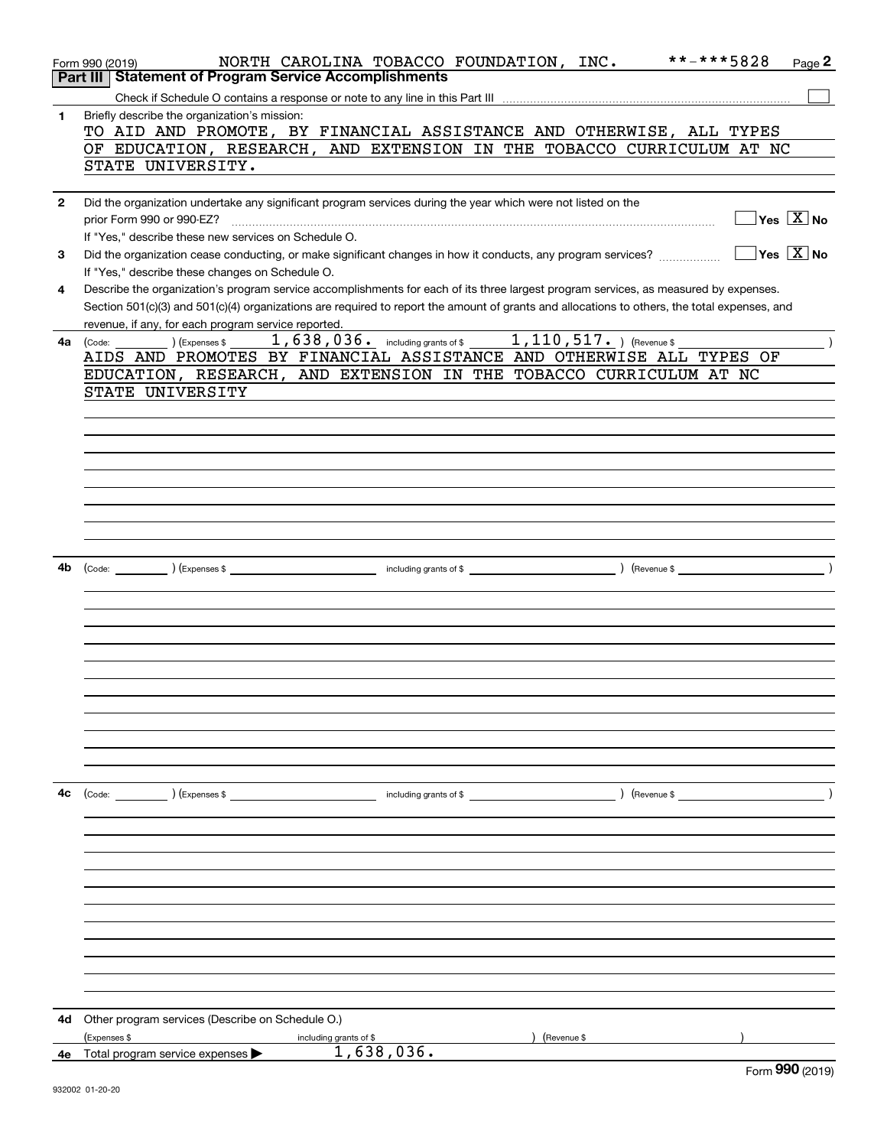|              | **-***5828<br>NORTH CAROLINA TOBACCO FOUNDATION, INC.<br>Page 2<br>Form 990 (2019)<br><b>Statement of Program Service Accomplishments</b><br>Part III                                                                                                                                                                                                                                                                                                                                                                            |
|--------------|----------------------------------------------------------------------------------------------------------------------------------------------------------------------------------------------------------------------------------------------------------------------------------------------------------------------------------------------------------------------------------------------------------------------------------------------------------------------------------------------------------------------------------|
|              |                                                                                                                                                                                                                                                                                                                                                                                                                                                                                                                                  |
|              |                                                                                                                                                                                                                                                                                                                                                                                                                                                                                                                                  |
| 1            | Briefly describe the organization's mission:                                                                                                                                                                                                                                                                                                                                                                                                                                                                                     |
|              | TO AID AND PROMOTE, BY FINANCIAL ASSISTANCE AND OTHERWISE, ALL TYPES                                                                                                                                                                                                                                                                                                                                                                                                                                                             |
|              | OF EDUCATION, RESEARCH, AND EXTENSION IN THE TOBACCO CURRICULUM AT NC                                                                                                                                                                                                                                                                                                                                                                                                                                                            |
|              | STATE UNIVERSITY.                                                                                                                                                                                                                                                                                                                                                                                                                                                                                                                |
|              |                                                                                                                                                                                                                                                                                                                                                                                                                                                                                                                                  |
| $\mathbf{2}$ | Did the organization undertake any significant program services during the year which were not listed on the                                                                                                                                                                                                                                                                                                                                                                                                                     |
|              | $\sqrt{}$ Yes $\sqrt{X}$ No<br>prior Form 990 or 990-EZ?                                                                                                                                                                                                                                                                                                                                                                                                                                                                         |
|              | If "Yes," describe these new services on Schedule O.                                                                                                                                                                                                                                                                                                                                                                                                                                                                             |
| 3            | $\sqrt{}$ Yes $\sqrt{}$ X $\sqrt{}$ No<br>Did the organization cease conducting, or make significant changes in how it conducts, any program services?                                                                                                                                                                                                                                                                                                                                                                           |
|              | If "Yes," describe these changes on Schedule O.                                                                                                                                                                                                                                                                                                                                                                                                                                                                                  |
| 4            | Describe the organization's program service accomplishments for each of its three largest program services, as measured by expenses.                                                                                                                                                                                                                                                                                                                                                                                             |
|              |                                                                                                                                                                                                                                                                                                                                                                                                                                                                                                                                  |
|              | Section 501(c)(3) and 501(c)(4) organizations are required to report the amount of grants and allocations to others, the total expenses, and                                                                                                                                                                                                                                                                                                                                                                                     |
|              | revenue, if any, for each program service reported.                                                                                                                                                                                                                                                                                                                                                                                                                                                                              |
| 4a           | 1, 638, 036. including grants of \$1, 110, 517. ) (Revenue \$<br>(Express \$<br>(Code:                                                                                                                                                                                                                                                                                                                                                                                                                                           |
|              | AIDS AND PROMOTES BY FINANCIAL ASSISTANCE AND OTHERWISE ALL TYPES OF                                                                                                                                                                                                                                                                                                                                                                                                                                                             |
|              | EDUCATION, RESEARCH, AND EXTENSION IN THE TOBACCO CURRICULUM AT NC                                                                                                                                                                                                                                                                                                                                                                                                                                                               |
|              | STATE UNIVERSITY                                                                                                                                                                                                                                                                                                                                                                                                                                                                                                                 |
|              |                                                                                                                                                                                                                                                                                                                                                                                                                                                                                                                                  |
|              |                                                                                                                                                                                                                                                                                                                                                                                                                                                                                                                                  |
|              |                                                                                                                                                                                                                                                                                                                                                                                                                                                                                                                                  |
|              |                                                                                                                                                                                                                                                                                                                                                                                                                                                                                                                                  |
|              |                                                                                                                                                                                                                                                                                                                                                                                                                                                                                                                                  |
|              |                                                                                                                                                                                                                                                                                                                                                                                                                                                                                                                                  |
|              |                                                                                                                                                                                                                                                                                                                                                                                                                                                                                                                                  |
|              |                                                                                                                                                                                                                                                                                                                                                                                                                                                                                                                                  |
|              |                                                                                                                                                                                                                                                                                                                                                                                                                                                                                                                                  |
|              |                                                                                                                                                                                                                                                                                                                                                                                                                                                                                                                                  |
|              |                                                                                                                                                                                                                                                                                                                                                                                                                                                                                                                                  |
| 4b           |                                                                                                                                                                                                                                                                                                                                                                                                                                                                                                                                  |
|              |                                                                                                                                                                                                                                                                                                                                                                                                                                                                                                                                  |
|              |                                                                                                                                                                                                                                                                                                                                                                                                                                                                                                                                  |
|              |                                                                                                                                                                                                                                                                                                                                                                                                                                                                                                                                  |
|              |                                                                                                                                                                                                                                                                                                                                                                                                                                                                                                                                  |
|              |                                                                                                                                                                                                                                                                                                                                                                                                                                                                                                                                  |
|              |                                                                                                                                                                                                                                                                                                                                                                                                                                                                                                                                  |
|              |                                                                                                                                                                                                                                                                                                                                                                                                                                                                                                                                  |
|              |                                                                                                                                                                                                                                                                                                                                                                                                                                                                                                                                  |
|              |                                                                                                                                                                                                                                                                                                                                                                                                                                                                                                                                  |
|              |                                                                                                                                                                                                                                                                                                                                                                                                                                                                                                                                  |
|              |                                                                                                                                                                                                                                                                                                                                                                                                                                                                                                                                  |
|              |                                                                                                                                                                                                                                                                                                                                                                                                                                                                                                                                  |
|              |                                                                                                                                                                                                                                                                                                                                                                                                                                                                                                                                  |
| 4c           | $\left(\text{Code:}\right)$ $\left(\text{Expenses $}\right)$<br>$\blacksquare$ including grants of \$ $\blacksquare$ $\blacksquare$ $\blacksquare$ $\blacksquare$ $\blacksquare$ $\blacksquare$ $\blacksquare$ $\blacksquare$ $\blacksquare$ $\blacksquare$ $\blacksquare$ $\blacksquare$ $\blacksquare$ $\blacksquare$ $\blacksquare$ $\blacksquare$ $\blacksquare$ $\blacksquare$ $\blacksquare$ $\blacksquare$ $\blacksquare$ $\blacksquare$ $\blacksquare$ $\blacksquare$ $\blacksquare$ $\blacksquare$ $\blacksquare$ $\bl$ |
|              |                                                                                                                                                                                                                                                                                                                                                                                                                                                                                                                                  |
|              |                                                                                                                                                                                                                                                                                                                                                                                                                                                                                                                                  |
|              |                                                                                                                                                                                                                                                                                                                                                                                                                                                                                                                                  |
|              |                                                                                                                                                                                                                                                                                                                                                                                                                                                                                                                                  |
|              |                                                                                                                                                                                                                                                                                                                                                                                                                                                                                                                                  |
|              |                                                                                                                                                                                                                                                                                                                                                                                                                                                                                                                                  |
|              |                                                                                                                                                                                                                                                                                                                                                                                                                                                                                                                                  |
|              |                                                                                                                                                                                                                                                                                                                                                                                                                                                                                                                                  |
|              |                                                                                                                                                                                                                                                                                                                                                                                                                                                                                                                                  |
|              |                                                                                                                                                                                                                                                                                                                                                                                                                                                                                                                                  |
|              |                                                                                                                                                                                                                                                                                                                                                                                                                                                                                                                                  |
|              |                                                                                                                                                                                                                                                                                                                                                                                                                                                                                                                                  |
|              |                                                                                                                                                                                                                                                                                                                                                                                                                                                                                                                                  |
|              |                                                                                                                                                                                                                                                                                                                                                                                                                                                                                                                                  |
| 4d           | Other program services (Describe on Schedule O.)                                                                                                                                                                                                                                                                                                                                                                                                                                                                                 |
|              | (Expenses \$<br>(Revenue \$<br>including grants of \$                                                                                                                                                                                                                                                                                                                                                                                                                                                                            |
| 4е           | 1,638,036.<br>Total program service expenses<br>$000 \text{ days}$                                                                                                                                                                                                                                                                                                                                                                                                                                                               |
|              |                                                                                                                                                                                                                                                                                                                                                                                                                                                                                                                                  |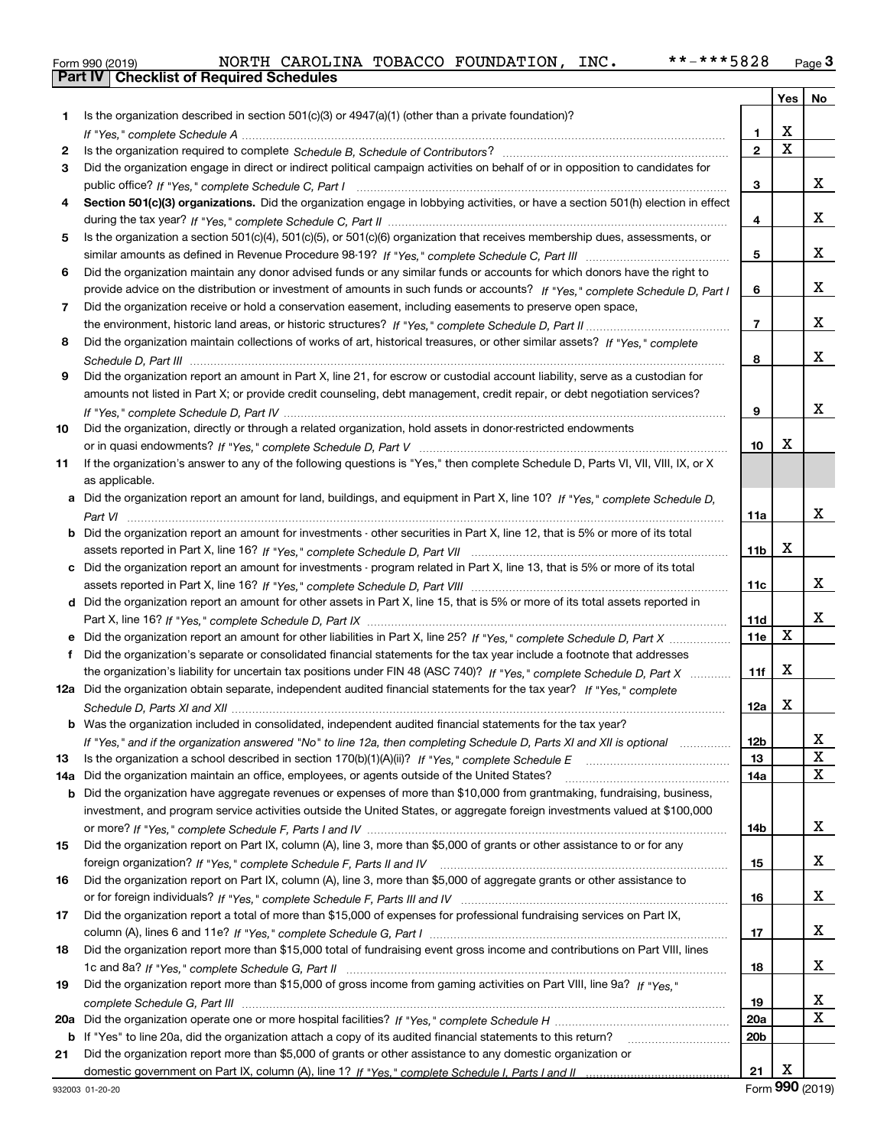|  | Form 990 (2019) |  |
|--|-----------------|--|

|     |                                                                                                                                                                                                                                                   |                 | Yes                     | No          |
|-----|---------------------------------------------------------------------------------------------------------------------------------------------------------------------------------------------------------------------------------------------------|-----------------|-------------------------|-------------|
| 1   | Is the organization described in section $501(c)(3)$ or $4947(a)(1)$ (other than a private foundation)?                                                                                                                                           |                 |                         |             |
|     |                                                                                                                                                                                                                                                   | 1               | X                       |             |
| 2   |                                                                                                                                                                                                                                                   | $\overline{2}$  | $\overline{\mathbf{x}}$ |             |
| 3   | Did the organization engage in direct or indirect political campaign activities on behalf of or in opposition to candidates for                                                                                                                   |                 |                         |             |
|     |                                                                                                                                                                                                                                                   | 3               |                         | x           |
| 4   | Section 501(c)(3) organizations. Did the organization engage in lobbying activities, or have a section 501(h) election in effect                                                                                                                  |                 |                         |             |
|     |                                                                                                                                                                                                                                                   | 4               |                         | x           |
| 5   | Is the organization a section 501(c)(4), 501(c)(5), or 501(c)(6) organization that receives membership dues, assessments, or                                                                                                                      |                 |                         |             |
|     |                                                                                                                                                                                                                                                   | 5               |                         | x           |
| 6   | Did the organization maintain any donor advised funds or any similar funds or accounts for which donors have the right to                                                                                                                         |                 |                         |             |
|     | provide advice on the distribution or investment of amounts in such funds or accounts? If "Yes," complete Schedule D, Part I                                                                                                                      | 6               |                         | x           |
| 7   | Did the organization receive or hold a conservation easement, including easements to preserve open space,                                                                                                                                         |                 |                         |             |
|     |                                                                                                                                                                                                                                                   | $\overline{7}$  |                         | x           |
| 8   | Did the organization maintain collections of works of art, historical treasures, or other similar assets? If "Yes," complete                                                                                                                      |                 |                         |             |
|     |                                                                                                                                                                                                                                                   | 8               |                         | x           |
| 9   | Did the organization report an amount in Part X, line 21, for escrow or custodial account liability, serve as a custodian for                                                                                                                     |                 |                         |             |
|     | amounts not listed in Part X; or provide credit counseling, debt management, credit repair, or debt negotiation services?                                                                                                                         |                 |                         |             |
|     |                                                                                                                                                                                                                                                   | 9               |                         | x           |
| 10  | Did the organization, directly or through a related organization, hold assets in donor-restricted endowments                                                                                                                                      |                 |                         |             |
|     |                                                                                                                                                                                                                                                   | 10              | X                       |             |
| 11  | If the organization's answer to any of the following questions is "Yes," then complete Schedule D, Parts VI, VII, VIII, IX, or X                                                                                                                  |                 |                         |             |
|     | as applicable.                                                                                                                                                                                                                                    |                 |                         |             |
|     | a Did the organization report an amount for land, buildings, and equipment in Part X, line 10? If "Yes." complete Schedule D.                                                                                                                     |                 |                         |             |
|     |                                                                                                                                                                                                                                                   | 11a             |                         | x           |
|     | <b>b</b> Did the organization report an amount for investments - other securities in Part X, line 12, that is 5% or more of its total                                                                                                             |                 |                         |             |
|     |                                                                                                                                                                                                                                                   | 11 <sub>b</sub> | х                       |             |
|     | Did the organization report an amount for investments - program related in Part X, line 13, that is 5% or more of its total                                                                                                                       |                 |                         |             |
|     |                                                                                                                                                                                                                                                   | 11c             |                         | x           |
|     | d Did the organization report an amount for other assets in Part X, line 15, that is 5% or more of its total assets reported in                                                                                                                   |                 |                         | x           |
|     |                                                                                                                                                                                                                                                   | 11d             | X                       |             |
|     | e Did the organization report an amount for other liabilities in Part X, line 25? If "Yes," complete Schedule D, Part X                                                                                                                           | 11e             |                         |             |
| f   | Did the organization's separate or consolidated financial statements for the tax year include a footnote that addresses                                                                                                                           | 11f             | X                       |             |
|     | the organization's liability for uncertain tax positions under FIN 48 (ASC 740)? If "Yes," complete Schedule D, Part X<br>12a Did the organization obtain separate, independent audited financial statements for the tax year? If "Yes," complete |                 |                         |             |
|     |                                                                                                                                                                                                                                                   | 12a             | х                       |             |
|     | <b>b</b> Was the organization included in consolidated, independent audited financial statements for the tax year?                                                                                                                                |                 |                         |             |
|     |                                                                                                                                                                                                                                                   |                 |                         |             |
| 13  | If "Yes," and if the organization answered "No" to line 12a, then completing Schedule D, Parts XI and XII is optional                                                                                                                             | 12b<br>13       |                         | Δ.<br>X     |
| 14a | Did the organization maintain an office, employees, or agents outside of the United States?                                                                                                                                                       | 14a             |                         | $\mathbf x$ |
| b   | Did the organization have aggregate revenues or expenses of more than \$10,000 from grantmaking, fundraising, business,                                                                                                                           |                 |                         |             |
|     | investment, and program service activities outside the United States, or aggregate foreign investments valued at \$100,000                                                                                                                        |                 |                         |             |
|     |                                                                                                                                                                                                                                                   | 14b             |                         | X           |
| 15  | Did the organization report on Part IX, column (A), line 3, more than \$5,000 of grants or other assistance to or for any                                                                                                                         |                 |                         |             |
|     |                                                                                                                                                                                                                                                   | 15              |                         | X           |
| 16  | Did the organization report on Part IX, column (A), line 3, more than \$5,000 of aggregate grants or other assistance to                                                                                                                          |                 |                         |             |
|     |                                                                                                                                                                                                                                                   | 16              |                         | X           |
| 17  | Did the organization report a total of more than \$15,000 of expenses for professional fundraising services on Part IX,                                                                                                                           |                 |                         |             |
|     |                                                                                                                                                                                                                                                   | 17              |                         | X           |
| 18  | Did the organization report more than \$15,000 total of fundraising event gross income and contributions on Part VIII, lines                                                                                                                      |                 |                         |             |
|     |                                                                                                                                                                                                                                                   | 18              |                         | x           |
| 19  | Did the organization report more than \$15,000 of gross income from gaming activities on Part VIII, line 9a? If "Yes."                                                                                                                            |                 |                         |             |
|     |                                                                                                                                                                                                                                                   | 19              |                         | X           |
| 20a |                                                                                                                                                                                                                                                   | 20a             |                         | $\mathbf X$ |
|     | b If "Yes" to line 20a, did the organization attach a copy of its audited financial statements to this return?                                                                                                                                    | 20 <sub>b</sub> |                         |             |
| 21  | Did the organization report more than \$5,000 of grants or other assistance to any domestic organization or                                                                                                                                       |                 |                         |             |
|     |                                                                                                                                                                                                                                                   | 21              | X                       |             |

Form (2019) **990**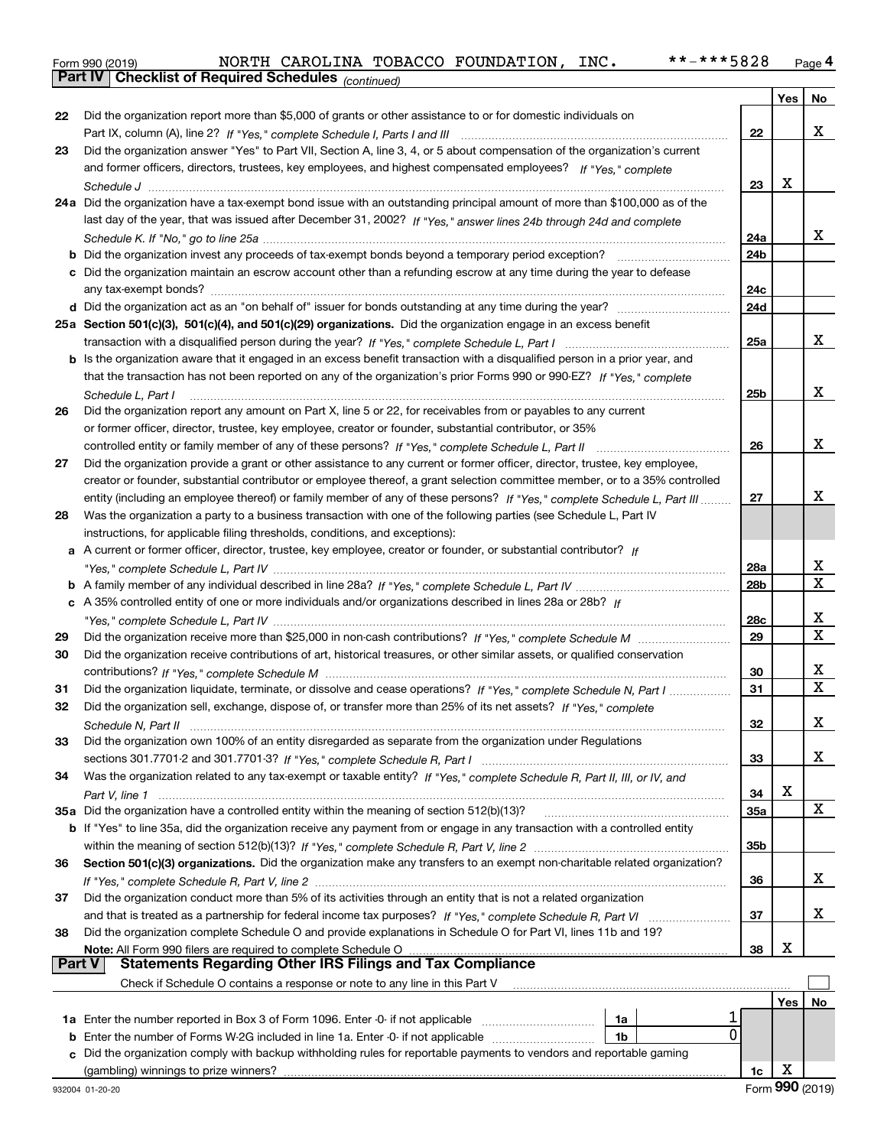|  | Form 990 (2019) |  |
|--|-----------------|--|

*(continued)*

|               |                                                                                                                              |                 | Yes | No                           |
|---------------|------------------------------------------------------------------------------------------------------------------------------|-----------------|-----|------------------------------|
| 22            | Did the organization report more than \$5,000 of grants or other assistance to or for domestic individuals on                |                 |     |                              |
|               |                                                                                                                              | 22              |     | x                            |
| 23            | Did the organization answer "Yes" to Part VII, Section A, line 3, 4, or 5 about compensation of the organization's current   |                 |     |                              |
|               | and former officers, directors, trustees, key employees, and highest compensated employees? If "Yes," complete               |                 |     |                              |
|               |                                                                                                                              | 23              | X   |                              |
|               | 24a Did the organization have a tax-exempt bond issue with an outstanding principal amount of more than \$100,000 as of the  |                 |     |                              |
|               | last day of the year, that was issued after December 31, 2002? If "Yes," answer lines 24b through 24d and complete           |                 |     |                              |
|               |                                                                                                                              | 24a             |     | x                            |
|               | <b>b</b> Did the organization invest any proceeds of tax-exempt bonds beyond a temporary period exception?                   | 24 <sub>b</sub> |     |                              |
|               | c Did the organization maintain an escrow account other than a refunding escrow at any time during the year to defease       |                 |     |                              |
|               |                                                                                                                              | 24c             |     |                              |
|               |                                                                                                                              | 24d             |     |                              |
|               | 25a Section 501(c)(3), 501(c)(4), and 501(c)(29) organizations. Did the organization engage in an excess benefit             |                 |     |                              |
|               |                                                                                                                              | 25a             |     | x                            |
|               | b Is the organization aware that it engaged in an excess benefit transaction with a disqualified person in a prior year, and |                 |     |                              |
|               | that the transaction has not been reported on any of the organization's prior Forms 990 or 990-EZ? If "Yes," complete        |                 |     |                              |
|               | Schedule L, Part I                                                                                                           | 25 <sub>b</sub> |     | x                            |
| 26            | Did the organization report any amount on Part X, line 5 or 22, for receivables from or payables to any current              |                 |     |                              |
|               | or former officer, director, trustee, key employee, creator or founder, substantial contributor, or 35%                      |                 |     |                              |
|               | controlled entity or family member of any of these persons? If "Yes," complete Schedule L, Part II                           | 26              |     | X                            |
| 27            | Did the organization provide a grant or other assistance to any current or former officer, director, trustee, key employee,  |                 |     |                              |
|               | creator or founder, substantial contributor or employee thereof, a grant selection committee member, or to a 35% controlled  |                 |     |                              |
|               | entity (including an employee thereof) or family member of any of these persons? If "Yes," complete Schedule L, Part III     | 27              |     | x                            |
| 28            | Was the organization a party to a business transaction with one of the following parties (see Schedule L, Part IV            |                 |     |                              |
|               | instructions, for applicable filing thresholds, conditions, and exceptions):                                                 |                 |     |                              |
|               | a A current or former officer, director, trustee, key employee, creator or founder, or substantial contributor? If           |                 |     |                              |
|               |                                                                                                                              | 28a             |     | x                            |
|               |                                                                                                                              | 28b             |     | $\overline{\mathbf{x}}$      |
|               | c A 35% controlled entity of one or more individuals and/or organizations described in lines 28a or 28b? If                  |                 |     |                              |
|               |                                                                                                                              | 28c             |     | x<br>X                       |
| 29            |                                                                                                                              | 29              |     |                              |
| 30            | Did the organization receive contributions of art, historical treasures, or other similar assets, or qualified conservation  |                 |     |                              |
|               |                                                                                                                              | 30              |     | X<br>$\overline{\mathbf{x}}$ |
| 31            | Did the organization liquidate, terminate, or dissolve and cease operations? If "Yes," complete Schedule N, Part I           | 31              |     |                              |
| 32            | Did the organization sell, exchange, dispose of, or transfer more than 25% of its net assets? If "Yes," complete             |                 |     | х                            |
|               | Did the organization own 100% of an entity disregarded as separate from the organization under Regulations                   | 32              |     |                              |
| 33            |                                                                                                                              | 33              |     | x                            |
| 34            | Was the organization related to any tax-exempt or taxable entity? If "Yes," complete Schedule R, Part II, III, or IV, and    |                 |     |                              |
|               |                                                                                                                              | 34              | х   |                              |
|               | 35a Did the organization have a controlled entity within the meaning of section 512(b)(13)?                                  | 35a             |     | x                            |
|               | b If "Yes" to line 35a, did the organization receive any payment from or engage in any transaction with a controlled entity  |                 |     |                              |
|               |                                                                                                                              | 35b             |     |                              |
| 36            | Section 501(c)(3) organizations. Did the organization make any transfers to an exempt non-charitable related organization?   |                 |     |                              |
|               |                                                                                                                              | 36              |     | x                            |
| 37            | Did the organization conduct more than 5% of its activities through an entity that is not a related organization             |                 |     |                              |
|               |                                                                                                                              | 37              |     | x                            |
| 38            | Did the organization complete Schedule O and provide explanations in Schedule O for Part VI, lines 11b and 19?               |                 |     |                              |
|               | Note: All Form 990 filers are required to complete Schedule O                                                                | 38              | х   |                              |
| <b>Part V</b> | <b>Statements Regarding Other IRS Filings and Tax Compliance</b>                                                             |                 |     |                              |
|               | Check if Schedule O contains a response or note to any line in this Part V                                                   |                 |     |                              |
|               |                                                                                                                              |                 | Yes | No                           |
|               | 1a                                                                                                                           |                 |     |                              |
| b             | 0<br>Enter the number of Forms W-2G included in line 1a. Enter -0- if not applicable<br>1b                                   |                 |     |                              |
| c             | Did the organization comply with backup withholding rules for reportable payments to vendors and reportable gaming           |                 |     |                              |
|               |                                                                                                                              | 1c              | х   |                              |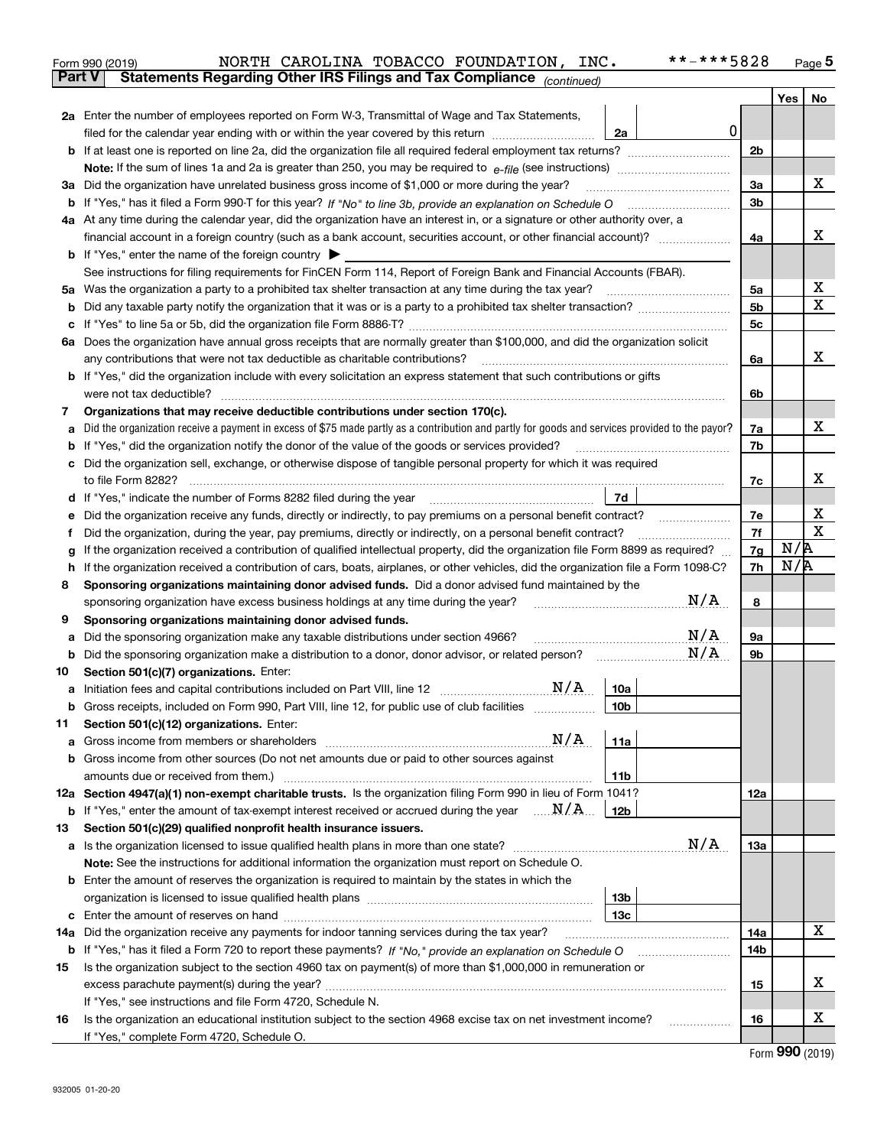|               | **-***5828<br>NORTH CAROLINA TOBACCO FOUNDATION, INC.<br>Form 990 (2019)                                                                               |                |            | $Page$ <sup>5</sup> |
|---------------|--------------------------------------------------------------------------------------------------------------------------------------------------------|----------------|------------|---------------------|
| <b>Part V</b> | Statements Regarding Other IRS Filings and Tax Compliance (continued)                                                                                  |                |            |                     |
|               |                                                                                                                                                        |                | Yes $ $    | No                  |
|               | 2a Enter the number of employees reported on Form W-3, Transmittal of Wage and Tax Statements,                                                         |                |            |                     |
|               | 0<br>filed for the calendar year ending with or within the year covered by this return <i>manumumumum</i><br>2a                                        |                |            |                     |
|               |                                                                                                                                                        | 2 <sub>b</sub> |            |                     |
|               |                                                                                                                                                        |                |            |                     |
| За            | Did the organization have unrelated business gross income of \$1,000 or more during the year?                                                          | 3a             |            | х                   |
|               |                                                                                                                                                        | 3b             |            |                     |
|               | 4a At any time during the calendar year, did the organization have an interest in, or a signature or other authority over, a                           |                |            |                     |
|               | financial account in a foreign country (such as a bank account, securities account, or other financial account)?                                       | 4a             |            | X                   |
|               | <b>b</b> If "Yes," enter the name of the foreign country $\blacktriangleright$                                                                         |                |            |                     |
|               | See instructions for filing requirements for FinCEN Form 114, Report of Foreign Bank and Financial Accounts (FBAR).                                    |                |            |                     |
| 5a            | Was the organization a party to a prohibited tax shelter transaction at any time during the tax year?                                                  | 5a             |            | х                   |
| b             |                                                                                                                                                        | 5 <sub>b</sub> |            | $\mathbf X$         |
| с             |                                                                                                                                                        | 5c             |            |                     |
|               | 6a Does the organization have annual gross receipts that are normally greater than \$100,000, and did the organization solicit                         |                |            |                     |
|               | any contributions that were not tax deductible as charitable contributions?                                                                            | 6a             |            | x                   |
|               | <b>b</b> If "Yes," did the organization include with every solicitation an express statement that such contributions or gifts                          |                |            |                     |
|               | were not tax deductible?                                                                                                                               | 6b             |            |                     |
| 7             | Organizations that may receive deductible contributions under section 170(c).                                                                          |                |            |                     |
| а             | Did the organization receive a payment in excess of \$75 made partly as a contribution and partly for goods and services provided to the payor?        | 7a             |            | х                   |
| b             | If "Yes," did the organization notify the donor of the value of the goods or services provided?                                                        | 7b             |            |                     |
| с             | Did the organization sell, exchange, or otherwise dispose of tangible personal property for which it was required                                      |                |            |                     |
|               |                                                                                                                                                        | 7c             |            | х                   |
|               | 7d  <br>d If "Yes," indicate the number of Forms 8282 filed during the year [11,111] The Section of Holder and The Year                                |                |            |                     |
| е             |                                                                                                                                                        | 7e             |            | х                   |
| f             | Did the organization, during the year, pay premiums, directly or indirectly, on a personal benefit contract?                                           | 7f             |            | $\mathbf X$         |
| g             | If the organization received a contribution of qualified intellectual property, did the organization file Form 8899 as required?                       | 7g             | N/R<br>N/R |                     |
| h             | If the organization received a contribution of cars, boats, airplanes, or other vehicles, did the organization file a Form 1098-C?                     | 7h             |            |                     |
| 8             | Sponsoring organizations maintaining donor advised funds. Did a donor advised fund maintained by the<br>N/A                                            |                |            |                     |
|               | sponsoring organization have excess business holdings at any time during the year?                                                                     | 8              |            |                     |
| 9             | Sponsoring organizations maintaining donor advised funds.<br>N/A<br>Did the sponsoring organization make any taxable distributions under section 4966? | <b>9a</b>      |            |                     |
| а<br>b        | N/A<br>Did the sponsoring organization make a distribution to a donor, donor advisor, or related person?                                               | 9b             |            |                     |
| 10            | Section 501(c)(7) organizations. Enter:                                                                                                                |                |            |                     |
|               | N/A<br>10a                                                                                                                                             |                |            |                     |
|               | 10 <sub>b</sub><br>Gross receipts, included on Form 990, Part VIII, line 12, for public use of club facilities                                         |                |            |                     |
| 11            | Section 501(c)(12) organizations. Enter:                                                                                                               |                |            |                     |
| a             | N/A<br>11a                                                                                                                                             |                |            |                     |
|               | b Gross income from other sources (Do not net amounts due or paid to other sources against                                                             |                |            |                     |
|               | 11 <sub>b</sub>                                                                                                                                        |                |            |                     |
|               | 12a Section 4947(a)(1) non-exempt charitable trusts. Is the organization filing Form 990 in lieu of Form 1041?                                         | 12a            |            |                     |
|               | <b>b</b> If "Yes," enter the amount of tax-exempt interest received or accrued during the year $\ldots \mathbf{N}/\mathbf{A}$<br>12b                   |                |            |                     |
| 13            | Section 501(c)(29) qualified nonprofit health insurance issuers.                                                                                       |                |            |                     |
|               | N/A<br>a Is the organization licensed to issue qualified health plans in more than one state?                                                          | 13a            |            |                     |
|               | Note: See the instructions for additional information the organization must report on Schedule O.                                                      |                |            |                     |
|               | <b>b</b> Enter the amount of reserves the organization is required to maintain by the states in which the                                              |                |            |                     |
|               | 13b                                                                                                                                                    |                |            |                     |
|               | 13с                                                                                                                                                    |                |            |                     |
| 14a           | Did the organization receive any payments for indoor tanning services during the tax year?                                                             | 14a            |            | х                   |
|               | <b>b</b> If "Yes," has it filed a Form 720 to report these payments? If "No," provide an explanation on Schedule O                                     | 14b            |            |                     |
| 15            | Is the organization subject to the section 4960 tax on payment(s) of more than \$1,000,000 in remuneration or                                          |                |            |                     |
|               |                                                                                                                                                        | 15             |            | X.                  |
|               | If "Yes," see instructions and file Form 4720, Schedule N.                                                                                             |                |            |                     |
| 16            | Is the organization an educational institution subject to the section 4968 excise tax on net investment income?                                        | 16             |            | x                   |
|               | If "Yes," complete Form 4720, Schedule O.                                                                                                              |                |            | $000 \text{ hours}$ |
|               |                                                                                                                                                        |                |            |                     |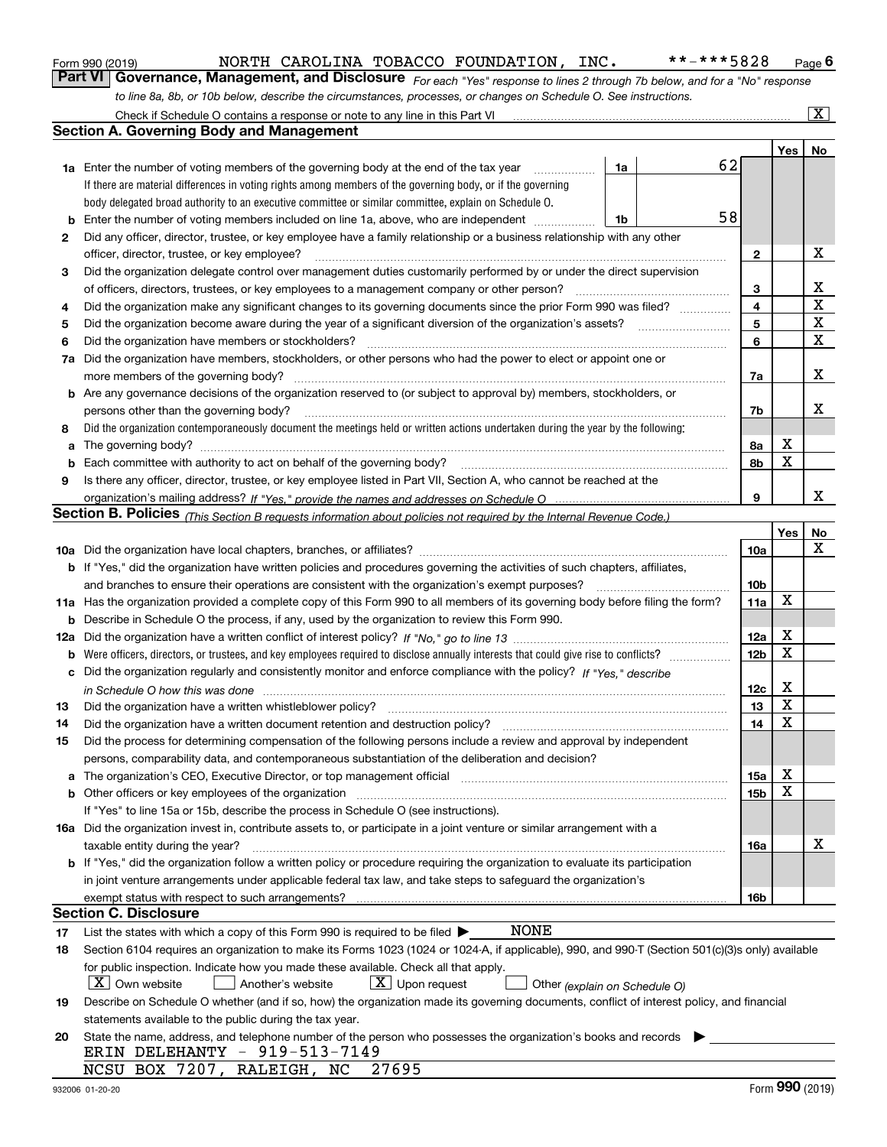|  | Form 990 (2019) |
|--|-----------------|
|  |                 |

# NORTH CAROLINA TOBACCO FOUNDATION, INC. \*\*-\*\*\*5828

*For each "Yes" response to lines 2 through 7b below, and for a "No" response to line 8a, 8b, or 10b below, describe the circumstances, processes, or changes on Schedule O. See instructions.* Form 990 (2019) **CONGLY MORTH CAROLINA TOBACCO FOUNDATION, INC.** \*\*-\*\*\*5828 Page 6<br>**Part VI Governance, Management, and Disclosure** *For each "Yes" response to lines 2 through 7b below, and for a "No" response* Check if Schedule O contains a response or note to any line in this Part VI

|     | Check if Schedule O contains a response or note to any line in this Part VI                                                                                                                                                        |    |   |    |                 |     | X       |
|-----|------------------------------------------------------------------------------------------------------------------------------------------------------------------------------------------------------------------------------------|----|---|----|-----------------|-----|---------|
|     | Section A. Governing Body and Management                                                                                                                                                                                           |    |   |    |                 |     |         |
|     |                                                                                                                                                                                                                                    |    |   |    |                 | Yes | No      |
|     | <b>1a</b> Enter the number of voting members of the governing body at the end of the tax year                                                                                                                                      | 1a |   | 62 |                 |     |         |
|     | If there are material differences in voting rights among members of the governing body, or if the governing                                                                                                                        |    |   |    |                 |     |         |
|     | body delegated broad authority to an executive committee or similar committee, explain on Schedule O.                                                                                                                              |    |   |    |                 |     |         |
| b   | Enter the number of voting members included on line 1a, above, who are independent                                                                                                                                                 | 1b |   | 58 |                 |     |         |
| 2   | Did any officer, director, trustee, or key employee have a family relationship or a business relationship with any other                                                                                                           |    |   |    |                 |     |         |
|     | officer, director, trustee, or key employee?                                                                                                                                                                                       |    | . |    | $\mathbf{2}$    |     | х       |
| 3   | Did the organization delegate control over management duties customarily performed by or under the direct supervision                                                                                                              |    |   |    |                 |     |         |
|     | of officers, directors, trustees, or key employees to a management company or other person?                                                                                                                                        |    |   |    | 3               |     | х       |
| 4   | Did the organization make any significant changes to its governing documents since the prior Form 990 was filed?                                                                                                                   |    |   |    | 4               |     | X       |
| 5   |                                                                                                                                                                                                                                    |    |   |    | 5               |     | X       |
| 6   | Did the organization have members or stockholders?                                                                                                                                                                                 |    |   |    | 6               |     | X       |
| 7a  | Did the organization have members, stockholders, or other persons who had the power to elect or appoint one or                                                                                                                     |    |   |    |                 |     |         |
|     | more members of the governing body?                                                                                                                                                                                                |    |   |    | 7a              |     | х       |
|     | <b>b</b> Are any governance decisions of the organization reserved to (or subject to approval by) members, stockholders, or                                                                                                        |    |   |    |                 |     |         |
|     | persons other than the governing body?                                                                                                                                                                                             |    |   |    | 7b              |     | х       |
| 8   | Did the organization contemporaneously document the meetings held or written actions undertaken during the year by the following:                                                                                                  |    |   |    |                 |     |         |
| a   | The governing body? [[11] matter and the contract of the contract of the contract of the contract of the contract of the contract of the contract of the contract of the contract of the contract of the contract of the contr     |    |   |    | 8а              | х   |         |
| b   |                                                                                                                                                                                                                                    |    |   |    | 8b              | X   |         |
| 9   | Is there any officer, director, trustee, or key employee listed in Part VII, Section A, who cannot be reached at the                                                                                                               |    |   |    |                 |     |         |
|     |                                                                                                                                                                                                                                    |    |   |    | 9               |     | х       |
|     | <b>Section B. Policies</b> (This Section B requests information about policies not required by the Internal Revenue Code.)                                                                                                         |    |   |    |                 |     |         |
|     |                                                                                                                                                                                                                                    |    |   |    |                 | Yes | No<br>x |
|     |                                                                                                                                                                                                                                    |    |   |    | 10a             |     |         |
|     | <b>b</b> If "Yes," did the organization have written policies and procedures governing the activities of such chapters, affiliates,                                                                                                |    |   |    | 10 <sub>b</sub> |     |         |
|     | and branches to ensure their operations are consistent with the organization's exempt purposes?<br>11a Has the organization provided a complete copy of this Form 990 to all members of its governing body before filing the form? |    |   |    | 11a             | X   |         |
| b   | Describe in Schedule O the process, if any, used by the organization to review this Form 990.                                                                                                                                      |    |   |    |                 |     |         |
| 12a |                                                                                                                                                                                                                                    |    |   |    | 12a             | X   |         |
| b   |                                                                                                                                                                                                                                    |    |   |    | 12 <sub>b</sub> | X   |         |
|     | c Did the organization regularly and consistently monitor and enforce compliance with the policy? If "Yes." describe                                                                                                               |    |   |    |                 |     |         |
|     | in Schedule O how this was done www.communication.com/www.communications.com/www.communications.com/                                                                                                                               |    |   |    | 12c             | х   |         |
| 13  | Did the organization have a written whistleblower policy?                                                                                                                                                                          |    |   |    | 13              | X   |         |
| 14  | Did the organization have a written document retention and destruction policy?                                                                                                                                                     |    |   |    | 14              | X   |         |
| 15  | Did the process for determining compensation of the following persons include a review and approval by independent                                                                                                                 |    |   |    |                 |     |         |
|     | persons, comparability data, and contemporaneous substantiation of the deliberation and decision?                                                                                                                                  |    |   |    |                 |     |         |
| a   | The organization's CEO, Executive Director, or top management official manufactured content of the organization's CEO, Executive Director, or top management official                                                              |    |   |    | 15a             | х   |         |
|     | <b>b</b> Other officers or key employees of the organization                                                                                                                                                                       |    |   |    | 15b             | х   |         |
|     | If "Yes" to line 15a or 15b, describe the process in Schedule O (see instructions).                                                                                                                                                |    |   |    |                 |     |         |
|     | 16a Did the organization invest in, contribute assets to, or participate in a joint venture or similar arrangement with a                                                                                                          |    |   |    |                 |     |         |
|     | taxable entity during the year?                                                                                                                                                                                                    |    |   |    | 16a             |     | х       |
|     | b If "Yes," did the organization follow a written policy or procedure requiring the organization to evaluate its participation                                                                                                     |    |   |    |                 |     |         |
|     | in joint venture arrangements under applicable federal tax law, and take steps to safequard the organization's                                                                                                                     |    |   |    |                 |     |         |
|     | exempt status with respect to such arrangements?                                                                                                                                                                                   |    |   |    | 16b             |     |         |
|     | <b>Section C. Disclosure</b>                                                                                                                                                                                                       |    |   |    |                 |     |         |
| 17  | NONE<br>List the states with which a copy of this Form 990 is required to be filed $\blacktriangleright$                                                                                                                           |    |   |    |                 |     |         |
| 18  | Section 6104 requires an organization to make its Forms 1023 (1024 or 1024-A, if applicable), 990, and 990-T (Section 501(c)(3)s only) available                                                                                   |    |   |    |                 |     |         |
|     | for public inspection. Indicate how you made these available. Check all that apply.                                                                                                                                                |    |   |    |                 |     |         |
|     | $X$ Own website<br>$\lfloor x \rfloor$ Upon request<br>Another's website<br>Other (explain on Schedule O)                                                                                                                          |    |   |    |                 |     |         |
| 19  | Describe on Schedule O whether (and if so, how) the organization made its governing documents, conflict of interest policy, and financial                                                                                          |    |   |    |                 |     |         |
|     | statements available to the public during the tax year.                                                                                                                                                                            |    |   |    |                 |     |         |
| 20  | State the name, address, and telephone number of the person who possesses the organization's books and records                                                                                                                     |    |   |    |                 |     |         |
|     | ERIN DELEHANTY - 919-513-7149                                                                                                                                                                                                      |    |   |    |                 |     |         |
|     | NCSU BOX 7207,<br>27695<br>RALEIGH, NC                                                                                                                                                                                             |    |   |    |                 | nnn |         |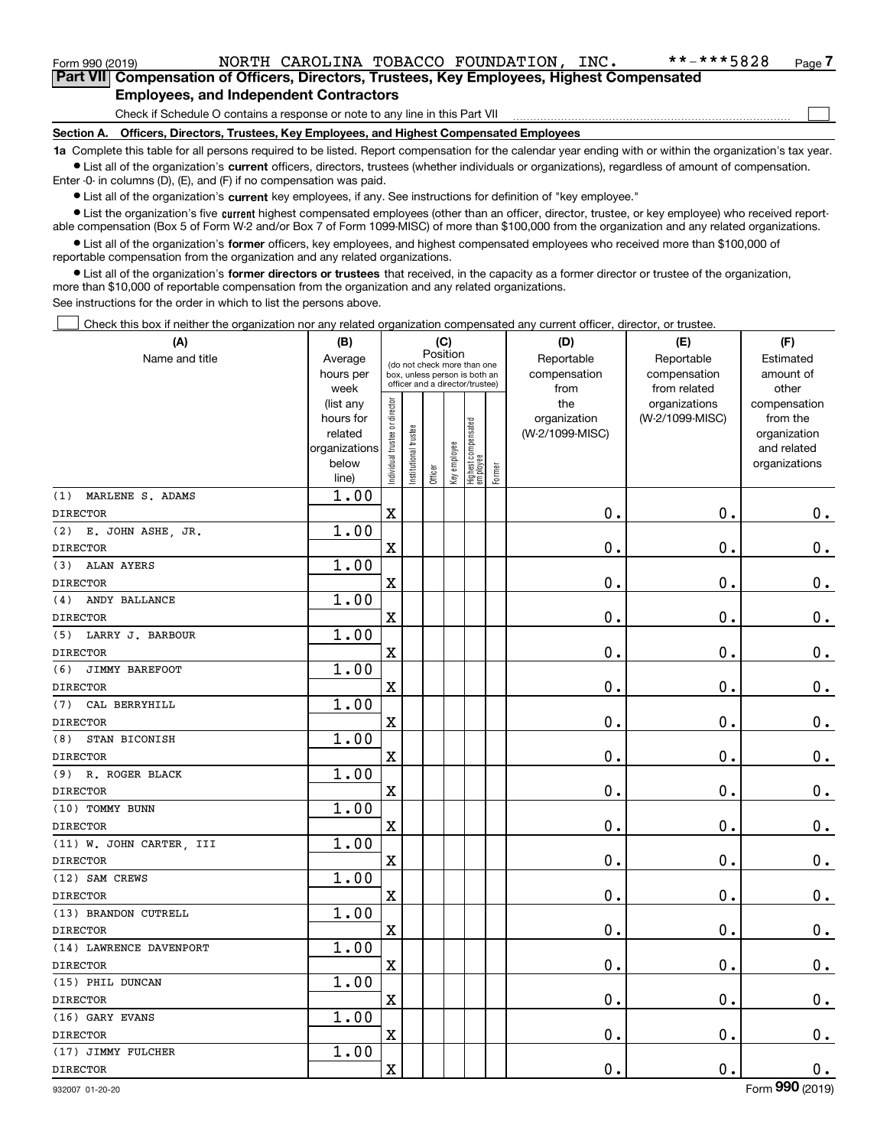| Form 990 (2019) |                                        |  | NORTH CAROLINA TOBACCO FOUNDATION, INC.                                                    | **-***5828 | Page 7 |
|-----------------|----------------------------------------|--|--------------------------------------------------------------------------------------------|------------|--------|
|                 |                                        |  | Part VII Compensation of Officers, Directors, Trustees, Key Employees, Highest Compensated |            |        |
|                 | Employees, and Indonesiant Contractors |  |                                                                                            |            |        |

### **Employees, and Independent Contractors**

Check if Schedule O contains a response or note to any line in this Part VII

**Section A. Officers, Directors, Trustees, Key Employees, and Highest Compensated Employees**

**1a**  Complete this table for all persons required to be listed. Report compensation for the calendar year ending with or within the organization's tax year. **•** List all of the organization's current officers, directors, trustees (whether individuals or organizations), regardless of amount of compensation.

Enter -0- in columns (D), (E), and (F) if no compensation was paid.

 $\bullet$  List all of the organization's  $\,$ current key employees, if any. See instructions for definition of "key employee."

**•** List the organization's five current highest compensated employees (other than an officer, director, trustee, or key employee) who received reportable compensation (Box 5 of Form W-2 and/or Box 7 of Form 1099-MISC) of more than \$100,000 from the organization and any related organizations.

**•** List all of the organization's former officers, key employees, and highest compensated employees who received more than \$100,000 of reportable compensation from the organization and any related organizations.

**former directors or trustees**  ¥ List all of the organization's that received, in the capacity as a former director or trustee of the organization, more than \$10,000 of reportable compensation from the organization and any related organizations.

See instructions for the order in which to list the persons above.

Check this box if neither the organization nor any related organization compensated any current officer, director, or trustee.  $\mathcal{L}^{\text{max}}$ 

| (A)                          | (B)                  | (C)                            |                                                                  |         |              | (D)                             | (E)        | (F)             |                 |                             |
|------------------------------|----------------------|--------------------------------|------------------------------------------------------------------|---------|--------------|---------------------------------|------------|-----------------|-----------------|-----------------------------|
| Name and title               | Average              |                                | Position<br>(do not check more than one                          |         |              |                                 | Reportable | Reportable      | Estimated       |                             |
|                              | hours per            |                                | box, unless person is both an<br>officer and a director/trustee) |         |              |                                 |            | compensation    | compensation    | amount of                   |
|                              | week                 |                                |                                                                  |         |              |                                 |            | from            | from related    | other                       |
|                              | (list any            |                                |                                                                  |         |              |                                 |            | the             | organizations   | compensation                |
|                              | hours for<br>related |                                |                                                                  |         |              |                                 |            | organization    | (W-2/1099-MISC) | from the                    |
|                              | organizations        |                                |                                                                  |         |              |                                 |            | (W-2/1099-MISC) |                 | organization<br>and related |
|                              | below                |                                |                                                                  |         |              |                                 |            |                 |                 | organizations               |
|                              | line)                | Individual trustee or director | In stitutional trustee                                           | Officer | Key employee | Highest compensated<br>employee | Former     |                 |                 |                             |
| (1)<br>MARLENE S. ADAMS      | 1.00                 |                                |                                                                  |         |              |                                 |            |                 |                 |                             |
| <b>DIRECTOR</b>              |                      | $\mathbf X$                    |                                                                  |         |              |                                 |            | 0.              | $\mathbf 0$ .   | $0_{.}$                     |
| (2) E. JOHN ASHE, JR.        | 1.00                 |                                |                                                                  |         |              |                                 |            |                 |                 |                             |
| <b>DIRECTOR</b>              |                      | $\mathbf X$                    |                                                                  |         |              |                                 |            | 0.              | $\mathbf 0$ .   | $\mathbf 0$ .               |
| <b>ALAN AYERS</b><br>(3)     | 1.00                 |                                |                                                                  |         |              |                                 |            |                 |                 |                             |
| <b>DIRECTOR</b>              |                      | $\mathbf x$                    |                                                                  |         |              |                                 |            | $\mathbf 0$ .   | $\mathbf 0$ .   | $\mathbf 0$ .               |
| ANDY BALLANCE<br>(4)         | 1.00                 |                                |                                                                  |         |              |                                 |            |                 |                 |                             |
| <b>DIRECTOR</b>              |                      | $\overline{\textbf{X}}$        |                                                                  |         |              |                                 |            | $\mathbf 0$ .   | 0.              | $\mathbf 0$ .               |
| (5) LARRY J. BARBOUR         | 1.00                 |                                |                                                                  |         |              |                                 |            |                 |                 |                             |
| <b>DIRECTOR</b>              |                      | $\mathbf X$                    |                                                                  |         |              |                                 |            | $\mathbf 0$ .   | $\mathbf 0$ .   | $\mathbf 0$ .               |
| (6)<br><b>JIMMY BAREFOOT</b> | 1.00                 |                                |                                                                  |         |              |                                 |            |                 |                 |                             |
| <b>DIRECTOR</b>              |                      | $\mathbf X$                    |                                                                  |         |              |                                 |            | $\mathbf 0$ .   | $\mathbf 0$ .   | $\mathbf 0$ .               |
| (7)<br>CAL BERRYHILL         | 1.00                 |                                |                                                                  |         |              |                                 |            |                 |                 |                             |
| <b>DIRECTOR</b>              |                      | $\mathbf X$                    |                                                                  |         |              |                                 |            | $\mathbf 0$ .   | $\mathbf 0$ .   | $\mathbf 0$ .               |
| (8)<br>STAN BICONISH         | 1.00                 |                                |                                                                  |         |              |                                 |            |                 |                 |                             |
| <b>DIRECTOR</b>              |                      | $\overline{\mathbf{X}}$        |                                                                  |         |              |                                 |            | $\mathbf 0$ .   | $\mathbf 0$ .   | $0_{.}$                     |
| R. ROGER BLACK<br>(9)        | 1.00                 |                                |                                                                  |         |              |                                 |            |                 |                 |                             |
| <b>DIRECTOR</b>              |                      | $\mathbf X$                    |                                                                  |         |              |                                 |            | 0.              | $\mathbf 0$ .   | $\mathbf 0$ .               |
| (10) TOMMY BUNN              | 1.00                 |                                |                                                                  |         |              |                                 |            |                 |                 |                             |
| <b>DIRECTOR</b>              |                      | $\mathbf X$                    |                                                                  |         |              |                                 |            | $\mathbf 0$ .   | 0.              | $\mathbf 0$ .               |
| (11) W. JOHN CARTER, III     | 1.00                 |                                |                                                                  |         |              |                                 |            |                 |                 |                             |
| <b>DIRECTOR</b>              |                      | $\mathbf x$                    |                                                                  |         |              |                                 |            | 0.              | 0.              | $0_{.}$                     |
| (12) SAM CREWS               | 1.00                 |                                |                                                                  |         |              |                                 |            |                 |                 |                             |
| <b>DIRECTOR</b>              |                      | $\mathbf x$                    |                                                                  |         |              |                                 |            | $\mathbf 0$ .   | 0.              | $\mathbf 0$ .               |
| (13) BRANDON CUTRELL         | 1.00                 |                                |                                                                  |         |              |                                 |            |                 |                 |                             |
| <b>DIRECTOR</b>              |                      | $\mathbf X$                    |                                                                  |         |              |                                 |            | $0$ .           | 0.              | $0_{.}$                     |
| (14) LAWRENCE DAVENPORT      | 1.00                 |                                |                                                                  |         |              |                                 |            |                 |                 |                             |
| <b>DIRECTOR</b>              |                      | $\mathbf X$                    |                                                                  |         |              |                                 |            | $\mathbf 0$ .   | $\mathbf 0$ .   | $0_{.}$                     |
| (15) PHIL DUNCAN             | 1.00                 |                                |                                                                  |         |              |                                 |            |                 |                 |                             |
| <b>DIRECTOR</b>              |                      | $\mathbf X$                    |                                                                  |         |              |                                 |            | $\mathbf 0$ .   | $\mathbf 0$ .   | $0 \cdot$                   |
| (16) GARY EVANS              | 1.00                 |                                |                                                                  |         |              |                                 |            |                 |                 |                             |
| <b>DIRECTOR</b>              |                      | $\mathbf X$                    |                                                                  |         |              |                                 |            | $\mathbf 0$ .   | 0.              | $\mathbf 0$ .               |
| (17) JIMMY FULCHER           | 1.00                 |                                |                                                                  |         |              |                                 |            |                 |                 |                             |
| <b>DIRECTOR</b>              |                      | $\mathbf X$                    |                                                                  |         |              |                                 |            | $\mathbf 0$ .   | 0.              | $\mathbf 0$ .               |

 $\mathcal{L}^{\text{max}}$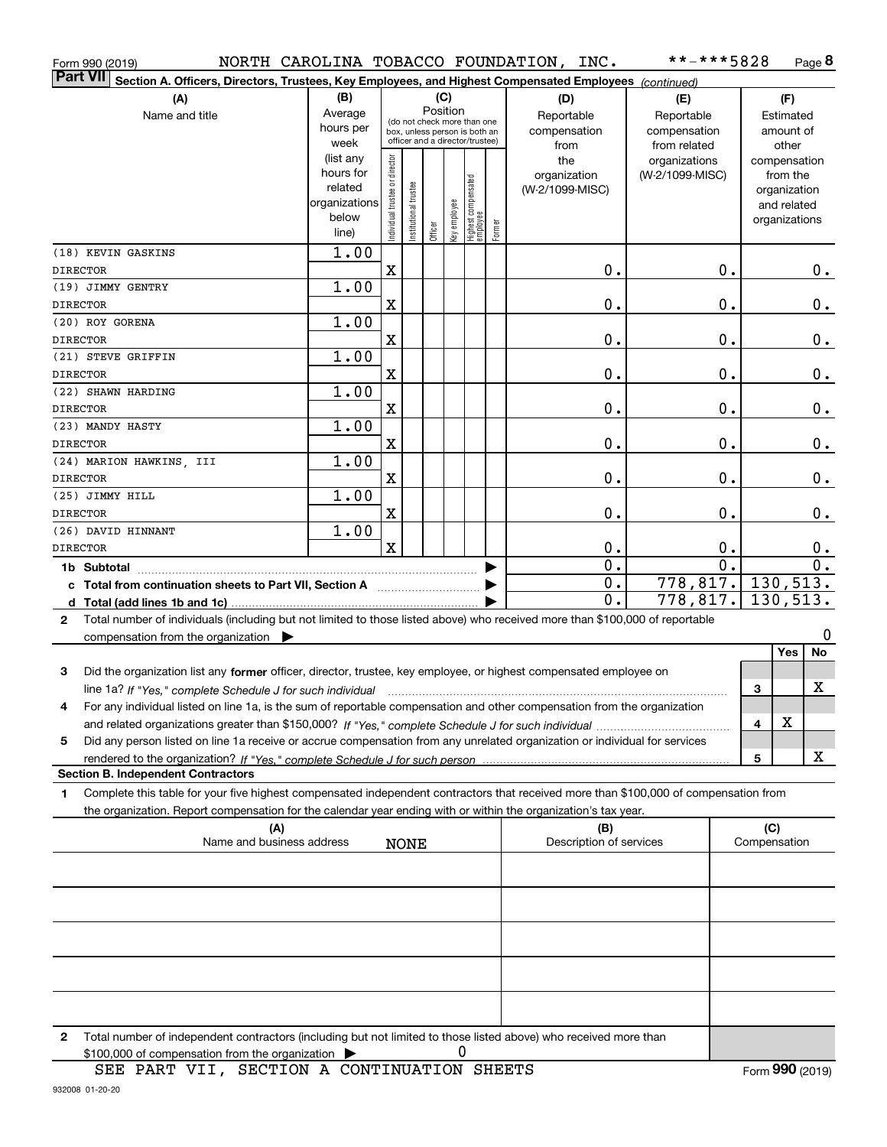| Form 990 (2019)                                                                                                                              |                        |                                |                        |          |              |                                 |        | NORTH CAROLINA TOBACCO FOUNDATION, INC. | **-***5828       |              |                          | Page 8        |
|----------------------------------------------------------------------------------------------------------------------------------------------|------------------------|--------------------------------|------------------------|----------|--------------|---------------------------------|--------|-----------------------------------------|------------------|--------------|--------------------------|---------------|
| <b>Part VII</b><br>Section A. Officers, Directors, Trustees, Key Employees, and Highest Compensated Employees (continued)                    |                        |                                |                        |          |              |                                 |        |                                         |                  |              |                          |               |
| (A)                                                                                                                                          | (B)                    |                                |                        |          | (C)          |                                 |        | (D)                                     | (E)              |              | (F)                      |               |
| Name and title                                                                                                                               | Average                |                                |                        | Position |              | (do not check more than one     |        | Reportable                              | Reportable       |              | Estimated                |               |
|                                                                                                                                              | hours per              |                                |                        |          |              | box, unless person is both an   |        | compensation                            | compensation     |              | amount of                |               |
|                                                                                                                                              | week                   |                                |                        |          |              | officer and a director/trustee) |        | from                                    | from related     |              | other                    |               |
|                                                                                                                                              | (list any<br>hours for | Individual trustee or director |                        |          |              |                                 |        | the                                     | organizations    |              | compensation             |               |
|                                                                                                                                              | related                |                                |                        |          |              |                                 |        | organization<br>(W-2/1099-MISC)         | (W-2/1099-MISC)  |              | from the<br>organization |               |
|                                                                                                                                              | organizations          |                                |                        |          |              |                                 |        |                                         |                  |              | and related              |               |
|                                                                                                                                              | below                  |                                | In stitutional trustee |          | Key employee | Highest compensated<br>employee |        |                                         |                  |              | organizations            |               |
|                                                                                                                                              | line)                  |                                |                        | Officer  |              |                                 | Former |                                         |                  |              |                          |               |
| (18) KEVIN GASKINS                                                                                                                           | 1.00                   |                                |                        |          |              |                                 |        |                                         |                  |              |                          |               |
| <b>DIRECTOR</b>                                                                                                                              |                        | $\mathbf X$                    |                        |          |              |                                 |        | 0.                                      | 0.               |              |                          | 0.            |
| (19) JIMMY GENTRY                                                                                                                            | 1.00                   |                                |                        |          |              |                                 |        |                                         |                  |              |                          |               |
| <b>DIRECTOR</b>                                                                                                                              |                        | X                              |                        |          |              |                                 |        | 0.                                      | 0.               |              |                          | $\mathbf 0$ . |
| (20) ROY GORENA                                                                                                                              | 1.00                   |                                |                        |          |              |                                 |        | 0.                                      | $\mathbf 0$ .    |              |                          |               |
| <b>DIRECTOR</b><br>(21) STEVE GRIFFIN                                                                                                        | 1.00                   | X                              |                        |          |              |                                 |        |                                         |                  |              |                          | $\mathbf 0$ . |
| <b>DIRECTOR</b>                                                                                                                              |                        | X                              |                        |          |              |                                 |        | 0.                                      | $\mathbf 0$ .    |              |                          | $\mathbf 0$ . |
| (22) SHAWN HARDING                                                                                                                           | 1.00                   |                                |                        |          |              |                                 |        |                                         |                  |              |                          |               |
| <b>DIRECTOR</b>                                                                                                                              |                        | X                              |                        |          |              |                                 |        | 0.                                      | $\mathbf 0$ .    |              |                          | $\mathbf 0$ . |
| (23) MANDY HASTY                                                                                                                             | 1.00                   |                                |                        |          |              |                                 |        |                                         |                  |              |                          |               |
| <b>DIRECTOR</b>                                                                                                                              |                        | X                              |                        |          |              |                                 |        | $\mathbf 0$ .                           | $\mathbf 0$ .    |              |                          | 0.            |
| (24) MARION HAWKINS, III                                                                                                                     | 1.00                   |                                |                        |          |              |                                 |        |                                         |                  |              |                          |               |
| <b>DIRECTOR</b>                                                                                                                              |                        | X                              |                        |          |              |                                 |        | $\mathbf 0$ .                           | $\mathbf 0$ .    |              |                          | $\mathbf 0$ . |
| (25) JIMMY HILL                                                                                                                              | 1.00                   |                                |                        |          |              |                                 |        |                                         |                  |              |                          |               |
| <b>DIRECTOR</b>                                                                                                                              |                        | X                              |                        |          |              |                                 |        | $\mathbf 0$ .                           | $\mathbf 0$ .    |              |                          | $\mathbf 0$ . |
| (26) DAVID HINNANT                                                                                                                           | 1.00                   | $\mathbf x$                    |                        |          |              |                                 |        |                                         | 0.               |              |                          |               |
| <b>DIRECTOR</b>                                                                                                                              |                        |                                |                        |          |              |                                 |        | 0.<br>$\overline{0}$ .                  | $\overline{0}$ . |              |                          | 0.<br>0.      |
| 1b Subtotal<br>c Total from continuation sheets to Part VII, Section A [ [ [ [ [ [ ] ] ]                                                     |                        |                                |                        |          |              |                                 |        | $\overline{0}$ .                        | 778, 817.        |              | 130, 513.                |               |
|                                                                                                                                              |                        |                                |                        |          |              |                                 |        | $\mathbf 0$ .                           | 778,817.         |              | 130,513.                 |               |
| Total number of individuals (including but not limited to those listed above) who received more than \$100,000 of reportable<br>$\mathbf{2}$ |                        |                                |                        |          |              |                                 |        |                                         |                  |              |                          |               |
| compensation from the organization                                                                                                           |                        |                                |                        |          |              |                                 |        |                                         |                  |              |                          | 0             |
|                                                                                                                                              |                        |                                |                        |          |              |                                 |        |                                         |                  |              | Yes                      | No            |
| Did the organization list any former officer, director, trustee, key employee, or highest compensated employee on<br>3                       |                        |                                |                        |          |              |                                 |        |                                         |                  |              |                          |               |
| line 1a? If "Yes," complete Schedule J for such individual manufactured contained and the Schedule J for such i                              |                        |                                |                        |          |              |                                 |        |                                         |                  | 3            |                          | х             |
| For any individual listed on line 1a, is the sum of reportable compensation and other compensation from the organization<br>4                |                        |                                |                        |          |              |                                 |        |                                         |                  |              |                          |               |
|                                                                                                                                              |                        |                                |                        |          |              |                                 |        |                                         |                  | 4            | х                        |               |
| Did any person listed on line 1a receive or accrue compensation from any unrelated organization or individual for services<br>5              |                        |                                |                        |          |              |                                 |        |                                         |                  |              |                          |               |
|                                                                                                                                              |                        |                                |                        |          |              |                                 |        |                                         |                  | 5            |                          | x             |
| <b>Section B. Independent Contractors</b>                                                                                                    |                        |                                |                        |          |              |                                 |        |                                         |                  |              |                          |               |
| Complete this table for your five highest compensated independent contractors that received more than \$100,000 of compensation from<br>1    |                        |                                |                        |          |              |                                 |        |                                         |                  |              |                          |               |
| the organization. Report compensation for the calendar year ending with or within the organization's tax year.<br>(A)                        |                        |                                |                        |          |              |                                 |        | (B)                                     |                  |              | (C)                      |               |
| Name and business address                                                                                                                    |                        |                                | <b>NONE</b>            |          |              |                                 |        | Description of services                 |                  | Compensation |                          |               |
|                                                                                                                                              |                        |                                |                        |          |              |                                 |        |                                         |                  |              |                          |               |
|                                                                                                                                              |                        |                                |                        |          |              |                                 |        |                                         |                  |              |                          |               |
|                                                                                                                                              |                        |                                |                        |          |              |                                 |        |                                         |                  |              |                          |               |
|                                                                                                                                              |                        |                                |                        |          |              |                                 |        |                                         |                  |              |                          |               |
|                                                                                                                                              |                        |                                |                        |          |              |                                 |        |                                         |                  |              |                          |               |
|                                                                                                                                              |                        |                                |                        |          |              |                                 |        |                                         |                  |              |                          |               |
|                                                                                                                                              |                        |                                |                        |          |              |                                 |        |                                         |                  |              |                          |               |
|                                                                                                                                              |                        |                                |                        |          |              |                                 |        |                                         |                  |              |                          |               |

**2**Total number of independent contractors (including but not limited to those listed above) who received more than  $$100,000$  of compensation from the organization  $\qquad \blacktriangleright$  0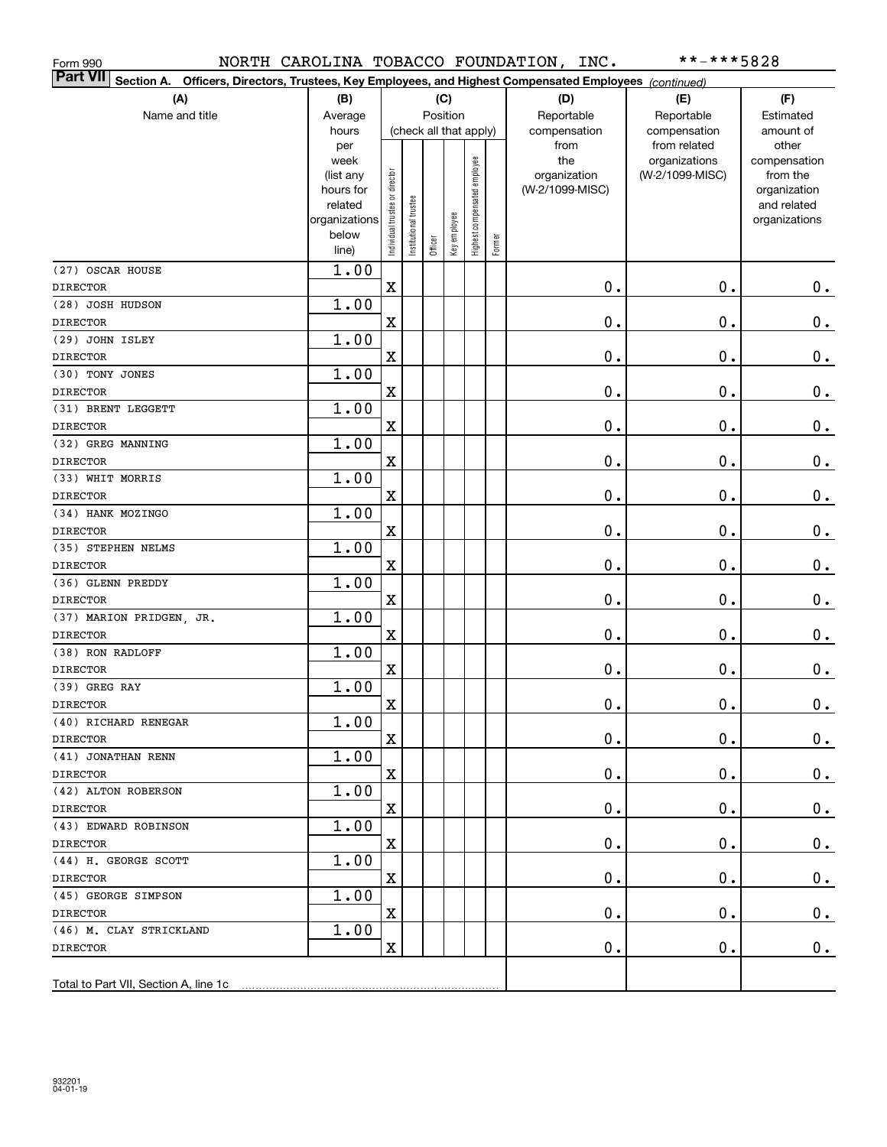| Form 990                                                                                                                     |                        |                                |                       |                        |              |                              |        | NORTH CAROLINA TOBACCO FOUNDATION, INC. | **-***5828         |                          |
|------------------------------------------------------------------------------------------------------------------------------|------------------------|--------------------------------|-----------------------|------------------------|--------------|------------------------------|--------|-----------------------------------------|--------------------|--------------------------|
| <b>Part VII</b><br>Officers, Directors, Trustees, Key Employees, and Highest Compensated Employees (continued)<br>Section A. |                        |                                |                       |                        |              |                              |        |                                         |                    |                          |
| (A)                                                                                                                          | (B)                    |                                |                       |                        | (C)          |                              |        | (D)                                     | (E)                | (F)                      |
| Name and title                                                                                                               | Average                |                                |                       | Position               |              |                              |        | Reportable                              | Reportable         | Estimated                |
|                                                                                                                              | hours                  |                                |                       | (check all that apply) |              |                              |        | compensation                            | compensation       | amount of                |
|                                                                                                                              | per                    |                                |                       |                        |              |                              |        | from                                    | from related       | other                    |
|                                                                                                                              | week                   |                                |                       |                        |              | Highest compensated employee |        | the                                     | organizations      | compensation<br>from the |
|                                                                                                                              | (list any<br>hours for |                                |                       |                        |              |                              |        | organization<br>(W-2/1099-MISC)         | (W-2/1099-MISC)    | organization             |
|                                                                                                                              | related                |                                |                       |                        |              |                              |        |                                         |                    | and related              |
|                                                                                                                              | organizations          |                                |                       |                        |              |                              |        |                                         |                    | organizations            |
|                                                                                                                              | below                  | Individual trustee or director | Institutional trustee |                        | Key employee |                              | Former |                                         |                    |                          |
|                                                                                                                              | line)                  |                                |                       | Officer                |              |                              |        |                                         |                    |                          |
| (27) OSCAR HOUSE                                                                                                             | 1.00                   |                                |                       |                        |              |                              |        |                                         |                    |                          |
| <b>DIRECTOR</b>                                                                                                              |                        | $\rm X$                        |                       |                        |              |                              |        | 0.                                      | $\mathbf 0$ .      | 0.                       |
| (28) JOSH HUDSON                                                                                                             | 1.00                   |                                |                       |                        |              |                              |        |                                         |                    |                          |
| <b>DIRECTOR</b>                                                                                                              |                        | $\overline{\textbf{X}}$        |                       |                        |              |                              |        | 0.                                      | $\mathbf 0$ .      | 0.                       |
| (29) JOHN ISLEY                                                                                                              | 1.00                   |                                |                       |                        |              |                              |        |                                         |                    |                          |
| <b>DIRECTOR</b>                                                                                                              |                        | $\overline{\textbf{X}}$        |                       |                        |              |                              |        | 0.                                      | $\mathbf 0$ .      | 0.                       |
| (30) TONY JONES                                                                                                              | 1.00                   |                                |                       |                        |              |                              |        |                                         |                    |                          |
| <b>DIRECTOR</b>                                                                                                              |                        | $\overline{\textbf{X}}$        |                       |                        |              |                              |        | 0.                                      | $\mathbf 0$ .      | 0.                       |
| (31) BRENT LEGGETT                                                                                                           | 1.00                   |                                |                       |                        |              |                              |        |                                         |                    |                          |
| <b>DIRECTOR</b>                                                                                                              |                        | $\overline{\textbf{X}}$        |                       |                        |              |                              |        | 0.                                      | $\mathbf 0$ .      | $0_{.}$                  |
| (32) GREG MANNING                                                                                                            | 1.00                   |                                |                       |                        |              |                              |        |                                         |                    |                          |
| <b>DIRECTOR</b>                                                                                                              |                        | $\overline{\textbf{X}}$        |                       |                        |              |                              |        | 0.                                      | $\mathbf 0$ .      | $0_{.}$                  |
| (33) WHIT MORRIS                                                                                                             | 1.00                   |                                |                       |                        |              |                              |        |                                         |                    |                          |
| <b>DIRECTOR</b>                                                                                                              |                        | $\overline{\textbf{X}}$        |                       |                        |              |                              |        | 0.                                      | $\mathbf 0$ .      | $0_{.}$                  |
| (34) HANK MOZINGO                                                                                                            | 1.00                   |                                |                       |                        |              |                              |        |                                         |                    |                          |
| <b>DIRECTOR</b>                                                                                                              |                        | $\overline{\textbf{X}}$        |                       |                        |              |                              |        | 0.                                      | $\mathbf 0$ .      | $0_{.}$                  |
| (35) STEPHEN NELMS                                                                                                           | 1.00                   |                                |                       |                        |              |                              |        |                                         |                    |                          |
| <b>DIRECTOR</b>                                                                                                              |                        | $\overline{\textbf{X}}$        |                       |                        |              |                              |        | 0.                                      | $\mathbf 0$ .      | 0.                       |
| (36) GLENN PREDDY                                                                                                            | 1.00                   |                                |                       |                        |              |                              |        |                                         |                    |                          |
| <b>DIRECTOR</b>                                                                                                              |                        | $\overline{\textbf{X}}$        |                       |                        |              |                              |        | 0.                                      | $\mathbf 0$ .      | 0.                       |
| (37) MARION PRIDGEN, JR.                                                                                                     | 1.00                   | $\rm X$                        |                       |                        |              |                              |        |                                         |                    |                          |
| <b>DIRECTOR</b><br>(38) RON RADLOFF                                                                                          | 1.00                   |                                |                       |                        |              |                              |        | 0.                                      | $\mathbf 0$ .      | $0_{.}$                  |
| <b>DIRECTOR</b>                                                                                                              |                        | $\overline{\textbf{X}}$        |                       |                        |              |                              |        | 0.                                      | $\mathbf 0$ .      |                          |
| (39) GREG RAY                                                                                                                | 1.00                   |                                |                       |                        |              |                              |        |                                         |                    | 0.                       |
|                                                                                                                              |                        | $\mathbf X$                    |                       |                        |              |                              |        | $\mathbf 0$ .                           | $\mathbf 0$ .      | $\pmb{0}$ .              |
| <b>DIRECTOR</b><br>(40) RICHARD RENEGAR                                                                                      | 1.00                   |                                |                       |                        |              |                              |        |                                         |                    |                          |
| <b>DIRECTOR</b>                                                                                                              |                        | Χ                              |                       |                        |              |                              |        | 0.                                      | $\mathbf 0$ .      | 0.                       |
| (41) JONATHAN RENN                                                                                                           | 1.00                   |                                |                       |                        |              |                              |        |                                         |                    |                          |
| <b>DIRECTOR</b>                                                                                                              |                        | $\mathbf X$                    |                       |                        |              |                              |        | 0.                                      | $\mathbf 0$ .      | 0.                       |
| (42) ALTON ROBERSON                                                                                                          | 1.00                   |                                |                       |                        |              |                              |        |                                         |                    |                          |
| <b>DIRECTOR</b>                                                                                                              |                        | X                              |                       |                        |              |                              |        | 0.                                      | $\mathbf 0$ .      | 0.                       |
| (43) EDWARD ROBINSON                                                                                                         | 1.00                   |                                |                       |                        |              |                              |        |                                         |                    |                          |
| <b>DIRECTOR</b>                                                                                                              |                        | Χ                              |                       |                        |              |                              |        | 0.                                      | $\mathbf 0$ .      | $0_{.}$                  |
| (44) H. GEORGE SCOTT                                                                                                         | 1.00                   |                                |                       |                        |              |                              |        |                                         |                    |                          |
| <b>DIRECTOR</b>                                                                                                              |                        | Χ                              |                       |                        |              |                              |        | 0.                                      | $\mathbf 0$ .      | $0_{.}$                  |
| (45) GEORGE SIMPSON                                                                                                          | 1.00                   |                                |                       |                        |              |                              |        |                                         |                    |                          |
| <b>DIRECTOR</b>                                                                                                              |                        | X                              |                       |                        |              |                              |        | 0.                                      | $\mathbf 0$ .      | 0.                       |
| (46) M. CLAY STRICKLAND                                                                                                      | 1.00                   |                                |                       |                        |              |                              |        |                                         |                    |                          |
| <b>DIRECTOR</b>                                                                                                              |                        | X                              |                       |                        |              |                              |        | $\mathbf 0$ .                           | $\boldsymbol{0}$ . | 0.                       |
|                                                                                                                              |                        |                                |                       |                        |              |                              |        |                                         |                    |                          |
| Total to Part VII, Section A, line 1c                                                                                        |                        |                                |                       |                        |              |                              |        |                                         |                    |                          |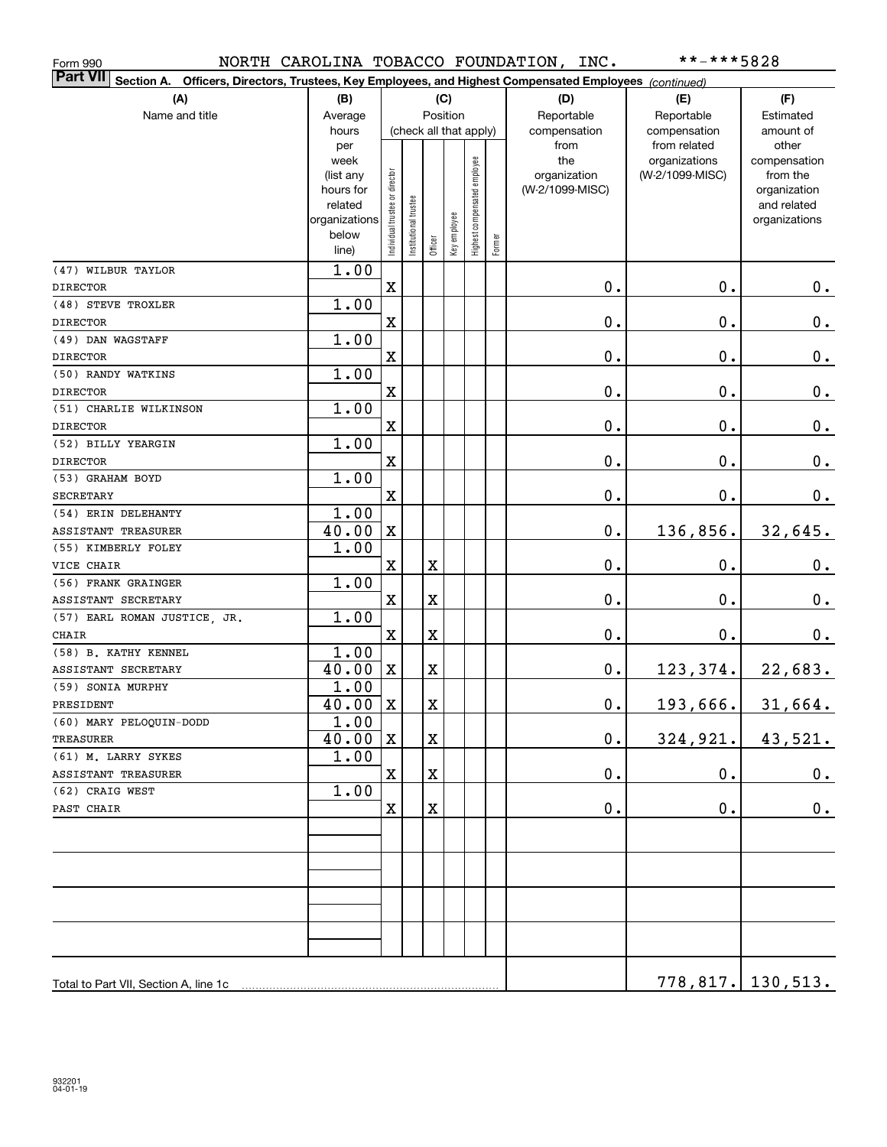| Form 990                                                                                                                  |                |                               |                        |             |              |                              |        | NORTH CAROLINA TOBACCO FOUNDATION, INC. | **-***5828                    |                          |
|---------------------------------------------------------------------------------------------------------------------------|----------------|-------------------------------|------------------------|-------------|--------------|------------------------------|--------|-----------------------------------------|-------------------------------|--------------------------|
| <b>Part VII</b><br>Section A. Officers, Directors, Trustees, Key Employees, and Highest Compensated Employees (continued) |                |                               |                        |             |              |                              |        |                                         |                               |                          |
| (A)                                                                                                                       | (B)            |                               |                        |             | (C)          |                              |        | (D)                                     | (E)                           | (F)                      |
| Name and title                                                                                                            | Average        |                               |                        |             | Position     |                              |        | Reportable                              | Reportable                    | Estimated                |
|                                                                                                                           | hours          |                               | (check all that apply) |             |              |                              |        | compensation                            | compensation                  | amount of                |
|                                                                                                                           | per<br>week    |                               |                        |             |              |                              |        | from<br>the                             | from related<br>organizations | other<br>compensation    |
|                                                                                                                           | (list any      |                               |                        |             |              |                              |        | organization                            | (W-2/1099-MISC)               | from the                 |
|                                                                                                                           | hours for      |                               |                        |             |              |                              |        | (W-2/1099-MISC)                         |                               | organization             |
|                                                                                                                           | related        |                               |                        |             |              |                              |        |                                         |                               | and related              |
|                                                                                                                           | organizations  |                               |                        |             |              |                              |        |                                         |                               | organizations            |
|                                                                                                                           | below<br>line) | Individual trustee or directo | Institutional trustee  | Officer     | Key employee | Highest compensated employee | Former |                                         |                               |                          |
| (47) WILBUR TAYLOR                                                                                                        | 1.00           |                               |                        |             |              |                              |        |                                         |                               |                          |
| <b>DIRECTOR</b>                                                                                                           |                | $\mathbf X$                   |                        |             |              |                              |        | $\mathbf 0$ .                           | 0.                            | 0.                       |
| (48) STEVE TROXLER                                                                                                        | 1.00           |                               |                        |             |              |                              |        |                                         |                               |                          |
| <b>DIRECTOR</b>                                                                                                           |                | $\mathbf X$                   |                        |             |              |                              |        | $0$ .                                   | $\mathbf 0$ .                 | $\mathbf 0$ .            |
| (49) DAN WAGSTAFF                                                                                                         | 1.00           |                               |                        |             |              |                              |        |                                         |                               |                          |
| <b>DIRECTOR</b>                                                                                                           |                | $\mathbf X$                   |                        |             |              |                              |        | $0$ .                                   | 0.                            | $\mathbf 0$ .            |
| (50) RANDY WATKINS                                                                                                        | 1.00           |                               |                        |             |              |                              |        |                                         |                               |                          |
| <b>DIRECTOR</b>                                                                                                           |                | $\mathbf X$                   |                        |             |              |                              |        | $0$ .                                   | 0.                            | $\mathbf 0$ .            |
| (51) CHARLIE WILKINSON                                                                                                    | 1.00           |                               |                        |             |              |                              |        |                                         |                               |                          |
| <b>DIRECTOR</b>                                                                                                           |                | $\mathbf X$                   |                        |             |              |                              |        | $0$ .                                   | 0.                            | $\mathbf 0$ .            |
| (52) BILLY YEARGIN                                                                                                        | 1.00           |                               |                        |             |              |                              |        |                                         |                               |                          |
| <b>DIRECTOR</b>                                                                                                           |                | $\mathbf X$                   |                        |             |              |                              |        | $0$ .                                   | 0.                            | 0.                       |
| (53) GRAHAM BOYD                                                                                                          | 1.00           |                               |                        |             |              |                              |        |                                         |                               |                          |
| <b>SECRETARY</b>                                                                                                          |                | $\mathbf X$                   |                        |             |              |                              |        | $0$ .                                   | 0.                            | 0.                       |
| (54) ERIN DELEHANTY                                                                                                       | 1.00           |                               |                        |             |              |                              |        |                                         |                               |                          |
| ASSISTANT TREASURER                                                                                                       | 40.00          | $\mathbf X$                   |                        |             |              |                              |        | $0$ .                                   | 136,856.                      | 32,645.                  |
| (55) KIMBERLY FOLEY                                                                                                       | 1.00           |                               |                        |             |              |                              |        |                                         |                               |                          |
| VICE CHAIR                                                                                                                |                | $\mathbf X$                   |                        | $\mathbf X$ |              |                              |        | $0$ .                                   | 0.                            | 0.                       |
| (56) FRANK GRAINGER                                                                                                       | 1.00           |                               |                        |             |              |                              |        |                                         |                               |                          |
| ASSISTANT SECRETARY                                                                                                       |                | $\mathbf X$                   |                        | $\mathbf X$ |              |                              |        | $0$ .                                   | 0.                            | $\mathbf 0$ .            |
| (57) EARL ROMAN JUSTICE, JR.<br><b>CHAIR</b>                                                                              | 1.00           | $\mathbf X$                   |                        | $\mathbf X$ |              |                              |        | 0.                                      | 0.                            | 0.                       |
| (58) B. KATHY KENNEL                                                                                                      | 1.00           |                               |                        |             |              |                              |        |                                         |                               |                          |
| ASSISTANT SECRETARY                                                                                                       | 40.00          | X                             |                        | $\mathbf X$ |              |                              |        | 0.                                      | 123,374.                      | 22,683.                  |
| (59) SONIA MURPHY                                                                                                         | 1.00           |                               |                        |             |              |                              |        |                                         |                               |                          |
| PRESIDENT                                                                                                                 | $40.00$ X      |                               |                        | X           |              |                              |        | $\mathbf 0$ .                           | 193,666.                      | 31,664.                  |
| (60) MARY PELOQUIN-DODD                                                                                                   | 1.00           |                               |                        |             |              |                              |        |                                         |                               |                          |
| TREASURER                                                                                                                 | 40.00          | X                             |                        | X           |              |                              |        | $\mathbf 0$ .                           | 324,921.                      | 43,521.                  |
| (61) M. LARRY SYKES                                                                                                       | 1.00           |                               |                        |             |              |                              |        |                                         |                               |                          |
| ASSISTANT TREASURER                                                                                                       |                | $\mathbf X$                   |                        | $\mathbf X$ |              |                              |        | $\mathbf 0$ .                           | $\mathbf 0$ .                 | 0.                       |
| (62) CRAIG WEST                                                                                                           | 1.00           |                               |                        |             |              |                              |        |                                         |                               |                          |
| PAST CHAIR                                                                                                                |                | X                             |                        | $\mathbf X$ |              |                              |        | $\mathbf 0$ .                           | 0.                            | 0.                       |
|                                                                                                                           |                |                               |                        |             |              |                              |        |                                         |                               |                          |
|                                                                                                                           |                |                               |                        |             |              |                              |        |                                         |                               |                          |
|                                                                                                                           |                |                               |                        |             |              |                              |        |                                         |                               |                          |
|                                                                                                                           |                |                               |                        |             |              |                              |        |                                         |                               |                          |
|                                                                                                                           |                |                               |                        |             |              |                              |        |                                         |                               |                          |
|                                                                                                                           |                |                               |                        |             |              |                              |        |                                         |                               |                          |
| Total to Part VII, Section A, line 1c                                                                                     |                |                               |                        |             |              |                              |        |                                         |                               | <u>778,817. 130,513.</u> |
|                                                                                                                           |                |                               |                        |             |              |                              |        |                                         |                               |                          |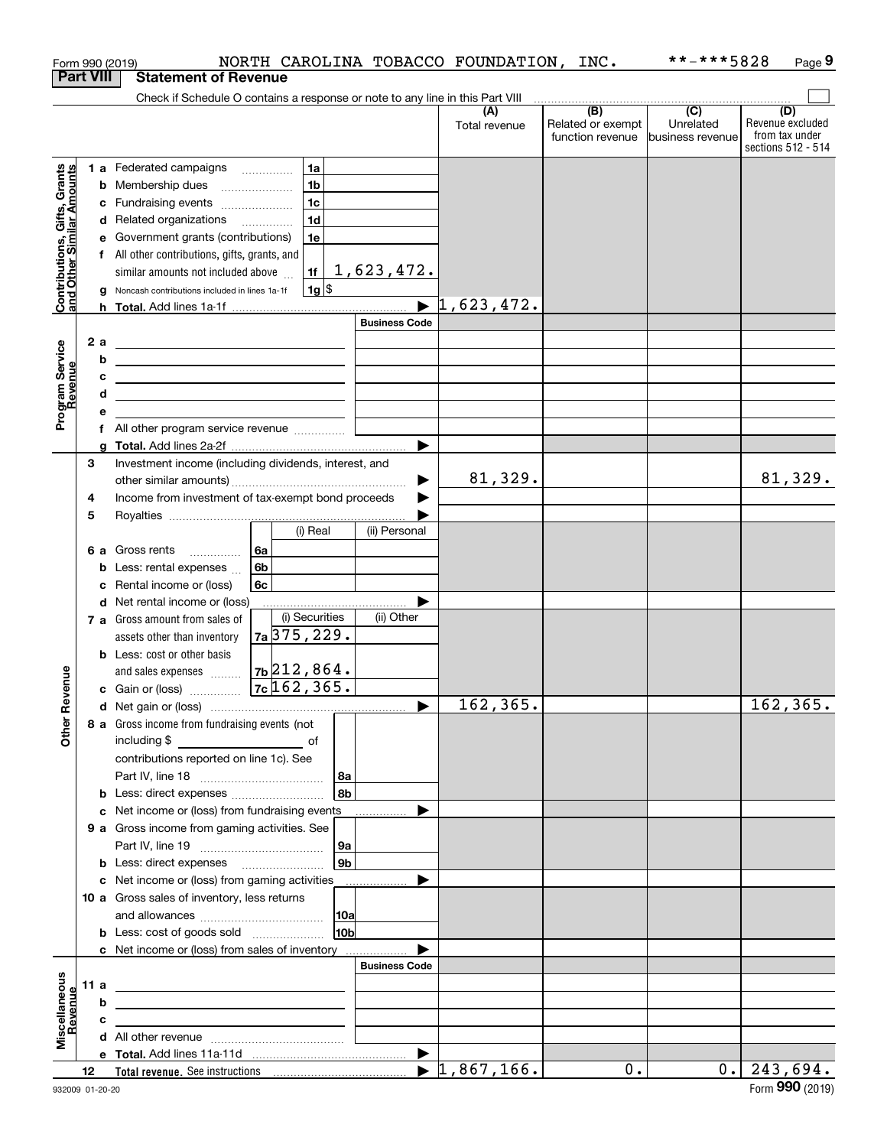|                                                           |    |        | Form 990 (2019)                                                                                                       |                          |                                  |                        |                       | NORTH CAROLINA TOBACCO FOUNDATION, | INC.                                         | **-***5828                                      | Page 9                                                          |
|-----------------------------------------------------------|----|--------|-----------------------------------------------------------------------------------------------------------------------|--------------------------|----------------------------------|------------------------|-----------------------|------------------------------------|----------------------------------------------|-------------------------------------------------|-----------------------------------------------------------------|
| <b>Part VIII</b>                                          |    |        | <b>Statement of Revenue</b>                                                                                           |                          |                                  |                        |                       |                                    |                                              |                                                 |                                                                 |
|                                                           |    |        | Check if Schedule O contains a response or note to any line in this Part VIII                                         |                          |                                  |                        |                       |                                    |                                              |                                                 |                                                                 |
|                                                           |    |        |                                                                                                                       |                          |                                  |                        |                       | (A)<br>Total revenue               | (B)<br>Related or exempt<br>function revenue | $\overline{C}$<br>Unrelated<br>business revenue | (D)<br>Revenue excluded<br>from tax under<br>sections 512 - 514 |
|                                                           |    |        | 1 a Federated campaigns                                                                                               |                          | 1a                               |                        |                       |                                    |                                              |                                                 |                                                                 |
|                                                           |    |        | <b>b</b> Membership dues                                                                                              | $\overline{\phantom{a}}$ | 1 <sub>b</sub>                   |                        |                       |                                    |                                              |                                                 |                                                                 |
|                                                           |    |        | c Fundraising events                                                                                                  |                          | 1 <sub>c</sub>                   |                        |                       |                                    |                                              |                                                 |                                                                 |
|                                                           |    |        | d Related organizations                                                                                               |                          | 1 <sub>d</sub>                   |                        |                       |                                    |                                              |                                                 |                                                                 |
|                                                           |    |        | e Government grants (contributions)                                                                                   |                          | 1e                               |                        |                       |                                    |                                              |                                                 |                                                                 |
|                                                           |    |        | f All other contributions, gifts, grants, and                                                                         |                          |                                  |                        |                       |                                    |                                              |                                                 |                                                                 |
| Contributions, Gifts, Grants<br>and Other Similar Amounts |    |        | similar amounts not included above                                                                                    |                          | 1f                               |                        | <u>1,623,472.</u>     |                                    |                                              |                                                 |                                                                 |
|                                                           |    |        | g Noncash contributions included in lines 1a-1f                                                                       |                          | $1g$ \$                          |                        |                       |                                    |                                              |                                                 |                                                                 |
|                                                           |    |        |                                                                                                                       |                          |                                  |                        | $\blacktriangleright$ | 1,623,472.                         |                                              |                                                 |                                                                 |
|                                                           |    |        |                                                                                                                       |                          |                                  |                        | <b>Business Code</b>  |                                    |                                              |                                                 |                                                                 |
| Program Service<br>Revenue                                |    | 2a     | <u> 1989 - Johann Stein, mars an deus Amerikaansk kommunister (</u>                                                   |                          |                                  |                        |                       |                                    |                                              |                                                 |                                                                 |
|                                                           |    | b      | <u> 1989 - Johann Stein, marwolaethau a bhann an t-Amhainn an t-Amhainn an t-Amhainn an t-Amhainn an t-Amhainn an</u> |                          |                                  |                        |                       |                                    |                                              |                                                 |                                                                 |
|                                                           |    | с<br>d | <u> 1989 - Johann Barn, mars ann an t-Amhair ann an t-Amhair an t-Amhair ann an t-Amhair an t-Amhair ann an t-A</u>   |                          |                                  |                        |                       |                                    |                                              |                                                 |                                                                 |
|                                                           |    | е      | <u> 1989 - Johann Barn, amerikansk politiker (d. 1989)</u>                                                            |                          |                                  |                        |                       |                                    |                                              |                                                 |                                                                 |
|                                                           |    |        | f All other program service revenue                                                                                   |                          |                                  |                        |                       |                                    |                                              |                                                 |                                                                 |
|                                                           |    |        |                                                                                                                       |                          |                                  |                        |                       |                                    |                                              |                                                 |                                                                 |
|                                                           | 3  |        | Investment income (including dividends, interest, and                                                                 |                          |                                  |                        |                       |                                    |                                              |                                                 |                                                                 |
|                                                           |    |        |                                                                                                                       |                          |                                  |                        |                       | 81,329.                            |                                              |                                                 | 81,329.                                                         |
|                                                           | 4  |        | Income from investment of tax-exempt bond proceeds                                                                    |                          |                                  |                        |                       |                                    |                                              |                                                 |                                                                 |
|                                                           | 5  |        |                                                                                                                       |                          |                                  |                        |                       |                                    |                                              |                                                 |                                                                 |
|                                                           |    |        |                                                                                                                       |                          | (i) Real                         |                        | (ii) Personal         |                                    |                                              |                                                 |                                                                 |
|                                                           |    |        | 6 a Gross rents                                                                                                       | 6а                       |                                  |                        |                       |                                    |                                              |                                                 |                                                                 |
|                                                           |    |        | <b>b</b> Less: rental expenses $\ldots$                                                                               | 6 <sub>b</sub>           |                                  |                        |                       |                                    |                                              |                                                 |                                                                 |
|                                                           |    |        | c Rental income or (loss)                                                                                             | 6с                       |                                  |                        |                       |                                    |                                              |                                                 |                                                                 |
|                                                           |    |        | d Net rental income or (loss)                                                                                         |                          |                                  |                        |                       |                                    |                                              |                                                 |                                                                 |
|                                                           |    |        | 7 a Gross amount from sales of                                                                                        |                          | (i) Securities<br>$7a$ 375, 229. |                        | (ii) Other            |                                    |                                              |                                                 |                                                                 |
|                                                           |    |        | assets other than inventory<br><b>b</b> Less: cost or other basis                                                     |                          |                                  |                        |                       |                                    |                                              |                                                 |                                                                 |
|                                                           |    |        |                                                                                                                       |                          | 7b 212,864.                      |                        |                       |                                    |                                              |                                                 |                                                                 |
| evenue                                                    |    |        | and sales expenses<br>c Gain or (loss)                                                                                |                          | $7c$ 162, 365.                   |                        |                       |                                    |                                              |                                                 |                                                                 |
|                                                           |    |        |                                                                                                                       |                          |                                  |                        |                       | 162,365.                           |                                              |                                                 | 162, 365.                                                       |
| Œ                                                         |    |        | 8 a Gross income from fundraising events (not                                                                         |                          |                                  |                        |                       |                                    |                                              |                                                 |                                                                 |
| Other                                                     |    |        | including \$<br><u>of</u> of                                                                                          |                          |                                  |                        |                       |                                    |                                              |                                                 |                                                                 |
|                                                           |    |        | contributions reported on line 1c). See                                                                               |                          |                                  |                        |                       |                                    |                                              |                                                 |                                                                 |
|                                                           |    |        |                                                                                                                       |                          |                                  | 8a                     |                       |                                    |                                              |                                                 |                                                                 |
|                                                           |    |        |                                                                                                                       |                          |                                  | 8b                     |                       |                                    |                                              |                                                 |                                                                 |
|                                                           |    |        | c Net income or (loss) from fundraising events                                                                        |                          |                                  |                        |                       |                                    |                                              |                                                 |                                                                 |
|                                                           |    |        | 9 a Gross income from gaming activities. See                                                                          |                          |                                  |                        |                       |                                    |                                              |                                                 |                                                                 |
|                                                           |    |        |                                                                                                                       |                          |                                  | ∣9a                    |                       |                                    |                                              |                                                 |                                                                 |
|                                                           |    |        |                                                                                                                       |                          |                                  | 9b                     |                       |                                    |                                              |                                                 |                                                                 |
|                                                           |    |        | c Net income or (loss) from gaming activities _______________                                                         |                          |                                  |                        |                       |                                    |                                              |                                                 |                                                                 |
|                                                           |    |        | 10 a Gross sales of inventory, less returns                                                                           |                          |                                  |                        |                       |                                    |                                              |                                                 |                                                                 |
|                                                           |    |        |                                                                                                                       |                          |                                  | 10a<br>10 <sub>b</sub> |                       |                                    |                                              |                                                 |                                                                 |
|                                                           |    |        | c Net income or (loss) from sales of inventory                                                                        |                          |                                  |                        |                       |                                    |                                              |                                                 |                                                                 |
|                                                           |    |        |                                                                                                                       |                          |                                  |                        | <b>Business Code</b>  |                                    |                                              |                                                 |                                                                 |
|                                                           |    | 11 a   | <u> 1989 - John Harry Harry Harry Harry Harry Harry Harry Harry Harry Harry Harry Harry Harry Harry Harry Harry H</u> |                          |                                  |                        |                       |                                    |                                              |                                                 |                                                                 |
|                                                           |    | b      | <u> 1989 - Johann Stein, mars an deus an deus Amerikaanse komme en de Fryske komme</u>                                |                          |                                  |                        |                       |                                    |                                              |                                                 |                                                                 |
|                                                           |    | c      | the contract of the contract of the contract of the contract of the contract of                                       |                          |                                  |                        |                       |                                    |                                              |                                                 |                                                                 |
| Miscellaneous<br>Revenue                                  |    |        |                                                                                                                       |                          |                                  |                        |                       |                                    |                                              |                                                 |                                                                 |
|                                                           |    |        |                                                                                                                       |                          |                                  |                        |                       |                                    |                                              |                                                 |                                                                 |
|                                                           | 12 |        |                                                                                                                       |                          |                                  |                        |                       | $\blacktriangleright$ 1,867,166.   | 0.                                           | 0.1                                             | 243,694.                                                        |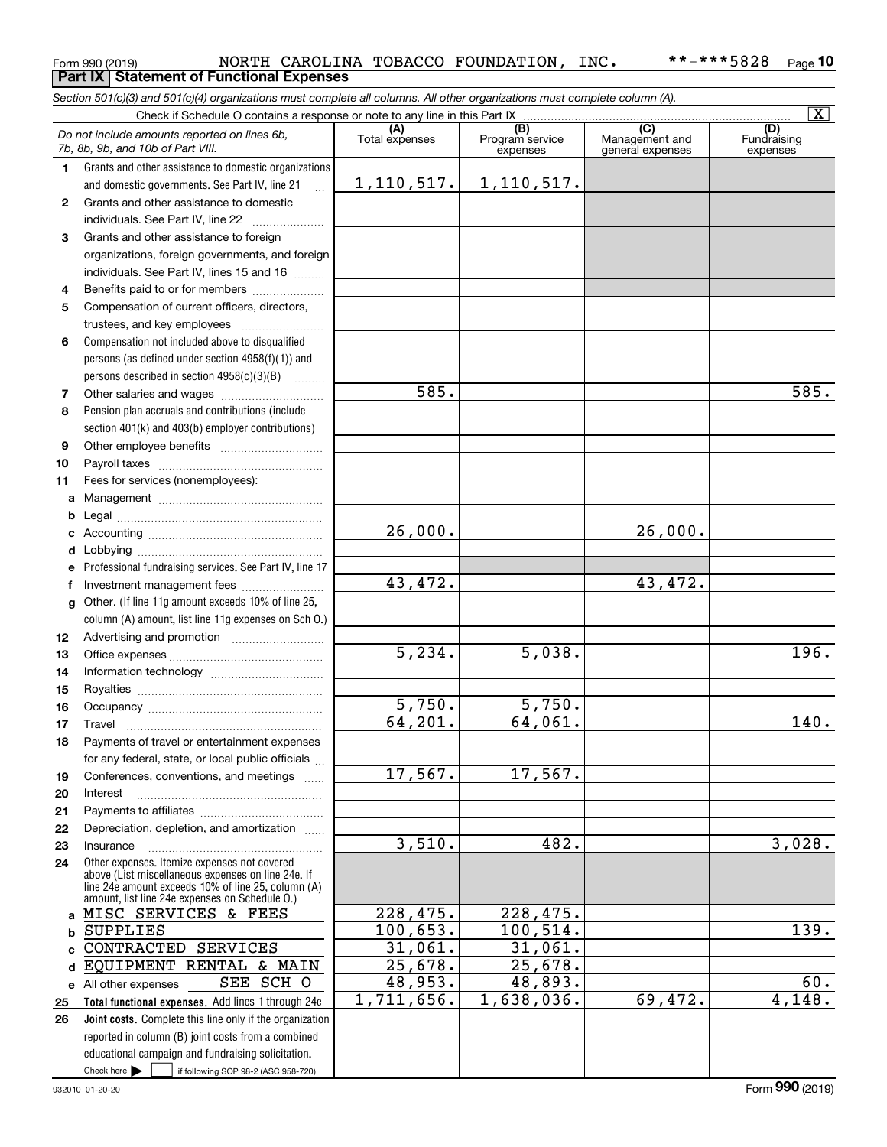### Form 990 (2019) Page **Part IX Statement of Functional Expenses 10** NORTH CAROLINA TOBACCO FOUNDATION, INC. \*\*-\*\*\*5828

*Section 501(c)(3) and 501(c)(4) organizations must complete all columns. All other organizations must complete column (A).*

|              |                                                                                                      |                       |                                    |                                                        | $\overline{\mathbf{x}}$        |
|--------------|------------------------------------------------------------------------------------------------------|-----------------------|------------------------------------|--------------------------------------------------------|--------------------------------|
|              | Do not include amounts reported on lines 6b,<br>7b, 8b, 9b, and 10b of Part VIII.                    | (A)<br>Total expenses | (B)<br>Program service<br>expenses | $\overline{(C)}$<br>Management and<br>general expenses | (D)<br>Fundraising<br>expenses |
| 1.           | Grants and other assistance to domestic organizations                                                |                       |                                    |                                                        |                                |
|              | and domestic governments. See Part IV, line 21                                                       | 1, 110, 517.          | 1,110,517.                         |                                                        |                                |
| $\mathbf{2}$ | Grants and other assistance to domestic                                                              |                       |                                    |                                                        |                                |
|              | individuals. See Part IV, line 22                                                                    |                       |                                    |                                                        |                                |
| 3            | Grants and other assistance to foreign                                                               |                       |                                    |                                                        |                                |
|              | organizations, foreign governments, and foreign                                                      |                       |                                    |                                                        |                                |
|              | individuals. See Part IV, lines 15 and 16                                                            |                       |                                    |                                                        |                                |
| 4            | Benefits paid to or for members                                                                      |                       |                                    |                                                        |                                |
| 5            | Compensation of current officers, directors,                                                         |                       |                                    |                                                        |                                |
|              | trustees, and key employees                                                                          |                       |                                    |                                                        |                                |
| 6            | Compensation not included above to disqualified                                                      |                       |                                    |                                                        |                                |
|              | persons (as defined under section $4958(f)(1)$ ) and                                                 |                       |                                    |                                                        |                                |
|              | persons described in section $4958(c)(3)(B)$                                                         |                       |                                    |                                                        |                                |
| 7            |                                                                                                      | 585.                  |                                    |                                                        | 585.                           |
| 8            | Pension plan accruals and contributions (include                                                     |                       |                                    |                                                        |                                |
|              | section 401(k) and 403(b) employer contributions)                                                    |                       |                                    |                                                        |                                |
| 9            |                                                                                                      |                       |                                    |                                                        |                                |
| 10           |                                                                                                      |                       |                                    |                                                        |                                |
| 11           | Fees for services (nonemployees):                                                                    |                       |                                    |                                                        |                                |
| a            |                                                                                                      |                       |                                    |                                                        |                                |
| b            |                                                                                                      |                       |                                    |                                                        |                                |
| c            |                                                                                                      | $\overline{26,000}$ . |                                    | 26,000.                                                |                                |
| d            |                                                                                                      |                       |                                    |                                                        |                                |
| e            | Professional fundraising services. See Part IV, line 17                                              |                       |                                    |                                                        |                                |
| f            | Investment management fees                                                                           | 43,472.               |                                    | 43,472.                                                |                                |
| g            | Other. (If line 11g amount exceeds 10% of line 25,                                                   |                       |                                    |                                                        |                                |
|              | column (A) amount, list line 11g expenses on Sch O.)                                                 |                       |                                    |                                                        |                                |
| 12           |                                                                                                      |                       |                                    |                                                        |                                |
| 13           |                                                                                                      | 5, 234.               | 5,038.                             |                                                        | 196.                           |
| 14           |                                                                                                      |                       |                                    |                                                        |                                |
| 15           |                                                                                                      | 5,750.                | 5,750.                             |                                                        |                                |
| 16           |                                                                                                      | 64, 201.              | 64,061.                            |                                                        | 140.                           |
| 17           | Travel                                                                                               |                       |                                    |                                                        |                                |
| 18           | Payments of travel or entertainment expenses<br>for any federal, state, or local public officials    |                       |                                    |                                                        |                                |
|              |                                                                                                      | 17,567.               | 17,567.                            |                                                        |                                |
| 19<br>20     | Conferences, conventions, and meetings<br>Interest                                                   |                       |                                    |                                                        |                                |
| 21           |                                                                                                      |                       |                                    |                                                        |                                |
| 22           | Depreciation, depletion, and amortization                                                            |                       |                                    |                                                        |                                |
| 23           | Insurance                                                                                            | 3,510.                | 482.                               |                                                        | 3,028.                         |
| 24           | Other expenses. Itemize expenses not covered                                                         |                       |                                    |                                                        |                                |
|              | above (List miscellaneous expenses on line 24e. If                                                   |                       |                                    |                                                        |                                |
|              | line 24e amount exceeds 10% of line 25, column (A)<br>amount, list line 24e expenses on Schedule O.) |                       |                                    |                                                        |                                |
| a            | MISC SERVICES & FEES                                                                                 | 228,475.              | 228,475.                           |                                                        |                                |
| b            | <b>SUPPLIES</b>                                                                                      | 100,653.              | 100,514.                           |                                                        | $\overline{139}$ .             |
| C            | CONTRACTED<br><b>SERVICES</b>                                                                        | 31,061.               | 31,061.                            |                                                        |                                |
| d            | EQUIPMENT RENTAL & MAIN                                                                              | 25,678.               | 25,678.                            |                                                        |                                |
| е            | SEE SCH O<br>All other expenses                                                                      | 48,953.               | 48,893.                            |                                                        | $\overline{60}$ .              |
| 25           | Total functional expenses. Add lines 1 through 24e                                                   | 1,711,656.            | 1,638,036.                         | 69,472.                                                | 4,148.                         |
| 26           | Joint costs. Complete this line only if the organization                                             |                       |                                    |                                                        |                                |
|              | reported in column (B) joint costs from a combined                                                   |                       |                                    |                                                        |                                |
|              | educational campaign and fundraising solicitation.                                                   |                       |                                    |                                                        |                                |
|              | Check here $\blacktriangleright$<br>if following SOP 98-2 (ASC 958-720)                              |                       |                                    |                                                        |                                |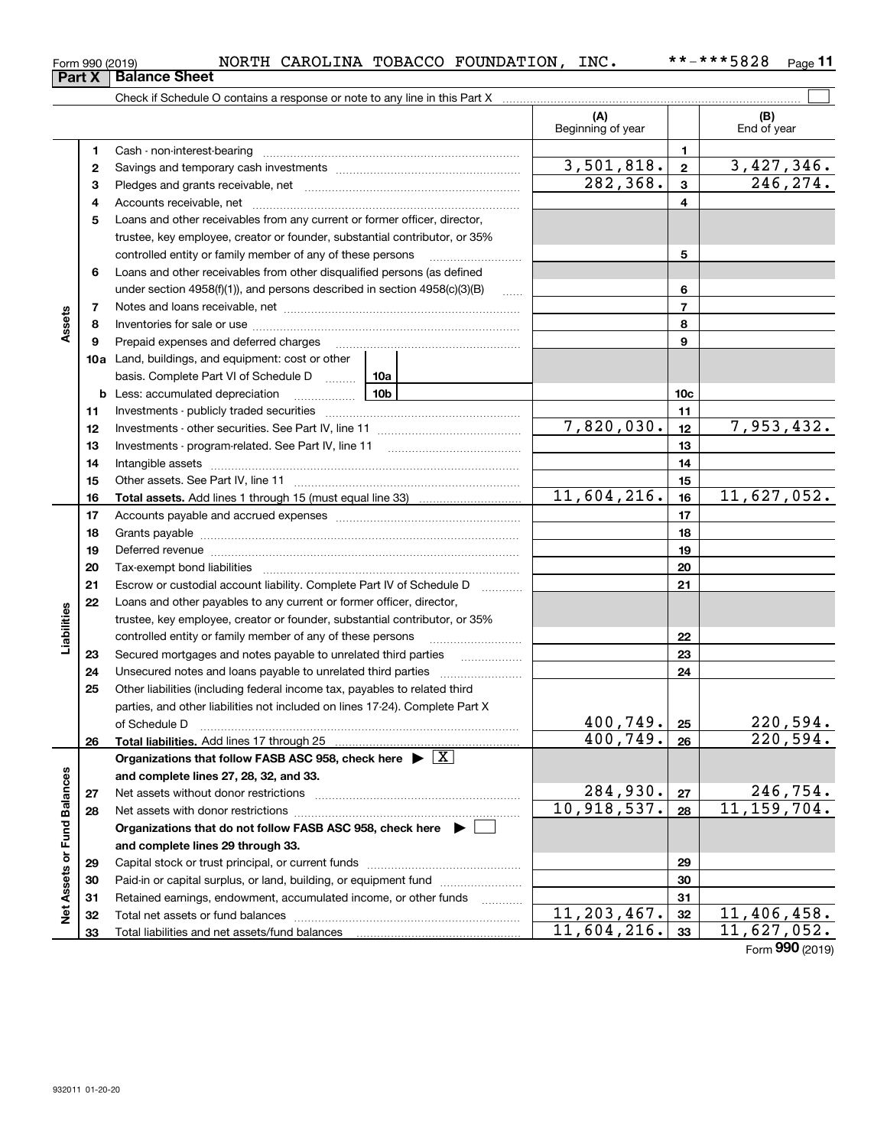| וכויט∠ו |                      | **~***** ~*** |  |
|---------|----------------------|---------------|--|
|         | <b>Balance Sheet</b> |               |  |

|                             |              | Check if Schedule O contains a response or note to any line in this Part X                                                                                                                                                     |                            |                 |                           |
|-----------------------------|--------------|--------------------------------------------------------------------------------------------------------------------------------------------------------------------------------------------------------------------------------|----------------------------|-----------------|---------------------------|
|                             |              |                                                                                                                                                                                                                                | (A)<br>Beginning of year   |                 | (B)<br>End of year        |
|                             | 1            |                                                                                                                                                                                                                                |                            | 1               |                           |
|                             | $\mathbf{2}$ |                                                                                                                                                                                                                                | $\overline{3,501},818.$    | $\mathbf{2}$    | 3,427,346.                |
|                             | 3            |                                                                                                                                                                                                                                | 282,368.                   | $\mathbf{3}$    | 246, 274.                 |
|                             | 4            |                                                                                                                                                                                                                                |                            | 4               |                           |
|                             | 5            | Loans and other receivables from any current or former officer, director,                                                                                                                                                      |                            |                 |                           |
|                             |              | trustee, key employee, creator or founder, substantial contributor, or 35%                                                                                                                                                     |                            |                 |                           |
|                             |              | controlled entity or family member of any of these persons                                                                                                                                                                     |                            | 5               |                           |
|                             | 6            | Loans and other receivables from other disqualified persons (as defined                                                                                                                                                        |                            |                 |                           |
|                             |              | under section $4958(f)(1)$ , and persons described in section $4958(c)(3)(B)$                                                                                                                                                  | $\sim$                     | 6               |                           |
|                             | 7            |                                                                                                                                                                                                                                |                            | $\overline{7}$  |                           |
| Assets                      | 8            |                                                                                                                                                                                                                                |                            | 8               |                           |
|                             | 9            | Prepaid expenses and deferred charges                                                                                                                                                                                          |                            | 9               |                           |
|                             |              | 10a Land, buildings, and equipment: cost or other                                                                                                                                                                              |                            |                 |                           |
|                             |              | basis. Complete Part VI of Schedule D<br>10a                                                                                                                                                                                   |                            |                 |                           |
|                             |              | 10b<br><b>b</b> Less: accumulated depreciation<br>. 1                                                                                                                                                                          |                            | 10 <sub>c</sub> |                           |
|                             | 11           |                                                                                                                                                                                                                                |                            | 11              |                           |
|                             | 12           |                                                                                                                                                                                                                                | 7,820,030.                 | 12              | 7,953,432.                |
|                             | 13           |                                                                                                                                                                                                                                |                            | 13              |                           |
|                             | 14           | Intangible assets with an architecture and assets and an architecture and architecture and architecture and architecture and architecture and architecture and architecture and architecture and architecture and architecture |                            | 14              |                           |
|                             | 15           |                                                                                                                                                                                                                                |                            | 15              |                           |
|                             | 16           |                                                                                                                                                                                                                                | 11,604,216.                | 16              | 11,627,052.               |
|                             | 17           |                                                                                                                                                                                                                                |                            | 17              |                           |
|                             | 18           |                                                                                                                                                                                                                                |                            | 18              |                           |
|                             | 19           | Deferred revenue manual contracts and contracts are all the contracts and contracts are contracted and contracts are contracted and contract are contracted and contract are contracted and contract are contracted and contra |                            | 19              |                           |
|                             | 20           |                                                                                                                                                                                                                                |                            | 20              |                           |
|                             | 21           | Escrow or custodial account liability. Complete Part IV of Schedule D                                                                                                                                                          |                            | 21              |                           |
|                             | 22           | Loans and other payables to any current or former officer, director,                                                                                                                                                           |                            |                 |                           |
| Liabilities                 |              | trustee, key employee, creator or founder, substantial contributor, or 35%<br>controlled entity or family member of any of these persons                                                                                       |                            | 22              |                           |
|                             | 23           |                                                                                                                                                                                                                                |                            | 23              |                           |
|                             | 24           |                                                                                                                                                                                                                                |                            | 24              |                           |
|                             | 25           | Other liabilities (including federal income tax, payables to related third                                                                                                                                                     |                            |                 |                           |
|                             |              | parties, and other liabilities not included on lines 17-24). Complete Part X                                                                                                                                                   |                            |                 |                           |
|                             |              | of Schedule D                                                                                                                                                                                                                  | 400, 749.                  | 25              | 220,594.                  |
|                             | 26           |                                                                                                                                                                                                                                | $\overline{400}$ , 749. 26 |                 | $\overline{220,594}$ .    |
|                             |              | Organizations that follow FASB ASC 958, check here $\blacktriangleright \lfloor X \rfloor$                                                                                                                                     |                            |                 |                           |
|                             |              | and complete lines 27, 28, 32, and 33.                                                                                                                                                                                         |                            |                 |                           |
|                             | 27           |                                                                                                                                                                                                                                | 284,930.                   | 27              | 246,754.                  |
|                             | 28           |                                                                                                                                                                                                                                | 10,918,537.                | 28              | 11, 159, 704.             |
|                             |              | Organizations that do not follow FASB ASC 958, check here $\blacktriangleright$                                                                                                                                                |                            |                 |                           |
|                             |              | and complete lines 29 through 33.                                                                                                                                                                                              |                            |                 |                           |
|                             | 29           |                                                                                                                                                                                                                                |                            | 29              |                           |
|                             | 30           | Paid-in or capital surplus, or land, building, or equipment fund                                                                                                                                                               |                            | 30              |                           |
| Net Assets or Fund Balances | 31           | Retained earnings, endowment, accumulated income, or other funds                                                                                                                                                               |                            | 31              |                           |
|                             | 32           |                                                                                                                                                                                                                                | 11, 203, 467.              | 32              | 11,406,458.               |
|                             | 33           |                                                                                                                                                                                                                                | 11,604,216.                | 33              | $\overline{11,627,052}$ . |
|                             |              |                                                                                                                                                                                                                                |                            |                 | Form 990 (2019)           |

**Part X Balance B**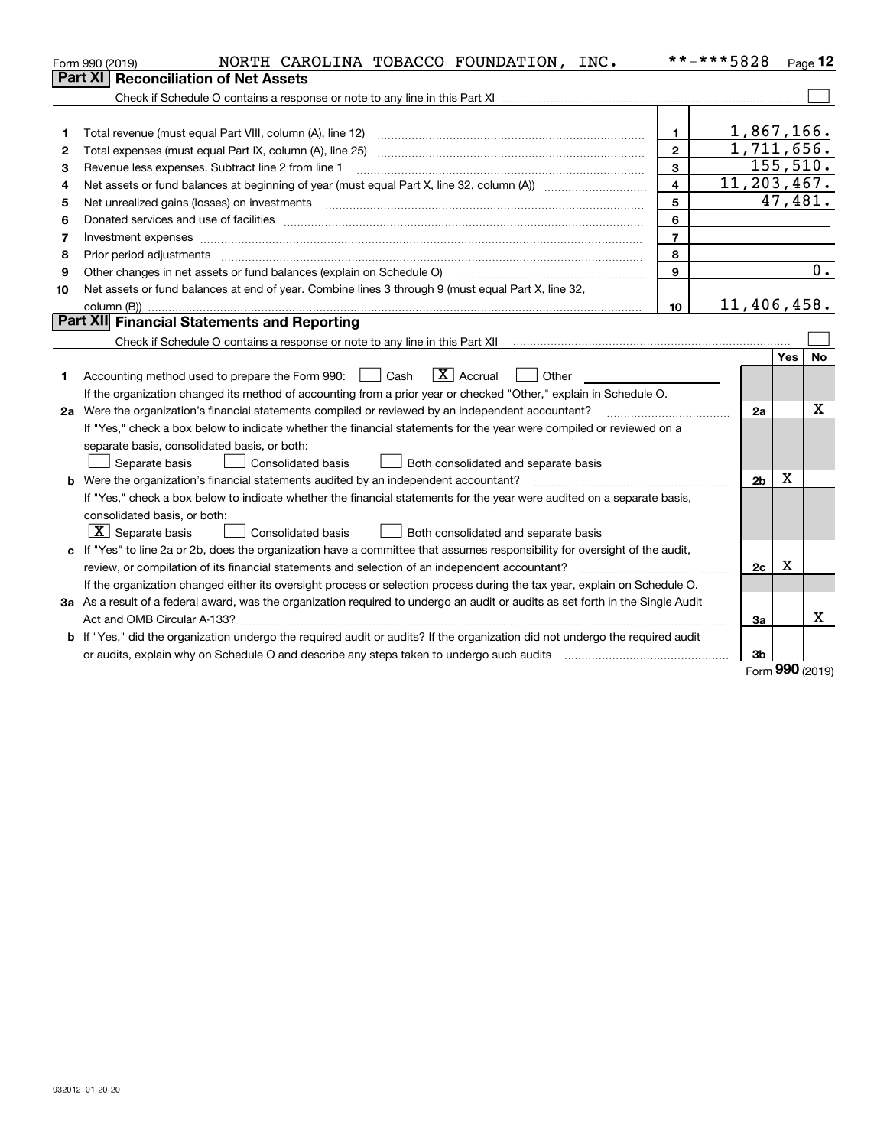|    | NORTH CAROLINA TOBACCO FOUNDATION, INC.<br>Form 990 (2019)                                                                      |                | **-***5828               |           | $P_{\text{aqe}}$ 12 |
|----|---------------------------------------------------------------------------------------------------------------------------------|----------------|--------------------------|-----------|---------------------|
|    | Part XI<br><b>Reconciliation of Net Assets</b>                                                                                  |                |                          |           |                     |
|    |                                                                                                                                 |                |                          |           |                     |
|    |                                                                                                                                 |                |                          |           |                     |
| 1  | Total revenue (must equal Part VIII, column (A), line 12)                                                                       | 1              | 1,867,166.               |           |                     |
| 2  | Total expenses (must equal Part IX, column (A), line 25)                                                                        | $\mathbf{2}$   | $\overline{1,711,656}$ . |           |                     |
| З  | Revenue less expenses. Subtract line 2 from line 1                                                                              | 3              |                          | 155, 510. |                     |
| 4  |                                                                                                                                 | $\overline{4}$ | 11,203,467.              |           |                     |
| 5  | Net unrealized gains (losses) on investments                                                                                    | 5              |                          | 47,481.   |                     |
| 6  |                                                                                                                                 | 6              |                          |           |                     |
| 7  |                                                                                                                                 | $\overline{7}$ |                          |           |                     |
| 8  | Prior period adjustments                                                                                                        | 8              |                          |           |                     |
| 9  | Other changes in net assets or fund balances (explain on Schedule O)                                                            | $\mathbf{Q}$   |                          |           | 0.                  |
| 10 | Net assets or fund balances at end of year. Combine lines 3 through 9 (must equal Part X, line 32,                              |                |                          |           |                     |
|    | column (B)).                                                                                                                    | 10             | 11,406,458.              |           |                     |
|    | Part XII Financial Statements and Reporting                                                                                     |                |                          |           |                     |
|    |                                                                                                                                 |                |                          |           |                     |
|    |                                                                                                                                 |                |                          | Yes       | No                  |
| 1. | $\vert X \vert$ Accrual<br>Accounting method used to prepare the Form 990: [130] Cash<br>Other                                  |                |                          |           |                     |
|    | If the organization changed its method of accounting from a prior year or checked "Other," explain in Schedule O.               |                |                          |           |                     |
|    | 2a Were the organization's financial statements compiled or reviewed by an independent accountant?                              |                | 2a                       |           | X                   |
|    | If "Yes," check a box below to indicate whether the financial statements for the year were compiled or reviewed on a            |                |                          |           |                     |
|    | separate basis, consolidated basis, or both:                                                                                    |                |                          |           |                     |
|    | Separate basis<br>Consolidated basis<br>Both consolidated and separate basis                                                    |                |                          |           |                     |
|    | <b>b</b> Were the organization's financial statements audited by an independent accountant?                                     |                | 2 <sub>b</sub>           | X         |                     |
|    | If "Yes," check a box below to indicate whether the financial statements for the year were audited on a separate basis,         |                |                          |           |                     |
|    | consolidated basis, or both:                                                                                                    |                |                          |           |                     |
|    | $X$ Separate basis<br><b>Consolidated basis</b><br>Both consolidated and separate basis                                         |                |                          |           |                     |
| c  | If "Yes" to line 2a or 2b, does the organization have a committee that assumes responsibility for oversight of the audit,       |                |                          |           |                     |
|    |                                                                                                                                 |                | 2c                       | х         |                     |
|    | If the organization changed either its oversight process or selection process during the tax year, explain on Schedule O.       |                |                          |           |                     |
|    | 3a As a result of a federal award, was the organization required to undergo an audit or audits as set forth in the Single Audit |                |                          |           |                     |
|    |                                                                                                                                 |                | За                       |           | х                   |
|    | b If "Yes," did the organization undergo the required audit or audits? If the organization did not undergo the required audit   |                |                          |           |                     |
|    |                                                                                                                                 |                | 3b                       |           |                     |

Form (2019) **990**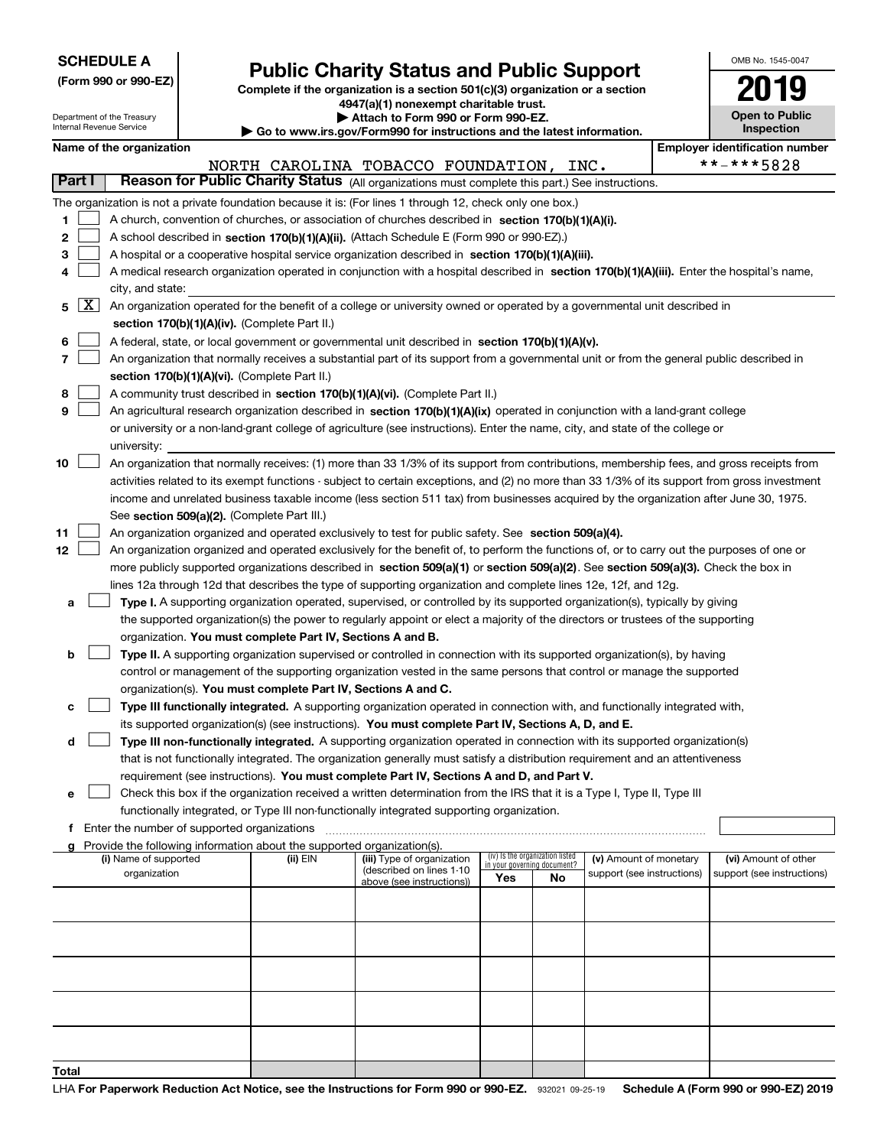|  | <b>SCHEDULE A</b> |
|--|-------------------|
|--|-------------------|

# **Public Charity Status and Public Support**

|                          | (Form 990 or 990-EZ)                                                                             | Public Charity Status and Public Support<br>Complete if the organization is a section $501(c)(3)$ organization or a section<br>4947(a)(1) nonexempt charitable trust. | <b>Open to Public</b> |                                       |  |  |  |  |  |  |  |
|--------------------------|--------------------------------------------------------------------------------------------------|-----------------------------------------------------------------------------------------------------------------------------------------------------------------------|-----------------------|---------------------------------------|--|--|--|--|--|--|--|
| Internal Revenue Service | Department of the Treasury                                                                       | Attach to Form 990 or Form 990-EZ.<br>$\triangleright$ Go to www.irs.gov/Form990 for instructions and the latest information.                                         |                       | Inspection                            |  |  |  |  |  |  |  |
|                          | Name of the organization                                                                         |                                                                                                                                                                       |                       | <b>Employer identification number</b> |  |  |  |  |  |  |  |
|                          |                                                                                                  | NORTH CAROLINA TOBACCO FOUNDATION,<br>INC.                                                                                                                            |                       | **-***5828                            |  |  |  |  |  |  |  |
| <b>Part I</b>            |                                                                                                  | Reason for Public Charity Status (All organizations must complete this part.) See instructions.                                                                       |                       |                                       |  |  |  |  |  |  |  |
|                          |                                                                                                  | The organization is not a private foundation because it is: (For lines 1 through 12, check only one box.)                                                             |                       |                                       |  |  |  |  |  |  |  |
| 1                        |                                                                                                  | A church, convention of churches, or association of churches described in section 170(b)(1)(A)(i).                                                                    |                       |                                       |  |  |  |  |  |  |  |
| 2                        | A school described in <b>section 170(b)(1)(A)(ii).</b> (Attach Schedule E (Form 990 or 990-EZ).) |                                                                                                                                                                       |                       |                                       |  |  |  |  |  |  |  |
| 3                        |                                                                                                  | A hospital or a cooperative hospital service organization described in section 170(b)(1)(A)(iii).                                                                     |                       |                                       |  |  |  |  |  |  |  |
|                          |                                                                                                  | A medical research organization operated in conjunction with a hospital described in section 170(b)(1)(A)(iii). Enter the hospital's name,                            |                       |                                       |  |  |  |  |  |  |  |
|                          | city, and state:                                                                                 |                                                                                                                                                                       |                       |                                       |  |  |  |  |  |  |  |
| X <br>5                  |                                                                                                  | An organization operated for the benefit of a college or university owned or operated by a governmental unit described in                                             |                       |                                       |  |  |  |  |  |  |  |
|                          |                                                                                                  | section 170(b)(1)(A)(iv). (Complete Part II.)                                                                                                                         |                       |                                       |  |  |  |  |  |  |  |
| 6                        |                                                                                                  | A federal, state, or local government or governmental unit described in section 170(b)(1)(A)(v).                                                                      |                       |                                       |  |  |  |  |  |  |  |
| 7                        |                                                                                                  | An organization that normally receives a substantial part of its support from a governmental unit or from the general public described in                             |                       |                                       |  |  |  |  |  |  |  |
|                          |                                                                                                  | section 170(b)(1)(A)(vi). (Complete Part II.)                                                                                                                         |                       |                                       |  |  |  |  |  |  |  |
| 8                        |                                                                                                  | A community trust described in section 170(b)(1)(A)(vi). (Complete Part II.)                                                                                          |                       |                                       |  |  |  |  |  |  |  |
| 9                        |                                                                                                  | An agricultural research organization described in section 170(b)(1)(A)(ix) operated in conjunction with a land-grant college                                         |                       |                                       |  |  |  |  |  |  |  |
|                          |                                                                                                  | or university or a non-land-grant college of agriculture (see instructions). Enter the name, city, and state of the college or                                        |                       |                                       |  |  |  |  |  |  |  |
| 10                       | university:                                                                                      | An organization that normally receives: (1) more than 33 1/3% of its support from contributions, membership fees, and gross receipts from                             |                       |                                       |  |  |  |  |  |  |  |
|                          |                                                                                                  | activities related to its exempt functions - subject to certain exceptions, and (2) no more than 33 1/3% of its support from gross investment                         |                       |                                       |  |  |  |  |  |  |  |
|                          |                                                                                                  | income and unrelated business taxable income (less section 511 tax) from businesses acquired by the organization after June 30, 1975.                                 |                       |                                       |  |  |  |  |  |  |  |
|                          |                                                                                                  | See section 509(a)(2). (Complete Part III.)                                                                                                                           |                       |                                       |  |  |  |  |  |  |  |
| 11                       |                                                                                                  | An organization organized and operated exclusively to test for public safety. See section 509(a)(4).                                                                  |                       |                                       |  |  |  |  |  |  |  |
| 12                       |                                                                                                  | An organization organized and operated exclusively for the benefit of, to perform the functions of, or to carry out the purposes of one or                            |                       |                                       |  |  |  |  |  |  |  |
|                          |                                                                                                  | more publicly supported organizations described in section 509(a)(1) or section 509(a)(2). See section 509(a)(3). Check the box in                                    |                       |                                       |  |  |  |  |  |  |  |
|                          |                                                                                                  | lines 12a through 12d that describes the type of supporting organization and complete lines 12e, 12f, and 12g.                                                        |                       |                                       |  |  |  |  |  |  |  |
| a                        |                                                                                                  | Type I. A supporting organization operated, supervised, or controlled by its supported organization(s), typically by giving                                           |                       |                                       |  |  |  |  |  |  |  |
|                          |                                                                                                  | the supported organization(s) the power to regularly appoint or elect a majority of the directors or trustees of the supporting                                       |                       |                                       |  |  |  |  |  |  |  |
|                          |                                                                                                  | organization. You must complete Part IV, Sections A and B.                                                                                                            |                       |                                       |  |  |  |  |  |  |  |
| b                        |                                                                                                  | Type II. A supporting organization supervised or controlled in connection with its supported organization(s), by having                                               |                       |                                       |  |  |  |  |  |  |  |
|                          |                                                                                                  | control or management of the supporting organization vested in the same persons that control or manage the supported                                                  |                       |                                       |  |  |  |  |  |  |  |
|                          |                                                                                                  | organization(s). You must complete Part IV, Sections A and C.                                                                                                         |                       |                                       |  |  |  |  |  |  |  |
| с                        |                                                                                                  | Type III functionally integrated. A supporting organization operated in connection with, and functionally integrated with,                                            |                       |                                       |  |  |  |  |  |  |  |
|                          |                                                                                                  | its supported organization(s) (see instructions). You must complete Part IV, Sections A, D, and E.                                                                    |                       |                                       |  |  |  |  |  |  |  |
| d                        |                                                                                                  | Type III non-functionally integrated. A supporting organization operated in connection with its supported organization(s)                                             |                       |                                       |  |  |  |  |  |  |  |
|                          |                                                                                                  | that is not functionally integrated. The organization generally must satisfy a distribution requirement and an attentiveness                                          |                       |                                       |  |  |  |  |  |  |  |
|                          |                                                                                                  | requirement (see instructions). You must complete Part IV, Sections A and D, and Part V.                                                                              |                       |                                       |  |  |  |  |  |  |  |
| e                        |                                                                                                  | Check this box if the organization received a written determination from the IRS that it is a Type I, Type II, Type III                                               |                       |                                       |  |  |  |  |  |  |  |
|                          |                                                                                                  | functionally integrated, or Type III non-functionally integrated supporting organization.                                                                             |                       |                                       |  |  |  |  |  |  |  |

OMB No. 1545-0047

**f**Enter the number of supported organizations

| Provide the following information about the supported organization(s).<br>a |          |                            |                                                                |           |                            |                            |
|-----------------------------------------------------------------------------|----------|----------------------------|----------------------------------------------------------------|-----------|----------------------------|----------------------------|
| (i) Name of supported                                                       | (ii) EIN | (iii) Type of organization | (iv) Is the organization listed<br>in your governing document? |           | (v) Amount of monetary     | (vi) Amount of other       |
| organization                                                                |          | (described on lines 1-10   | Yes                                                            | <b>No</b> | support (see instructions) | support (see instructions) |
|                                                                             |          | above (see instructions))  |                                                                |           |                            |                            |
|                                                                             |          |                            |                                                                |           |                            |                            |
|                                                                             |          |                            |                                                                |           |                            |                            |
|                                                                             |          |                            |                                                                |           |                            |                            |
|                                                                             |          |                            |                                                                |           |                            |                            |
|                                                                             |          |                            |                                                                |           |                            |                            |
|                                                                             |          |                            |                                                                |           |                            |                            |
|                                                                             |          |                            |                                                                |           |                            |                            |
|                                                                             |          |                            |                                                                |           |                            |                            |
|                                                                             |          |                            |                                                                |           |                            |                            |
|                                                                             |          |                            |                                                                |           |                            |                            |
| -                                                                           |          |                            |                                                                |           |                            |                            |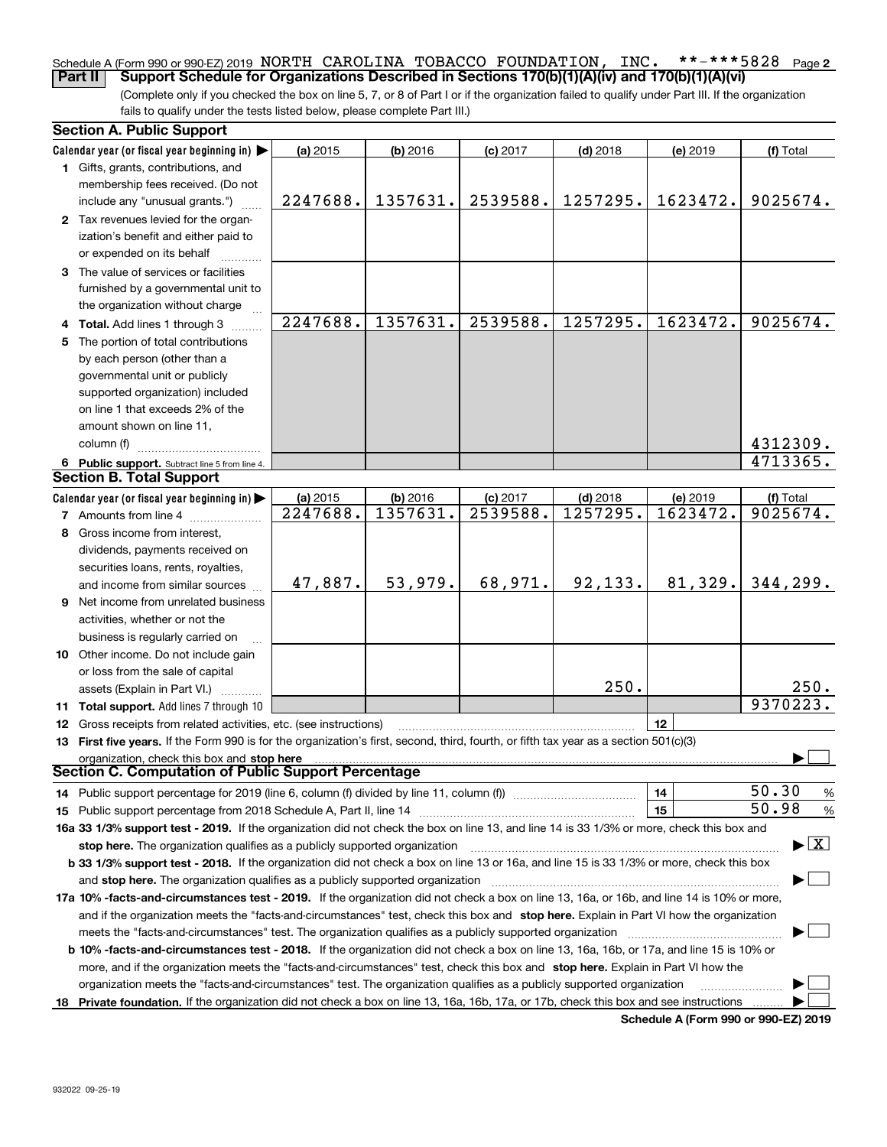### **2** Schedule A (Form 990 or 990-EZ) 2019 Page NORTH CAROLINA TOBACCO FOUNDATION, INC. \*\*-\*\*\*5828**Part II Support Schedule for Organizations Described in Sections 170(b)(1)(A)(iv) and 170(b)(1)(A)(vi)**

(Complete only if you checked the box on line 5, 7, or 8 of Part I or if the organization failed to qualify under Part III. If the organization fails to qualify under the tests listed below, please complete Part III.)

|    | <b>Section A. Public Support</b>                                                                                                               |          |            |            |            |          |                                          |
|----|------------------------------------------------------------------------------------------------------------------------------------------------|----------|------------|------------|------------|----------|------------------------------------------|
|    | Calendar year (or fiscal year beginning in) $\blacktriangleright$                                                                              | (a) 2015 | $(b)$ 2016 | $(c)$ 2017 | $(d)$ 2018 | (e) 2019 | (f) Total                                |
|    | 1 Gifts, grants, contributions, and                                                                                                            |          |            |            |            |          |                                          |
|    | membership fees received. (Do not                                                                                                              |          |            |            |            |          |                                          |
|    | include any "unusual grants.")                                                                                                                 | 2247688. | 1357631.   | 2539588.   | 1257295.   | 1623472. | 9025674.                                 |
|    | 2 Tax revenues levied for the organ-                                                                                                           |          |            |            |            |          |                                          |
|    | ization's benefit and either paid to                                                                                                           |          |            |            |            |          |                                          |
|    | or expended on its behalf                                                                                                                      |          |            |            |            |          |                                          |
|    | 3 The value of services or facilities                                                                                                          |          |            |            |            |          |                                          |
|    | furnished by a governmental unit to                                                                                                            |          |            |            |            |          |                                          |
|    | the organization without charge                                                                                                                |          |            |            |            |          |                                          |
|    | 4 Total. Add lines 1 through 3                                                                                                                 | 2247688. | 1357631.   | 2539588.   | 1257295.   | 1623472. | 9025674.                                 |
| 5. | The portion of total contributions                                                                                                             |          |            |            |            |          |                                          |
|    | by each person (other than a                                                                                                                   |          |            |            |            |          |                                          |
|    | governmental unit or publicly                                                                                                                  |          |            |            |            |          |                                          |
|    | supported organization) included                                                                                                               |          |            |            |            |          |                                          |
|    | on line 1 that exceeds 2% of the                                                                                                               |          |            |            |            |          |                                          |
|    | amount shown on line 11,                                                                                                                       |          |            |            |            |          |                                          |
|    |                                                                                                                                                |          |            |            |            |          |                                          |
|    | column (f)                                                                                                                                     |          |            |            |            |          | 4312309.                                 |
|    | 6 Public support. Subtract line 5 from line 4.                                                                                                 |          |            |            |            |          | 4713365.                                 |
|    | <b>Section B. Total Support</b>                                                                                                                |          |            |            |            |          |                                          |
|    | Calendar year (or fiscal year beginning in)                                                                                                    | (a) 2015 | (b) 2016   | $(c)$ 2017 | $(d)$ 2018 | (e) 2019 | (f) Total                                |
|    | <b>7</b> Amounts from line 4                                                                                                                   | 2247688. | 1357631.   | 2539588.   | 1257295.   | 1623472. | 9025674.                                 |
| 8  | Gross income from interest,                                                                                                                    |          |            |            |            |          |                                          |
|    | dividends, payments received on                                                                                                                |          |            |            |            |          |                                          |
|    | securities loans, rents, royalties,                                                                                                            |          |            |            |            |          |                                          |
|    | and income from similar sources                                                                                                                | 47,887.  | 53,979.    | 68,971.    | 92,133.    | 81,329.  | 344, 299.                                |
|    | 9 Net income from unrelated business                                                                                                           |          |            |            |            |          |                                          |
|    | activities, whether or not the                                                                                                                 |          |            |            |            |          |                                          |
|    | business is regularly carried on                                                                                                               |          |            |            |            |          |                                          |
|    | 10 Other income. Do not include gain                                                                                                           |          |            |            |            |          |                                          |
|    | or loss from the sale of capital                                                                                                               |          |            |            |            |          |                                          |
|    | assets (Explain in Part VI.)                                                                                                                   |          |            |            | 250.       |          | 250.                                     |
|    | 11 Total support. Add lines 7 through 10                                                                                                       |          |            |            |            |          | 9370223.                                 |
|    | <b>12</b> Gross receipts from related activities, etc. (see instructions)                                                                      |          |            |            |            | 12       |                                          |
|    | 13 First five years. If the Form 990 is for the organization's first, second, third, fourth, or fifth tax year as a section 501(c)(3)          |          |            |            |            |          |                                          |
|    | organization, check this box and stop here                                                                                                     |          |            |            |            |          |                                          |
|    | Section C. Computation of Public Support Percentage                                                                                            |          |            |            |            |          |                                          |
|    | 14 Public support percentage for 2019 (line 6, column (f) divided by line 11, column (f) <i>manumumumumum</i>                                  |          |            |            |            | 14       | 50.30<br>$\%$                            |
|    |                                                                                                                                                |          |            |            |            | 15       | 50.98<br>%                               |
|    | 16a 33 1/3% support test - 2019. If the organization did not check the box on line 13, and line 14 is 33 1/3% or more, check this box and      |          |            |            |            |          |                                          |
|    |                                                                                                                                                |          |            |            |            |          | $\blacktriangleright$ $\boxed{\text{X}}$ |
|    | stop here. The organization qualifies as a publicly supported organization                                                                     |          |            |            |            |          |                                          |
|    | b 33 1/3% support test - 2018. If the organization did not check a box on line 13 or 16a, and line 15 is 33 1/3% or more, check this box       |          |            |            |            |          |                                          |
|    | and stop here. The organization qualifies as a publicly supported organization                                                                 |          |            |            |            |          |                                          |
|    | 17a 10% -facts-and-circumstances test - 2019. If the organization did not check a box on line 13, 16a, or 16b, and line 14 is 10% or more,     |          |            |            |            |          |                                          |
|    | and if the organization meets the "facts-and-circumstances" test, check this box and stop here. Explain in Part VI how the organization        |          |            |            |            |          |                                          |
|    | meets the "facts-and-circumstances" test. The organization qualifies as a publicly supported organization                                      |          |            |            |            |          |                                          |
|    | <b>b 10% -facts-and-circumstances test - 2018.</b> If the organization did not check a box on line 13, 16a, 16b, or 17a, and line 15 is 10% or |          |            |            |            |          |                                          |
|    | more, and if the organization meets the "facts-and-circumstances" test, check this box and stop here. Explain in Part VI how the               |          |            |            |            |          |                                          |
|    | organization meets the "facts-and-circumstances" test. The organization qualifies as a publicly supported organization                         |          |            |            |            |          |                                          |
|    | 18 Private foundation. If the organization did not check a box on line 13, 16a, 16b, 17a, or 17b, check this box and see instructions          |          |            |            |            |          |                                          |

**Schedule A (Form 990 or 990-EZ) 2019**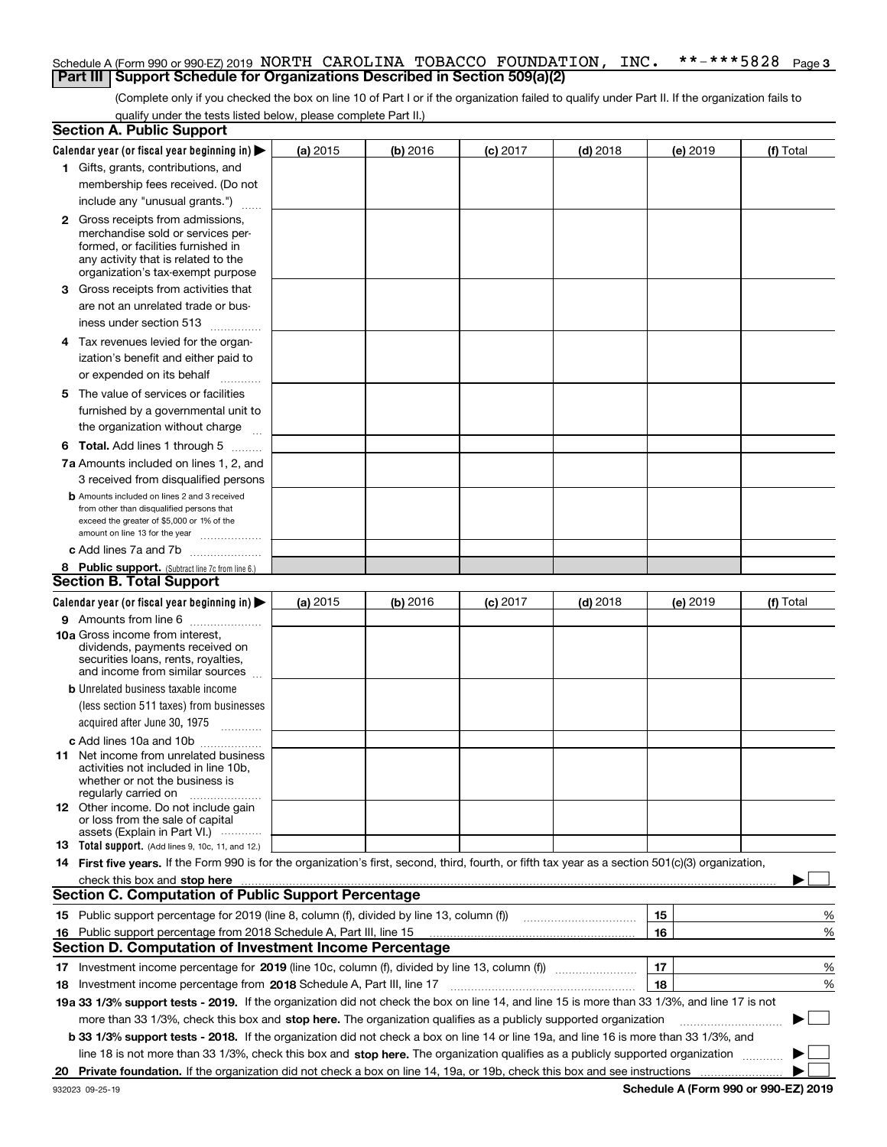### **3** Schedule A (Form 990 or 990-EZ) 2019 Page NORTH CAROLINA TOBACCO FOUNDATION, INC. \*\*-\*\*\*5828**Part III Support Schedule for Organizations Described in Section 509(a)(2)**

(Complete only if you checked the box on line 10 of Part I or if the organization failed to qualify under Part II. If the organization fails to qualify under the tests listed below, please complete Part II.)

|    | <b>Section A. Public Support</b>                                                                                                                    |          |          |            |            |          |           |
|----|-----------------------------------------------------------------------------------------------------------------------------------------------------|----------|----------|------------|------------|----------|-----------|
|    | Calendar year (or fiscal year beginning in) $\blacktriangleright$                                                                                   | (a) 2015 | (b) 2016 | $(c)$ 2017 | $(d)$ 2018 | (e) 2019 | (f) Total |
|    | 1 Gifts, grants, contributions, and                                                                                                                 |          |          |            |            |          |           |
|    | membership fees received. (Do not                                                                                                                   |          |          |            |            |          |           |
|    | include any "unusual grants.")                                                                                                                      |          |          |            |            |          |           |
|    | <b>2</b> Gross receipts from admissions,                                                                                                            |          |          |            |            |          |           |
|    | merchandise sold or services per-                                                                                                                   |          |          |            |            |          |           |
|    | formed, or facilities furnished in                                                                                                                  |          |          |            |            |          |           |
|    | any activity that is related to the<br>organization's tax-exempt purpose                                                                            |          |          |            |            |          |           |
|    | 3 Gross receipts from activities that                                                                                                               |          |          |            |            |          |           |
|    | are not an unrelated trade or bus-                                                                                                                  |          |          |            |            |          |           |
|    |                                                                                                                                                     |          |          |            |            |          |           |
|    | iness under section 513                                                                                                                             |          |          |            |            |          |           |
|    | 4 Tax revenues levied for the organ-                                                                                                                |          |          |            |            |          |           |
|    | ization's benefit and either paid to                                                                                                                |          |          |            |            |          |           |
|    | or expended on its behalf<br>.                                                                                                                      |          |          |            |            |          |           |
|    | 5 The value of services or facilities                                                                                                               |          |          |            |            |          |           |
|    | furnished by a governmental unit to                                                                                                                 |          |          |            |            |          |           |
|    | the organization without charge                                                                                                                     |          |          |            |            |          |           |
|    | <b>6 Total.</b> Add lines 1 through 5                                                                                                               |          |          |            |            |          |           |
|    | 7a Amounts included on lines 1, 2, and                                                                                                              |          |          |            |            |          |           |
|    | 3 received from disqualified persons                                                                                                                |          |          |            |            |          |           |
|    | <b>b</b> Amounts included on lines 2 and 3 received                                                                                                 |          |          |            |            |          |           |
|    | from other than disqualified persons that<br>exceed the greater of \$5,000 or 1% of the                                                             |          |          |            |            |          |           |
|    | amount on line 13 for the year                                                                                                                      |          |          |            |            |          |           |
|    | c Add lines 7a and 7b                                                                                                                               |          |          |            |            |          |           |
|    | 8 Public support. (Subtract line 7c from line 6.)                                                                                                   |          |          |            |            |          |           |
|    | <b>Section B. Total Support</b>                                                                                                                     |          |          |            |            |          |           |
|    | Calendar year (or fiscal year beginning in)                                                                                                         | (a) 2015 | (b) 2016 | $(c)$ 2017 | $(d)$ 2018 | (e) 2019 | (f) Total |
|    | 9 Amounts from line 6                                                                                                                               |          |          |            |            |          |           |
|    | <b>10a</b> Gross income from interest,                                                                                                              |          |          |            |            |          |           |
|    | dividends, payments received on                                                                                                                     |          |          |            |            |          |           |
|    | securities loans, rents, royalties,<br>and income from similar sources                                                                              |          |          |            |            |          |           |
|    | <b>b</b> Unrelated business taxable income                                                                                                          |          |          |            |            |          |           |
|    | (less section 511 taxes) from businesses                                                                                                            |          |          |            |            |          |           |
|    | acquired after June 30, 1975 [10001]                                                                                                                |          |          |            |            |          |           |
|    |                                                                                                                                                     |          |          |            |            |          |           |
|    | c Add lines 10a and 10b<br>11 Net income from unrelated business                                                                                    |          |          |            |            |          |           |
|    | activities not included in line 10b,                                                                                                                |          |          |            |            |          |           |
|    | whether or not the business is                                                                                                                      |          |          |            |            |          |           |
|    | regularly carried on                                                                                                                                |          |          |            |            |          |           |
|    | <b>12</b> Other income. Do not include gain<br>or loss from the sale of capital                                                                     |          |          |            |            |          |           |
|    | assets (Explain in Part VI.)                                                                                                                        |          |          |            |            |          |           |
|    | <b>13</b> Total support. (Add lines 9, 10c, 11, and 12.)                                                                                            |          |          |            |            |          |           |
|    | 14 First five years. If the Form 990 is for the organization's first, second, third, fourth, or fifth tax year as a section 501(c)(3) organization, |          |          |            |            |          |           |
|    | check this box and stop here measurements are constructed as the state of the state of the state of the state o                                     |          |          |            |            |          |           |
|    | <b>Section C. Computation of Public Support Percentage</b>                                                                                          |          |          |            |            |          |           |
|    | 15 Public support percentage for 2019 (line 8, column (f), divided by line 13, column (f))                                                          |          |          |            |            | 15       | %         |
|    | 16 Public support percentage from 2018 Schedule A, Part III, line 15                                                                                |          |          |            |            | 16       | %         |
|    | <b>Section D. Computation of Investment Income Percentage</b>                                                                                       |          |          |            |            |          |           |
|    | 17 Investment income percentage for 2019 (line 10c, column (f), divided by line 13, column (f))                                                     |          |          |            |            | 17       | %         |
|    | <b>18</b> Investment income percentage from <b>2018</b> Schedule A, Part III, line 17                                                               |          |          |            |            | 18       | %         |
|    | 19a 33 1/3% support tests - 2019. If the organization did not check the box on line 14, and line 15 is more than 33 1/3%, and line 17 is not        |          |          |            |            |          |           |
|    | more than 33 1/3%, check this box and stop here. The organization qualifies as a publicly supported organization                                    |          |          |            |            |          | ▶         |
|    | b 33 1/3% support tests - 2018. If the organization did not check a box on line 14 or line 19a, and line 16 is more than 33 1/3%, and               |          |          |            |            |          |           |
|    | line 18 is not more than 33 1/3%, check this box and stop here. The organization qualifies as a publicly supported organization                     |          |          |            |            |          |           |
| 20 |                                                                                                                                                     |          |          |            |            |          |           |
|    |                                                                                                                                                     |          |          |            |            |          |           |

**Schedule A (Form 990 or 990-EZ) 2019**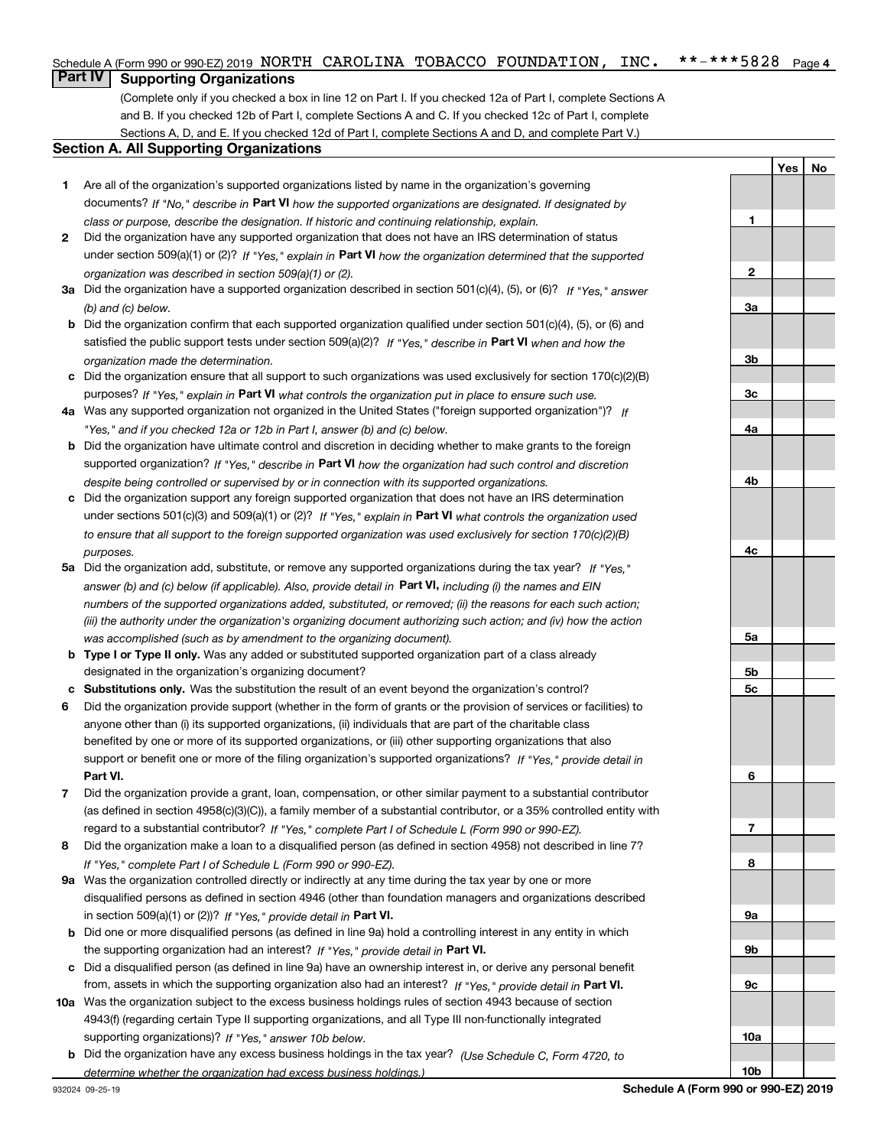### $***$   $***$  5828 Page 4 Schedule A (Form 990 or 990-EZ) 2019 Page NORTH CAROLINA TOBACCO FOUNDATION, INC. \*\*-\*\*\*5828

# **Part IV Supporting Organizations**

(Complete only if you checked a box in line 12 on Part I. If you checked 12a of Part I, complete Sections A and B. If you checked 12b of Part I, complete Sections A and C. If you checked 12c of Part I, complete Sections A, D, and E. If you checked 12d of Part I, complete Sections A and D, and complete Part V.)

### **Section A. All Supporting Organizations**

- **1** Are all of the organization's supported organizations listed by name in the organization's governing documents? If "No," describe in **Part VI** how the supported organizations are designated. If designated by *class or purpose, describe the designation. If historic and continuing relationship, explain.*
- **2** Did the organization have any supported organization that does not have an IRS determination of status under section 509(a)(1) or (2)? If "Yes," explain in Part VI how the organization determined that the supported *organization was described in section 509(a)(1) or (2).*
- **3a** Did the organization have a supported organization described in section 501(c)(4), (5), or (6)? If "Yes," answer *(b) and (c) below.*
- **b** Did the organization confirm that each supported organization qualified under section 501(c)(4), (5), or (6) and satisfied the public support tests under section 509(a)(2)? If "Yes," describe in **Part VI** when and how the *organization made the determination.*
- **c**Did the organization ensure that all support to such organizations was used exclusively for section 170(c)(2)(B) purposes? If "Yes," explain in **Part VI** what controls the organization put in place to ensure such use.
- **4a***If* Was any supported organization not organized in the United States ("foreign supported organization")? *"Yes," and if you checked 12a or 12b in Part I, answer (b) and (c) below.*
- **b** Did the organization have ultimate control and discretion in deciding whether to make grants to the foreign supported organization? If "Yes," describe in **Part VI** how the organization had such control and discretion *despite being controlled or supervised by or in connection with its supported organizations.*
- **c** Did the organization support any foreign supported organization that does not have an IRS determination under sections 501(c)(3) and 509(a)(1) or (2)? If "Yes," explain in **Part VI** what controls the organization used *to ensure that all support to the foreign supported organization was used exclusively for section 170(c)(2)(B) purposes.*
- **5a***If "Yes,"* Did the organization add, substitute, or remove any supported organizations during the tax year? answer (b) and (c) below (if applicable). Also, provide detail in **Part VI,** including (i) the names and EIN *numbers of the supported organizations added, substituted, or removed; (ii) the reasons for each such action; (iii) the authority under the organization's organizing document authorizing such action; and (iv) how the action was accomplished (such as by amendment to the organizing document).*
- **b** Type I or Type II only. Was any added or substituted supported organization part of a class already designated in the organization's organizing document?
- **cSubstitutions only.**  Was the substitution the result of an event beyond the organization's control?
- **6** Did the organization provide support (whether in the form of grants or the provision of services or facilities) to **Part VI.** *If "Yes," provide detail in* support or benefit one or more of the filing organization's supported organizations? anyone other than (i) its supported organizations, (ii) individuals that are part of the charitable class benefited by one or more of its supported organizations, or (iii) other supporting organizations that also
- **7**Did the organization provide a grant, loan, compensation, or other similar payment to a substantial contributor *If "Yes," complete Part I of Schedule L (Form 990 or 990-EZ).* regard to a substantial contributor? (as defined in section 4958(c)(3)(C)), a family member of a substantial contributor, or a 35% controlled entity with
- **8** Did the organization make a loan to a disqualified person (as defined in section 4958) not described in line 7? *If "Yes," complete Part I of Schedule L (Form 990 or 990-EZ).*
- **9a** Was the organization controlled directly or indirectly at any time during the tax year by one or more in section 509(a)(1) or (2))? If "Yes," *provide detail in* <code>Part VI.</code> disqualified persons as defined in section 4946 (other than foundation managers and organizations described
- **b** Did one or more disqualified persons (as defined in line 9a) hold a controlling interest in any entity in which the supporting organization had an interest? If "Yes," provide detail in P**art VI**.
- **c**Did a disqualified person (as defined in line 9a) have an ownership interest in, or derive any personal benefit from, assets in which the supporting organization also had an interest? If "Yes," provide detail in P**art VI.**
- **10a** Was the organization subject to the excess business holdings rules of section 4943 because of section supporting organizations)? If "Yes," answer 10b below. 4943(f) (regarding certain Type II supporting organizations, and all Type III non-functionally integrated
- **b** Did the organization have any excess business holdings in the tax year? (Use Schedule C, Form 4720, to *determine whether the organization had excess business holdings.)*

**YesNo**

**1**

**10b**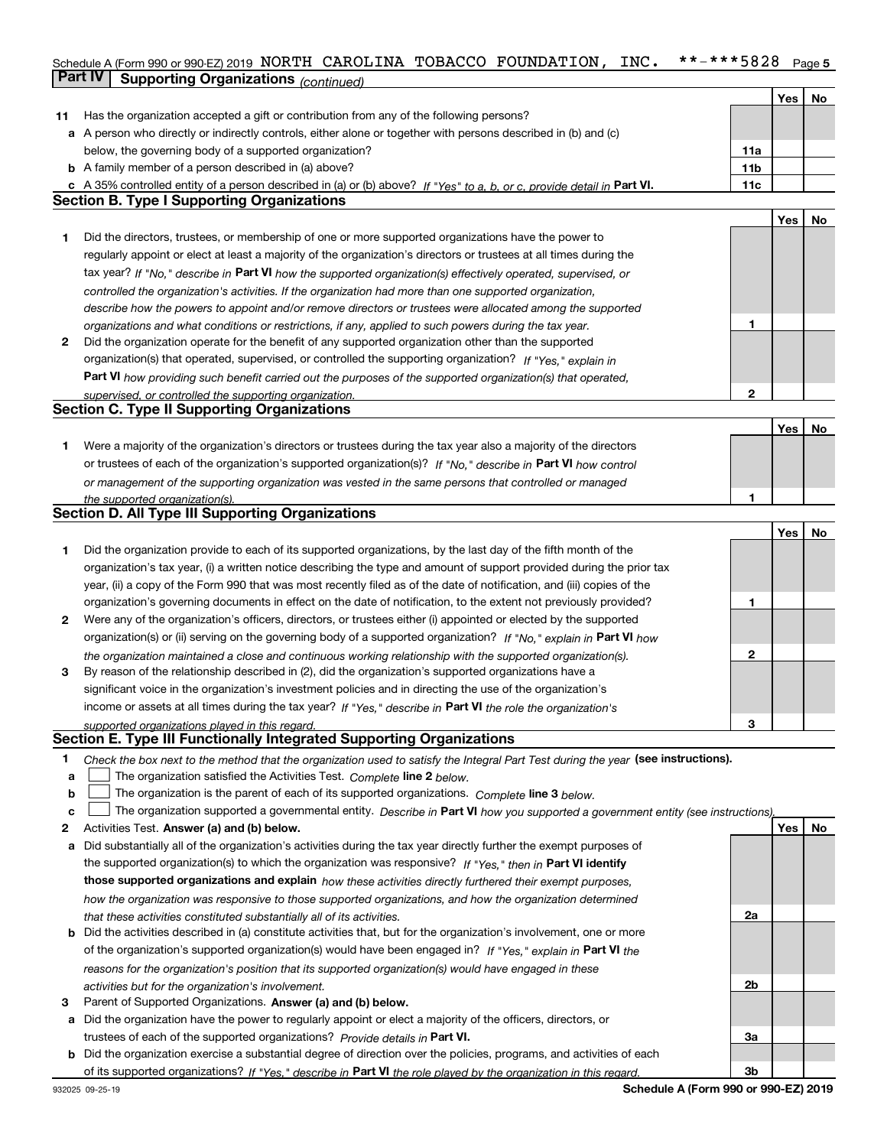### **5** Schedule A (Form 990 or 990-EZ) 2019 Page NORTH CAROLINA TOBACCO FOUNDATION, INC. \*\*-\*\*\*5828**Part IV Supporting Organizations** *(continued)*

|    |                                                                                                                                                                                               |              | Yes | No |
|----|-----------------------------------------------------------------------------------------------------------------------------------------------------------------------------------------------|--------------|-----|----|
| 11 | Has the organization accepted a gift or contribution from any of the following persons?                                                                                                       |              |     |    |
|    | a A person who directly or indirectly controls, either alone or together with persons described in (b) and (c)                                                                                |              |     |    |
|    | below, the governing body of a supported organization?                                                                                                                                        | 11a          |     |    |
|    | <b>b</b> A family member of a person described in (a) above?                                                                                                                                  | 11b          |     |    |
| c  | A 35% controlled entity of a person described in (a) or (b) above? If "Yes" to a, b, or c, provide detail in Part VI.                                                                         | 11c          |     |    |
|    | <b>Section B. Type I Supporting Organizations</b>                                                                                                                                             |              |     |    |
|    |                                                                                                                                                                                               |              | Yes | No |
| 1  | Did the directors, trustees, or membership of one or more supported organizations have the power to                                                                                           |              |     |    |
|    | regularly appoint or elect at least a majority of the organization's directors or trustees at all times during the                                                                            |              |     |    |
|    | tax year? If "No," describe in Part VI how the supported organization(s) effectively operated, supervised, or                                                                                 |              |     |    |
|    | controlled the organization's activities. If the organization had more than one supported organization,                                                                                       |              |     |    |
|    | describe how the powers to appoint and/or remove directors or trustees were allocated among the supported                                                                                     |              |     |    |
|    | organizations and what conditions or restrictions, if any, applied to such powers during the tax year.                                                                                        | 1            |     |    |
| 2  | Did the organization operate for the benefit of any supported organization other than the supported                                                                                           |              |     |    |
|    | organization(s) that operated, supervised, or controlled the supporting organization? If "Yes," explain in                                                                                    |              |     |    |
|    |                                                                                                                                                                                               |              |     |    |
|    | Part VI how providing such benefit carried out the purposes of the supported organization(s) that operated,                                                                                   | $\mathbf{2}$ |     |    |
|    | supervised, or controlled the supporting organization.<br><b>Section C. Type II Supporting Organizations</b>                                                                                  |              |     |    |
|    |                                                                                                                                                                                               |              |     |    |
|    |                                                                                                                                                                                               |              | Yes | No |
| 1  | Were a majority of the organization's directors or trustees during the tax year also a majority of the directors                                                                              |              |     |    |
|    | or trustees of each of the organization's supported organization(s)? If "No," describe in Part VI how control                                                                                 |              |     |    |
|    | or management of the supporting organization was vested in the same persons that controlled or managed                                                                                        |              |     |    |
|    | the supported organization(s).                                                                                                                                                                | 1            |     |    |
|    | <b>Section D. All Type III Supporting Organizations</b>                                                                                                                                       |              |     |    |
|    |                                                                                                                                                                                               |              | Yes | No |
| 1  | Did the organization provide to each of its supported organizations, by the last day of the fifth month of the                                                                                |              |     |    |
|    | organization's tax year, (i) a written notice describing the type and amount of support provided during the prior tax                                                                         |              |     |    |
|    | year, (ii) a copy of the Form 990 that was most recently filed as of the date of notification, and (iii) copies of the                                                                        |              |     |    |
|    | organization's governing documents in effect on the date of notification, to the extent not previously provided?                                                                              | 1            |     |    |
| 2  | Were any of the organization's officers, directors, or trustees either (i) appointed or elected by the supported                                                                              |              |     |    |
|    | organization(s) or (ii) serving on the governing body of a supported organization? If "No," explain in Part VI how                                                                            |              |     |    |
|    | the organization maintained a close and continuous working relationship with the supported organization(s).                                                                                   | 2            |     |    |
| 3  | By reason of the relationship described in (2), did the organization's supported organizations have a                                                                                         |              |     |    |
|    | significant voice in the organization's investment policies and in directing the use of the organization's                                                                                    |              |     |    |
|    | income or assets at all times during the tax year? If "Yes," describe in Part VI the role the organization's                                                                                  |              |     |    |
|    | supported organizations played in this regard.                                                                                                                                                | 3            |     |    |
|    | Section E. Type III Functionally Integrated Supporting Organizations                                                                                                                          |              |     |    |
| 1  | Check the box next to the method that the organization used to satisfy the Integral Part Test during the year (see instructions).                                                             |              |     |    |
| a  | The organization satisfied the Activities Test. Complete line 2 below.                                                                                                                        |              |     |    |
| b  | The organization is the parent of each of its supported organizations. Complete line 3 below.                                                                                                 |              |     |    |
| c  | The organization supported a governmental entity. Describe in Part VI how you supported a government entity (see instructions),                                                               |              |     |    |
| 2  | Activities Test. Answer (a) and (b) below.                                                                                                                                                    |              | Yes | No |
| a  | Did substantially all of the organization's activities during the tax year directly further the exempt purposes of                                                                            |              |     |    |
|    | the supported organization(s) to which the organization was responsive? If "Yes," then in Part VI identify                                                                                    |              |     |    |
|    | those supported organizations and explain how these activities directly furthered their exempt purposes,                                                                                      |              |     |    |
|    | how the organization was responsive to those supported organizations, and how the organization determined                                                                                     |              |     |    |
|    |                                                                                                                                                                                               | 2a           |     |    |
| b  | that these activities constituted substantially all of its activities.<br>Did the activities described in (a) constitute activities that, but for the organization's involvement, one or more |              |     |    |
|    | of the organization's supported organization(s) would have been engaged in? If "Yes," explain in Part VI the                                                                                  |              |     |    |
|    |                                                                                                                                                                                               |              |     |    |
|    | reasons for the organization's position that its supported organization(s) would have engaged in these                                                                                        |              |     |    |
|    | activities but for the organization's involvement.                                                                                                                                            | 2b           |     |    |
| з  | Parent of Supported Organizations. Answer (a) and (b) below.                                                                                                                                  |              |     |    |
| а  | Did the organization have the power to regularly appoint or elect a majority of the officers, directors, or                                                                                   |              |     |    |
|    | trustees of each of the supported organizations? Provide details in Part VI.                                                                                                                  | За           |     |    |
| b  | Did the organization exercise a substantial degree of direction over the policies, programs, and activities of each                                                                           |              |     |    |
|    | of its supported organizations? If "Yes," describe in Part VI the role played by the organization in this regard.                                                                             | 3b           |     |    |

**Schedule A (Form 990 or 990-EZ) 2019**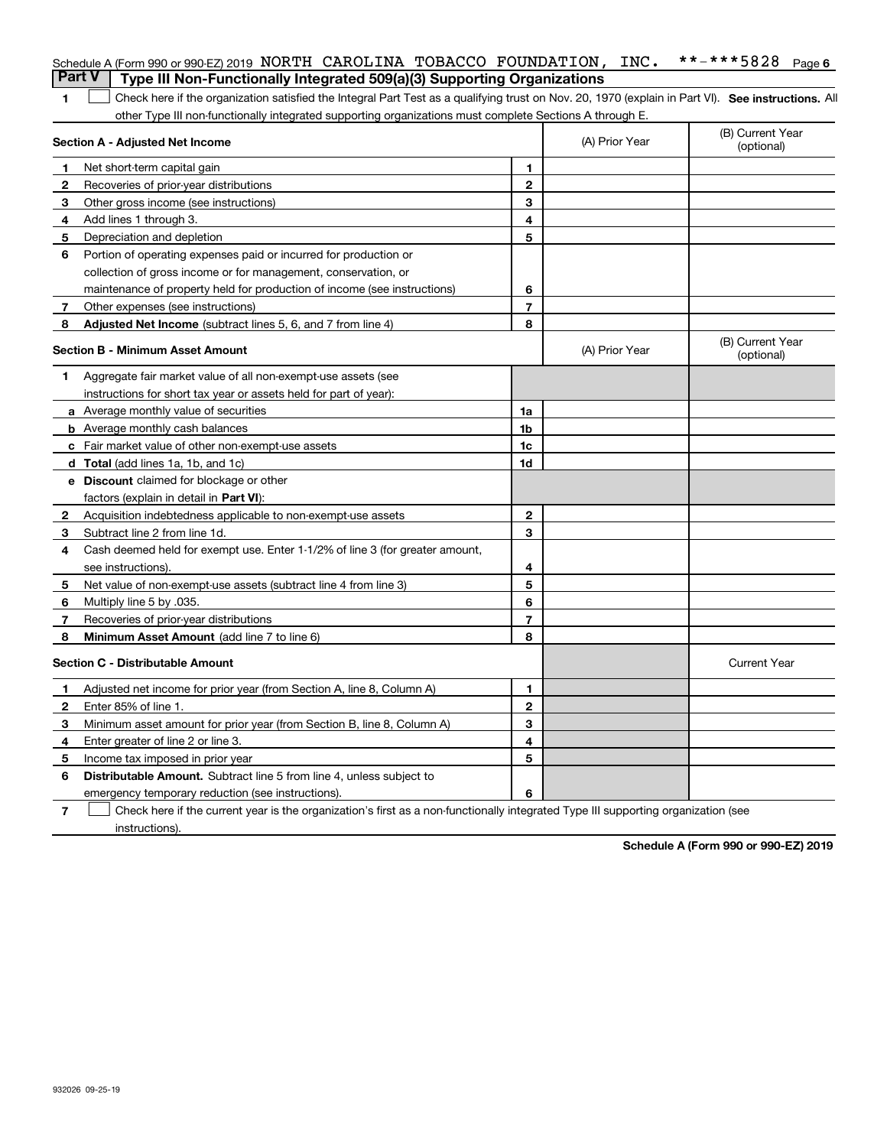|               | Schedule A (Form 990 or 990-EZ) 2019 NORTH CAROLINA TOBACCO FOUNDATION,                                                                            |                | INC.           | **-***5828<br>Page 6           |
|---------------|----------------------------------------------------------------------------------------------------------------------------------------------------|----------------|----------------|--------------------------------|
| <b>Part V</b> | Type III Non-Functionally Integrated 509(a)(3) Supporting Organizations                                                                            |                |                |                                |
| 1             | Check here if the organization satisfied the Integral Part Test as a qualifying trust on Nov. 20, 1970 (explain in Part VI). See instructions. All |                |                |                                |
|               | other Type III non-functionally integrated supporting organizations must complete Sections A through E.                                            |                |                |                                |
|               | <b>Section A - Adjusted Net Income</b>                                                                                                             |                | (A) Prior Year | (B) Current Year<br>(optional) |
| 1             | Net short-term capital gain                                                                                                                        | 1              |                |                                |
| 2             | Recoveries of prior-year distributions                                                                                                             | $\mathbf{2}$   |                |                                |
| 3             | Other gross income (see instructions)                                                                                                              | 3              |                |                                |
| 4             | Add lines 1 through 3.                                                                                                                             | 4              |                |                                |
| 5             | Depreciation and depletion                                                                                                                         | 5              |                |                                |
| 6             | Portion of operating expenses paid or incurred for production or                                                                                   |                |                |                                |
|               | collection of gross income or for management, conservation, or                                                                                     |                |                |                                |
|               | maintenance of property held for production of income (see instructions)                                                                           | 6              |                |                                |
| 7             | Other expenses (see instructions)                                                                                                                  | $\overline{7}$ |                |                                |
| 8             | Adjusted Net Income (subtract lines 5, 6, and 7 from line 4)                                                                                       | 8              |                |                                |
|               | <b>Section B - Minimum Asset Amount</b>                                                                                                            |                | (A) Prior Year | (B) Current Year<br>(optional) |
| 1             | Aggregate fair market value of all non-exempt-use assets (see                                                                                      |                |                |                                |
|               | instructions for short tax year or assets held for part of year):                                                                                  |                |                |                                |
|               | <b>a</b> Average monthly value of securities                                                                                                       | 1a             |                |                                |
|               | <b>b</b> Average monthly cash balances                                                                                                             | 1b             |                |                                |
|               | c Fair market value of other non-exempt-use assets                                                                                                 | 1c             |                |                                |
|               | d Total (add lines 1a, 1b, and 1c)                                                                                                                 | 1d             |                |                                |
|               | <b>e</b> Discount claimed for blockage or other                                                                                                    |                |                |                                |
|               | factors (explain in detail in Part VI):                                                                                                            |                |                |                                |
| 2             | Acquisition indebtedness applicable to non-exempt-use assets                                                                                       | $\mathbf{2}$   |                |                                |
| 3             | Subtract line 2 from line 1d.                                                                                                                      | 3              |                |                                |
| 4             | Cash deemed held for exempt use. Enter 1-1/2% of line 3 (for greater amount,                                                                       |                |                |                                |
|               | see instructions).                                                                                                                                 | 4              |                |                                |
| 5             | Net value of non-exempt-use assets (subtract line 4 from line 3)                                                                                   | 5              |                |                                |
| 6             | Multiply line 5 by .035.                                                                                                                           | 6              |                |                                |
| 7             | Recoveries of prior-year distributions                                                                                                             | $\overline{7}$ |                |                                |
| 8             | Minimum Asset Amount (add line 7 to line 6)                                                                                                        | 8              |                |                                |
|               | <b>Section C - Distributable Amount</b>                                                                                                            |                |                | <b>Current Year</b>            |
| 1.            | Adjusted net income for prior year (from Section A, line 8, Column A)                                                                              | 1              |                |                                |
|               | Enter 85% of line 1.                                                                                                                               | 2              |                |                                |
| 3             | Minimum asset amount for prior year (from Section B, line 8, Column A)                                                                             | 3              |                |                                |
| 4             | Enter greater of line 2 or line 3.                                                                                                                 | 4              |                |                                |
| 5             | Income tax imposed in prior year                                                                                                                   | 5              |                |                                |
| 6             | <b>Distributable Amount.</b> Subtract line 5 from line 4, unless subject to                                                                        |                |                |                                |
|               | emergency temporary reduction (see instructions).                                                                                                  | 6              |                |                                |
| 7             | Check here if the current year is the organization's first as a non-functionally integrated Type III supporting organization (see                  |                |                |                                |

instructions).

**Schedule A (Form 990 or 990-EZ) 2019**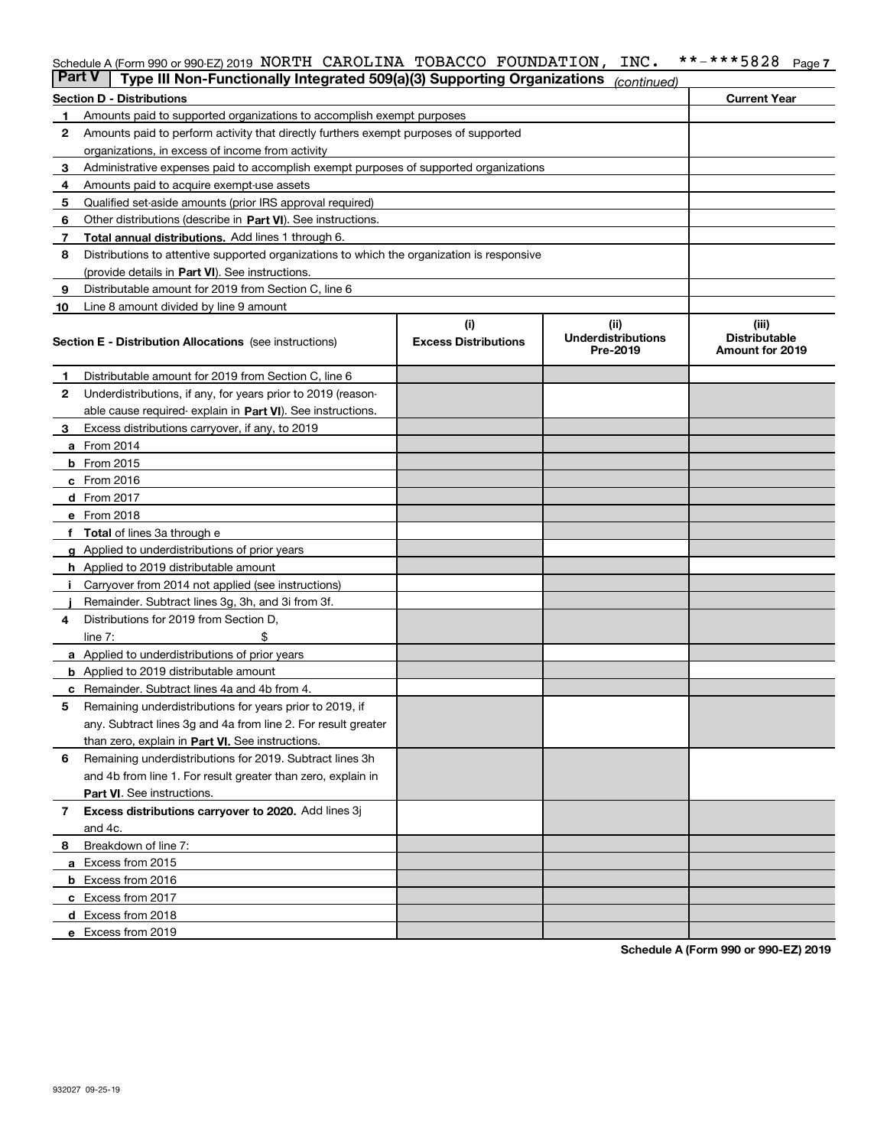## Schedule A (Form 990 or 990-EZ) 2019 NORTH CAROLINA TOBACCO FOUNDATION , INC<sub>\*</sub> \*\*-\*\*\*5828 <sub>Page 7</sub>

| Part V |                                                                                      | Type III Non-Functionally Integrated 509(a)(3) Supporting Organizations                    |                             | (continued)                           |                                         |
|--------|--------------------------------------------------------------------------------------|--------------------------------------------------------------------------------------------|-----------------------------|---------------------------------------|-----------------------------------------|
|        | <b>Section D - Distributions</b>                                                     |                                                                                            |                             |                                       | <b>Current Year</b>                     |
| 1      |                                                                                      | Amounts paid to supported organizations to accomplish exempt purposes                      |                             |                                       |                                         |
| 2      | Amounts paid to perform activity that directly furthers exempt purposes of supported |                                                                                            |                             |                                       |                                         |
|        | organizations, in excess of income from activity                                     |                                                                                            |                             |                                       |                                         |
| 3      |                                                                                      | Administrative expenses paid to accomplish exempt purposes of supported organizations      |                             |                                       |                                         |
| 4      | Amounts paid to acquire exempt-use assets                                            |                                                                                            |                             |                                       |                                         |
| 5      |                                                                                      | Qualified set-aside amounts (prior IRS approval required)                                  |                             |                                       |                                         |
| 6      |                                                                                      | Other distributions (describe in Part VI). See instructions.                               |                             |                                       |                                         |
| 7      |                                                                                      | Total annual distributions. Add lines 1 through 6.                                         |                             |                                       |                                         |
| 8      |                                                                                      | Distributions to attentive supported organizations to which the organization is responsive |                             |                                       |                                         |
|        |                                                                                      | (provide details in Part VI). See instructions.                                            |                             |                                       |                                         |
| 9      |                                                                                      | Distributable amount for 2019 from Section C, line 6                                       |                             |                                       |                                         |
| 10     |                                                                                      | Line 8 amount divided by line 9 amount                                                     |                             |                                       |                                         |
|        |                                                                                      |                                                                                            | (i)                         | (ii)                                  | (iii)                                   |
|        |                                                                                      | Section E - Distribution Allocations (see instructions)                                    | <b>Excess Distributions</b> | <b>Underdistributions</b><br>Pre-2019 | <b>Distributable</b><br>Amount for 2019 |
| 1      |                                                                                      | Distributable amount for 2019 from Section C, line 6                                       |                             |                                       |                                         |
| 2      |                                                                                      | Underdistributions, if any, for years prior to 2019 (reason-                               |                             |                                       |                                         |
|        |                                                                                      | able cause required- explain in Part VI). See instructions.                                |                             |                                       |                                         |
| З      |                                                                                      | Excess distributions carryover, if any, to 2019                                            |                             |                                       |                                         |
|        | <b>a</b> From 2014                                                                   |                                                                                            |                             |                                       |                                         |
|        | <b>b</b> From 2015                                                                   |                                                                                            |                             |                                       |                                         |
|        | $c$ From 2016                                                                        |                                                                                            |                             |                                       |                                         |
|        | <b>d</b> From 2017                                                                   |                                                                                            |                             |                                       |                                         |
|        | e From 2018                                                                          |                                                                                            |                             |                                       |                                         |
|        |                                                                                      | Total of lines 3a through e                                                                |                             |                                       |                                         |
|        |                                                                                      | <b>g</b> Applied to underdistributions of prior years                                      |                             |                                       |                                         |
|        |                                                                                      | <b>h</b> Applied to 2019 distributable amount                                              |                             |                                       |                                         |
|        |                                                                                      | Carryover from 2014 not applied (see instructions)                                         |                             |                                       |                                         |
|        |                                                                                      | Remainder. Subtract lines 3g, 3h, and 3i from 3f.                                          |                             |                                       |                                         |
| 4      |                                                                                      | Distributions for 2019 from Section D,                                                     |                             |                                       |                                         |
|        | line $7:$                                                                            |                                                                                            |                             |                                       |                                         |
|        |                                                                                      | <b>a</b> Applied to underdistributions of prior years                                      |                             |                                       |                                         |
|        |                                                                                      | <b>b</b> Applied to 2019 distributable amount                                              |                             |                                       |                                         |
| c      |                                                                                      | Remainder. Subtract lines 4a and 4b from 4.                                                |                             |                                       |                                         |
| 5      |                                                                                      | Remaining underdistributions for years prior to 2019, if                                   |                             |                                       |                                         |
|        |                                                                                      | any. Subtract lines 3g and 4a from line 2. For result greater                              |                             |                                       |                                         |
|        |                                                                                      | than zero, explain in Part VI. See instructions.                                           |                             |                                       |                                         |
| 6      |                                                                                      | Remaining underdistributions for 2019. Subtract lines 3h                                   |                             |                                       |                                         |
|        |                                                                                      | and 4b from line 1. For result greater than zero, explain in                               |                             |                                       |                                         |
|        |                                                                                      | Part VI. See instructions.                                                                 |                             |                                       |                                         |
| 7      |                                                                                      | Excess distributions carryover to 2020. Add lines 3j                                       |                             |                                       |                                         |
|        | and 4c.                                                                              |                                                                                            |                             |                                       |                                         |
| 8      | Breakdown of line 7:                                                                 |                                                                                            |                             |                                       |                                         |
|        | a Excess from 2015                                                                   |                                                                                            |                             |                                       |                                         |
|        | <b>b</b> Excess from 2016                                                            |                                                                                            |                             |                                       |                                         |
|        | c Excess from 2017                                                                   |                                                                                            |                             |                                       |                                         |
|        | d Excess from 2018                                                                   |                                                                                            |                             |                                       |                                         |
|        | e Excess from 2019                                                                   |                                                                                            |                             |                                       |                                         |
|        |                                                                                      |                                                                                            |                             |                                       |                                         |

**Schedule A (Form 990 or 990-EZ) 2019**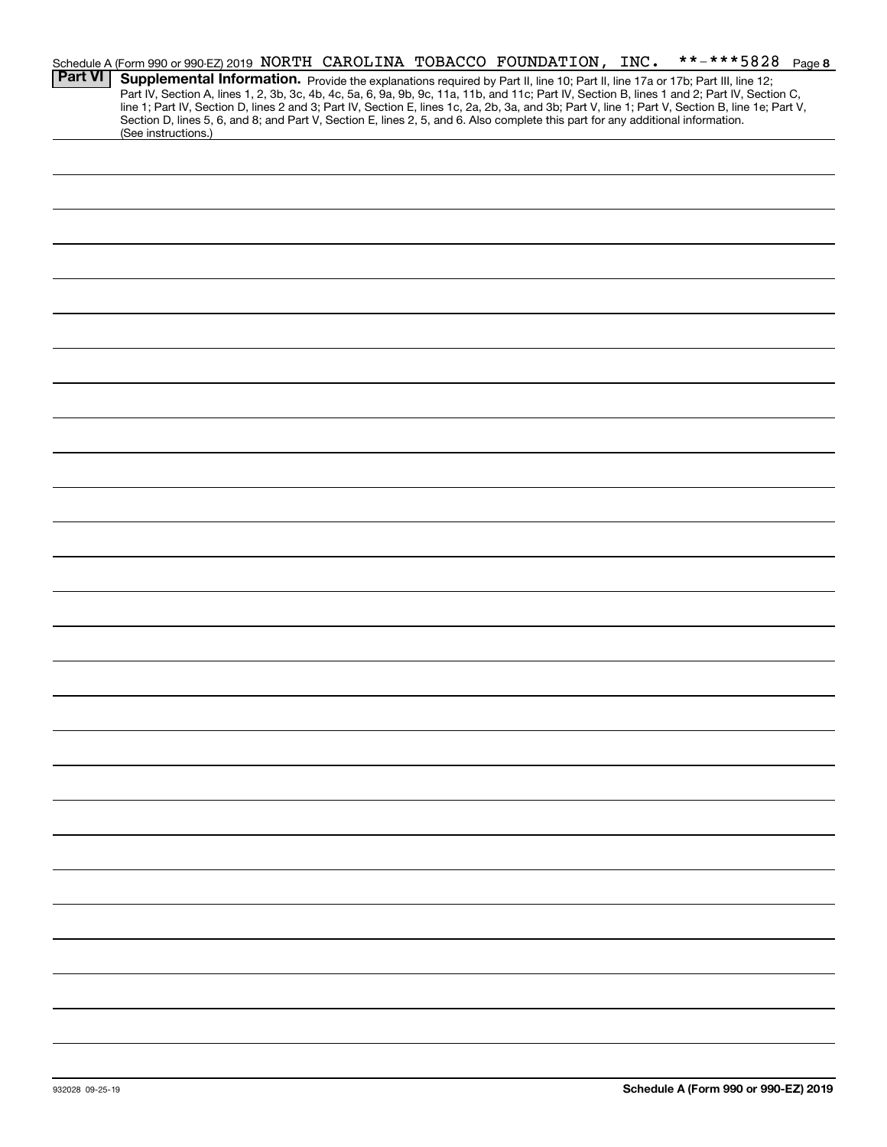|                | **-***5828 Page 8<br>Schedule A (Form 990 or 990-EZ) 2019 NORTH CAROLINA TOBACCO FOUNDATION, INC.                                                                                                                                                                                                |
|----------------|--------------------------------------------------------------------------------------------------------------------------------------------------------------------------------------------------------------------------------------------------------------------------------------------------|
| <b>Part VI</b> | Supplemental Information. Provide the explanations required by Part II, line 10; Part II, line 17a or 17b; Part III, line 12;                                                                                                                                                                    |
|                | Part IV, Section A, lines 1, 2, 3b, 3c, 4b, 4c, 5a, 6, 9a, 9b, 9c, 11a, 11b, and 11c; Part IV, Section B, lines 1 and 2; Part IV, Section C,<br>line 1; Part IV, Section D, lines 2 and 3; Part IV, Section E, lines 1c, 2a, 2b, 3a, and 3b; Part V, line 1; Part V, Section B, line 1e; Part V, |
|                | Section D, lines 5, 6, and 8; and Part V, Section E, lines 2, 5, and 6. Also complete this part for any additional information.                                                                                                                                                                  |
|                | (See instructions.)                                                                                                                                                                                                                                                                              |
|                |                                                                                                                                                                                                                                                                                                  |
|                |                                                                                                                                                                                                                                                                                                  |
|                |                                                                                                                                                                                                                                                                                                  |
|                |                                                                                                                                                                                                                                                                                                  |
|                |                                                                                                                                                                                                                                                                                                  |
|                |                                                                                                                                                                                                                                                                                                  |
|                |                                                                                                                                                                                                                                                                                                  |
|                |                                                                                                                                                                                                                                                                                                  |
|                |                                                                                                                                                                                                                                                                                                  |
|                |                                                                                                                                                                                                                                                                                                  |
|                |                                                                                                                                                                                                                                                                                                  |
|                |                                                                                                                                                                                                                                                                                                  |
|                |                                                                                                                                                                                                                                                                                                  |
|                |                                                                                                                                                                                                                                                                                                  |
|                |                                                                                                                                                                                                                                                                                                  |
|                |                                                                                                                                                                                                                                                                                                  |
|                |                                                                                                                                                                                                                                                                                                  |
|                |                                                                                                                                                                                                                                                                                                  |
|                |                                                                                                                                                                                                                                                                                                  |
|                |                                                                                                                                                                                                                                                                                                  |
|                |                                                                                                                                                                                                                                                                                                  |
|                |                                                                                                                                                                                                                                                                                                  |
|                |                                                                                                                                                                                                                                                                                                  |
|                |                                                                                                                                                                                                                                                                                                  |
|                |                                                                                                                                                                                                                                                                                                  |
|                |                                                                                                                                                                                                                                                                                                  |
|                |                                                                                                                                                                                                                                                                                                  |
|                |                                                                                                                                                                                                                                                                                                  |
|                |                                                                                                                                                                                                                                                                                                  |
|                |                                                                                                                                                                                                                                                                                                  |
|                |                                                                                                                                                                                                                                                                                                  |
|                |                                                                                                                                                                                                                                                                                                  |
|                |                                                                                                                                                                                                                                                                                                  |
|                |                                                                                                                                                                                                                                                                                                  |
|                |                                                                                                                                                                                                                                                                                                  |
|                |                                                                                                                                                                                                                                                                                                  |
|                |                                                                                                                                                                                                                                                                                                  |
|                |                                                                                                                                                                                                                                                                                                  |
|                |                                                                                                                                                                                                                                                                                                  |
|                |                                                                                                                                                                                                                                                                                                  |
|                |                                                                                                                                                                                                                                                                                                  |
|                |                                                                                                                                                                                                                                                                                                  |
|                |                                                                                                                                                                                                                                                                                                  |
|                |                                                                                                                                                                                                                                                                                                  |
|                |                                                                                                                                                                                                                                                                                                  |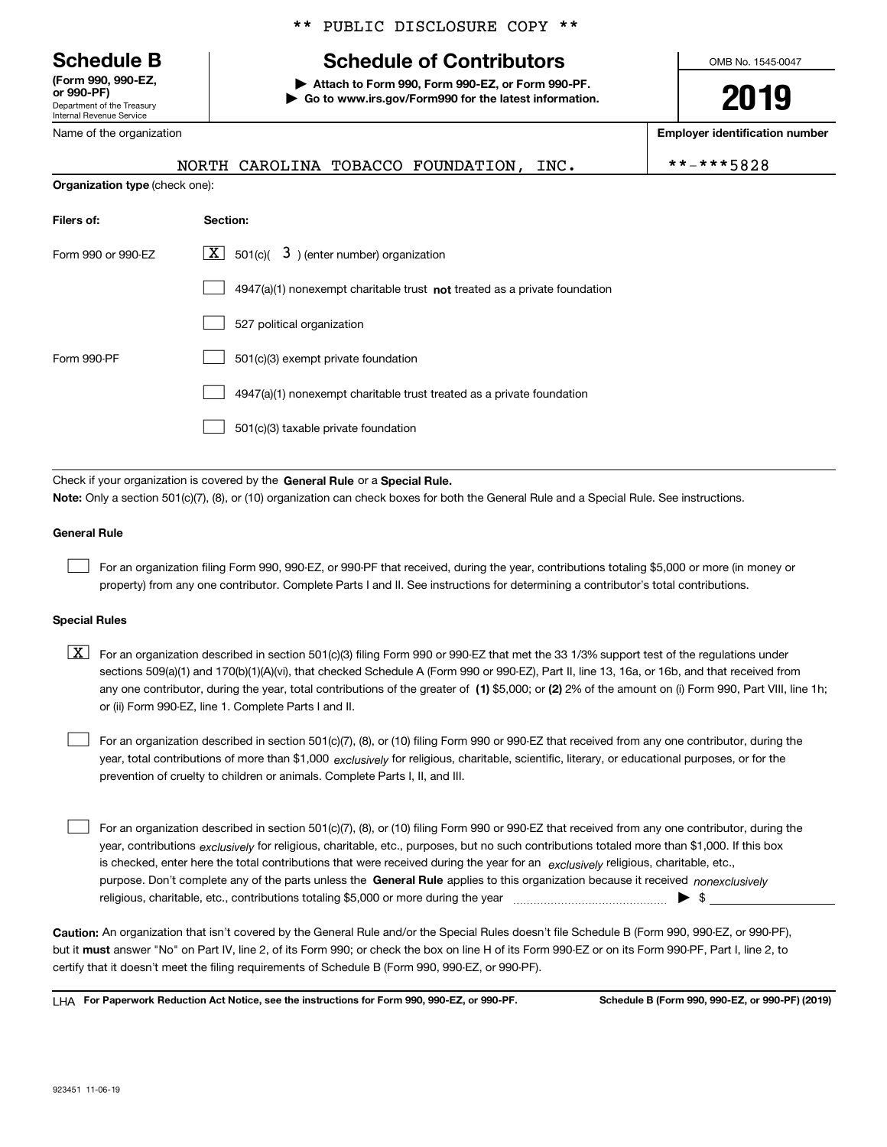Department of the Treasury Internal Revenue Service **(Form 990, 990-EZ, or 990-PF)**

Name of the organization

\*\* PUBLIC DISCLOSURE COPY \*\*

# **Schedule B Schedule of Contributors**

**| Attach to Form 990, Form 990-EZ, or Form 990-PF. | Go to www.irs.gov/Form990 for the latest information.** OMB No. 1545-0047

**2019**

**Employer identification number**

 $* - ***5828$ 

|                                       | NORTH CAROLINA TOBACCO FOUNDATION,<br>INC.                                  | $\star$ |
|---------------------------------------|-----------------------------------------------------------------------------|---------|
| <b>Organization type (check one):</b> |                                                                             |         |
| Filers of:                            | Section:                                                                    |         |
| Form 990 or 990-EZ                    | $\lfloor x \rfloor$ 501(c)( 3) (enter number) organization                  |         |
|                                       | $4947(a)(1)$ nonexempt charitable trust not treated as a private foundation |         |
|                                       | 527 political organization                                                  |         |
| Form 990-PF                           | 501(c)(3) exempt private foundation                                         |         |

4947(a)(1) nonexempt charitable trust treated as a private foundation  $\mathcal{L}^{\text{max}}$ 

501(c)(3) taxable private foundation  $\mathcal{L}^{\text{max}}$ 

Check if your organization is covered by the **General Rule** or a **Special Rule. Note:**  Only a section 501(c)(7), (8), or (10) organization can check boxes for both the General Rule and a Special Rule. See instructions.

### **General Rule**

 $\mathcal{L}^{\text{max}}$ 

For an organization filing Form 990, 990-EZ, or 990-PF that received, during the year, contributions totaling \$5,000 or more (in money or property) from any one contributor. Complete Parts I and II. See instructions for determining a contributor's total contributions.

### **Special Rules**

any one contributor, during the year, total contributions of the greater of  $\,$  (1) \$5,000; or **(2)** 2% of the amount on (i) Form 990, Part VIII, line 1h;  $\boxed{\textbf{X}}$  For an organization described in section 501(c)(3) filing Form 990 or 990-EZ that met the 33 1/3% support test of the regulations under sections 509(a)(1) and 170(b)(1)(A)(vi), that checked Schedule A (Form 990 or 990-EZ), Part II, line 13, 16a, or 16b, and that received from or (ii) Form 990-EZ, line 1. Complete Parts I and II.

year, total contributions of more than \$1,000 *exclusively* for religious, charitable, scientific, literary, or educational purposes, or for the For an organization described in section 501(c)(7), (8), or (10) filing Form 990 or 990-EZ that received from any one contributor, during the prevention of cruelty to children or animals. Complete Parts I, II, and III.  $\mathcal{L}^{\text{max}}$ 

purpose. Don't complete any of the parts unless the **General Rule** applies to this organization because it received *nonexclusively* year, contributions <sub>exclusively</sub> for religious, charitable, etc., purposes, but no such contributions totaled more than \$1,000. If this box is checked, enter here the total contributions that were received during the year for an  $\;$ exclusively religious, charitable, etc., For an organization described in section 501(c)(7), (8), or (10) filing Form 990 or 990-EZ that received from any one contributor, during the religious, charitable, etc., contributions totaling \$5,000 or more during the year  $\Box$ — $\Box$   $\Box$  $\mathcal{L}^{\text{max}}$ 

**Caution:**  An organization that isn't covered by the General Rule and/or the Special Rules doesn't file Schedule B (Form 990, 990-EZ, or 990-PF),  **must** but it answer "No" on Part IV, line 2, of its Form 990; or check the box on line H of its Form 990-EZ or on its Form 990-PF, Part I, line 2, to certify that it doesn't meet the filing requirements of Schedule B (Form 990, 990-EZ, or 990-PF).

**For Paperwork Reduction Act Notice, see the instructions for Form 990, 990-EZ, or 990-PF. Schedule B (Form 990, 990-EZ, or 990-PF) (2019)** LHA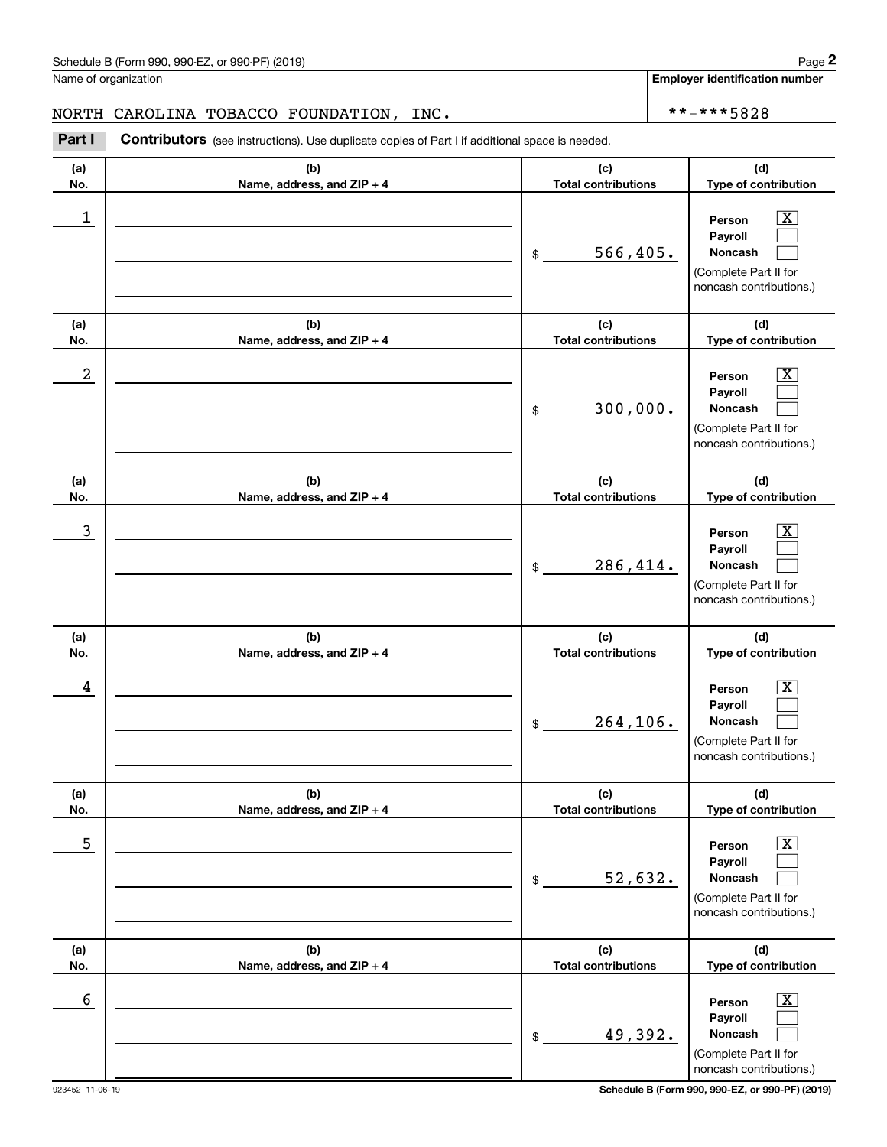Name of organization

**Employer identification number**

## NORTH CAROLINA TOBACCO FOUNDATION, INC. \*\*-\*\*\*5828

**(a)No.(b)Name, address, and ZIP + 4 (c)Total contributions (d)Type of contribution PersonPayrollNoncash (a)No.(b)Name, address, and ZIP + 4 (c)Total contributions (d)Type of contribution PersonPayrollNoncash (a)No.(b)Name, address, and ZIP + 4 (c)Total contributions (d)Type of contribution PersonPayrollNoncash (a) No.(b) Name, address, and ZIP + 4 (c) Total contributions (d) Type of contribution PersonPayrollNoncash(a) No.(b) Name, address, and ZIP + 4 (c) Total contributions (d) Type of contribution PersonPayrollNoncash (a) No.(b)Name, address, and ZIP + 4 (c) Total contributions (d)Type of contribution PersonPayrollNoncash** Contributors (see instructions). Use duplicate copies of Part I if additional space is needed. \$(Complete Part II for noncash contributions.) \$(Complete Part II for noncash contributions.) \$(Complete Part II for noncash contributions.) \$(Complete Part II for noncash contributions.) \$(Complete Part II for noncash contributions.) \$(Complete Part II for noncash contributions.) Chedule B (Form 990, 990-EZ, or 990-PF) (2019)<br>Iame of organization<br>**IORTH CAROLINA TOBACCO FOUNDATION, INC.**<br>**Part I Contributors** (see instructions). Use duplicate copies of Part I if additional space is needed.  $|X|$  $\mathcal{L}^{\text{max}}$  $\mathcal{L}^{\text{max}}$  $\boxed{\text{X}}$  $\mathcal{L}^{\text{max}}$  $\mathcal{L}^{\text{max}}$  $|X|$  $\mathcal{L}^{\text{max}}$  $\mathcal{L}^{\text{max}}$  $|X|$  $\mathcal{L}^{\text{max}}$  $\mathcal{L}^{\text{max}}$  $|X|$  $\mathcal{L}^{\text{max}}$  $\mathcal{L}^{\text{max}}$  $\boxed{\text{X}}$  $\mathcal{L}^{\text{max}}$  $\mathcal{L}^{\text{max}}$  $\begin{array}{c|c|c|c|c|c} 1 & \hspace{1.5cm} & \hspace{1.5cm} & \hspace{1.5cm} & \hspace{1.5cm} & \hspace{1.5cm} & \hspace{1.5cm} & \hspace{1.5cm} & \hspace{1.5cm} & \hspace{1.5cm} & \hspace{1.5cm} & \hspace{1.5cm} & \hspace{1.5cm} & \hspace{1.5cm} & \hspace{1.5cm} & \hspace{1.5cm} & \hspace{1.5cm} & \hspace{1.5cm} & \hspace{1.5cm} & \hspace{1.5cm} & \hspace{1.5cm} &$ 566,405.  $2$  | Person  $\overline{\text{X}}$ 300,000.  $\overline{3}$  | Person  $\overline{X}$ 286,414.  $4$  | Person  $\overline{\text{X}}$ 264,106.  $\sim$  5 | Person X 52,632.  $\sim$  6 | Person X 49,392.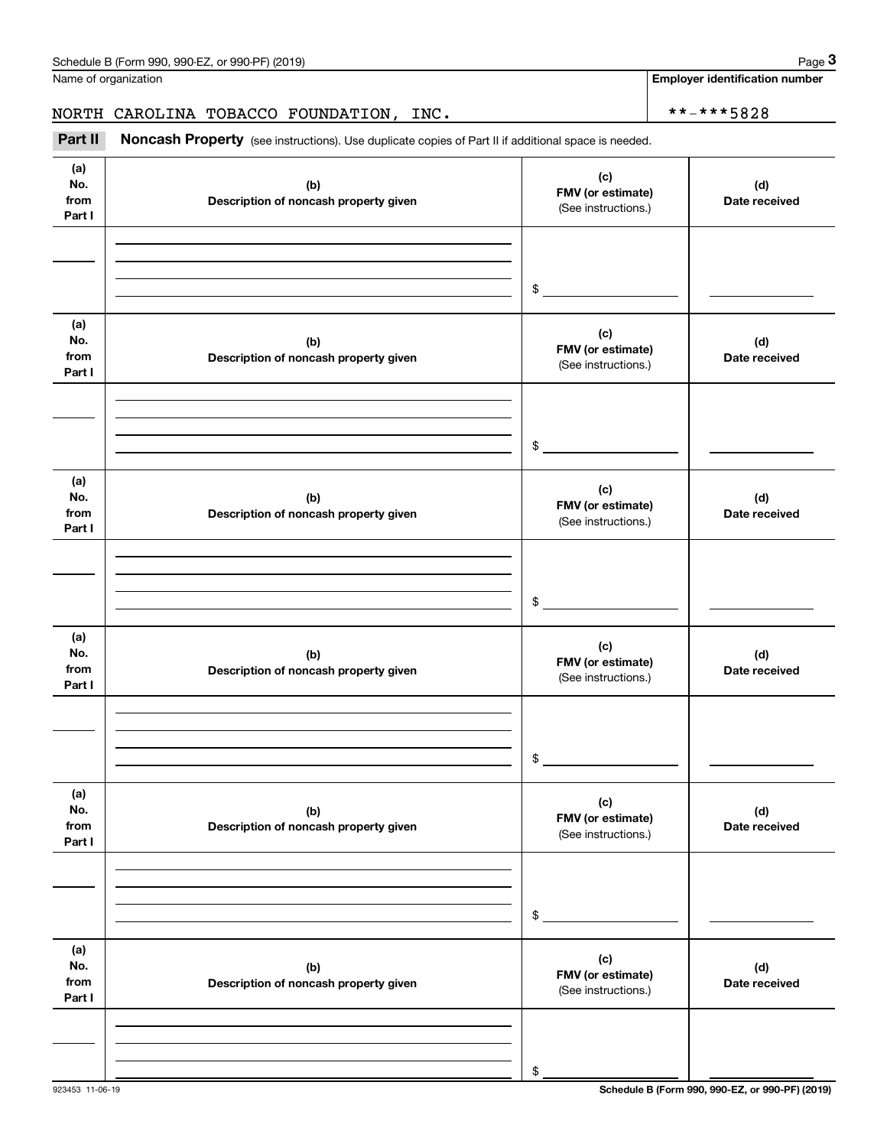**Employer identification number**

# NORTH CAROLINA TOBACCO FOUNDATION, INC.  $\left\vert \frac{***-**5828}{*+***5828}\right\vert$

Chedule B (Form 990, 990-EZ, or 990-PF) (2019)<br>
Iame of organization<br> **3Part II** CAROLINA TOBACCO FOUNDATION, INC.<br> **Part II** Noncash Property (see instructions). Use duplicate copies of Part II if additional space is need

| (a)<br>No.<br>from<br>Part I | (b)<br>Description of noncash property given | (c)<br>FMV (or estimate)<br>(See instructions.) | (d)<br>Date received |
|------------------------------|----------------------------------------------|-------------------------------------------------|----------------------|
|                              |                                              |                                                 |                      |
|                              |                                              | $\frac{1}{2}$                                   |                      |
| (a)<br>No.<br>from<br>Part I | (b)<br>Description of noncash property given | (c)<br>FMV (or estimate)<br>(See instructions.) | (d)<br>Date received |
|                              |                                              |                                                 |                      |
|                              |                                              | $$\overbrace{\hspace{2.5cm}}$                   |                      |
| (a)<br>No.<br>from<br>Part I | (b)<br>Description of noncash property given | (c)<br>FMV (or estimate)<br>(See instructions.) | (d)<br>Date received |
|                              |                                              |                                                 |                      |
|                              |                                              | $\frac{1}{2}$                                   |                      |
| (a)<br>No.<br>from<br>Part I | (b)<br>Description of noncash property given | (c)<br>FMV (or estimate)<br>(See instructions.) | (d)<br>Date received |
|                              |                                              |                                                 |                      |
|                              |                                              | \$                                              |                      |
| (a)<br>No.<br>from<br>Part I | (b)<br>Description of noncash property given | (c)<br>FMV (or estimate)<br>(See instructions.) | (d)<br>Date received |
|                              |                                              |                                                 |                      |
|                              |                                              | \$                                              |                      |
| (a)<br>No.<br>from<br>Part I | (b)<br>Description of noncash property given | (c)<br>FMV (or estimate)<br>(See instructions.) | (d)<br>Date received |
|                              |                                              |                                                 |                      |
|                              |                                              | \$                                              |                      |

923453 11-06-19 **Schedule B (Form 990, 990-EZ, or 990-PF) (2019)**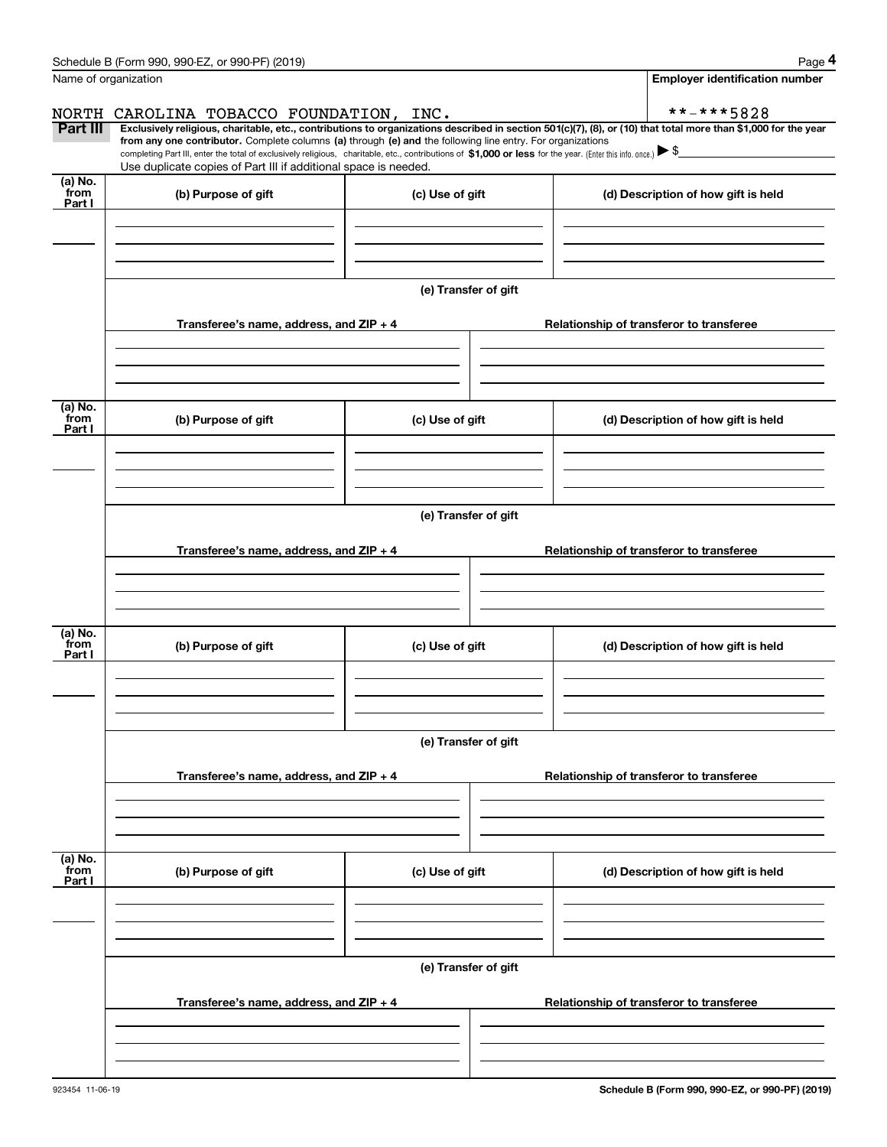|                 | Schedule B (Form 990, 990-EZ, or 990-PF) (2019)                                                                                                                                   |                                          | Page 4                                                                                                                                                         |  |  |  |  |  |  |  |  |
|-----------------|-----------------------------------------------------------------------------------------------------------------------------------------------------------------------------------|------------------------------------------|----------------------------------------------------------------------------------------------------------------------------------------------------------------|--|--|--|--|--|--|--|--|
|                 | Name of organization                                                                                                                                                              |                                          | <b>Employer identification number</b>                                                                                                                          |  |  |  |  |  |  |  |  |
|                 | NORTH CAROLINA TOBACCO FOUNDATION, INC.                                                                                                                                           |                                          | **-***5828                                                                                                                                                     |  |  |  |  |  |  |  |  |
| Part III        | from any one contributor. Complete columns (a) through (e) and the following line entry. For organizations                                                                        |                                          | Exclusively religious, charitable, etc., contributions to organizations described in section 501(c)(7), (8), or (10) that total more than \$1,000 for the year |  |  |  |  |  |  |  |  |
|                 | completing Part III, enter the total of exclusively religious, charitable, etc., contributions of \$1,000 or less for the year. (Enter this info. once.) $\blacktriangleright$ \$ |                                          |                                                                                                                                                                |  |  |  |  |  |  |  |  |
| (a) No.         | Use duplicate copies of Part III if additional space is needed.                                                                                                                   |                                          |                                                                                                                                                                |  |  |  |  |  |  |  |  |
| from<br>Part I  | (b) Purpose of gift                                                                                                                                                               | (c) Use of gift                          | (d) Description of how gift is held                                                                                                                            |  |  |  |  |  |  |  |  |
|                 |                                                                                                                                                                                   |                                          |                                                                                                                                                                |  |  |  |  |  |  |  |  |
|                 |                                                                                                                                                                                   |                                          |                                                                                                                                                                |  |  |  |  |  |  |  |  |
|                 |                                                                                                                                                                                   |                                          |                                                                                                                                                                |  |  |  |  |  |  |  |  |
|                 |                                                                                                                                                                                   | (e) Transfer of gift                     |                                                                                                                                                                |  |  |  |  |  |  |  |  |
|                 | Transferee's name, address, and ZIP + 4<br>Relationship of transferor to transferee                                                                                               |                                          |                                                                                                                                                                |  |  |  |  |  |  |  |  |
|                 |                                                                                                                                                                                   |                                          |                                                                                                                                                                |  |  |  |  |  |  |  |  |
|                 |                                                                                                                                                                                   |                                          |                                                                                                                                                                |  |  |  |  |  |  |  |  |
|                 |                                                                                                                                                                                   |                                          |                                                                                                                                                                |  |  |  |  |  |  |  |  |
| (a) No.<br>from | (b) Purpose of gift                                                                                                                                                               | (c) Use of gift                          | (d) Description of how gift is held                                                                                                                            |  |  |  |  |  |  |  |  |
| Part I          |                                                                                                                                                                                   |                                          |                                                                                                                                                                |  |  |  |  |  |  |  |  |
|                 |                                                                                                                                                                                   |                                          |                                                                                                                                                                |  |  |  |  |  |  |  |  |
|                 |                                                                                                                                                                                   |                                          |                                                                                                                                                                |  |  |  |  |  |  |  |  |
|                 | (e) Transfer of gift                                                                                                                                                              |                                          |                                                                                                                                                                |  |  |  |  |  |  |  |  |
|                 |                                                                                                                                                                                   |                                          |                                                                                                                                                                |  |  |  |  |  |  |  |  |
|                 | Transferee's name, address, and ZIP + 4                                                                                                                                           |                                          | Relationship of transferor to transferee                                                                                                                       |  |  |  |  |  |  |  |  |
|                 |                                                                                                                                                                                   |                                          |                                                                                                                                                                |  |  |  |  |  |  |  |  |
|                 |                                                                                                                                                                                   |                                          |                                                                                                                                                                |  |  |  |  |  |  |  |  |
| (a) No.         |                                                                                                                                                                                   |                                          |                                                                                                                                                                |  |  |  |  |  |  |  |  |
| from<br>Part I  | (b) Purpose of gift                                                                                                                                                               | (c) Use of gift                          | (d) Description of how gift is held                                                                                                                            |  |  |  |  |  |  |  |  |
|                 |                                                                                                                                                                                   |                                          |                                                                                                                                                                |  |  |  |  |  |  |  |  |
|                 |                                                                                                                                                                                   |                                          |                                                                                                                                                                |  |  |  |  |  |  |  |  |
|                 |                                                                                                                                                                                   |                                          |                                                                                                                                                                |  |  |  |  |  |  |  |  |
|                 | (e) Transfer of gift                                                                                                                                                              |                                          |                                                                                                                                                                |  |  |  |  |  |  |  |  |
|                 | Transferee's name, address, and ZIP + 4                                                                                                                                           | Relationship of transferor to transferee |                                                                                                                                                                |  |  |  |  |  |  |  |  |
|                 |                                                                                                                                                                                   |                                          |                                                                                                                                                                |  |  |  |  |  |  |  |  |
|                 |                                                                                                                                                                                   |                                          |                                                                                                                                                                |  |  |  |  |  |  |  |  |
|                 |                                                                                                                                                                                   |                                          |                                                                                                                                                                |  |  |  |  |  |  |  |  |
| (a) No.<br>from | (b) Purpose of gift                                                                                                                                                               | (c) Use of gift                          | (d) Description of how gift is held                                                                                                                            |  |  |  |  |  |  |  |  |
| Part I          |                                                                                                                                                                                   |                                          |                                                                                                                                                                |  |  |  |  |  |  |  |  |
|                 |                                                                                                                                                                                   |                                          |                                                                                                                                                                |  |  |  |  |  |  |  |  |
|                 |                                                                                                                                                                                   |                                          |                                                                                                                                                                |  |  |  |  |  |  |  |  |
|                 |                                                                                                                                                                                   |                                          |                                                                                                                                                                |  |  |  |  |  |  |  |  |
|                 | (e) Transfer of gift                                                                                                                                                              |                                          |                                                                                                                                                                |  |  |  |  |  |  |  |  |
|                 | Transferee's name, address, and ZIP + 4                                                                                                                                           | Relationship of transferor to transferee |                                                                                                                                                                |  |  |  |  |  |  |  |  |
|                 |                                                                                                                                                                                   |                                          |                                                                                                                                                                |  |  |  |  |  |  |  |  |
|                 |                                                                                                                                                                                   |                                          |                                                                                                                                                                |  |  |  |  |  |  |  |  |
|                 |                                                                                                                                                                                   |                                          |                                                                                                                                                                |  |  |  |  |  |  |  |  |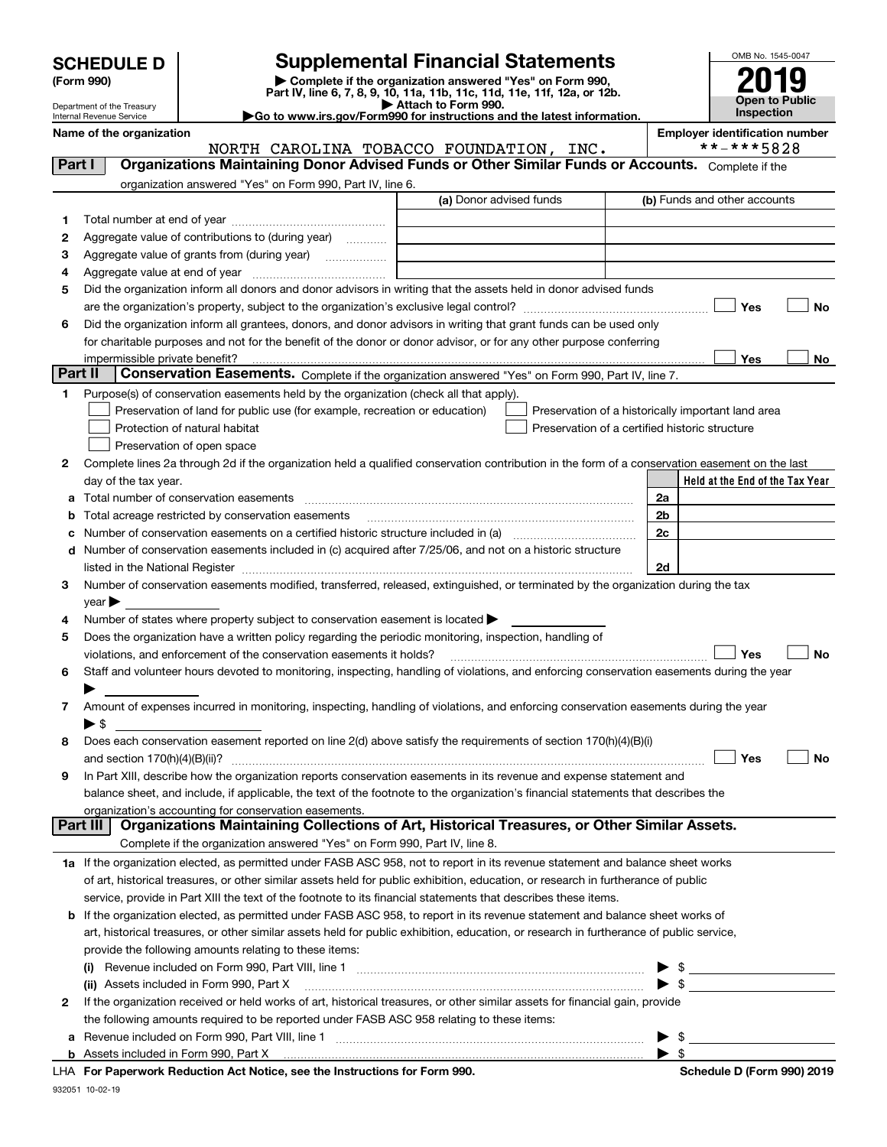| <b>SCHEDULE D</b> |
|-------------------|
|-------------------|

# **SCHEDULE D Supplemental Financial Statements**

(Form 990)<br>
Pepartment of the Treasury<br>
Department of the Treasury<br>
Department of the Treasury<br>
Department of the Treasury<br> **Co to www.irs.gov/Form990 for instructions and the latest information.**<br> **Co to www.irs.gov/Form9** 



Department of the Treasury Internal Revenue Service

**Name of the organization Employer identification number**

NORTH CAROLINA TOBACCO FOUNDATION, INC. \*\*-\*\*\*5828

| Part I         | <b>Organizations Maintaining Donor Advised Funds or Other Similar Funds or Accounts.</b> Complete if the                                       |                         |  |                                                    |                                                                                                                                                                                                                                                                                                                     |  |  |  |  |  |  |
|----------------|------------------------------------------------------------------------------------------------------------------------------------------------|-------------------------|--|----------------------------------------------------|---------------------------------------------------------------------------------------------------------------------------------------------------------------------------------------------------------------------------------------------------------------------------------------------------------------------|--|--|--|--|--|--|
|                | organization answered "Yes" on Form 990, Part IV, line 6.                                                                                      |                         |  |                                                    |                                                                                                                                                                                                                                                                                                                     |  |  |  |  |  |  |
|                |                                                                                                                                                | (a) Donor advised funds |  |                                                    | (b) Funds and other accounts                                                                                                                                                                                                                                                                                        |  |  |  |  |  |  |
| 1.             |                                                                                                                                                |                         |  |                                                    |                                                                                                                                                                                                                                                                                                                     |  |  |  |  |  |  |
| 2              | Aggregate value of contributions to (during year)                                                                                              |                         |  |                                                    |                                                                                                                                                                                                                                                                                                                     |  |  |  |  |  |  |
| з              | Aggregate value of grants from (during year)                                                                                                   |                         |  |                                                    |                                                                                                                                                                                                                                                                                                                     |  |  |  |  |  |  |
| 4              |                                                                                                                                                |                         |  |                                                    |                                                                                                                                                                                                                                                                                                                     |  |  |  |  |  |  |
| 5              | Did the organization inform all donors and donor advisors in writing that the assets held in donor advised funds                               |                         |  |                                                    |                                                                                                                                                                                                                                                                                                                     |  |  |  |  |  |  |
|                | Yes<br>No                                                                                                                                      |                         |  |                                                    |                                                                                                                                                                                                                                                                                                                     |  |  |  |  |  |  |
| 6              | Did the organization inform all grantees, donors, and donor advisors in writing that grant funds can be used only                              |                         |  |                                                    |                                                                                                                                                                                                                                                                                                                     |  |  |  |  |  |  |
|                | for charitable purposes and not for the benefit of the donor or donor advisor, or for any other purpose conferring                             |                         |  |                                                    |                                                                                                                                                                                                                                                                                                                     |  |  |  |  |  |  |
|                |                                                                                                                                                |                         |  |                                                    | Yes<br>No                                                                                                                                                                                                                                                                                                           |  |  |  |  |  |  |
| <b>Part II</b> | Conservation Easements. Complete if the organization answered "Yes" on Form 990, Part IV, line 7.                                              |                         |  |                                                    |                                                                                                                                                                                                                                                                                                                     |  |  |  |  |  |  |
| 1              | Purpose(s) of conservation easements held by the organization (check all that apply).                                                          |                         |  |                                                    |                                                                                                                                                                                                                                                                                                                     |  |  |  |  |  |  |
|                | Preservation of land for public use (for example, recreation or education)                                                                     |                         |  | Preservation of a historically important land area |                                                                                                                                                                                                                                                                                                                     |  |  |  |  |  |  |
|                | Protection of natural habitat                                                                                                                  |                         |  | Preservation of a certified historic structure     |                                                                                                                                                                                                                                                                                                                     |  |  |  |  |  |  |
|                | Preservation of open space                                                                                                                     |                         |  |                                                    |                                                                                                                                                                                                                                                                                                                     |  |  |  |  |  |  |
| 2              | Complete lines 2a through 2d if the organization held a qualified conservation contribution in the form of a conservation easement on the last |                         |  |                                                    |                                                                                                                                                                                                                                                                                                                     |  |  |  |  |  |  |
|                | day of the tax year.                                                                                                                           |                         |  |                                                    | Held at the End of the Tax Year                                                                                                                                                                                                                                                                                     |  |  |  |  |  |  |
| a              | Total number of conservation easements                                                                                                         |                         |  | 2a                                                 |                                                                                                                                                                                                                                                                                                                     |  |  |  |  |  |  |
| b              | Total acreage restricted by conservation easements                                                                                             |                         |  | 2b                                                 |                                                                                                                                                                                                                                                                                                                     |  |  |  |  |  |  |
| с              |                                                                                                                                                | 2c                      |  |                                                    |                                                                                                                                                                                                                                                                                                                     |  |  |  |  |  |  |
| d              | Number of conservation easements included in (c) acquired after 7/25/06, and not on a historic structure                                       |                         |  |                                                    |                                                                                                                                                                                                                                                                                                                     |  |  |  |  |  |  |
|                |                                                                                                                                                |                         |  | 2d                                                 |                                                                                                                                                                                                                                                                                                                     |  |  |  |  |  |  |
| 3.             | Number of conservation easements modified, transferred, released, extinguished, or terminated by the organization during the tax               |                         |  |                                                    |                                                                                                                                                                                                                                                                                                                     |  |  |  |  |  |  |
|                | $year \blacktriangleright$                                                                                                                     |                         |  |                                                    |                                                                                                                                                                                                                                                                                                                     |  |  |  |  |  |  |
| 4              | Number of states where property subject to conservation easement is located >                                                                  |                         |  |                                                    |                                                                                                                                                                                                                                                                                                                     |  |  |  |  |  |  |
| 5              | Does the organization have a written policy regarding the periodic monitoring, inspection, handling of                                         |                         |  |                                                    |                                                                                                                                                                                                                                                                                                                     |  |  |  |  |  |  |
|                | violations, and enforcement of the conservation easements it holds?                                                                            |                         |  |                                                    | Yes<br>No                                                                                                                                                                                                                                                                                                           |  |  |  |  |  |  |
| 6              | Staff and volunteer hours devoted to monitoring, inspecting, handling of violations, and enforcing conservation easements during the year      |                         |  |                                                    |                                                                                                                                                                                                                                                                                                                     |  |  |  |  |  |  |
|                | Amount of expenses incurred in monitoring, inspecting, handling of violations, and enforcing conservation easements during the year            |                         |  |                                                    |                                                                                                                                                                                                                                                                                                                     |  |  |  |  |  |  |
| 7              | $\blacktriangleright$ \$                                                                                                                       |                         |  |                                                    |                                                                                                                                                                                                                                                                                                                     |  |  |  |  |  |  |
| 8              | Does each conservation easement reported on line 2(d) above satisfy the requirements of section 170(h)(4)(B)(i)                                |                         |  |                                                    |                                                                                                                                                                                                                                                                                                                     |  |  |  |  |  |  |
|                |                                                                                                                                                |                         |  |                                                    | Yes<br>No                                                                                                                                                                                                                                                                                                           |  |  |  |  |  |  |
| 9              | In Part XIII, describe how the organization reports conservation easements in its revenue and expense statement and                            |                         |  |                                                    |                                                                                                                                                                                                                                                                                                                     |  |  |  |  |  |  |
|                | balance sheet, and include, if applicable, the text of the footnote to the organization's financial statements that describes the              |                         |  |                                                    |                                                                                                                                                                                                                                                                                                                     |  |  |  |  |  |  |
|                | organization's accounting for conservation easements.                                                                                          |                         |  |                                                    |                                                                                                                                                                                                                                                                                                                     |  |  |  |  |  |  |
|                | Organizations Maintaining Collections of Art, Historical Treasures, or Other Similar Assets.<br>Part III                                       |                         |  |                                                    |                                                                                                                                                                                                                                                                                                                     |  |  |  |  |  |  |
|                | Complete if the organization answered "Yes" on Form 990, Part IV, line 8.                                                                      |                         |  |                                                    |                                                                                                                                                                                                                                                                                                                     |  |  |  |  |  |  |
|                | 1a If the organization elected, as permitted under FASB ASC 958, not to report in its revenue statement and balance sheet works                |                         |  |                                                    |                                                                                                                                                                                                                                                                                                                     |  |  |  |  |  |  |
|                | of art, historical treasures, or other similar assets held for public exhibition, education, or research in furtherance of public              |                         |  |                                                    |                                                                                                                                                                                                                                                                                                                     |  |  |  |  |  |  |
|                | service, provide in Part XIII the text of the footnote to its financial statements that describes these items.                                 |                         |  |                                                    |                                                                                                                                                                                                                                                                                                                     |  |  |  |  |  |  |
|                | <b>b</b> If the organization elected, as permitted under FASB ASC 958, to report in its revenue statement and balance sheet works of           |                         |  |                                                    |                                                                                                                                                                                                                                                                                                                     |  |  |  |  |  |  |
|                | art, historical treasures, or other similar assets held for public exhibition, education, or research in furtherance of public service,        |                         |  |                                                    |                                                                                                                                                                                                                                                                                                                     |  |  |  |  |  |  |
|                | provide the following amounts relating to these items:                                                                                         |                         |  |                                                    |                                                                                                                                                                                                                                                                                                                     |  |  |  |  |  |  |
|                |                                                                                                                                                |                         |  |                                                    | $\frac{1}{2}$ $\frac{1}{2}$ $\frac{1}{2}$ $\frac{1}{2}$ $\frac{1}{2}$ $\frac{1}{2}$ $\frac{1}{2}$ $\frac{1}{2}$ $\frac{1}{2}$ $\frac{1}{2}$ $\frac{1}{2}$ $\frac{1}{2}$ $\frac{1}{2}$ $\frac{1}{2}$ $\frac{1}{2}$ $\frac{1}{2}$ $\frac{1}{2}$ $\frac{1}{2}$ $\frac{1}{2}$ $\frac{1}{2}$ $\frac{1}{2}$ $\frac{1}{2}$ |  |  |  |  |  |  |
|                | (ii) Assets included in Form 990, Part X                                                                                                       |                         |  |                                                    | $\bullet$ \$                                                                                                                                                                                                                                                                                                        |  |  |  |  |  |  |
| $\mathbf{2}$   | If the organization received or held works of art, historical treasures, or other similar assets for financial gain, provide                   |                         |  |                                                    |                                                                                                                                                                                                                                                                                                                     |  |  |  |  |  |  |
|                | the following amounts required to be reported under FASB ASC 958 relating to these items:                                                      |                         |  |                                                    |                                                                                                                                                                                                                                                                                                                     |  |  |  |  |  |  |
| а              |                                                                                                                                                |                         |  |                                                    | $\triangleright$ \$                                                                                                                                                                                                                                                                                                 |  |  |  |  |  |  |
|                |                                                                                                                                                |                         |  | $\blacktriangleright$ s                            |                                                                                                                                                                                                                                                                                                                     |  |  |  |  |  |  |
|                | a Ast Nation and the Instructions for Form 000.                                                                                                |                         |  |                                                    | Calcelula D (Fause 000) 0040                                                                                                                                                                                                                                                                                        |  |  |  |  |  |  |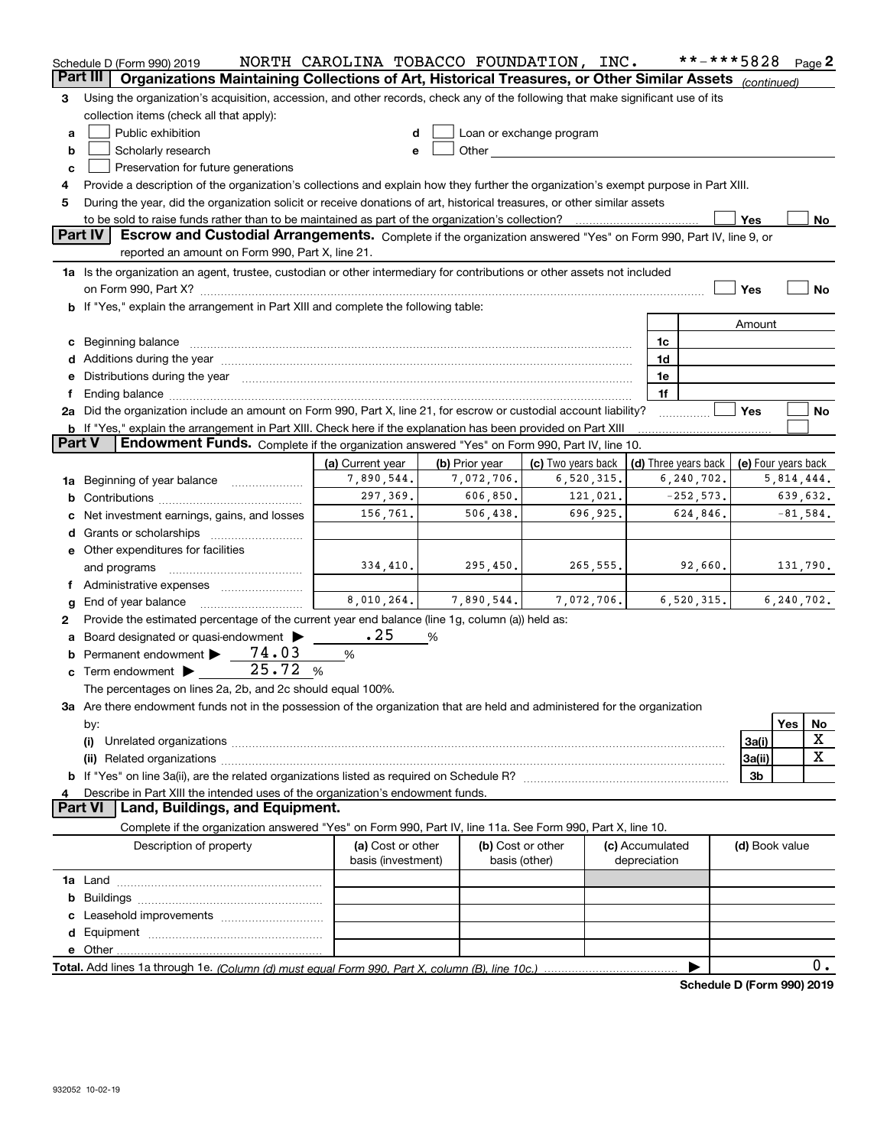|               | Schedule D (Form 990) 2019                                                                                                                                                                                                     | NORTH CAROLINA TOBACCO FOUNDATION, INC. |   |                |                                                                                                                                                                                                                                |                 |              | **-***5828                 |                     |            | Page 2       |
|---------------|--------------------------------------------------------------------------------------------------------------------------------------------------------------------------------------------------------------------------------|-----------------------------------------|---|----------------|--------------------------------------------------------------------------------------------------------------------------------------------------------------------------------------------------------------------------------|-----------------|--------------|----------------------------|---------------------|------------|--------------|
| Part III      | Organizations Maintaining Collections of Art, Historical Treasures, or Other Similar Assets (continued)                                                                                                                        |                                         |   |                |                                                                                                                                                                                                                                |                 |              |                            |                     |            |              |
| 3             | Using the organization's acquisition, accession, and other records, check any of the following that make significant use of its                                                                                                |                                         |   |                |                                                                                                                                                                                                                                |                 |              |                            |                     |            |              |
|               | collection items (check all that apply):                                                                                                                                                                                       |                                         |   |                |                                                                                                                                                                                                                                |                 |              |                            |                     |            |              |
| a             | Public exhibition                                                                                                                                                                                                              | d                                       |   |                | Loan or exchange program                                                                                                                                                                                                       |                 |              |                            |                     |            |              |
| b             | Scholarly research                                                                                                                                                                                                             | е                                       |   |                | Other and the control of the control of the control of the control of the control of the control of the control of the control of the control of the control of the control of the control of the control of the control of th |                 |              |                            |                     |            |              |
| c             | Preservation for future generations                                                                                                                                                                                            |                                         |   |                |                                                                                                                                                                                                                                |                 |              |                            |                     |            |              |
| 4             | Provide a description of the organization's collections and explain how they further the organization's exempt purpose in Part XIII.                                                                                           |                                         |   |                |                                                                                                                                                                                                                                |                 |              |                            |                     |            |              |
| 5             | During the year, did the organization solicit or receive donations of art, historical treasures, or other similar assets                                                                                                       |                                         |   |                |                                                                                                                                                                                                                                |                 |              |                            |                     |            |              |
|               | to be sold to raise funds rather than to be maintained as part of the organization's collection?                                                                                                                               |                                         |   |                |                                                                                                                                                                                                                                |                 |              |                            | Yes                 |            | No           |
|               | Part IV<br>Escrow and Custodial Arrangements. Complete if the organization answered "Yes" on Form 990, Part IV, line 9, or                                                                                                     |                                         |   |                |                                                                                                                                                                                                                                |                 |              |                            |                     |            |              |
|               | reported an amount on Form 990, Part X, line 21.                                                                                                                                                                               |                                         |   |                |                                                                                                                                                                                                                                |                 |              |                            |                     |            |              |
|               | 1a Is the organization an agent, trustee, custodian or other intermediary for contributions or other assets not included                                                                                                       |                                         |   |                |                                                                                                                                                                                                                                |                 |              |                            |                     |            |              |
|               |                                                                                                                                                                                                                                |                                         |   |                |                                                                                                                                                                                                                                |                 |              |                            | Yes                 |            | <b>No</b>    |
|               | b If "Yes," explain the arrangement in Part XIII and complete the following table:                                                                                                                                             |                                         |   |                |                                                                                                                                                                                                                                |                 |              |                            |                     |            |              |
|               |                                                                                                                                                                                                                                |                                         |   |                |                                                                                                                                                                                                                                |                 |              |                            | Amount              |            |              |
|               | c Beginning balance measurements and the contract of the contract of the contract of the contract of the contract of the contract of the contract of the contract of the contract of the contract of the contract of the contr |                                         |   |                |                                                                                                                                                                                                                                |                 | 1c           |                            |                     |            |              |
|               |                                                                                                                                                                                                                                |                                         |   |                |                                                                                                                                                                                                                                |                 | 1d           |                            |                     |            |              |
|               | Distributions during the year manufactured and continuum control of the state of the state of the state of the                                                                                                                 |                                         |   |                |                                                                                                                                                                                                                                |                 | 1e           |                            |                     |            |              |
|               |                                                                                                                                                                                                                                |                                         |   |                |                                                                                                                                                                                                                                |                 | 1f           |                            |                     |            |              |
|               | 2a Did the organization include an amount on Form 990, Part X, line 21, for escrow or custodial account liability?                                                                                                             |                                         |   |                |                                                                                                                                                                                                                                |                 |              |                            | Yes                 |            | No           |
|               | b If "Yes," explain the arrangement in Part XIII. Check here if the explanation has been provided on Part XIII                                                                                                                 |                                         |   |                |                                                                                                                                                                                                                                |                 |              |                            |                     |            |              |
| <b>Part V</b> | <b>Endowment Funds.</b> Complete if the organization answered "Yes" on Form 990, Part IV, line 10.                                                                                                                             |                                         |   |                |                                                                                                                                                                                                                                |                 |              |                            |                     |            |              |
|               |                                                                                                                                                                                                                                | (a) Current year                        |   | (b) Prior year | (c) Two years back                                                                                                                                                                                                             |                 |              | (d) Three years back       | (e) Four years back |            |              |
| 1a            | 7,890,544.<br>7,072,706.<br>6,520,315.<br>6, 240, 702.<br>Beginning of year balance                                                                                                                                            |                                         |   |                |                                                                                                                                                                                                                                |                 |              |                            |                     | 5,814,444. |              |
| b             | 297,369.<br>$-252,573.$<br>606, 850.<br>121,021.                                                                                                                                                                               |                                         |   |                |                                                                                                                                                                                                                                |                 |              |                            |                     |            | 639,632.     |
|               | 156,761.<br>696,925.<br>506,438.<br>624,846.<br>Net investment earnings, gains, and losses                                                                                                                                     |                                         |   |                |                                                                                                                                                                                                                                |                 |              |                            |                     |            | $-81,584.$   |
|               |                                                                                                                                                                                                                                |                                         |   |                |                                                                                                                                                                                                                                |                 |              |                            |                     |            |              |
|               | e Other expenditures for facilities                                                                                                                                                                                            |                                         |   |                |                                                                                                                                                                                                                                |                 |              |                            |                     |            |              |
|               | 334,410.<br>295,450.<br>265,555.<br>92,660.<br>and programs                                                                                                                                                                    |                                         |   |                |                                                                                                                                                                                                                                |                 |              |                            |                     | 131,790.   |              |
|               |                                                                                                                                                                                                                                |                                         |   |                |                                                                                                                                                                                                                                |                 |              |                            |                     |            |              |
| g             | End of year balance                                                                                                                                                                                                            | 8,010,264.                              |   | 7,890,544.     | 7,072,706.                                                                                                                                                                                                                     |                 |              | 6, 520, 315.               |                     |            | 6, 240, 702. |
| 2             | Provide the estimated percentage of the current year end balance (line 1g, column (a)) held as:                                                                                                                                |                                         |   |                |                                                                                                                                                                                                                                |                 |              |                            |                     |            |              |
| а             | Board designated or quasi-endowment >                                                                                                                                                                                          | .25                                     | % |                |                                                                                                                                                                                                                                |                 |              |                            |                     |            |              |
|               | 74.03<br>Permanent endowment                                                                                                                                                                                                   | $\%$                                    |   |                |                                                                                                                                                                                                                                |                 |              |                            |                     |            |              |
|               | 25.72%<br><b>c</b> Term endowment $\blacktriangleright$                                                                                                                                                                        |                                         |   |                |                                                                                                                                                                                                                                |                 |              |                            |                     |            |              |
|               | The percentages on lines 2a, 2b, and 2c should equal 100%.                                                                                                                                                                     |                                         |   |                |                                                                                                                                                                                                                                |                 |              |                            |                     |            |              |
|               | 3a Are there endowment funds not in the possession of the organization that are held and administered for the organization                                                                                                     |                                         |   |                |                                                                                                                                                                                                                                |                 |              |                            |                     |            |              |
|               | by:                                                                                                                                                                                                                            |                                         |   |                |                                                                                                                                                                                                                                |                 |              |                            |                     | Yes        | No           |
|               | (i)                                                                                                                                                                                                                            |                                         |   |                |                                                                                                                                                                                                                                |                 |              |                            | 3a(i)               |            | х            |
|               |                                                                                                                                                                                                                                |                                         |   |                |                                                                                                                                                                                                                                |                 |              |                            | 3a(ii)              |            | х            |
|               |                                                                                                                                                                                                                                |                                         |   |                |                                                                                                                                                                                                                                |                 |              |                            | 3 <sub>b</sub>      |            |              |
|               | Describe in Part XIII the intended uses of the organization's endowment funds.                                                                                                                                                 |                                         |   |                |                                                                                                                                                                                                                                |                 |              |                            |                     |            |              |
|               | <b>Part VI</b><br>Land, Buildings, and Equipment.                                                                                                                                                                              |                                         |   |                |                                                                                                                                                                                                                                |                 |              |                            |                     |            |              |
|               | Complete if the organization answered "Yes" on Form 990, Part IV, line 11a. See Form 990, Part X, line 10.                                                                                                                     |                                         |   |                |                                                                                                                                                                                                                                |                 |              |                            |                     |            |              |
|               | Description of property                                                                                                                                                                                                        | (a) Cost or other                       |   |                | (b) Cost or other                                                                                                                                                                                                              | (c) Accumulated |              |                            | (d) Book value      |            |              |
|               |                                                                                                                                                                                                                                | basis (investment)                      |   |                | basis (other)                                                                                                                                                                                                                  |                 | depreciation |                            |                     |            |              |
|               |                                                                                                                                                                                                                                |                                         |   |                |                                                                                                                                                                                                                                |                 |              |                            |                     |            |              |
|               |                                                                                                                                                                                                                                |                                         |   |                |                                                                                                                                                                                                                                |                 |              |                            |                     |            |              |
|               |                                                                                                                                                                                                                                |                                         |   |                |                                                                                                                                                                                                                                |                 |              |                            |                     |            |              |
|               |                                                                                                                                                                                                                                |                                         |   |                |                                                                                                                                                                                                                                |                 |              |                            |                     |            |              |
|               |                                                                                                                                                                                                                                |                                         |   |                |                                                                                                                                                                                                                                |                 |              |                            |                     |            |              |
|               |                                                                                                                                                                                                                                |                                         |   |                |                                                                                                                                                                                                                                |                 |              |                            |                     |            | 0.           |
|               |                                                                                                                                                                                                                                |                                         |   |                |                                                                                                                                                                                                                                |                 |              | Schedule D (Form 990) 2019 |                     |            |              |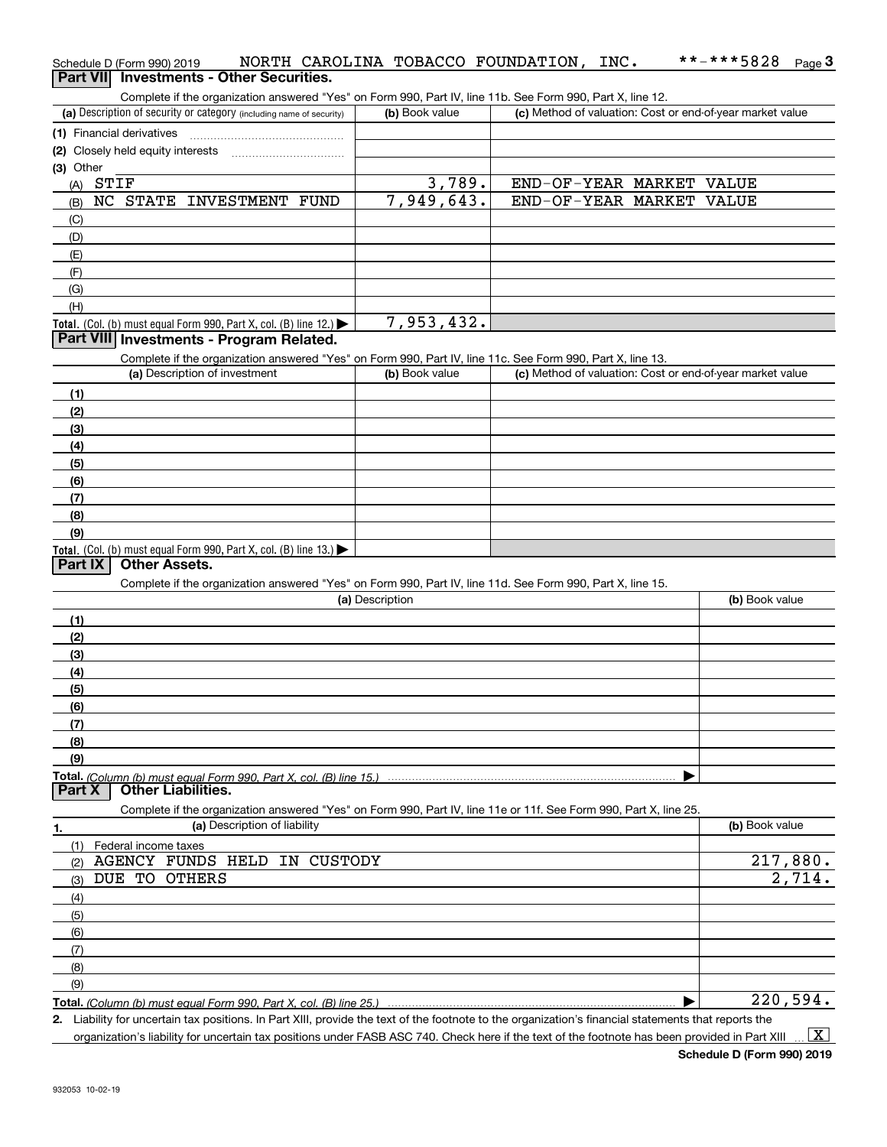|           | Schedule D (Form 990) 2019        |                           |                                                                      |                      |                 |                |        | NORTH CAROLINA TOBACCO FOUNDATION,                                                                                | INC. |                          | **-***5828                                                | $Page$ <sup>3</sup> |
|-----------|-----------------------------------|---------------------------|----------------------------------------------------------------------|----------------------|-----------------|----------------|--------|-------------------------------------------------------------------------------------------------------------------|------|--------------------------|-----------------------------------------------------------|---------------------|
|           |                                   |                           | Part VII Investments - Other Securities.                             |                      |                 |                |        |                                                                                                                   |      |                          |                                                           |                     |
|           |                                   |                           |                                                                      |                      |                 |                |        | Complete if the organization answered "Yes" on Form 990, Part IV, line 11b. See Form 990, Part X, line 12.        |      |                          |                                                           |                     |
|           |                                   |                           | (a) Description of security or category (including name of security) |                      |                 | (b) Book value |        |                                                                                                                   |      |                          | (c) Method of valuation: Cost or end-of-year market value |                     |
|           | (1) Financial derivatives         |                           |                                                                      |                      |                 |                |        |                                                                                                                   |      |                          |                                                           |                     |
|           | (2) Closely held equity interests |                           |                                                                      |                      |                 |                |        |                                                                                                                   |      |                          |                                                           |                     |
| (3) Other |                                   |                           |                                                                      |                      |                 |                |        |                                                                                                                   |      |                          |                                                           |                     |
| (A)       | STIF                              |                           |                                                                      |                      |                 |                | 3,789. |                                                                                                                   |      | END-OF-YEAR MARKET VALUE |                                                           |                     |
| (B)       |                                   |                           | NC STATE INVESTMENT FUND                                             |                      |                 | 7,949,643.     |        |                                                                                                                   |      | END-OF-YEAR MARKET VALUE |                                                           |                     |
| (C)       |                                   |                           |                                                                      |                      |                 |                |        |                                                                                                                   |      |                          |                                                           |                     |
| (D)       |                                   |                           |                                                                      |                      |                 |                |        |                                                                                                                   |      |                          |                                                           |                     |
| (E)       |                                   |                           |                                                                      |                      |                 |                |        |                                                                                                                   |      |                          |                                                           |                     |
| (F)       |                                   |                           |                                                                      |                      |                 |                |        |                                                                                                                   |      |                          |                                                           |                     |
| (G)       |                                   |                           |                                                                      |                      |                 |                |        |                                                                                                                   |      |                          |                                                           |                     |
| (H)       |                                   |                           |                                                                      |                      |                 |                |        |                                                                                                                   |      |                          |                                                           |                     |
|           |                                   |                           | Total. (Col. (b) must equal Form 990, Part X, col. (B) line 12.)     |                      |                 | 7,953,432.     |        |                                                                                                                   |      |                          |                                                           |                     |
|           |                                   |                           | Part VIII Investments - Program Related.                             |                      |                 |                |        |                                                                                                                   |      |                          |                                                           |                     |
|           |                                   |                           |                                                                      |                      |                 |                |        | Complete if the organization answered "Yes" on Form 990, Part IV, line 11c. See Form 990, Part X, line 13.        |      |                          |                                                           |                     |
|           |                                   |                           | (a) Description of investment                                        |                      |                 | (b) Book value |        |                                                                                                                   |      |                          | (c) Method of valuation: Cost or end-of-year market value |                     |
| (1)       |                                   |                           |                                                                      |                      |                 |                |        |                                                                                                                   |      |                          |                                                           |                     |
| (2)       |                                   |                           |                                                                      |                      |                 |                |        |                                                                                                                   |      |                          |                                                           |                     |
| (3)       |                                   |                           |                                                                      |                      |                 |                |        |                                                                                                                   |      |                          |                                                           |                     |
| (4)       |                                   |                           |                                                                      |                      |                 |                |        |                                                                                                                   |      |                          |                                                           |                     |
| (5)       |                                   |                           |                                                                      |                      |                 |                |        |                                                                                                                   |      |                          |                                                           |                     |
| (6)       |                                   |                           |                                                                      |                      |                 |                |        |                                                                                                                   |      |                          |                                                           |                     |
| (7)       |                                   |                           |                                                                      |                      |                 |                |        |                                                                                                                   |      |                          |                                                           |                     |
| (8)       |                                   |                           |                                                                      |                      |                 |                |        |                                                                                                                   |      |                          |                                                           |                     |
| (9)       |                                   |                           |                                                                      |                      |                 |                |        |                                                                                                                   |      |                          |                                                           |                     |
|           |                                   |                           | Total. (Col. (b) must equal Form 990, Part X, col. (B) line 13.)     |                      |                 |                |        |                                                                                                                   |      |                          |                                                           |                     |
| Part IX   |                                   | <b>Other Assets.</b>      |                                                                      |                      |                 |                |        |                                                                                                                   |      |                          |                                                           |                     |
|           |                                   |                           |                                                                      |                      |                 |                |        | Complete if the organization answered "Yes" on Form 990, Part IV, line 11d. See Form 990, Part X, line 15.        |      |                          |                                                           |                     |
|           |                                   |                           |                                                                      |                      | (a) Description |                |        |                                                                                                                   |      |                          | (b) Book value                                            |                     |
| (1)       |                                   |                           |                                                                      |                      |                 |                |        |                                                                                                                   |      |                          |                                                           |                     |
| (2)       |                                   |                           |                                                                      |                      |                 |                |        |                                                                                                                   |      |                          |                                                           |                     |
| (3)       |                                   |                           |                                                                      |                      |                 |                |        |                                                                                                                   |      |                          |                                                           |                     |
| (4)       |                                   |                           |                                                                      |                      |                 |                |        |                                                                                                                   |      |                          |                                                           |                     |
| (5)       |                                   |                           |                                                                      |                      |                 |                |        |                                                                                                                   |      |                          |                                                           |                     |
| (6)       |                                   |                           |                                                                      |                      |                 |                |        |                                                                                                                   |      |                          |                                                           |                     |
| (7)       |                                   |                           |                                                                      |                      |                 |                |        |                                                                                                                   |      |                          |                                                           |                     |
| (8)       |                                   |                           |                                                                      |                      |                 |                |        |                                                                                                                   |      |                          |                                                           |                     |
| (9)       |                                   |                           |                                                                      |                      |                 |                |        |                                                                                                                   |      |                          |                                                           |                     |
|           |                                   |                           |                                                                      |                      |                 |                |        |                                                                                                                   |      |                          |                                                           |                     |
| Part X    |                                   | <b>Other Liabilities.</b> |                                                                      |                      |                 |                |        |                                                                                                                   |      |                          |                                                           |                     |
|           |                                   |                           |                                                                      |                      |                 |                |        | Complete if the organization answered "Yes" on Form 990, Part IV, line 11e or 11f. See Form 990, Part X, line 25. |      |                          |                                                           |                     |
| 1.        |                                   |                           | (a) Description of liability                                         |                      |                 |                |        |                                                                                                                   |      |                          | (b) Book value                                            |                     |
| (1)       | Federal income taxes              |                           |                                                                      |                      |                 |                |        |                                                                                                                   |      |                          |                                                           |                     |
| (2)       |                                   |                           | AGENCY FUNDS HELD IN                                                 | <b>CUSTODY</b>       |                 |                |        |                                                                                                                   |      |                          |                                                           | 217,880.            |
| (3)       | DUE TO OTHERS                     |                           |                                                                      |                      |                 |                |        |                                                                                                                   |      |                          |                                                           | 2,714.              |
| (4)       |                                   |                           |                                                                      |                      |                 |                |        |                                                                                                                   |      |                          |                                                           |                     |
| (5)       |                                   |                           |                                                                      |                      |                 |                |        |                                                                                                                   |      |                          |                                                           |                     |
|           |                                   |                           |                                                                      |                      |                 |                |        |                                                                                                                   |      |                          |                                                           |                     |
| (6)       |                                   |                           |                                                                      |                      |                 |                |        |                                                                                                                   |      |                          |                                                           |                     |
| (7)       |                                   |                           |                                                                      |                      |                 |                |        |                                                                                                                   |      |                          |                                                           |                     |
| (8)       |                                   |                           |                                                                      |                      |                 |                |        |                                                                                                                   |      |                          |                                                           |                     |
| (9)       |                                   |                           |                                                                      |                      |                 |                |        |                                                                                                                   |      |                          |                                                           | 220,594.            |
|           |                                   |                           | Total. (Column (b) must equal Form 990. Part X, col. (B) line 25.)   | In Dort VIII provide |                 |                |        |                                                                                                                   |      |                          |                                                           |                     |

**2.** Liability for uncertain tax positions. In Part XIII, provide the text of the footnote to the organization's financial statements that reports the organization's liability for uncertain tax positions under FASB ASC 740. Check here if the text of the footnote has been provided in Part XIII  $\vert$  X  $\vert$ 

\*\*-\*\*\*5828 Page 3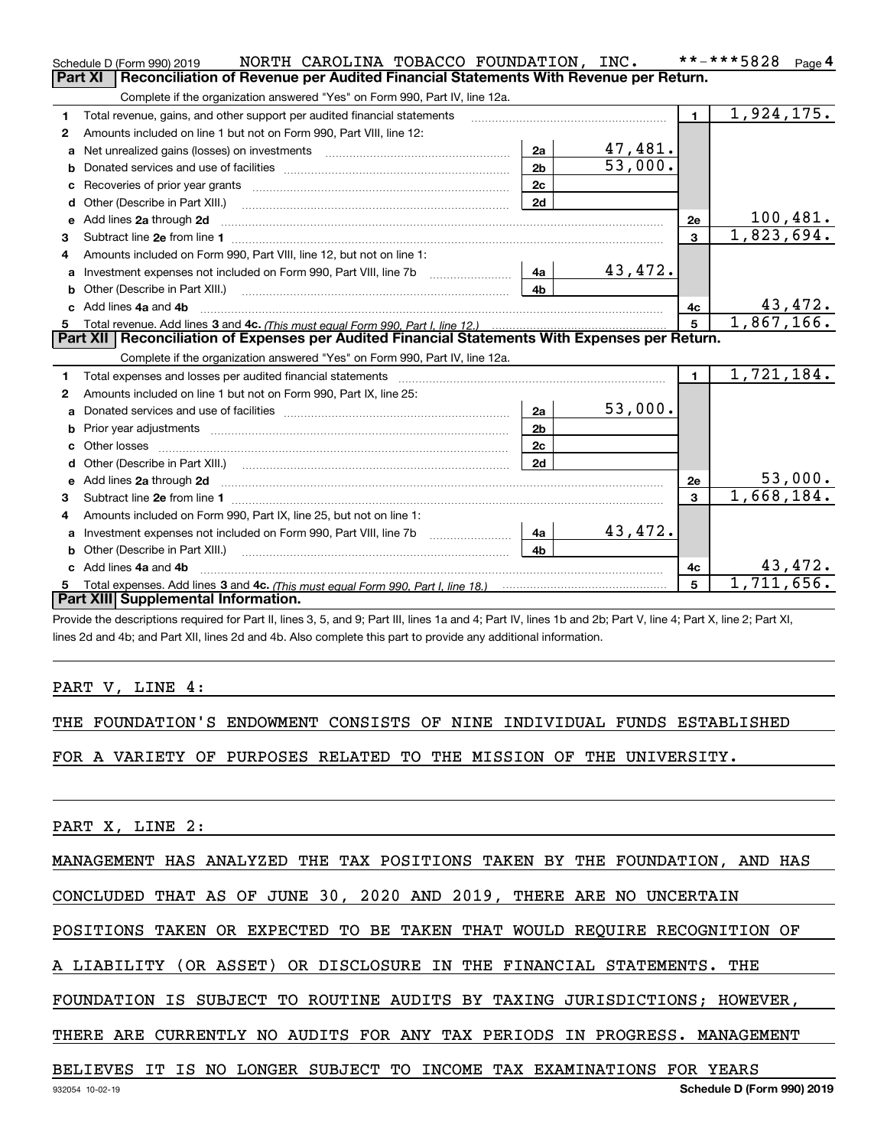|    | NORTH CAROLINA TOBACCO FOUNDATION, INC.<br>Schedule D (Form 990) 2019                                                                                                                                                               |                |                       |                | **-***5828<br>Page 4    |
|----|-------------------------------------------------------------------------------------------------------------------------------------------------------------------------------------------------------------------------------------|----------------|-----------------------|----------------|-------------------------|
|    | <b>Part XI</b><br>Reconciliation of Revenue per Audited Financial Statements With Revenue per Return.                                                                                                                               |                |                       |                |                         |
|    | Complete if the organization answered "Yes" on Form 990, Part IV, line 12a.                                                                                                                                                         |                |                       |                |                         |
| 1  | Total revenue, gains, and other support per audited financial statements                                                                                                                                                            |                |                       | $\blacksquare$ | $\overline{1,924},175.$ |
| 2  | Amounts included on line 1 but not on Form 990, Part VIII, line 12:                                                                                                                                                                 |                |                       |                |                         |
| a  | Net unrealized gains (losses) on investments [11] matter contracts and the unrealized gains (losses) on investments                                                                                                                 | 2a             | 47,481.               |                |                         |
|    |                                                                                                                                                                                                                                     | 2 <sub>b</sub> | $\overline{53,000}$ . |                |                         |
| с  |                                                                                                                                                                                                                                     | 2c             |                       |                |                         |
| d  | Other (Describe in Part XIII.) <b>2006</b> 2007 2010 2010 2010 2010 2011 2012 2013 2014 2014 2015 2016 2017 2018 2019 2016 2017 2018 2019 2016 2017 2018 2019 2016 2017 2018 2019 2018 2019 2019 2016 2017 2018 2019 2018 2019 2019 | 2d             |                       |                |                         |
| е  | Add lines 2a through 2d                                                                                                                                                                                                             |                |                       | 2e             | 100,481.                |
| З. |                                                                                                                                                                                                                                     |                |                       | $\overline{3}$ | 1,823,694.              |
| 4  | Amounts included on Form 990, Part VIII, line 12, but not on line 1:                                                                                                                                                                |                |                       |                |                         |
|    |                                                                                                                                                                                                                                     | l 4a l         | 43,472.               |                |                         |
| b  |                                                                                                                                                                                                                                     | 4 <sub>h</sub> |                       |                |                         |
|    | Add lines 4a and 4b                                                                                                                                                                                                                 |                |                       | 4c             | 43,472.                 |
| 5. |                                                                                                                                                                                                                                     |                |                       | 5 <sup>1</sup> | 1,867,166.              |
|    |                                                                                                                                                                                                                                     |                |                       |                |                         |
|    | Part XII   Reconciliation of Expenses per Audited Financial Statements With Expenses per Return.                                                                                                                                    |                |                       |                |                         |
|    | Complete if the organization answered "Yes" on Form 990, Part IV, line 12a.                                                                                                                                                         |                |                       |                |                         |
| 1  |                                                                                                                                                                                                                                     |                |                       | $\mathbf{1}$   | 1,721,184.              |
| 2  | Amounts included on line 1 but not on Form 990, Part IX, line 25:                                                                                                                                                                   |                |                       |                |                         |
| a  |                                                                                                                                                                                                                                     | 2a             | 53,000.               |                |                         |
|    |                                                                                                                                                                                                                                     | 2 <sub>b</sub> |                       |                |                         |
| c  |                                                                                                                                                                                                                                     | 2c             |                       |                |                         |
|    |                                                                                                                                                                                                                                     | 2d             |                       |                |                         |
|    |                                                                                                                                                                                                                                     |                |                       | 2e             | 53,000.                 |
| З. |                                                                                                                                                                                                                                     |                |                       | $\mathbf{3}$   | 1,668,184.              |
| 4  | Amounts included on Form 990, Part IX, line 25, but not on line 1:                                                                                                                                                                  |                |                       |                |                         |
| a  |                                                                                                                                                                                                                                     | 4a             | 43,472.               |                |                         |
|    |                                                                                                                                                                                                                                     | 4b             |                       |                |                         |
|    | c Add lines 4a and 4b                                                                                                                                                                                                               |                |                       | 4c             | 43,472.                 |
| 5. | Part XIII Supplemental Information.                                                                                                                                                                                                 |                |                       | 5              | $\overline{1,711},656.$ |

Provide the descriptions required for Part II, lines 3, 5, and 9; Part III, lines 1a and 4; Part IV, lines 1b and 2b; Part V, line 4; Part X, line 2; Part XI, lines 2d and 4b; and Part XII, lines 2d and 4b. Also complete this part to provide any additional information.

PART V, LINE 4:

THE FOUNDATION'S ENDOWMENT CONSISTS OF NINE INDIVIDUAL FUNDS ESTABLISHED

FOR A VARIETY OF PURPOSES RELATED TO THE MISSION OF THE UNIVERSITY.

PART X, LINE 2:

MANAGEMENT HAS ANALYZED THE TAX POSITIONS TAKEN BY THE FOUNDATION, AND HAS

CONCLUDED THAT AS OF JUNE 30, 2020 AND 2019, THERE ARE NO UNCERTAIN

POSITIONS TAKEN OR EXPECTED TO BE TAKEN THAT WOULD REQUIRE RECOGNITION OF

A LIABILITY (OR ASSET) OR DISCLOSURE IN THE FINANCIAL STATEMENTS. THE

FOUNDATION IS SUBJECT TO ROUTINE AUDITS BY TAXING JURISDICTIONS; HOWEVER,

THERE ARE CURRENTLY NO AUDITS FOR ANY TAX PERIODS IN PROGRESS. MANAGEMENT

## BELIEVES IT IS NO LONGER SUBJECT TO INCOME TAX EXAMINATIONS FOR YEARS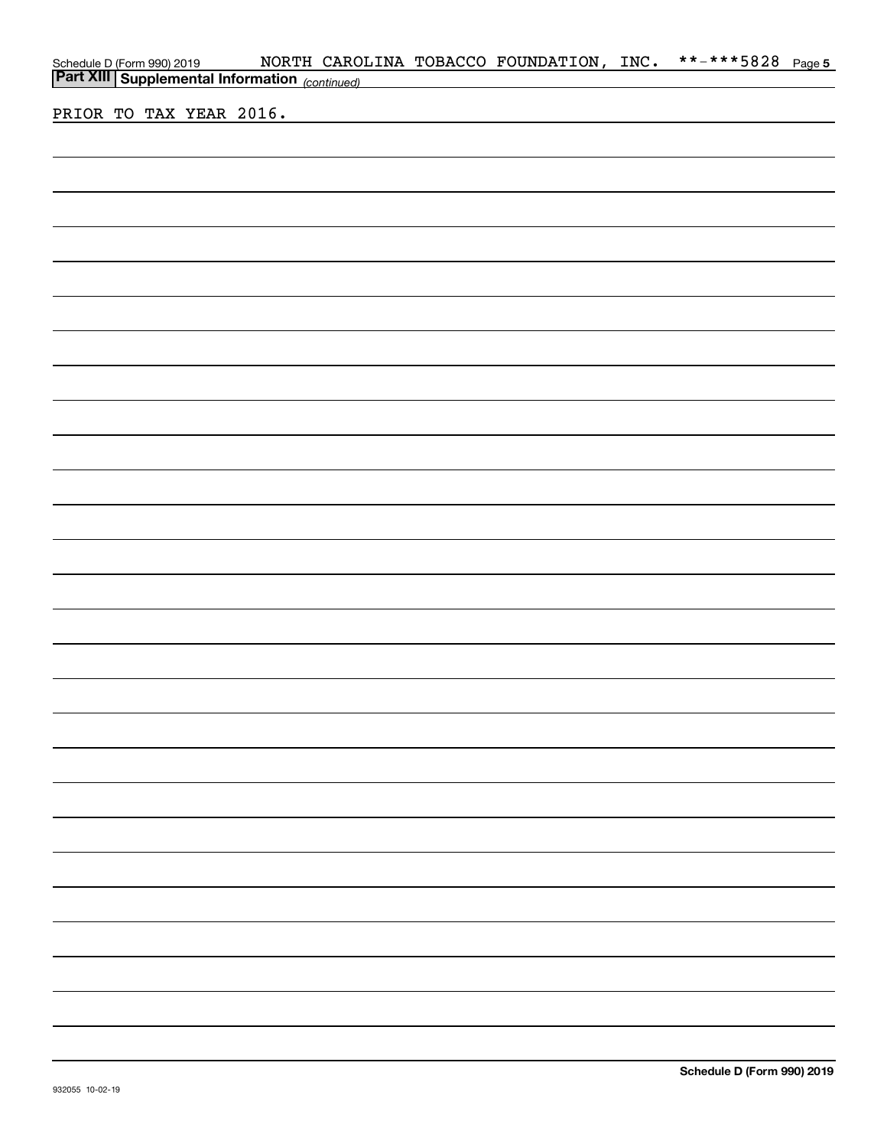| Schedule D (Form 990) 2019 MORTH CAROI<br><b>Part XIII</b> Supplemental Information <sub>(continued)</sub> |  |                                                                                                                       | NORTH CAROLINA TOBACCO FOUNDATION, INC. | **-***5828 Page 5 |  |
|------------------------------------------------------------------------------------------------------------|--|-----------------------------------------------------------------------------------------------------------------------|-----------------------------------------|-------------------|--|
|                                                                                                            |  | <u> 1989 - Johann Barn, mars et al. 1989 - Anna ann an t-Anna ann an t-Anna ann an t-Anna ann an t-Anna ann an t-</u> |                                         |                   |  |
| PRIOR TO TAX YEAR 2016.                                                                                    |  |                                                                                                                       |                                         |                   |  |
|                                                                                                            |  |                                                                                                                       |                                         |                   |  |
|                                                                                                            |  |                                                                                                                       |                                         |                   |  |
|                                                                                                            |  |                                                                                                                       |                                         |                   |  |
|                                                                                                            |  |                                                                                                                       |                                         |                   |  |
|                                                                                                            |  |                                                                                                                       |                                         |                   |  |
|                                                                                                            |  |                                                                                                                       |                                         |                   |  |
|                                                                                                            |  |                                                                                                                       |                                         |                   |  |
|                                                                                                            |  |                                                                                                                       |                                         |                   |  |
|                                                                                                            |  |                                                                                                                       |                                         |                   |  |
|                                                                                                            |  |                                                                                                                       |                                         |                   |  |
|                                                                                                            |  |                                                                                                                       |                                         |                   |  |
|                                                                                                            |  |                                                                                                                       |                                         |                   |  |
|                                                                                                            |  |                                                                                                                       |                                         |                   |  |
|                                                                                                            |  |                                                                                                                       |                                         |                   |  |
|                                                                                                            |  |                                                                                                                       |                                         |                   |  |
|                                                                                                            |  |                                                                                                                       |                                         |                   |  |
|                                                                                                            |  |                                                                                                                       |                                         |                   |  |
|                                                                                                            |  |                                                                                                                       |                                         |                   |  |
|                                                                                                            |  |                                                                                                                       |                                         |                   |  |
|                                                                                                            |  |                                                                                                                       |                                         |                   |  |
|                                                                                                            |  |                                                                                                                       |                                         |                   |  |
|                                                                                                            |  |                                                                                                                       |                                         |                   |  |
|                                                                                                            |  |                                                                                                                       |                                         |                   |  |
|                                                                                                            |  |                                                                                                                       |                                         |                   |  |
|                                                                                                            |  |                                                                                                                       |                                         |                   |  |
|                                                                                                            |  |                                                                                                                       |                                         |                   |  |
|                                                                                                            |  |                                                                                                                       |                                         |                   |  |
|                                                                                                            |  |                                                                                                                       |                                         |                   |  |
|                                                                                                            |  |                                                                                                                       |                                         |                   |  |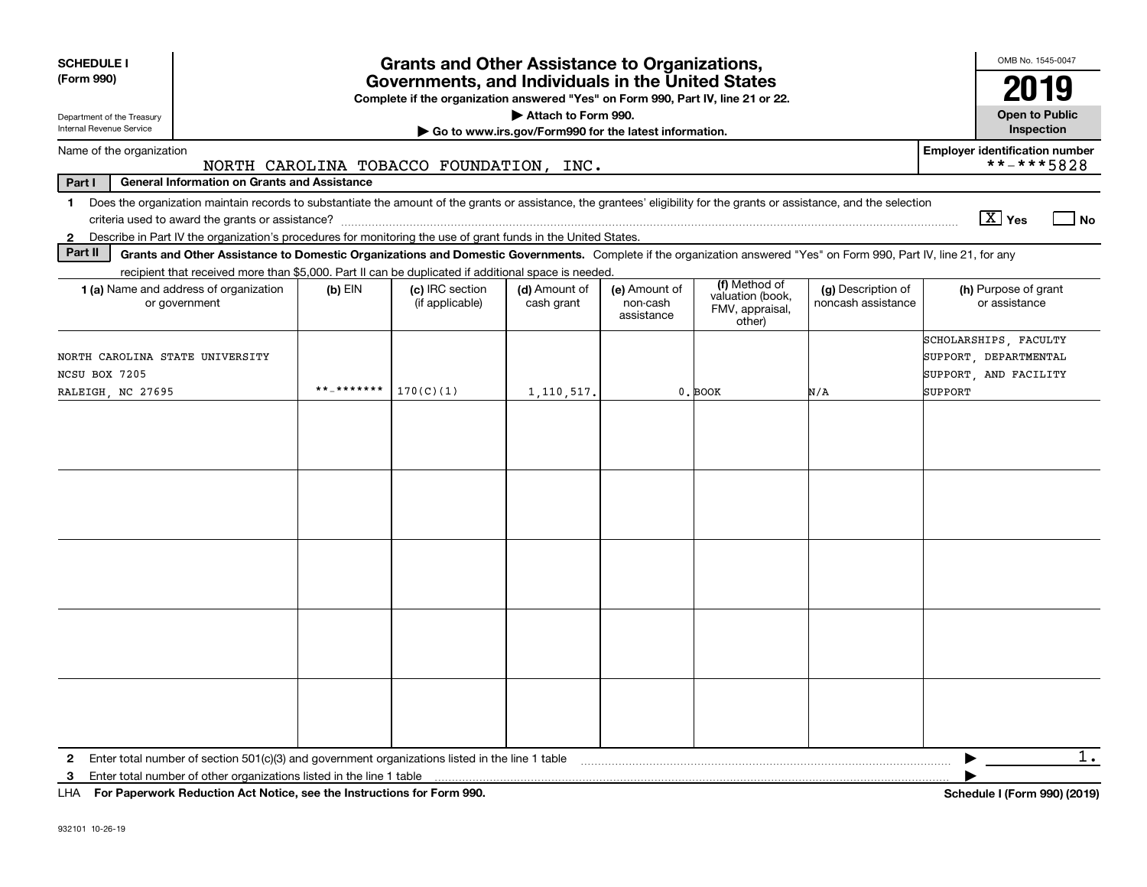| <b>SCHEDULE I</b>                                                                                                                                                                                                                                                                                              |            | <b>Grants and Other Assistance to Organizations,</b> |                             |                                         |                                                                |                                          | OMB No. 1545-0047                                                                  |  |
|----------------------------------------------------------------------------------------------------------------------------------------------------------------------------------------------------------------------------------------------------------------------------------------------------------------|------------|------------------------------------------------------|-----------------------------|-----------------------------------------|----------------------------------------------------------------|------------------------------------------|------------------------------------------------------------------------------------|--|
| (Form 990)                                                                                                                                                                                                                                                                                                     |            | Governments, and Individuals in the United States    |                             |                                         |                                                                |                                          | 2019                                                                               |  |
| Complete if the organization answered "Yes" on Form 990, Part IV, line 21 or 22.<br>Attach to Form 990.<br><b>Open to Public</b><br>Department of the Treasury<br>Internal Revenue Service<br>Go to www.irs.gov/Form990 for the latest information.                                                            |            |                                                      |                             |                                         |                                                                |                                          |                                                                                    |  |
| Name of the organization                                                                                                                                                                                                                                                                                       |            | NORTH CAROLINA TOBACCO FOUNDATION, INC.              |                             |                                         |                                                                |                                          | <b>Employer identification number</b><br>**-***5828                                |  |
| <b>General Information on Grants and Assistance</b><br>Part I                                                                                                                                                                                                                                                  |            |                                                      |                             |                                         |                                                                |                                          |                                                                                    |  |
| Does the organization maintain records to substantiate the amount of the grants or assistance, the grantees' eligibility for the grants or assistance, and the selection<br>1.                                                                                                                                 |            |                                                      |                             |                                         |                                                                |                                          | $\boxed{\text{X}}$ Yes<br>  No                                                     |  |
| Describe in Part IV the organization's procedures for monitoring the use of grant funds in the United States.<br>$\mathbf{2}$<br>Part II<br>Grants and Other Assistance to Domestic Organizations and Domestic Governments. Complete if the organization answered "Yes" on Form 990, Part IV, line 21, for any |            |                                                      |                             |                                         |                                                                |                                          |                                                                                    |  |
| recipient that received more than \$5,000. Part II can be duplicated if additional space is needed.                                                                                                                                                                                                            |            |                                                      |                             |                                         |                                                                |                                          |                                                                                    |  |
| 1 (a) Name and address of organization<br>or government                                                                                                                                                                                                                                                        | $(b)$ EIN  | (c) IRC section<br>(if applicable)                   | (d) Amount of<br>cash grant | (e) Amount of<br>non-cash<br>assistance | (f) Method of<br>valuation (book,<br>FMV, appraisal,<br>other) | (g) Description of<br>noncash assistance | (h) Purpose of grant<br>or assistance                                              |  |
| NORTH CAROLINA STATE UNIVERSITY<br>NCSU BOX 7205<br>RALEIGH, NC 27695                                                                                                                                                                                                                                          | **_******* | 170(C)(1)                                            | 1, 110, 517.                |                                         | 0. BOOK                                                        | N/A                                      | SCHOLARSHIPS, FACULTY<br>SUPPORT, DEPARTMENTAL<br>SUPPORT, AND FACILITY<br>SUPPORT |  |
|                                                                                                                                                                                                                                                                                                                |            |                                                      |                             |                                         |                                                                |                                          |                                                                                    |  |
|                                                                                                                                                                                                                                                                                                                |            |                                                      |                             |                                         |                                                                |                                          |                                                                                    |  |
|                                                                                                                                                                                                                                                                                                                |            |                                                      |                             |                                         |                                                                |                                          |                                                                                    |  |
|                                                                                                                                                                                                                                                                                                                |            |                                                      |                             |                                         |                                                                |                                          |                                                                                    |  |
| Enter total number of section $501(c)(3)$ and government organizations listed in the line 1 table<br>$\mathbf{2}$<br>Enter total number of other organizations listed in the line 1 table<br>3<br>LHA For Paperwork Reduction Act Notice, see the Instructions for Form 990.                                   |            |                                                      |                             |                                         |                                                                |                                          | 1.<br>Schedule I (Form 990) (2019)                                                 |  |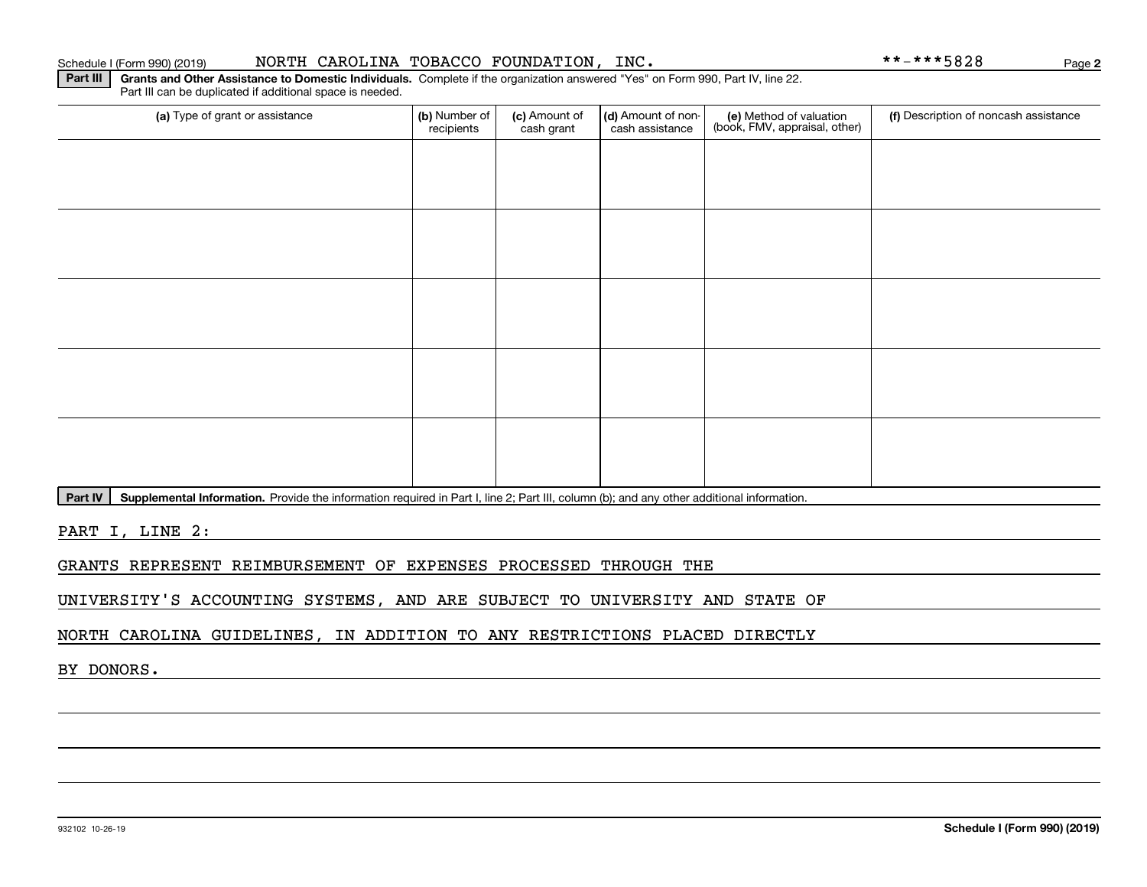### Schedule I (Form 990) (2019) NORTH CAROLINA TOBACCO FOUNDATION, INC。 \*\*-\*\*\*5828 Page

Part III can be duplicated if additional space is needed.

**Part III | Grants and Other Assistance to Domestic Individuals. Complete if the organization answered "Yes" on Form 990, Part IV, line 22.** 

(a) Type of grant or assistance **(b)** Number of **(c)** Amount of **(d)** Amount of non-**(e)** Method of valuation (f)<br>cash are continuous cash are cash assistance (book, FMV, appraisal, other) (a) Type of grant or assistance  $\vert$  (b) Number of recipients(c) Amount of cash grant (d) Amount of noncash assistance (f) Description of noncash assistance

Part IV | Supplemental Information. Provide the information required in Part I, line 2; Part III, column (b); and any other additional information.

PART I, LINE 2:

GRANTS REPRESENT REIMBURSEMENT OF EXPENSES PROCESSED THROUGH THE

UNIVERSITY'S ACCOUNTING SYSTEMS, AND ARE SUBJECT TO UNIVERSITY AND STATE OF

NORTH CAROLINA GUIDELINES, IN ADDITION TO ANY RESTRICTIONS PLACED DIRECTLY

BY DONORS.

**2**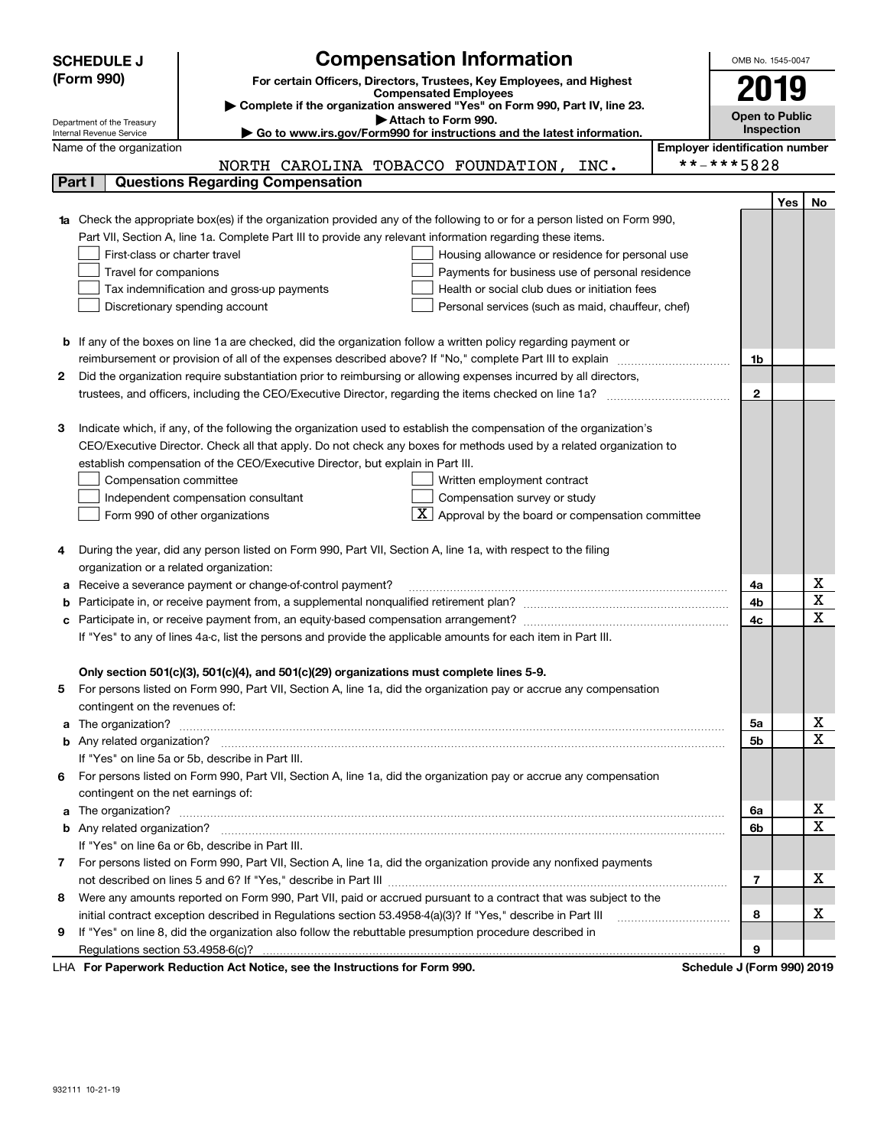| (Form 990)<br>For certain Officers, Directors, Trustees, Key Employees, and Highest<br>2019<br><b>Compensated Employees</b><br>Complete if the organization answered "Yes" on Form 990, Part IV, line 23.<br><b>Open to Public</b><br>Attach to Form 990.<br>Department of the Treasury<br>Inspection<br>► Go to www.irs.gov/Form990 for instructions and the latest information.<br>Internal Revenue Service<br><b>Employer identification number</b><br>Name of the organization<br>**-***5828<br>NORTH CAROLINA TOBACCO FOUNDATION, INC.<br><b>Questions Regarding Compensation</b><br>Part I<br>Yes<br>No<br>Check the appropriate box(es) if the organization provided any of the following to or for a person listed on Form 990,<br>Part VII, Section A, line 1a. Complete Part III to provide any relevant information regarding these items.<br>First-class or charter travel<br>Housing allowance or residence for personal use<br>Travel for companions<br>Payments for business use of personal residence<br>Health or social club dues or initiation fees<br>Tax indemnification and gross-up payments<br>Discretionary spending account<br>Personal services (such as maid, chauffeur, chef)<br>If any of the boxes on line 1a are checked, did the organization follow a written policy regarding payment or<br>b<br>reimbursement or provision of all of the expenses described above? If "No," complete Part III to explain<br>1b<br>Did the organization require substantiation prior to reimbursing or allowing expenses incurred by all directors,<br>2<br>$\mathbf{2}$<br>Indicate which, if any, of the following the organization used to establish the compensation of the organization's<br>з<br>CEO/Executive Director. Check all that apply. Do not check any boxes for methods used by a related organization to<br>establish compensation of the CEO/Executive Director, but explain in Part III.<br>Written employment contract<br>Compensation committee<br>Compensation survey or study<br>Independent compensation consultant<br>Approval by the board or compensation committee<br>Form 990 of other organizations<br>During the year, did any person listed on Form 990, Part VII, Section A, line 1a, with respect to the filing<br>4<br>organization or a related organization:<br>х<br>Receive a severance payment or change-of-control payment?<br>4a<br>а<br>$\mathbf X$<br>4b<br>b<br>$\mathbf X$<br>4c<br>If "Yes" to any of lines 4a-c, list the persons and provide the applicable amounts for each item in Part III.<br>Only section 501(c)(3), 501(c)(4), and 501(c)(29) organizations must complete lines 5-9.<br>For persons listed on Form 990, Part VII, Section A, line 1a, did the organization pay or accrue any compensation<br>5<br>contingent on the revenues of:<br>х<br>5а<br>a<br>X<br>5b<br>If "Yes" on line 5a or 5b, describe in Part III.<br>For persons listed on Form 990, Part VII, Section A, line 1a, did the organization pay or accrue any compensation<br>6<br>contingent on the net earnings of:<br>х<br>a<br>6a<br>$\mathbf X$<br>6b<br>If "Yes" on line 6a or 6b, describe in Part III.<br>For persons listed on Form 990, Part VII, Section A, line 1a, did the organization provide any nonfixed payments<br>7<br>х<br>7<br>Were any amounts reported on Form 990, Part VII, paid or accrued pursuant to a contract that was subject to the<br>8<br>х<br>initial contract exception described in Regulations section 53.4958-4(a)(3)? If "Yes," describe in Part III<br>8<br>If "Yes" on line 8, did the organization also follow the rebuttable presumption procedure described in<br>9<br>9 | <b>Compensation Information</b><br><b>SCHEDULE J</b> | OMB No. 1545-0047 |  |
|---------------------------------------------------------------------------------------------------------------------------------------------------------------------------------------------------------------------------------------------------------------------------------------------------------------------------------------------------------------------------------------------------------------------------------------------------------------------------------------------------------------------------------------------------------------------------------------------------------------------------------------------------------------------------------------------------------------------------------------------------------------------------------------------------------------------------------------------------------------------------------------------------------------------------------------------------------------------------------------------------------------------------------------------------------------------------------------------------------------------------------------------------------------------------------------------------------------------------------------------------------------------------------------------------------------------------------------------------------------------------------------------------------------------------------------------------------------------------------------------------------------------------------------------------------------------------------------------------------------------------------------------------------------------------------------------------------------------------------------------------------------------------------------------------------------------------------------------------------------------------------------------------------------------------------------------------------------------------------------------------------------------------------------------------------------------------------------------------------------------------------------------------------------------------------------------------------------------------------------------------------------------------------------------------------------------------------------------------------------------------------------------------------------------------------------------------------------------------------------------------------------------------------------------------------------------------------------------------------------------------------------------------------------------------------------------------------------------------------------------------------------------------------------------------------------------------------------------------------------------------------------------------------------------------------------------------------------------------------------------------------------------------------------------------------------------------------------------------------------------------------------------------------------------------------------------------------------------------------------------------------------------------------------------------------------------------------------------------------------------------------------------------------------------------------------------------------------------------------------------------------------------------------------------------------------------------------------------------------------------------------------------------------------------------|------------------------------------------------------|-------------------|--|
|                                                                                                                                                                                                                                                                                                                                                                                                                                                                                                                                                                                                                                                                                                                                                                                                                                                                                                                                                                                                                                                                                                                                                                                                                                                                                                                                                                                                                                                                                                                                                                                                                                                                                                                                                                                                                                                                                                                                                                                                                                                                                                                                                                                                                                                                                                                                                                                                                                                                                                                                                                                                                                                                                                                                                                                                                                                                                                                                                                                                                                                                                                                                                                                                                                                                                                                                                                                                                                                                                                                                                                                                                                                                           |                                                      |                   |  |
|                                                                                                                                                                                                                                                                                                                                                                                                                                                                                                                                                                                                                                                                                                                                                                                                                                                                                                                                                                                                                                                                                                                                                                                                                                                                                                                                                                                                                                                                                                                                                                                                                                                                                                                                                                                                                                                                                                                                                                                                                                                                                                                                                                                                                                                                                                                                                                                                                                                                                                                                                                                                                                                                                                                                                                                                                                                                                                                                                                                                                                                                                                                                                                                                                                                                                                                                                                                                                                                                                                                                                                                                                                                                           |                                                      |                   |  |
|                                                                                                                                                                                                                                                                                                                                                                                                                                                                                                                                                                                                                                                                                                                                                                                                                                                                                                                                                                                                                                                                                                                                                                                                                                                                                                                                                                                                                                                                                                                                                                                                                                                                                                                                                                                                                                                                                                                                                                                                                                                                                                                                                                                                                                                                                                                                                                                                                                                                                                                                                                                                                                                                                                                                                                                                                                                                                                                                                                                                                                                                                                                                                                                                                                                                                                                                                                                                                                                                                                                                                                                                                                                                           |                                                      |                   |  |
|                                                                                                                                                                                                                                                                                                                                                                                                                                                                                                                                                                                                                                                                                                                                                                                                                                                                                                                                                                                                                                                                                                                                                                                                                                                                                                                                                                                                                                                                                                                                                                                                                                                                                                                                                                                                                                                                                                                                                                                                                                                                                                                                                                                                                                                                                                                                                                                                                                                                                                                                                                                                                                                                                                                                                                                                                                                                                                                                                                                                                                                                                                                                                                                                                                                                                                                                                                                                                                                                                                                                                                                                                                                                           |                                                      |                   |  |
|                                                                                                                                                                                                                                                                                                                                                                                                                                                                                                                                                                                                                                                                                                                                                                                                                                                                                                                                                                                                                                                                                                                                                                                                                                                                                                                                                                                                                                                                                                                                                                                                                                                                                                                                                                                                                                                                                                                                                                                                                                                                                                                                                                                                                                                                                                                                                                                                                                                                                                                                                                                                                                                                                                                                                                                                                                                                                                                                                                                                                                                                                                                                                                                                                                                                                                                                                                                                                                                                                                                                                                                                                                                                           |                                                      |                   |  |
|                                                                                                                                                                                                                                                                                                                                                                                                                                                                                                                                                                                                                                                                                                                                                                                                                                                                                                                                                                                                                                                                                                                                                                                                                                                                                                                                                                                                                                                                                                                                                                                                                                                                                                                                                                                                                                                                                                                                                                                                                                                                                                                                                                                                                                                                                                                                                                                                                                                                                                                                                                                                                                                                                                                                                                                                                                                                                                                                                                                                                                                                                                                                                                                                                                                                                                                                                                                                                                                                                                                                                                                                                                                                           |                                                      |                   |  |
|                                                                                                                                                                                                                                                                                                                                                                                                                                                                                                                                                                                                                                                                                                                                                                                                                                                                                                                                                                                                                                                                                                                                                                                                                                                                                                                                                                                                                                                                                                                                                                                                                                                                                                                                                                                                                                                                                                                                                                                                                                                                                                                                                                                                                                                                                                                                                                                                                                                                                                                                                                                                                                                                                                                                                                                                                                                                                                                                                                                                                                                                                                                                                                                                                                                                                                                                                                                                                                                                                                                                                                                                                                                                           |                                                      |                   |  |
|                                                                                                                                                                                                                                                                                                                                                                                                                                                                                                                                                                                                                                                                                                                                                                                                                                                                                                                                                                                                                                                                                                                                                                                                                                                                                                                                                                                                                                                                                                                                                                                                                                                                                                                                                                                                                                                                                                                                                                                                                                                                                                                                                                                                                                                                                                                                                                                                                                                                                                                                                                                                                                                                                                                                                                                                                                                                                                                                                                                                                                                                                                                                                                                                                                                                                                                                                                                                                                                                                                                                                                                                                                                                           |                                                      |                   |  |
|                                                                                                                                                                                                                                                                                                                                                                                                                                                                                                                                                                                                                                                                                                                                                                                                                                                                                                                                                                                                                                                                                                                                                                                                                                                                                                                                                                                                                                                                                                                                                                                                                                                                                                                                                                                                                                                                                                                                                                                                                                                                                                                                                                                                                                                                                                                                                                                                                                                                                                                                                                                                                                                                                                                                                                                                                                                                                                                                                                                                                                                                                                                                                                                                                                                                                                                                                                                                                                                                                                                                                                                                                                                                           |                                                      |                   |  |
|                                                                                                                                                                                                                                                                                                                                                                                                                                                                                                                                                                                                                                                                                                                                                                                                                                                                                                                                                                                                                                                                                                                                                                                                                                                                                                                                                                                                                                                                                                                                                                                                                                                                                                                                                                                                                                                                                                                                                                                                                                                                                                                                                                                                                                                                                                                                                                                                                                                                                                                                                                                                                                                                                                                                                                                                                                                                                                                                                                                                                                                                                                                                                                                                                                                                                                                                                                                                                                                                                                                                                                                                                                                                           |                                                      |                   |  |
|                                                                                                                                                                                                                                                                                                                                                                                                                                                                                                                                                                                                                                                                                                                                                                                                                                                                                                                                                                                                                                                                                                                                                                                                                                                                                                                                                                                                                                                                                                                                                                                                                                                                                                                                                                                                                                                                                                                                                                                                                                                                                                                                                                                                                                                                                                                                                                                                                                                                                                                                                                                                                                                                                                                                                                                                                                                                                                                                                                                                                                                                                                                                                                                                                                                                                                                                                                                                                                                                                                                                                                                                                                                                           |                                                      |                   |  |
|                                                                                                                                                                                                                                                                                                                                                                                                                                                                                                                                                                                                                                                                                                                                                                                                                                                                                                                                                                                                                                                                                                                                                                                                                                                                                                                                                                                                                                                                                                                                                                                                                                                                                                                                                                                                                                                                                                                                                                                                                                                                                                                                                                                                                                                                                                                                                                                                                                                                                                                                                                                                                                                                                                                                                                                                                                                                                                                                                                                                                                                                                                                                                                                                                                                                                                                                                                                                                                                                                                                                                                                                                                                                           |                                                      |                   |  |
|                                                                                                                                                                                                                                                                                                                                                                                                                                                                                                                                                                                                                                                                                                                                                                                                                                                                                                                                                                                                                                                                                                                                                                                                                                                                                                                                                                                                                                                                                                                                                                                                                                                                                                                                                                                                                                                                                                                                                                                                                                                                                                                                                                                                                                                                                                                                                                                                                                                                                                                                                                                                                                                                                                                                                                                                                                                                                                                                                                                                                                                                                                                                                                                                                                                                                                                                                                                                                                                                                                                                                                                                                                                                           |                                                      |                   |  |
|                                                                                                                                                                                                                                                                                                                                                                                                                                                                                                                                                                                                                                                                                                                                                                                                                                                                                                                                                                                                                                                                                                                                                                                                                                                                                                                                                                                                                                                                                                                                                                                                                                                                                                                                                                                                                                                                                                                                                                                                                                                                                                                                                                                                                                                                                                                                                                                                                                                                                                                                                                                                                                                                                                                                                                                                                                                                                                                                                                                                                                                                                                                                                                                                                                                                                                                                                                                                                                                                                                                                                                                                                                                                           |                                                      |                   |  |
|                                                                                                                                                                                                                                                                                                                                                                                                                                                                                                                                                                                                                                                                                                                                                                                                                                                                                                                                                                                                                                                                                                                                                                                                                                                                                                                                                                                                                                                                                                                                                                                                                                                                                                                                                                                                                                                                                                                                                                                                                                                                                                                                                                                                                                                                                                                                                                                                                                                                                                                                                                                                                                                                                                                                                                                                                                                                                                                                                                                                                                                                                                                                                                                                                                                                                                                                                                                                                                                                                                                                                                                                                                                                           |                                                      |                   |  |
|                                                                                                                                                                                                                                                                                                                                                                                                                                                                                                                                                                                                                                                                                                                                                                                                                                                                                                                                                                                                                                                                                                                                                                                                                                                                                                                                                                                                                                                                                                                                                                                                                                                                                                                                                                                                                                                                                                                                                                                                                                                                                                                                                                                                                                                                                                                                                                                                                                                                                                                                                                                                                                                                                                                                                                                                                                                                                                                                                                                                                                                                                                                                                                                                                                                                                                                                                                                                                                                                                                                                                                                                                                                                           |                                                      |                   |  |
|                                                                                                                                                                                                                                                                                                                                                                                                                                                                                                                                                                                                                                                                                                                                                                                                                                                                                                                                                                                                                                                                                                                                                                                                                                                                                                                                                                                                                                                                                                                                                                                                                                                                                                                                                                                                                                                                                                                                                                                                                                                                                                                                                                                                                                                                                                                                                                                                                                                                                                                                                                                                                                                                                                                                                                                                                                                                                                                                                                                                                                                                                                                                                                                                                                                                                                                                                                                                                                                                                                                                                                                                                                                                           |                                                      |                   |  |
|                                                                                                                                                                                                                                                                                                                                                                                                                                                                                                                                                                                                                                                                                                                                                                                                                                                                                                                                                                                                                                                                                                                                                                                                                                                                                                                                                                                                                                                                                                                                                                                                                                                                                                                                                                                                                                                                                                                                                                                                                                                                                                                                                                                                                                                                                                                                                                                                                                                                                                                                                                                                                                                                                                                                                                                                                                                                                                                                                                                                                                                                                                                                                                                                                                                                                                                                                                                                                                                                                                                                                                                                                                                                           |                                                      |                   |  |
|                                                                                                                                                                                                                                                                                                                                                                                                                                                                                                                                                                                                                                                                                                                                                                                                                                                                                                                                                                                                                                                                                                                                                                                                                                                                                                                                                                                                                                                                                                                                                                                                                                                                                                                                                                                                                                                                                                                                                                                                                                                                                                                                                                                                                                                                                                                                                                                                                                                                                                                                                                                                                                                                                                                                                                                                                                                                                                                                                                                                                                                                                                                                                                                                                                                                                                                                                                                                                                                                                                                                                                                                                                                                           |                                                      |                   |  |
|                                                                                                                                                                                                                                                                                                                                                                                                                                                                                                                                                                                                                                                                                                                                                                                                                                                                                                                                                                                                                                                                                                                                                                                                                                                                                                                                                                                                                                                                                                                                                                                                                                                                                                                                                                                                                                                                                                                                                                                                                                                                                                                                                                                                                                                                                                                                                                                                                                                                                                                                                                                                                                                                                                                                                                                                                                                                                                                                                                                                                                                                                                                                                                                                                                                                                                                                                                                                                                                                                                                                                                                                                                                                           |                                                      |                   |  |
|                                                                                                                                                                                                                                                                                                                                                                                                                                                                                                                                                                                                                                                                                                                                                                                                                                                                                                                                                                                                                                                                                                                                                                                                                                                                                                                                                                                                                                                                                                                                                                                                                                                                                                                                                                                                                                                                                                                                                                                                                                                                                                                                                                                                                                                                                                                                                                                                                                                                                                                                                                                                                                                                                                                                                                                                                                                                                                                                                                                                                                                                                                                                                                                                                                                                                                                                                                                                                                                                                                                                                                                                                                                                           |                                                      |                   |  |
|                                                                                                                                                                                                                                                                                                                                                                                                                                                                                                                                                                                                                                                                                                                                                                                                                                                                                                                                                                                                                                                                                                                                                                                                                                                                                                                                                                                                                                                                                                                                                                                                                                                                                                                                                                                                                                                                                                                                                                                                                                                                                                                                                                                                                                                                                                                                                                                                                                                                                                                                                                                                                                                                                                                                                                                                                                                                                                                                                                                                                                                                                                                                                                                                                                                                                                                                                                                                                                                                                                                                                                                                                                                                           |                                                      |                   |  |
|                                                                                                                                                                                                                                                                                                                                                                                                                                                                                                                                                                                                                                                                                                                                                                                                                                                                                                                                                                                                                                                                                                                                                                                                                                                                                                                                                                                                                                                                                                                                                                                                                                                                                                                                                                                                                                                                                                                                                                                                                                                                                                                                                                                                                                                                                                                                                                                                                                                                                                                                                                                                                                                                                                                                                                                                                                                                                                                                                                                                                                                                                                                                                                                                                                                                                                                                                                                                                                                                                                                                                                                                                                                                           |                                                      |                   |  |
|                                                                                                                                                                                                                                                                                                                                                                                                                                                                                                                                                                                                                                                                                                                                                                                                                                                                                                                                                                                                                                                                                                                                                                                                                                                                                                                                                                                                                                                                                                                                                                                                                                                                                                                                                                                                                                                                                                                                                                                                                                                                                                                                                                                                                                                                                                                                                                                                                                                                                                                                                                                                                                                                                                                                                                                                                                                                                                                                                                                                                                                                                                                                                                                                                                                                                                                                                                                                                                                                                                                                                                                                                                                                           |                                                      |                   |  |
|                                                                                                                                                                                                                                                                                                                                                                                                                                                                                                                                                                                                                                                                                                                                                                                                                                                                                                                                                                                                                                                                                                                                                                                                                                                                                                                                                                                                                                                                                                                                                                                                                                                                                                                                                                                                                                                                                                                                                                                                                                                                                                                                                                                                                                                                                                                                                                                                                                                                                                                                                                                                                                                                                                                                                                                                                                                                                                                                                                                                                                                                                                                                                                                                                                                                                                                                                                                                                                                                                                                                                                                                                                                                           |                                                      |                   |  |
|                                                                                                                                                                                                                                                                                                                                                                                                                                                                                                                                                                                                                                                                                                                                                                                                                                                                                                                                                                                                                                                                                                                                                                                                                                                                                                                                                                                                                                                                                                                                                                                                                                                                                                                                                                                                                                                                                                                                                                                                                                                                                                                                                                                                                                                                                                                                                                                                                                                                                                                                                                                                                                                                                                                                                                                                                                                                                                                                                                                                                                                                                                                                                                                                                                                                                                                                                                                                                                                                                                                                                                                                                                                                           |                                                      |                   |  |
|                                                                                                                                                                                                                                                                                                                                                                                                                                                                                                                                                                                                                                                                                                                                                                                                                                                                                                                                                                                                                                                                                                                                                                                                                                                                                                                                                                                                                                                                                                                                                                                                                                                                                                                                                                                                                                                                                                                                                                                                                                                                                                                                                                                                                                                                                                                                                                                                                                                                                                                                                                                                                                                                                                                                                                                                                                                                                                                                                                                                                                                                                                                                                                                                                                                                                                                                                                                                                                                                                                                                                                                                                                                                           |                                                      |                   |  |
|                                                                                                                                                                                                                                                                                                                                                                                                                                                                                                                                                                                                                                                                                                                                                                                                                                                                                                                                                                                                                                                                                                                                                                                                                                                                                                                                                                                                                                                                                                                                                                                                                                                                                                                                                                                                                                                                                                                                                                                                                                                                                                                                                                                                                                                                                                                                                                                                                                                                                                                                                                                                                                                                                                                                                                                                                                                                                                                                                                                                                                                                                                                                                                                                                                                                                                                                                                                                                                                                                                                                                                                                                                                                           |                                                      |                   |  |
|                                                                                                                                                                                                                                                                                                                                                                                                                                                                                                                                                                                                                                                                                                                                                                                                                                                                                                                                                                                                                                                                                                                                                                                                                                                                                                                                                                                                                                                                                                                                                                                                                                                                                                                                                                                                                                                                                                                                                                                                                                                                                                                                                                                                                                                                                                                                                                                                                                                                                                                                                                                                                                                                                                                                                                                                                                                                                                                                                                                                                                                                                                                                                                                                                                                                                                                                                                                                                                                                                                                                                                                                                                                                           |                                                      |                   |  |
|                                                                                                                                                                                                                                                                                                                                                                                                                                                                                                                                                                                                                                                                                                                                                                                                                                                                                                                                                                                                                                                                                                                                                                                                                                                                                                                                                                                                                                                                                                                                                                                                                                                                                                                                                                                                                                                                                                                                                                                                                                                                                                                                                                                                                                                                                                                                                                                                                                                                                                                                                                                                                                                                                                                                                                                                                                                                                                                                                                                                                                                                                                                                                                                                                                                                                                                                                                                                                                                                                                                                                                                                                                                                           |                                                      |                   |  |
|                                                                                                                                                                                                                                                                                                                                                                                                                                                                                                                                                                                                                                                                                                                                                                                                                                                                                                                                                                                                                                                                                                                                                                                                                                                                                                                                                                                                                                                                                                                                                                                                                                                                                                                                                                                                                                                                                                                                                                                                                                                                                                                                                                                                                                                                                                                                                                                                                                                                                                                                                                                                                                                                                                                                                                                                                                                                                                                                                                                                                                                                                                                                                                                                                                                                                                                                                                                                                                                                                                                                                                                                                                                                           |                                                      |                   |  |
|                                                                                                                                                                                                                                                                                                                                                                                                                                                                                                                                                                                                                                                                                                                                                                                                                                                                                                                                                                                                                                                                                                                                                                                                                                                                                                                                                                                                                                                                                                                                                                                                                                                                                                                                                                                                                                                                                                                                                                                                                                                                                                                                                                                                                                                                                                                                                                                                                                                                                                                                                                                                                                                                                                                                                                                                                                                                                                                                                                                                                                                                                                                                                                                                                                                                                                                                                                                                                                                                                                                                                                                                                                                                           |                                                      |                   |  |
|                                                                                                                                                                                                                                                                                                                                                                                                                                                                                                                                                                                                                                                                                                                                                                                                                                                                                                                                                                                                                                                                                                                                                                                                                                                                                                                                                                                                                                                                                                                                                                                                                                                                                                                                                                                                                                                                                                                                                                                                                                                                                                                                                                                                                                                                                                                                                                                                                                                                                                                                                                                                                                                                                                                                                                                                                                                                                                                                                                                                                                                                                                                                                                                                                                                                                                                                                                                                                                                                                                                                                                                                                                                                           |                                                      |                   |  |
|                                                                                                                                                                                                                                                                                                                                                                                                                                                                                                                                                                                                                                                                                                                                                                                                                                                                                                                                                                                                                                                                                                                                                                                                                                                                                                                                                                                                                                                                                                                                                                                                                                                                                                                                                                                                                                                                                                                                                                                                                                                                                                                                                                                                                                                                                                                                                                                                                                                                                                                                                                                                                                                                                                                                                                                                                                                                                                                                                                                                                                                                                                                                                                                                                                                                                                                                                                                                                                                                                                                                                                                                                                                                           |                                                      |                   |  |
|                                                                                                                                                                                                                                                                                                                                                                                                                                                                                                                                                                                                                                                                                                                                                                                                                                                                                                                                                                                                                                                                                                                                                                                                                                                                                                                                                                                                                                                                                                                                                                                                                                                                                                                                                                                                                                                                                                                                                                                                                                                                                                                                                                                                                                                                                                                                                                                                                                                                                                                                                                                                                                                                                                                                                                                                                                                                                                                                                                                                                                                                                                                                                                                                                                                                                                                                                                                                                                                                                                                                                                                                                                                                           |                                                      |                   |  |
|                                                                                                                                                                                                                                                                                                                                                                                                                                                                                                                                                                                                                                                                                                                                                                                                                                                                                                                                                                                                                                                                                                                                                                                                                                                                                                                                                                                                                                                                                                                                                                                                                                                                                                                                                                                                                                                                                                                                                                                                                                                                                                                                                                                                                                                                                                                                                                                                                                                                                                                                                                                                                                                                                                                                                                                                                                                                                                                                                                                                                                                                                                                                                                                                                                                                                                                                                                                                                                                                                                                                                                                                                                                                           |                                                      |                   |  |
|                                                                                                                                                                                                                                                                                                                                                                                                                                                                                                                                                                                                                                                                                                                                                                                                                                                                                                                                                                                                                                                                                                                                                                                                                                                                                                                                                                                                                                                                                                                                                                                                                                                                                                                                                                                                                                                                                                                                                                                                                                                                                                                                                                                                                                                                                                                                                                                                                                                                                                                                                                                                                                                                                                                                                                                                                                                                                                                                                                                                                                                                                                                                                                                                                                                                                                                                                                                                                                                                                                                                                                                                                                                                           |                                                      |                   |  |
|                                                                                                                                                                                                                                                                                                                                                                                                                                                                                                                                                                                                                                                                                                                                                                                                                                                                                                                                                                                                                                                                                                                                                                                                                                                                                                                                                                                                                                                                                                                                                                                                                                                                                                                                                                                                                                                                                                                                                                                                                                                                                                                                                                                                                                                                                                                                                                                                                                                                                                                                                                                                                                                                                                                                                                                                                                                                                                                                                                                                                                                                                                                                                                                                                                                                                                                                                                                                                                                                                                                                                                                                                                                                           |                                                      |                   |  |
|                                                                                                                                                                                                                                                                                                                                                                                                                                                                                                                                                                                                                                                                                                                                                                                                                                                                                                                                                                                                                                                                                                                                                                                                                                                                                                                                                                                                                                                                                                                                                                                                                                                                                                                                                                                                                                                                                                                                                                                                                                                                                                                                                                                                                                                                                                                                                                                                                                                                                                                                                                                                                                                                                                                                                                                                                                                                                                                                                                                                                                                                                                                                                                                                                                                                                                                                                                                                                                                                                                                                                                                                                                                                           |                                                      |                   |  |
|                                                                                                                                                                                                                                                                                                                                                                                                                                                                                                                                                                                                                                                                                                                                                                                                                                                                                                                                                                                                                                                                                                                                                                                                                                                                                                                                                                                                                                                                                                                                                                                                                                                                                                                                                                                                                                                                                                                                                                                                                                                                                                                                                                                                                                                                                                                                                                                                                                                                                                                                                                                                                                                                                                                                                                                                                                                                                                                                                                                                                                                                                                                                                                                                                                                                                                                                                                                                                                                                                                                                                                                                                                                                           |                                                      |                   |  |
|                                                                                                                                                                                                                                                                                                                                                                                                                                                                                                                                                                                                                                                                                                                                                                                                                                                                                                                                                                                                                                                                                                                                                                                                                                                                                                                                                                                                                                                                                                                                                                                                                                                                                                                                                                                                                                                                                                                                                                                                                                                                                                                                                                                                                                                                                                                                                                                                                                                                                                                                                                                                                                                                                                                                                                                                                                                                                                                                                                                                                                                                                                                                                                                                                                                                                                                                                                                                                                                                                                                                                                                                                                                                           |                                                      |                   |  |
|                                                                                                                                                                                                                                                                                                                                                                                                                                                                                                                                                                                                                                                                                                                                                                                                                                                                                                                                                                                                                                                                                                                                                                                                                                                                                                                                                                                                                                                                                                                                                                                                                                                                                                                                                                                                                                                                                                                                                                                                                                                                                                                                                                                                                                                                                                                                                                                                                                                                                                                                                                                                                                                                                                                                                                                                                                                                                                                                                                                                                                                                                                                                                                                                                                                                                                                                                                                                                                                                                                                                                                                                                                                                           |                                                      |                   |  |
|                                                                                                                                                                                                                                                                                                                                                                                                                                                                                                                                                                                                                                                                                                                                                                                                                                                                                                                                                                                                                                                                                                                                                                                                                                                                                                                                                                                                                                                                                                                                                                                                                                                                                                                                                                                                                                                                                                                                                                                                                                                                                                                                                                                                                                                                                                                                                                                                                                                                                                                                                                                                                                                                                                                                                                                                                                                                                                                                                                                                                                                                                                                                                                                                                                                                                                                                                                                                                                                                                                                                                                                                                                                                           |                                                      |                   |  |
|                                                                                                                                                                                                                                                                                                                                                                                                                                                                                                                                                                                                                                                                                                                                                                                                                                                                                                                                                                                                                                                                                                                                                                                                                                                                                                                                                                                                                                                                                                                                                                                                                                                                                                                                                                                                                                                                                                                                                                                                                                                                                                                                                                                                                                                                                                                                                                                                                                                                                                                                                                                                                                                                                                                                                                                                                                                                                                                                                                                                                                                                                                                                                                                                                                                                                                                                                                                                                                                                                                                                                                                                                                                                           |                                                      |                   |  |
|                                                                                                                                                                                                                                                                                                                                                                                                                                                                                                                                                                                                                                                                                                                                                                                                                                                                                                                                                                                                                                                                                                                                                                                                                                                                                                                                                                                                                                                                                                                                                                                                                                                                                                                                                                                                                                                                                                                                                                                                                                                                                                                                                                                                                                                                                                                                                                                                                                                                                                                                                                                                                                                                                                                                                                                                                                                                                                                                                                                                                                                                                                                                                                                                                                                                                                                                                                                                                                                                                                                                                                                                                                                                           |                                                      |                   |  |
|                                                                                                                                                                                                                                                                                                                                                                                                                                                                                                                                                                                                                                                                                                                                                                                                                                                                                                                                                                                                                                                                                                                                                                                                                                                                                                                                                                                                                                                                                                                                                                                                                                                                                                                                                                                                                                                                                                                                                                                                                                                                                                                                                                                                                                                                                                                                                                                                                                                                                                                                                                                                                                                                                                                                                                                                                                                                                                                                                                                                                                                                                                                                                                                                                                                                                                                                                                                                                                                                                                                                                                                                                                                                           |                                                      |                   |  |
|                                                                                                                                                                                                                                                                                                                                                                                                                                                                                                                                                                                                                                                                                                                                                                                                                                                                                                                                                                                                                                                                                                                                                                                                                                                                                                                                                                                                                                                                                                                                                                                                                                                                                                                                                                                                                                                                                                                                                                                                                                                                                                                                                                                                                                                                                                                                                                                                                                                                                                                                                                                                                                                                                                                                                                                                                                                                                                                                                                                                                                                                                                                                                                                                                                                                                                                                                                                                                                                                                                                                                                                                                                                                           |                                                      |                   |  |
|                                                                                                                                                                                                                                                                                                                                                                                                                                                                                                                                                                                                                                                                                                                                                                                                                                                                                                                                                                                                                                                                                                                                                                                                                                                                                                                                                                                                                                                                                                                                                                                                                                                                                                                                                                                                                                                                                                                                                                                                                                                                                                                                                                                                                                                                                                                                                                                                                                                                                                                                                                                                                                                                                                                                                                                                                                                                                                                                                                                                                                                                                                                                                                                                                                                                                                                                                                                                                                                                                                                                                                                                                                                                           |                                                      |                   |  |
|                                                                                                                                                                                                                                                                                                                                                                                                                                                                                                                                                                                                                                                                                                                                                                                                                                                                                                                                                                                                                                                                                                                                                                                                                                                                                                                                                                                                                                                                                                                                                                                                                                                                                                                                                                                                                                                                                                                                                                                                                                                                                                                                                                                                                                                                                                                                                                                                                                                                                                                                                                                                                                                                                                                                                                                                                                                                                                                                                                                                                                                                                                                                                                                                                                                                                                                                                                                                                                                                                                                                                                                                                                                                           |                                                      |                   |  |
|                                                                                                                                                                                                                                                                                                                                                                                                                                                                                                                                                                                                                                                                                                                                                                                                                                                                                                                                                                                                                                                                                                                                                                                                                                                                                                                                                                                                                                                                                                                                                                                                                                                                                                                                                                                                                                                                                                                                                                                                                                                                                                                                                                                                                                                                                                                                                                                                                                                                                                                                                                                                                                                                                                                                                                                                                                                                                                                                                                                                                                                                                                                                                                                                                                                                                                                                                                                                                                                                                                                                                                                                                                                                           |                                                      |                   |  |
|                                                                                                                                                                                                                                                                                                                                                                                                                                                                                                                                                                                                                                                                                                                                                                                                                                                                                                                                                                                                                                                                                                                                                                                                                                                                                                                                                                                                                                                                                                                                                                                                                                                                                                                                                                                                                                                                                                                                                                                                                                                                                                                                                                                                                                                                                                                                                                                                                                                                                                                                                                                                                                                                                                                                                                                                                                                                                                                                                                                                                                                                                                                                                                                                                                                                                                                                                                                                                                                                                                                                                                                                                                                                           |                                                      |                   |  |

LHA For Paperwork Reduction Act Notice, see the Instructions for Form 990. Schedule J (Form 990) 2019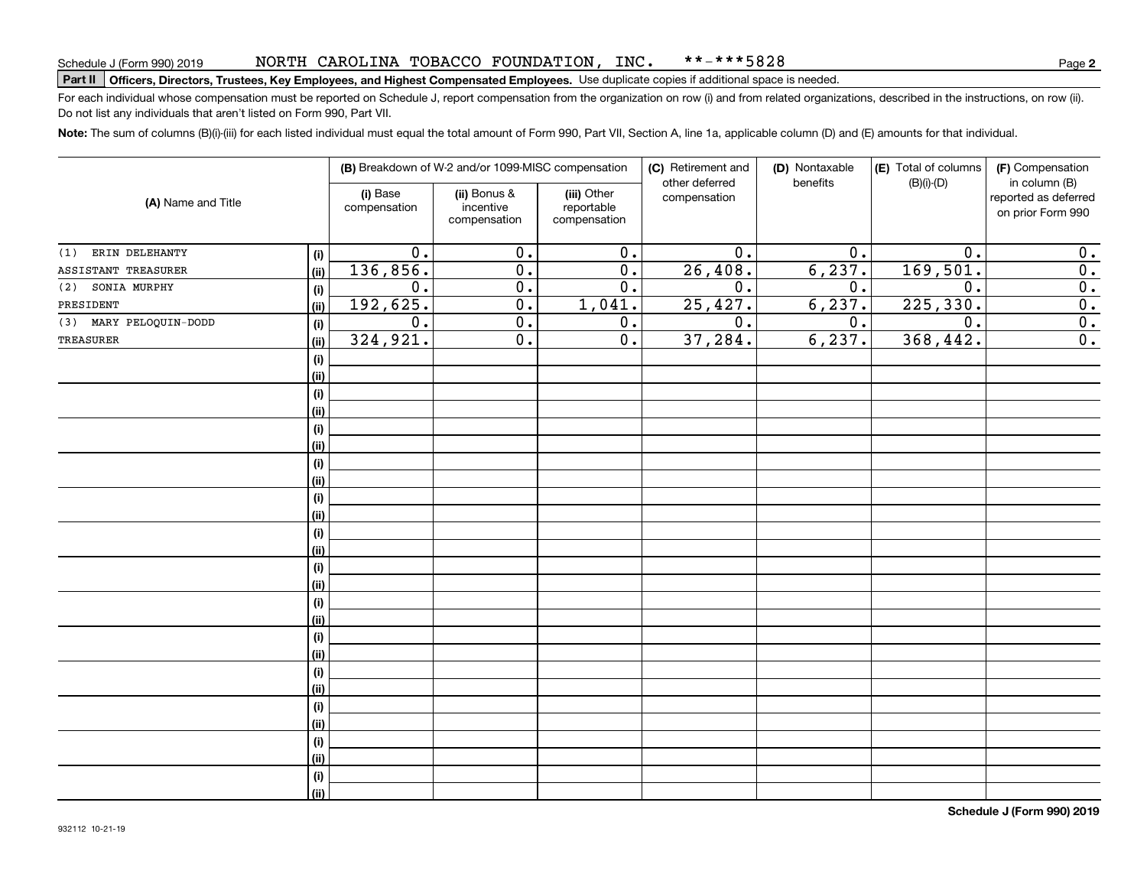### NORTH CAROLINA TOBACCO FOUNDATION, INC. \*\*-\*\*\*5828

# Schedule J (Form 990) 2019 NORTH CAROLLINA 'I'OBACCO F'OUNDA'I' LON , LNC • \* \* – \* \* \* 5 8 2 8<br>Part II **Officers, Directors, Trustees, Key Employees, and Highest Compensated Employees**

For each individual whose compensation must be reported on Schedule J, report compensation from the organization on row (i) and from related organizations, described in the instructions, on row (ii). Do not list any individuals that aren't listed on Form 990, Part VII.

**Note:**  The sum of columns (B)(i)-(iii) for each listed individual must equal the total amount of Form 990, Part VII, Section A, line 1a, applicable column (D) and (E) amounts for that individual.

| (A) Name and Title     |      | (B) Breakdown of W-2 and/or 1099-MISC compensation |                                           |                                           | (C) Retirement and<br>other deferred | (D) Nontaxable<br>benefits | (E) Total of columns<br>$(B)(i)-(D)$ | (F) Compensation<br>in column (B)         |
|------------------------|------|----------------------------------------------------|-------------------------------------------|-------------------------------------------|--------------------------------------|----------------------------|--------------------------------------|-------------------------------------------|
|                        |      | (i) Base<br>compensation                           | (ii) Bonus &<br>incentive<br>compensation | (iii) Other<br>reportable<br>compensation | compensation                         |                            |                                      | reported as deferred<br>on prior Form 990 |
| ERIN DELEHANTY<br>(1)  | (i)  | $0$ .                                              | 0.                                        | 0.                                        | 0.                                   | 0.                         | 0.                                   | 0.                                        |
| ASSISTANT TREASURER    | (ii) | 136,856.                                           | $\overline{0}$ .                          | $\overline{0}$ .                          | 26,408.                              | 6, 237.                    | 169,501.                             | $\overline{0}$ .                          |
| SONIA MURPHY<br>(2)    | (i)  | $0$ .                                              | $\overline{0}$ .                          | $\overline{0}$ .                          | 0.                                   | 0.                         | $\mathbf 0$ .                        | $\overline{\mathbf{0}}$ .                 |
| PRESIDENT              | (ii) | 192,625.                                           | $\overline{0}$ .                          | 1,041.                                    | 25, 427.                             | 6, 237.                    | 225,330.                             | $\overline{\mathbf{0}}$ .                 |
| (3) MARY PELOQUIN-DODD | (i)  | $\overline{0}$ .                                   | $\overline{0}$ .                          | $\overline{0}$ .                          | $\overline{0}$ .                     | $\overline{0}$ .           | $\overline{0}$ .                     | $\overline{\mathbf{0}}$ .                 |
| TREASURER              | (ii) | 324,921.                                           | $\overline{0}$ .                          | $\overline{0}$ .                          | 37,284.                              | 6, 237.                    | 368,442.                             | $\overline{0}$ .                          |
|                        | (i)  |                                                    |                                           |                                           |                                      |                            |                                      |                                           |
|                        | (ii) |                                                    |                                           |                                           |                                      |                            |                                      |                                           |
|                        | (i)  |                                                    |                                           |                                           |                                      |                            |                                      |                                           |
|                        | (ii) |                                                    |                                           |                                           |                                      |                            |                                      |                                           |
|                        | (i)  |                                                    |                                           |                                           |                                      |                            |                                      |                                           |
|                        | (ii) |                                                    |                                           |                                           |                                      |                            |                                      |                                           |
|                        | (i)  |                                                    |                                           |                                           |                                      |                            |                                      |                                           |
|                        | (ii) |                                                    |                                           |                                           |                                      |                            |                                      |                                           |
|                        | (i)  |                                                    |                                           |                                           |                                      |                            |                                      |                                           |
|                        | (ii) |                                                    |                                           |                                           |                                      |                            |                                      |                                           |
|                        | (i)  |                                                    |                                           |                                           |                                      |                            |                                      |                                           |
|                        | (ii) |                                                    |                                           |                                           |                                      |                            |                                      |                                           |
|                        | (i)  |                                                    |                                           |                                           |                                      |                            |                                      |                                           |
|                        | (ii) |                                                    |                                           |                                           |                                      |                            |                                      |                                           |
|                        | (i)  |                                                    |                                           |                                           |                                      |                            |                                      |                                           |
|                        | (ii) |                                                    |                                           |                                           |                                      |                            |                                      |                                           |
|                        | (i)  |                                                    |                                           |                                           |                                      |                            |                                      |                                           |
|                        | (ii) |                                                    |                                           |                                           |                                      |                            |                                      |                                           |
|                        | (i)  |                                                    |                                           |                                           |                                      |                            |                                      |                                           |
|                        | (ii) |                                                    |                                           |                                           |                                      |                            |                                      |                                           |
|                        | (i)  |                                                    |                                           |                                           |                                      |                            |                                      |                                           |
|                        | (ii) |                                                    |                                           |                                           |                                      |                            |                                      |                                           |
|                        | (i)  |                                                    |                                           |                                           |                                      |                            |                                      |                                           |
|                        | (ii) |                                                    |                                           |                                           |                                      |                            |                                      |                                           |
|                        | (i)  |                                                    |                                           |                                           |                                      |                            |                                      |                                           |
|                        | (ii) |                                                    |                                           |                                           |                                      |                            |                                      |                                           |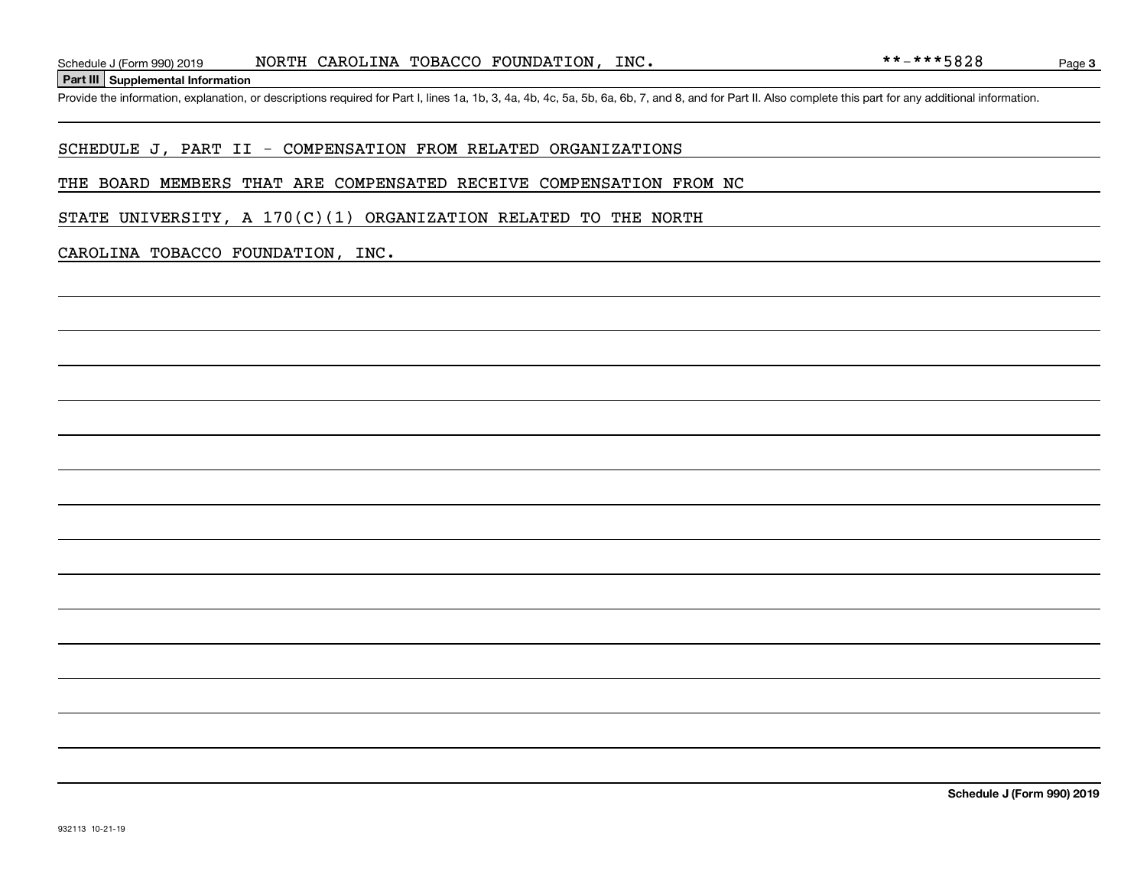**Part III Supplemental Information**

### SCHEDULE J, PART II - COMPENSATION FROM RELATED ORGANIZATIONS

### THE BOARD MEMBERS THAT ARE COMPENSATED RECEIVE COMPENSATION FROM NC

STATE UNIVERSITY, A  $170(C)(1)$  ORGANIZATION RELATED TO THE NORTH

### CAROLINA TOBACCO FOUNDATION, INC.

**Schedule J (Form 990) 2019**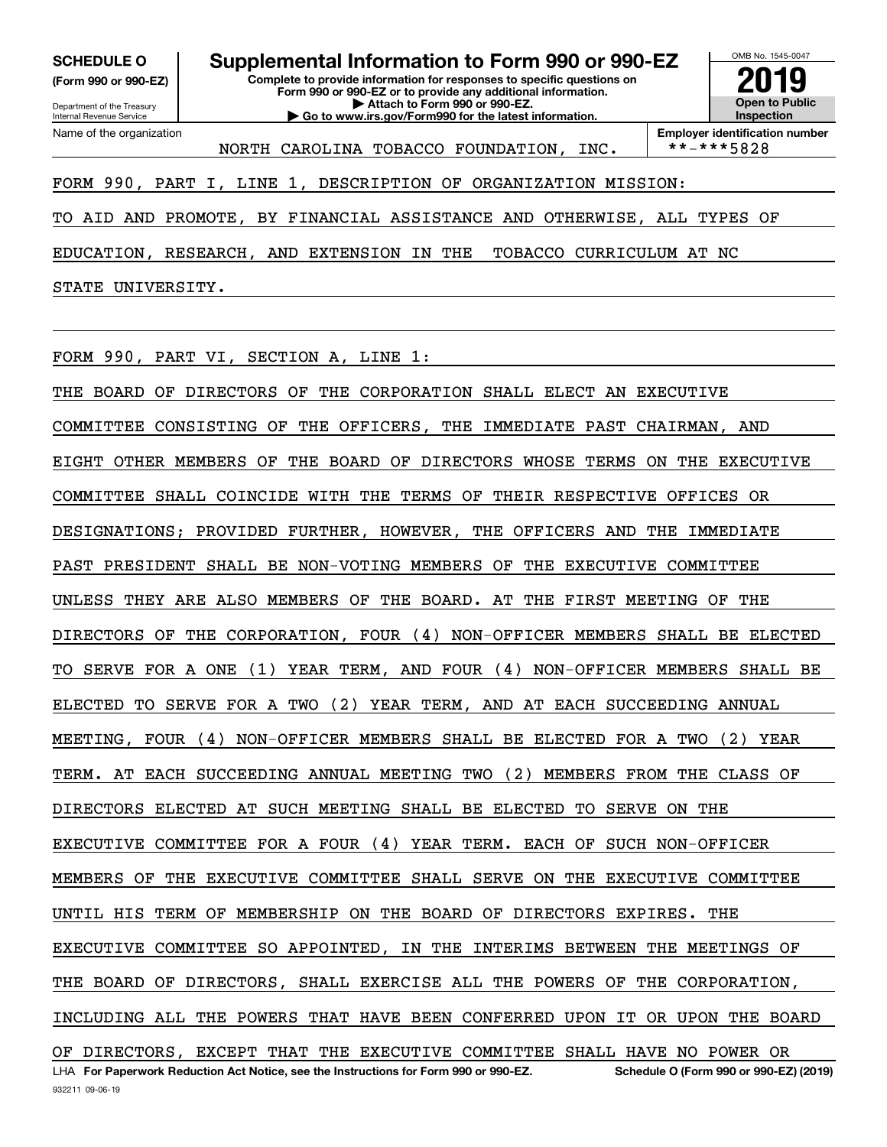**(Form 990 or 990-EZ)**

Department of the Treasury Internal Revenue Service Name of the organization

**Complete to provide information for responses to specific questions on Form 990 or 990-EZ or to provide any additional information. | Attach to Form 990 or 990-EZ. | Go to www.irs.gov/Form990 for the latest information. SCHEDULE O Supplemental Information to Form 990 or 990-EZ** OMB No. 1545-0047 **Open to Public Inspection2019**

NORTH CAROLINA TOBACCO FOUNDATION, INC.

**Employer identification number**<br>\*\*-\*\*\*5828

## FORM 990, PART I, LINE 1, DESCRIPTION OF ORGANIZATION MISSION:

TO AID AND PROMOTE, BY FINANCIAL ASSISTANCE AND OTHERWISE, ALL TYPES OF

EDUCATION, RESEARCH, AND EXTENSION IN THE TOBACCO CURRICULUM AT NC

STATE UNIVERSITY.

FORM 990, PART VI, SECTION A, LINE 1:

932211 09-06-19 LHA For Paperwork Reduction Act Notice, see the Instructions for Form 990 or 990-EZ. Schedule O (Form 990 or 990-EZ) (2019) THE BOARD OF DIRECTORS OF THE CORPORATION SHALL ELECT AN EXECUTIVE COMMITTEE CONSISTING OF THE OFFICERS, THE IMMEDIATE PAST CHAIRMAN, AND EIGHT OTHER MEMBERS OF THE BOARD OF DIRECTORS WHOSE TERMS ON THE EXECUTIVE COMMITTEE SHALL COINCIDE WITH THE TERMS OF THEIR RESPECTIVE OFFICES OR DESIGNATIONS; PROVIDED FURTHER, HOWEVER, THE OFFICERS AND THE IMMEDIATE PAST PRESIDENT SHALL BE NON-VOTING MEMBERS OF THE EXECUTIVE COMMITTEE UNLESS THEY ARE ALSO MEMBERS OF THE BOARD. AT THE FIRST MEETING OF THE DIRECTORS OF THE CORPORATION, FOUR (4) NON-OFFICER MEMBERS SHALL BE ELECTED TO SERVE FOR A ONE (1) YEAR TERM, AND FOUR (4) NON-OFFICER MEMBERS SHALL BE ELECTED TO SERVE FOR A TWO (2) YEAR TERM, AND AT EACH SUCCEEDING ANNUAL MEETING, FOUR (4) NON-OFFICER MEMBERS SHALL BE ELECTED FOR A TWO (2) YEAR TERM. AT EACH SUCCEEDING ANNUAL MEETING TWO (2) MEMBERS FROM THE CLASS OF DIRECTORS ELECTED AT SUCH MEETING SHALL BE ELECTED TO SERVE ON THE EXECUTIVE COMMITTEE FOR A FOUR (4) YEAR TERM. EACH OF SUCH NON-OFFICER MEMBERS OF THE EXECUTIVE COMMITTEE SHALL SERVE ON THE EXECUTIVE COMMITTEE UNTIL HIS TERM OF MEMBERSHIP ON THE BOARD OF DIRECTORS EXPIRES. THE EXECUTIVE COMMITTEE SO APPOINTED, IN THE INTERIMS BETWEEN THE MEETINGS OF THE BOARD OF DIRECTORS, SHALL EXERCISE ALL THE POWERS OF THE CORPORATION, INCLUDING ALL THE POWERS THAT HAVE BEEN CONFERRED UPON IT OR UPON THE BOARD OF DIRECTORS, EXCEPT THAT THE EXECUTIVE COMMITTEE SHALL HAVE NO POWER OR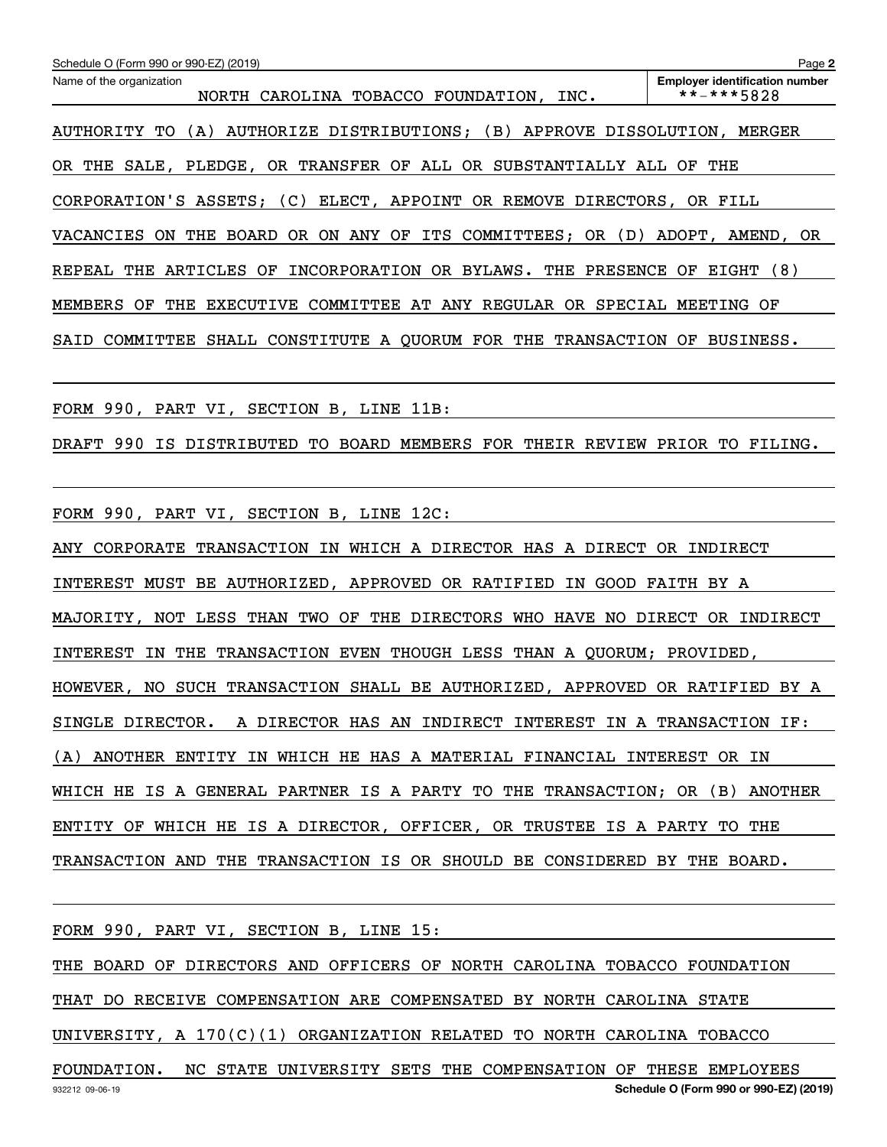| Schedule O (Form 990 or 990-EZ) (2019)                                             | Page 2                                              |
|------------------------------------------------------------------------------------|-----------------------------------------------------|
| Name of the organization<br>NORTH CAROLINA TOBACCO FOUNDATION, INC.                | <b>Employer identification number</b><br>**-***5828 |
| AUTHORITY TO (A) AUTHORIZE DISTRIBUTIONS; (B) APPROVE DISSOLUTION, MERGER          |                                                     |
| OR THE SALE, PLEDGE, OR TRANSFER OF ALL OR SUBSTANTIALLY ALL OF THE                |                                                     |
| CORPORATION'S ASSETS; (C) ELECT, APPOINT OR REMOVE DIRECTORS, OR FILL              |                                                     |
| VACANCIES ON THE BOARD OR ON ANY OF ITS COMMITTEES; OR (D) ADOPT, AMEND, OR        |                                                     |
| REPEAL THE ARTICLES OF INCORPORATION OR BYLAWS. THE PRESENCE OF EIGHT (8)          |                                                     |
| MEMBERS OF THE EXECUTIVE COMMITTEE AT ANY REGULAR OR SPECIAL MEETING OF            |                                                     |
| SAID COMMITTEE SHALL CONSTITUTE A QUORUM FOR THE TRANSACTION OF BUSINESS.          |                                                     |
|                                                                                    |                                                     |
| FORM 990, PART VI, SECTION B, LINE 11B:                                            |                                                     |
| DRAFT 990 IS DISTRIBUTED TO BOARD MEMBERS FOR THEIR REVIEW PRIOR TO FILING.        |                                                     |
| FORM 990, PART VI, SECTION B, LINE 12C:                                            |                                                     |
| ANY CORPORATE TRANSACTION IN WHICH A DIRECTOR HAS A DIRECT OR INDIRECT             |                                                     |
| INTEREST MUST BE AUTHORIZED, APPROVED OR RATIFIED IN GOOD FAITH BY A               |                                                     |
| NOT LESS THAN TWO OF THE DIRECTORS WHO HAVE NO DIRECT OR INDIRECT<br>MAJORITY,     |                                                     |
| TRANSACTION EVEN THOUGH LESS THAN A QUORUM; PROVIDED,<br><b>INTEREST</b><br>IN THE |                                                     |
| HOWEVER, NO SUCH TRANSACTION SHALL BE AUTHORIZED, APPROVED OR RATIFIED BY A        |                                                     |
| SINGLE DIRECTOR. A DIRECTOR HAS AN INDIRECT INTEREST IN A TRANSACTION IF:          |                                                     |
| (A) ANOTHER ENTITY IN WHICH HE HAS A MATERIAL FINANCIAL INTEREST OR IN             |                                                     |
| WHICH HE IS A GENERAL PARTNER IS A PARTY TO THE TRANSACTION; OR (B) ANOTHER        |                                                     |
| ENTITY OF WHICH HE IS A DIRECTOR, OFFICER, OR TRUSTEE IS A PARTY TO THE            |                                                     |
| TRANSACTION AND THE TRANSACTION IS OR SHOULD BE CONSIDERED BY THE BOARD.           |                                                     |
| FORM 990, PART VI, SECTION B, LINE 15:                                             |                                                     |
| THE BOARD OF DIRECTORS AND OFFICERS OF NORTH CAROLINA TOBACCO FOUNDATION           |                                                     |
| THAT DO RECEIVE COMPENSATION ARE COMPENSATED BY NORTH CAROLINA STATE               |                                                     |
| UNIVERSITY, A $170(C)(1)$ ORGANIZATION RELATED TO NORTH CAROLINA TOBACCO           |                                                     |

932212 09-06-19 **Schedule O (Form 990 or 990-EZ) (2019)** FOUNDATION. NC STATE UNIVERSITY SETS THE COMPENSATION OF THESE EMPLOYEES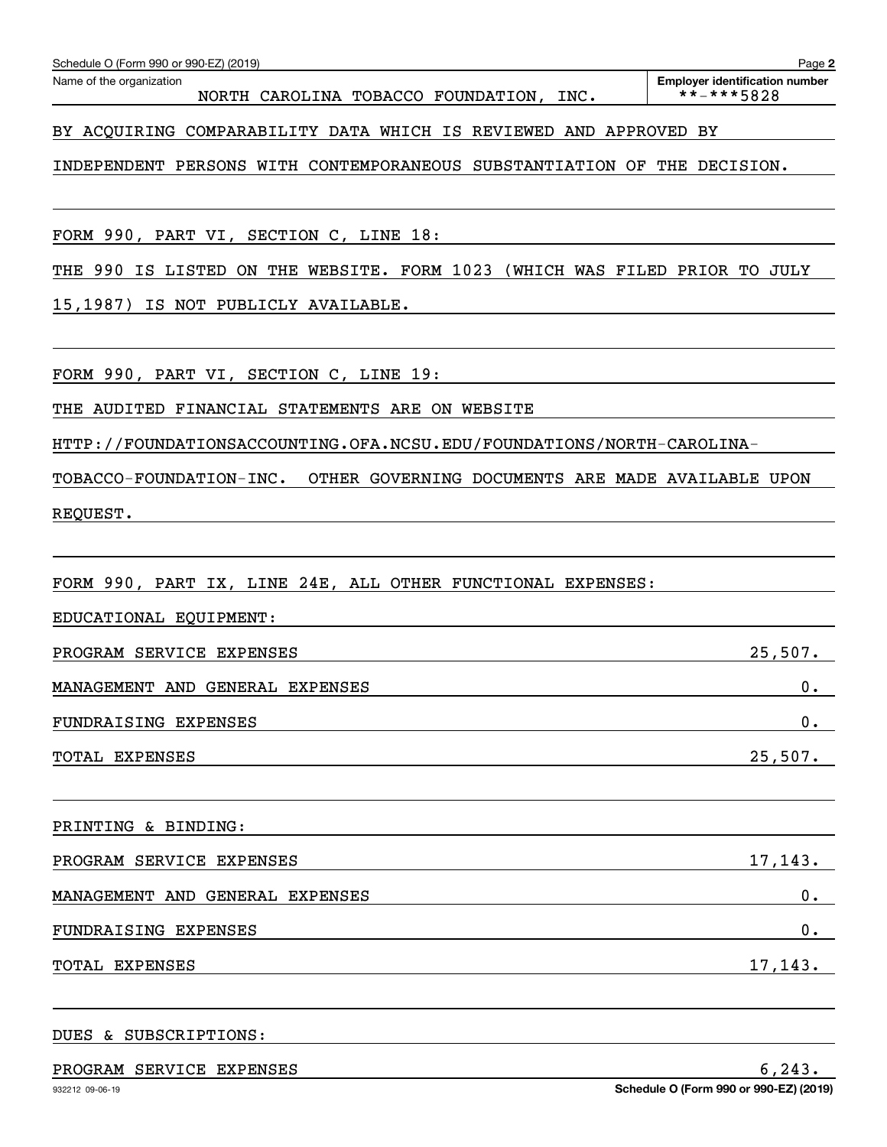| Schedule O (Form 990 or 990-EZ) (2019)                                       | Page 2                                              |
|------------------------------------------------------------------------------|-----------------------------------------------------|
| Name of the organization<br>NORTH CAROLINA TOBACCO FOUNDATION,<br>INC.       | <b>Employer identification number</b><br>**-***5828 |
| BY ACQUIRING COMPARABILITY DATA WHICH IS REVIEWED AND APPROVED BY            |                                                     |
| INDEPENDENT PERSONS WITH CONTEMPORANEOUS SUBSTANTIATION OF THE DECISION.     |                                                     |
| FORM 990, PART VI, SECTION C, LINE 18:                                       |                                                     |
| THE 990 IS LISTED ON THE WEBSITE. FORM 1023 (WHICH WAS FILED PRIOR TO JULY   |                                                     |
| IS NOT PUBLICLY AVAILABLE.<br>15,1987)                                       |                                                     |
| FORM 990, PART VI, SECTION C, LINE 19:                                       |                                                     |
| THE AUDITED FINANCIAL STATEMENTS ARE ON WEBSITE                              |                                                     |
| HTTP://FOUNDATIONSACCOUNTING.OFA.NCSU.EDU/FOUNDATIONS/NORTH-CAROLINA-        |                                                     |
| TOBACCO-FOUNDATION-INC.<br>OTHER GOVERNING DOCUMENTS ARE MADE AVAILABLE UPON |                                                     |
| REQUEST.                                                                     |                                                     |
|                                                                              |                                                     |
| FORM 990, PART IX, LINE 24E, ALL OTHER FUNCTIONAL EXPENSES:                  |                                                     |
| EDUCATIONAL EQUIPMENT:                                                       |                                                     |
| PROGRAM SERVICE EXPENSES                                                     | 25,507.                                             |
| MANAGEMENT AND GENERAL EXPENSES                                              | 0.                                                  |
| FUNDRAISING EXPENSES                                                         | 0.                                                  |
| TOTAL EXPENSES                                                               | 25,507.                                             |
|                                                                              |                                                     |
| PRINTING & BINDING:                                                          |                                                     |
| PROGRAM SERVICE EXPENSES                                                     | 17,143.                                             |
| MANAGEMENT AND GENERAL EXPENSES                                              | 0.                                                  |
| FUNDRAISING EXPENSES                                                         | 0.                                                  |
| TOTAL EXPENSES                                                               | 17,143.                                             |
|                                                                              |                                                     |

DUES & SUBSCRIPTIONS:

# PROGRAM SERVICE EXPENSES 6,243.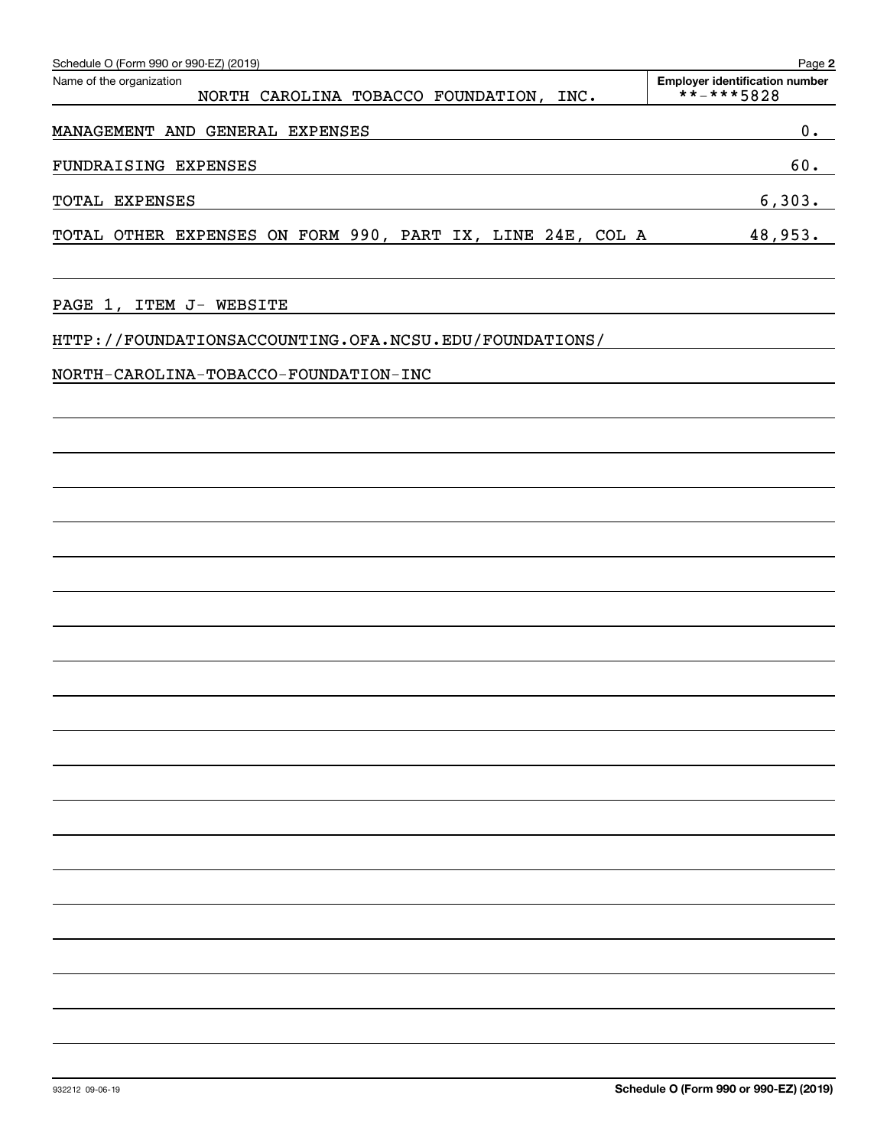| Schedule O (Form 990 or 990-EZ) (2019)                              | Page 2                                              |
|---------------------------------------------------------------------|-----------------------------------------------------|
| Name of the organization<br>NORTH CAROLINA TOBACCO FOUNDATION, INC. | <b>Employer identification number</b><br>**-***5828 |
| MANAGEMENT AND GENERAL EXPENSES                                     | 0.                                                  |
| FUNDRAISING EXPENSES                                                | 60.                                                 |
| TOTAL EXPENSES                                                      | 6,303.                                              |
| TOTAL OTHER EXPENSES ON FORM 990, PART IX, LINE 24E, COL A          | 48,953.                                             |
| PAGE 1, ITEM J- WEBSITE                                             |                                                     |
| HTTP://FOUNDATIONSACCOUNTING.OFA.NCSU.EDU/FOUNDATIONS/              |                                                     |
| NORTH-CAROLINA-TOBACCO-FOUNDATION-INC                               |                                                     |
|                                                                     |                                                     |
|                                                                     |                                                     |
|                                                                     |                                                     |
|                                                                     |                                                     |
|                                                                     |                                                     |
|                                                                     |                                                     |
|                                                                     |                                                     |
|                                                                     |                                                     |
|                                                                     |                                                     |
|                                                                     |                                                     |
|                                                                     |                                                     |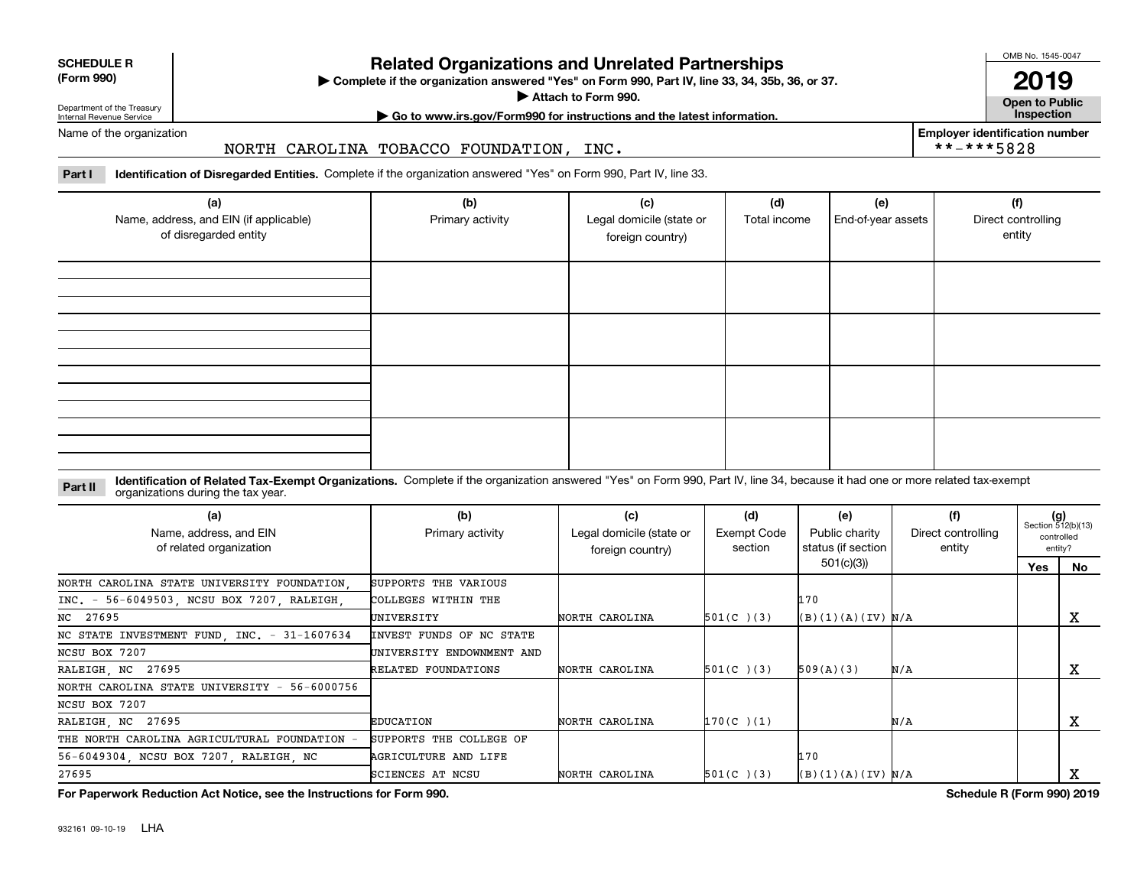| <b>SCHEDULE R</b>      |  |
|------------------------|--|
| $T_{\text{max}}$ $000$ |  |

### **(Form 990)**

# **Related Organizations and Unrelated Partnerships**

**Complete if the organization answered "Yes" on Form 990, Part IV, line 33, 34, 35b, 36, or 37.** |

**Attach to Form 990.**  |

OMB No. 1545-0047

**Open to Public 2019**

**Employer identification number**

 $***$  \*\*-\*\*5828

Department of the Treasury Internal Revenue Service

# **| Go to www.irs.gov/Form990 for instructions and the latest information. Inspection**

Name of the organization

### NORTH CAROLINA TOBACCO FOUNDATION, INC.

**Part I Identification of Disregarded Entities.**  Complete if the organization answered "Yes" on Form 990, Part IV, line 33.

| (a)<br>Name, address, and EIN (if applicable)<br>of disregarded entity | (b)<br>Primary activity | (c)<br>Legal domicile (state or<br>foreign country) | (d)<br>Total income | (e)<br>End-of-year assets | (f)<br>Direct controlling<br>entity |
|------------------------------------------------------------------------|-------------------------|-----------------------------------------------------|---------------------|---------------------------|-------------------------------------|
|                                                                        |                         |                                                     |                     |                           |                                     |
|                                                                        |                         |                                                     |                     |                           |                                     |
|                                                                        |                         |                                                     |                     |                           |                                     |
|                                                                        |                         |                                                     |                     |                           |                                     |

### **Identification of Related Tax-Exempt Organizations.** Complete if the organization answered "Yes" on Form 990, Part IV, line 34, because it had one or more related tax-exempt **Part II** organizations during the tax year.

| (a)<br>Name, address, and EIN<br>of related organization | (b)<br>Primary activity   | (c)<br>Legal domicile (state or<br>foreign country) | (d)<br>Exempt Code<br>section | (e)<br>Public charity<br>status (if section | (f)<br>Direct controlling<br>entity | $(g)$<br>Section 512(b)(13) | controlled<br>entity? |
|----------------------------------------------------------|---------------------------|-----------------------------------------------------|-------------------------------|---------------------------------------------|-------------------------------------|-----------------------------|-----------------------|
|                                                          |                           |                                                     |                               | 501(c)(3)                                   |                                     | Yes                         | No.                   |
| NORTH CAROLINA STATE UNIVERSITY FOUNDATION.              | SUPPORTS THE VARIOUS      |                                                     |                               |                                             |                                     |                             |                       |
| INC. - 56-6049503, NCSU BOX 7207, RALEIGH,               | COLLEGES WITHIN THE       |                                                     |                               | 170                                         |                                     |                             |                       |
| NC 27695                                                 | UNIVERSITY                | NORTH CAROLINA                                      | $501(C)$ (3)                  | (B)(1)(A)(IV) N/A                           |                                     |                             | х                     |
| NC STATE INVESTMENT FUND, INC. - 31-1607634              | INVEST FUNDS OF NC STATE  |                                                     |                               |                                             |                                     |                             |                       |
| NCSU BOX 7207                                            | UNIVERSITY ENDOWNMENT AND |                                                     |                               |                                             |                                     |                             |                       |
| RALEIGH, NC 27695                                        | RELATED FOUNDATIONS       | NORTH CAROLINA                                      | $501(C)$ (3)                  | 509(A)(3)                                   | N/A                                 |                             | х                     |
| NORTH CAROLINA STATE UNIVERSITY - 56-6000756             |                           |                                                     |                               |                                             |                                     |                             |                       |
| NCSU BOX 7207                                            |                           |                                                     |                               |                                             |                                     |                             |                       |
| RALEIGH, NC 27695                                        | <b>EDUCATION</b>          | NORTH CAROLINA                                      | $170(C)$ (1)                  |                                             | N/A                                 |                             | х                     |
| THE NORTH CAROLINA AGRICULTURAL FOUNDATION               | SUPPORTS THE COLLEGE OF   |                                                     |                               |                                             |                                     |                             |                       |
| 56-6049304, NCSU BOX 7207, RALEIGH, NC                   | AGRICULTURE AND LIFE      |                                                     |                               | 170                                         |                                     |                             |                       |
| 27695                                                    | SCIENCES AT NCSU          | NORTH CAROLINA                                      | $501(C)$ (3)                  | (B)(1)(A)(IV) N/A                           |                                     |                             | A                     |

**For Paperwork Reduction Act Notice, see the Instructions for Form 990. Schedule R (Form 990) 2019**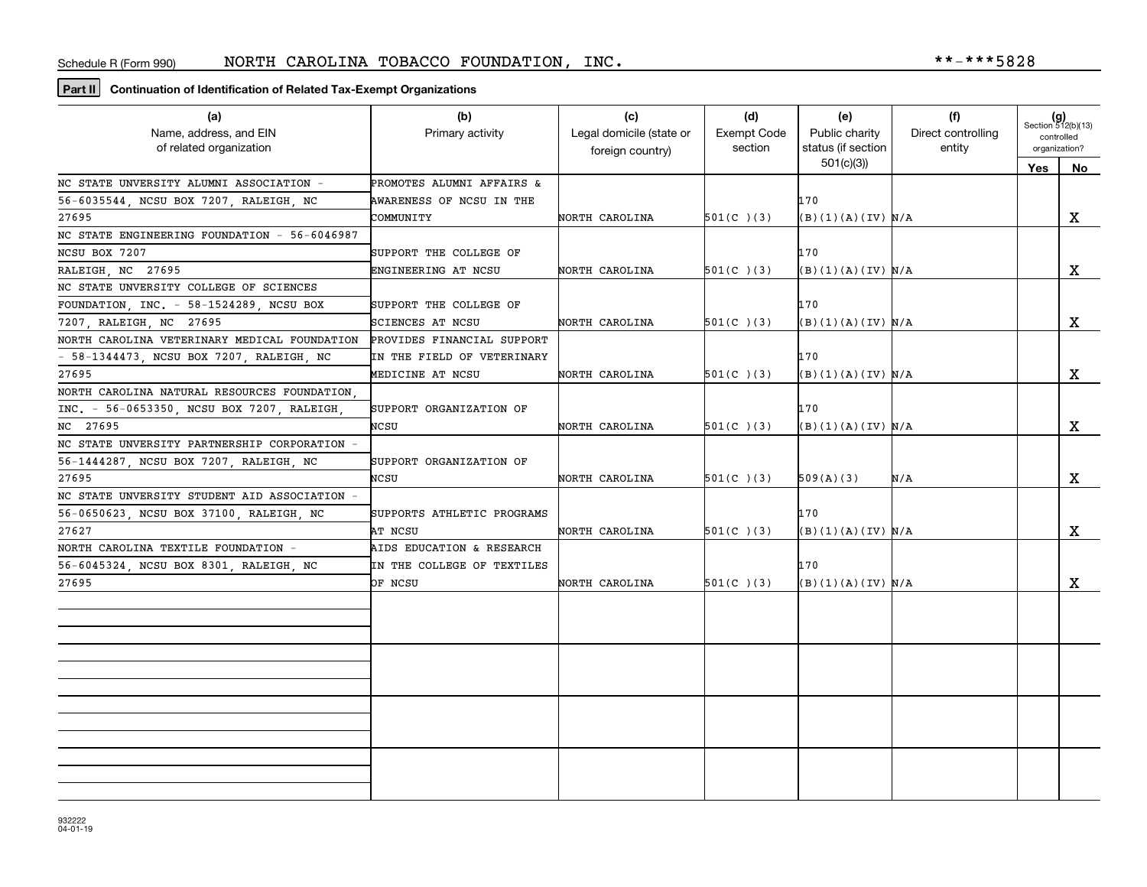**Part II Continuation of Identification of Related Tax-Exempt Organizations**

| (a)<br>Name, address, and EIN<br>of related organization | (b)<br>Primary activity    | (c)<br>Legal domicile (state or<br>foreign country) | (d)<br><b>Exempt Code</b><br>section | (e)<br>Public charity<br>status (if section | (f)<br>Direct controlling<br>entity | $(g)$<br>Section 512(b)(13)<br>controlled<br>organization? |             |
|----------------------------------------------------------|----------------------------|-----------------------------------------------------|--------------------------------------|---------------------------------------------|-------------------------------------|------------------------------------------------------------|-------------|
|                                                          |                            |                                                     |                                      | 501(c)(3)                                   |                                     | Yes                                                        | No          |
| NC STATE UNVERSITY ALUMNI ASSOCIATION -                  | PROMOTES ALUMNI AFFAIRS &  |                                                     |                                      |                                             |                                     |                                                            |             |
| 56-6035544, NCSU BOX 7207, RALEIGH, NC                   | AWARENESS OF NCSU IN THE   |                                                     |                                      | 170                                         |                                     |                                                            |             |
| 27695                                                    | COMMUNITY                  | NORTH CAROLINA                                      | $501(C)$ (3)                         | (B)(1)(A)(IV) N/A                           |                                     |                                                            | x           |
| NC STATE ENGINEERING FOUNDATION - 56-6046987             |                            |                                                     |                                      |                                             |                                     |                                                            |             |
| NCSU BOX 7207                                            | SUPPORT THE COLLEGE OF     |                                                     |                                      | 170                                         |                                     |                                                            |             |
| RALEIGH, NC 27695                                        | ENGINEERING AT NCSU        | NORTH CAROLINA                                      | $501(C)$ (3)                         | B)(1)(A)(IV) N/A                            |                                     |                                                            | X           |
| NC STATE UNVERSITY COLLEGE OF SCIENCES                   |                            |                                                     |                                      |                                             |                                     |                                                            |             |
| FOUNDATION, INC. - 58-1524289, NCSU BOX                  | SUPPORT THE COLLEGE OF     |                                                     |                                      | 170                                         |                                     |                                                            |             |
| 7207 RALEIGH NC 27695                                    | SCIENCES AT NCSU           | NORTH CAROLINA                                      | $501(C)$ (3)                         | (B)(1)(A)(IV) N/A                           |                                     |                                                            | X           |
| NORTH CAROLINA VETERINARY MEDICAL FOUNDATION             | PROVIDES FINANCIAL SUPPORT |                                                     |                                      |                                             |                                     |                                                            |             |
| - 58-1344473, NCSU BOX 7207, RALEIGH, NC                 | IN THE FIELD OF VETERINARY |                                                     |                                      | 170                                         |                                     |                                                            |             |
| 27695                                                    | MEDICINE AT NCSU           | NORTH CAROLINA                                      | $501(C)$ (3)                         | (B)(1)(A)(IV) N/A                           |                                     |                                                            | $\mathbf X$ |
| NORTH CAROLINA NATURAL RESOURCES FOUNDATION              |                            |                                                     |                                      |                                             |                                     |                                                            |             |
| INC. - 56-0653350, NCSU BOX 7207, RALEIGH,               | SUPPORT ORGANIZATION OF    |                                                     |                                      | 170                                         |                                     |                                                            |             |
| NC 27695                                                 | NCSU                       | NORTH CAROLINA                                      | $501(C)$ (3)                         | (B)(1)(A)(IV) N/A                           |                                     |                                                            | X           |
| NC STATE UNVERSITY PARTNERSHIP CORPORATION -             |                            |                                                     |                                      |                                             |                                     |                                                            |             |
| 56-1444287, NCSU BOX 7207, RALEIGH, NC                   | SUPPORT ORGANIZATION OF    |                                                     |                                      |                                             |                                     |                                                            |             |
| 27695                                                    | NCSU                       | NORTH CAROLINA                                      | $501(C)$ (3)                         | 509(A)(3)                                   | N/A                                 |                                                            | x           |
| NC STATE UNVERSITY STUDENT AID ASSOCIATION -             |                            |                                                     |                                      |                                             |                                     |                                                            |             |
| 56-0650623, NCSU BOX 37100, RALEIGH, NC                  | SUPPORTS ATHLETIC PROGRAMS |                                                     |                                      | 170                                         |                                     |                                                            |             |
| 27627                                                    | AT NCSU                    | NORTH CAROLINA                                      | $501(C)$ (3)                         | B)(1)(A)(IV) N/A                            |                                     |                                                            | $\mathbf X$ |
| NORTH CAROLINA TEXTILE FOUNDATION -                      | AIDS EDUCATION & RESEARCH  |                                                     |                                      |                                             |                                     |                                                            |             |
| 56-6045324, NCSU BOX 8301, RALEIGH, NC                   | IN THE COLLEGE OF TEXTILES |                                                     |                                      | 170                                         |                                     |                                                            |             |
| 27695                                                    | OF NCSU                    | NORTH CAROLINA                                      | $501(C)$ (3)                         | (B)(1)(A)(IV) N/A                           |                                     |                                                            | X           |
|                                                          |                            |                                                     |                                      |                                             |                                     |                                                            |             |
|                                                          |                            |                                                     |                                      |                                             |                                     |                                                            |             |
|                                                          |                            |                                                     |                                      |                                             |                                     |                                                            |             |
|                                                          |                            |                                                     |                                      |                                             |                                     |                                                            |             |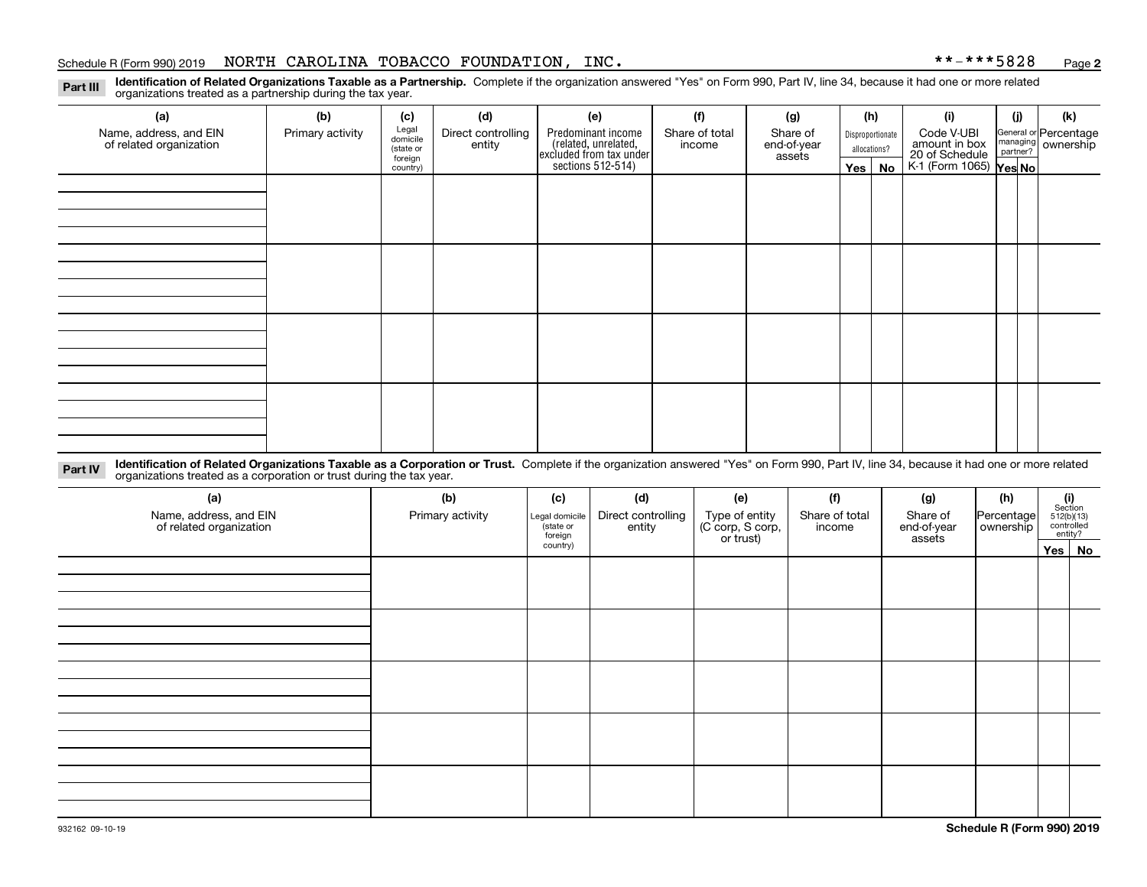### Schedule R (Form 990) 2019 NORTH CAROLINA TOBACCO FOUNDATION, INC。 \* \*-\* \* \* 5828 <sub>Page</sub>

**2**

**Identification of Related Organizations Taxable as a Partnership.** Complete if the organization answered "Yes" on Form 990, Part IV, line 34, because it had one or more related **Part III** organizations treated as a partnership during the tax year.

| (a)                                               | (b)              | (c)                  | (d)                                     | (e)                                  | (f)                    | (g) |                                                                                            | (h)      | (i)                                                              | (i)              | (k) |            |  |                                                           |
|---------------------------------------------------|------------------|----------------------|-----------------------------------------|--------------------------------------|------------------------|-----|--------------------------------------------------------------------------------------------|----------|------------------------------------------------------------------|------------------|-----|------------|--|-----------------------------------------------------------|
| Name, address, and EIN<br>of related organization | Primary activity | entity               | Legal<br>domicile<br>Direct controlling | Share of<br>Share of total<br>income |                        |     | Predominant income<br>(related, unrelated,<br>excluded from tax under<br>sections 512-514) |          | end-of-year                                                      | Disproportionate |     | Code V-UBI |  | General or Percentage<br>managing<br>partner?<br>partner? |
|                                                   |                  | (state or<br>foreign |                                         |                                      | allocations?<br>assets |     |                                                                                            |          |                                                                  |                  |     |            |  |                                                           |
|                                                   |                  | country)             |                                         |                                      |                        |     |                                                                                            | Yes   No | amount in box<br>20 of Schedule<br>K-1 (Form 1065) <b>Yes No</b> |                  |     |            |  |                                                           |
|                                                   |                  |                      |                                         |                                      |                        |     |                                                                                            |          |                                                                  |                  |     |            |  |                                                           |
|                                                   |                  |                      |                                         |                                      |                        |     |                                                                                            |          |                                                                  |                  |     |            |  |                                                           |
|                                                   |                  |                      |                                         |                                      |                        |     |                                                                                            |          |                                                                  |                  |     |            |  |                                                           |
|                                                   |                  |                      |                                         |                                      |                        |     |                                                                                            |          |                                                                  |                  |     |            |  |                                                           |
|                                                   |                  |                      |                                         |                                      |                        |     |                                                                                            |          |                                                                  |                  |     |            |  |                                                           |
|                                                   |                  |                      |                                         |                                      |                        |     |                                                                                            |          |                                                                  |                  |     |            |  |                                                           |
|                                                   |                  |                      |                                         |                                      |                        |     |                                                                                            |          |                                                                  |                  |     |            |  |                                                           |
|                                                   |                  |                      |                                         |                                      |                        |     |                                                                                            |          |                                                                  |                  |     |            |  |                                                           |
|                                                   |                  |                      |                                         |                                      |                        |     |                                                                                            |          |                                                                  |                  |     |            |  |                                                           |
|                                                   |                  |                      |                                         |                                      |                        |     |                                                                                            |          |                                                                  |                  |     |            |  |                                                           |
|                                                   |                  |                      |                                         |                                      |                        |     |                                                                                            |          |                                                                  |                  |     |            |  |                                                           |
|                                                   |                  |                      |                                         |                                      |                        |     |                                                                                            |          |                                                                  |                  |     |            |  |                                                           |
|                                                   |                  |                      |                                         |                                      |                        |     |                                                                                            |          |                                                                  |                  |     |            |  |                                                           |
|                                                   |                  |                      |                                         |                                      |                        |     |                                                                                            |          |                                                                  |                  |     |            |  |                                                           |
|                                                   |                  |                      |                                         |                                      |                        |     |                                                                                            |          |                                                                  |                  |     |            |  |                                                           |
|                                                   |                  |                      |                                         |                                      |                        |     |                                                                                            |          |                                                                  |                  |     |            |  |                                                           |
|                                                   |                  |                      |                                         |                                      |                        |     |                                                                                            |          |                                                                  |                  |     |            |  |                                                           |
|                                                   |                  |                      |                                         |                                      |                        |     |                                                                                            |          |                                                                  |                  |     |            |  |                                                           |
|                                                   |                  |                      |                                         |                                      |                        |     |                                                                                            |          |                                                                  |                  |     |            |  |                                                           |

**Identification of Related Organizations Taxable as a Corporation or Trust.** Complete if the organization answered "Yes" on Form 990, Part IV, line 34, because it had one or more related **Part IV** organizations treated as a corporation or trust during the tax year.

| (a)<br>Name, address, and EIN<br>of related organization | (b)<br>Primary activity | (c)<br>Legal domicile<br>(state or<br>foreign | (d)<br>Direct controlling<br>entity | (e)<br>Type of entity<br>(C corp, S corp,<br>or trust) | (f)<br>Share of total<br>income |        | (h)<br>Percentage<br>ownership | $(i)$ Section<br>512(b)(13)<br>controlled<br>entity? |        |
|----------------------------------------------------------|-------------------------|-----------------------------------------------|-------------------------------------|--------------------------------------------------------|---------------------------------|--------|--------------------------------|------------------------------------------------------|--------|
|                                                          |                         | country)                                      |                                     |                                                        |                                 | assets |                                |                                                      | Yes No |
|                                                          |                         |                                               |                                     |                                                        |                                 |        |                                |                                                      |        |
|                                                          |                         |                                               |                                     |                                                        |                                 |        |                                |                                                      |        |
|                                                          |                         |                                               |                                     |                                                        |                                 |        |                                |                                                      |        |
|                                                          |                         |                                               |                                     |                                                        |                                 |        |                                |                                                      |        |
|                                                          |                         |                                               |                                     |                                                        |                                 |        |                                |                                                      |        |
|                                                          |                         |                                               |                                     |                                                        |                                 |        |                                |                                                      |        |
|                                                          |                         |                                               |                                     |                                                        |                                 |        |                                |                                                      |        |
|                                                          |                         |                                               |                                     |                                                        |                                 |        |                                |                                                      |        |
|                                                          |                         |                                               |                                     |                                                        |                                 |        |                                |                                                      |        |
|                                                          |                         |                                               |                                     |                                                        |                                 |        |                                |                                                      |        |
|                                                          |                         |                                               |                                     |                                                        |                                 |        |                                |                                                      |        |
|                                                          |                         |                                               |                                     |                                                        |                                 |        |                                |                                                      |        |
|                                                          |                         |                                               |                                     |                                                        |                                 |        |                                |                                                      |        |
|                                                          |                         |                                               |                                     |                                                        |                                 |        |                                |                                                      |        |
|                                                          |                         |                                               |                                     |                                                        |                                 |        |                                |                                                      |        |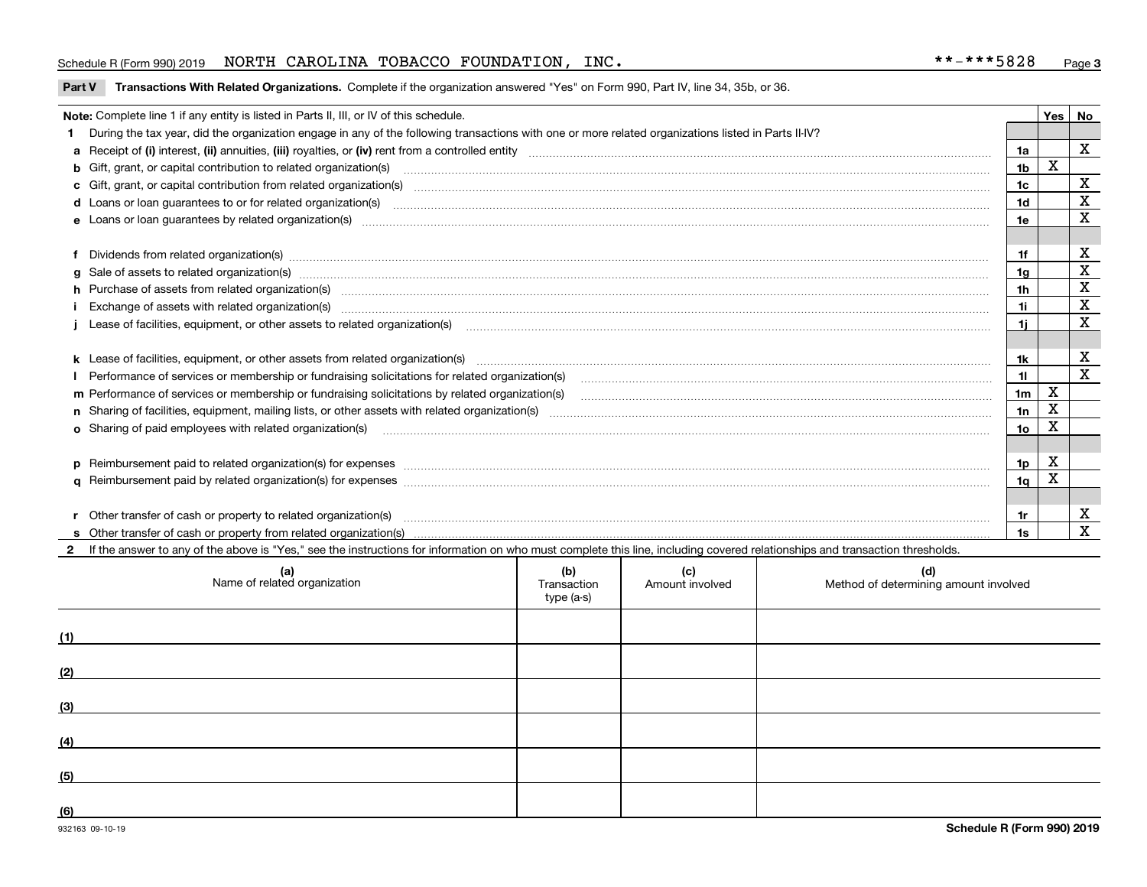### Schedule R (Form 990) 2019 NORTH CAROLINA TOBACCO FOUNDATION, INC。 \* \*-\* \* \* 5828 <sub>Page</sub>

### **Part V** T**ransactions With Related Organizations.** Complete if the organization answered "Yes" on Form 990, Part IV, line 34, 35b, or 36.

| Note: Complete line 1 if any entity is listed in Parts II, III, or IV of this schedule. |                                                                                                                                                                                                                                |                |   |             |  |  |
|-----------------------------------------------------------------------------------------|--------------------------------------------------------------------------------------------------------------------------------------------------------------------------------------------------------------------------------|----------------|---|-------------|--|--|
|                                                                                         | During the tax year, did the organization engage in any of the following transactions with one or more related organizations listed in Parts II-IV?                                                                            |                |   |             |  |  |
|                                                                                         |                                                                                                                                                                                                                                | 1a             |   | X           |  |  |
|                                                                                         | b Gift, grant, or capital contribution to related organization(s) manufactured contains and contribution to related organization(s)                                                                                            | 1b             | X |             |  |  |
|                                                                                         | c Gift, grant, or capital contribution from related organization(s) material content and contribution from related organization(s) material content and content and contribution from related organization(s) material content | 1c             |   | х           |  |  |
|                                                                                         |                                                                                                                                                                                                                                | 1d             |   | X           |  |  |
|                                                                                         |                                                                                                                                                                                                                                | 1e             |   | х           |  |  |
|                                                                                         |                                                                                                                                                                                                                                |                |   |             |  |  |
|                                                                                         | Dividends from related organization(s) manufactured and contract and contract or produced and contract and contract or produced and contract or produced and contract or produced and contract or produced and contract or pro | 1f             |   | х           |  |  |
|                                                                                         |                                                                                                                                                                                                                                | 1g             |   | х           |  |  |
|                                                                                         | h Purchase of assets from related organization(s) manufactured and content to content and content and content and content and content and content and content and content and content and content and content and content and  | 1h             |   | х           |  |  |
|                                                                                         |                                                                                                                                                                                                                                | 1i.            |   | $\mathbf X$ |  |  |
|                                                                                         | Lease of facilities, equipment, or other assets to related organization(s) использованно положенно положенно под                                                                                                               | 1i.            |   | X           |  |  |
|                                                                                         |                                                                                                                                                                                                                                |                |   |             |  |  |
|                                                                                         |                                                                                                                                                                                                                                | 1k.            |   | х           |  |  |
|                                                                                         | Performance of services or membership or fundraising solicitations for related organization(s)                                                                                                                                 | 11             |   | X           |  |  |
|                                                                                         | m Performance of services or membership or fundraising solicitations by related organization(s)                                                                                                                                | 1 <sub>m</sub> | X |             |  |  |
|                                                                                         |                                                                                                                                                                                                                                | 1n             | X |             |  |  |
|                                                                                         | <b>o</b> Sharing of paid employees with related organization(s)                                                                                                                                                                | 10             | X |             |  |  |
|                                                                                         |                                                                                                                                                                                                                                |                |   |             |  |  |
|                                                                                         | p Reimbursement paid to related organization(s) for expenses [1111] and manufacture manufacture manufacture manufacture manufacture manufacture manufacture manufacture manufacture manufacture manufacture manufacture manufa | 1p             | х |             |  |  |
|                                                                                         |                                                                                                                                                                                                                                | 1q             |   |             |  |  |
|                                                                                         |                                                                                                                                                                                                                                |                |   |             |  |  |
|                                                                                         |                                                                                                                                                                                                                                | 1r             |   | х           |  |  |
|                                                                                         |                                                                                                                                                                                                                                | 1s             |   | X           |  |  |

2 If the answer to any of the above is "Yes," see the instructions for information on who must complete this line, including covered relationships and transaction thresholds.

| (a)<br>Name of related organization | (b)<br>Transaction<br>type (a-s) | (c)<br>Amount involved | (d)<br>Method of determining amount involved |
|-------------------------------------|----------------------------------|------------------------|----------------------------------------------|
| (1)                                 |                                  |                        |                                              |
| (2)                                 |                                  |                        |                                              |
| (3)                                 |                                  |                        |                                              |
| (4)                                 |                                  |                        |                                              |
| (5)                                 |                                  |                        |                                              |
| $\underline{(6)}$                   |                                  |                        |                                              |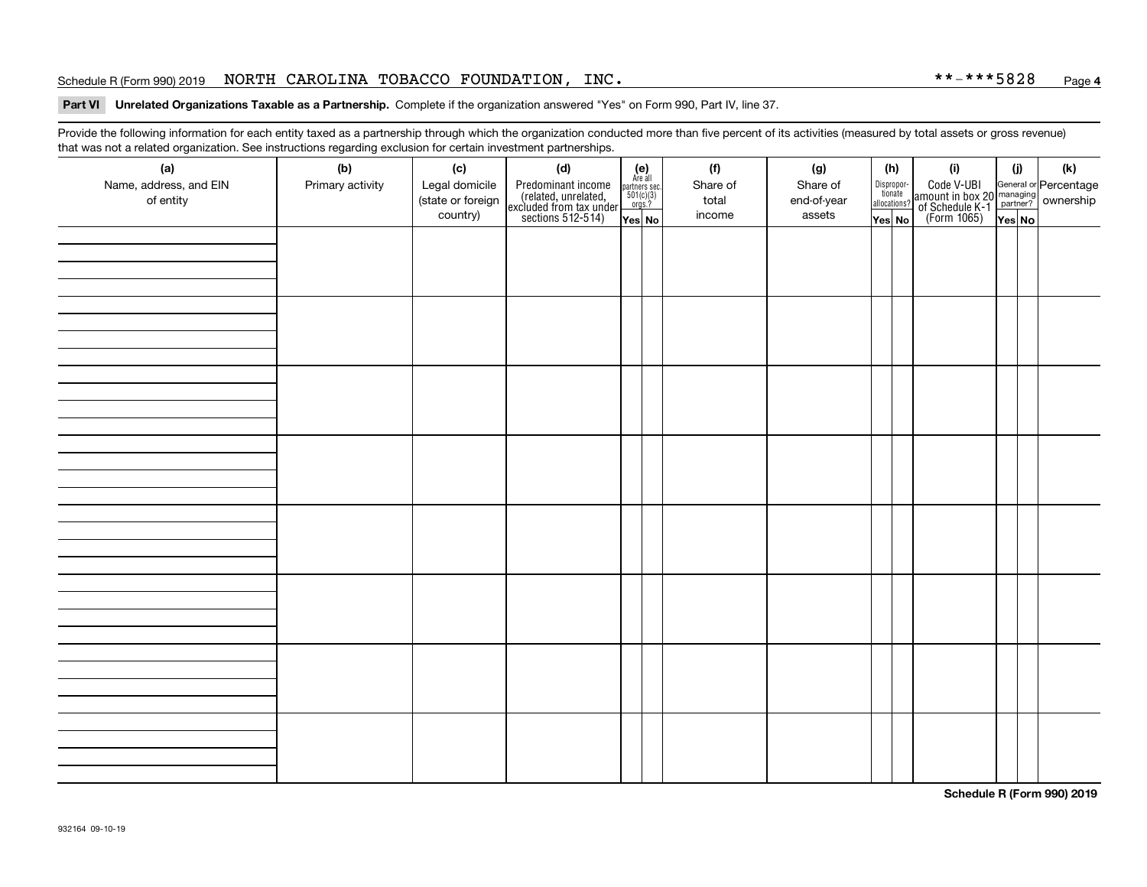### Schedule R (Form 990) 2019 NORTH CAROLINA TOBACCO FOUNDATION, INC。 \* \*-\* \* \* 5828 <sub>Page</sub>

### **4**

### **Part VI Unrelated Organizations Taxable as a Partnership. Complete if the organization answered "Yes" on Form 990, Part IV, line 37.**

Provide the following information for each entity taxed as a partnership through which the organization conducted more than five percent of its activities (measured by total assets or gross revenue) that was not a related organization. See instructions regarding exclusion for certain investment partnerships.

| ັ                                   | ັ<br>ັ           |                                     |                                                                                            |                                                                                                     |  |                   |                         |  |                                       |                                                                                                                                       |        |     |
|-------------------------------------|------------------|-------------------------------------|--------------------------------------------------------------------------------------------|-----------------------------------------------------------------------------------------------------|--|-------------------|-------------------------|--|---------------------------------------|---------------------------------------------------------------------------------------------------------------------------------------|--------|-----|
| (a)                                 | (b)              | (c)                                 | (d)                                                                                        | (e)<br>Are all                                                                                      |  | (f)               | (g)                     |  | (h)                                   | (i)                                                                                                                                   | (i)    | (k) |
| Name, address, and EIN<br>of entity | Primary activity | Legal domicile<br>(state or foreign | Predominant income<br>(related, unrelated,<br>excluded from tax under<br>sections 512-514) | $\begin{array}{c}\n\text{partners} \text{ sec.} \\ 501(c)(3) \\ \hline\n\text{orgs.?}\n\end{array}$ |  | Share of<br>total | Share of<br>end-of-year |  | Dispropor-<br>tionate<br>allocations? | Code V-UBI<br>  amount in box 20 managing<br>  of Schedule K-1 partner? ownership<br>  of Schedule K-1 partner? ownership<br>  Yes No |        |     |
|                                     |                  | country)                            |                                                                                            |                                                                                                     |  | income            | assets                  |  |                                       |                                                                                                                                       |        |     |
|                                     |                  |                                     |                                                                                            | Yes No                                                                                              |  |                   |                         |  | Yes No                                |                                                                                                                                       | Yes No |     |
|                                     |                  |                                     |                                                                                            |                                                                                                     |  |                   |                         |  |                                       |                                                                                                                                       |        |     |
|                                     |                  |                                     |                                                                                            |                                                                                                     |  |                   |                         |  |                                       |                                                                                                                                       |        |     |
|                                     |                  |                                     |                                                                                            |                                                                                                     |  |                   |                         |  |                                       |                                                                                                                                       |        |     |
|                                     |                  |                                     |                                                                                            |                                                                                                     |  |                   |                         |  |                                       |                                                                                                                                       |        |     |
|                                     |                  |                                     |                                                                                            |                                                                                                     |  |                   |                         |  |                                       |                                                                                                                                       |        |     |
|                                     |                  |                                     |                                                                                            |                                                                                                     |  |                   |                         |  |                                       |                                                                                                                                       |        |     |
|                                     |                  |                                     |                                                                                            |                                                                                                     |  |                   |                         |  |                                       |                                                                                                                                       |        |     |
|                                     |                  |                                     |                                                                                            |                                                                                                     |  |                   |                         |  |                                       |                                                                                                                                       |        |     |
|                                     |                  |                                     |                                                                                            |                                                                                                     |  |                   |                         |  |                                       |                                                                                                                                       |        |     |
|                                     |                  |                                     |                                                                                            |                                                                                                     |  |                   |                         |  |                                       |                                                                                                                                       |        |     |
|                                     |                  |                                     |                                                                                            |                                                                                                     |  |                   |                         |  |                                       |                                                                                                                                       |        |     |
|                                     |                  |                                     |                                                                                            |                                                                                                     |  |                   |                         |  |                                       |                                                                                                                                       |        |     |
|                                     |                  |                                     |                                                                                            |                                                                                                     |  |                   |                         |  |                                       |                                                                                                                                       |        |     |
|                                     |                  |                                     |                                                                                            |                                                                                                     |  |                   |                         |  |                                       |                                                                                                                                       |        |     |
|                                     |                  |                                     |                                                                                            |                                                                                                     |  |                   |                         |  |                                       |                                                                                                                                       |        |     |
|                                     |                  |                                     |                                                                                            |                                                                                                     |  |                   |                         |  |                                       |                                                                                                                                       |        |     |
|                                     |                  |                                     |                                                                                            |                                                                                                     |  |                   |                         |  |                                       |                                                                                                                                       |        |     |
|                                     |                  |                                     |                                                                                            |                                                                                                     |  |                   |                         |  |                                       |                                                                                                                                       |        |     |
|                                     |                  |                                     |                                                                                            |                                                                                                     |  |                   |                         |  |                                       |                                                                                                                                       |        |     |
|                                     |                  |                                     |                                                                                            |                                                                                                     |  |                   |                         |  |                                       |                                                                                                                                       |        |     |
|                                     |                  |                                     |                                                                                            |                                                                                                     |  |                   |                         |  |                                       |                                                                                                                                       |        |     |
|                                     |                  |                                     |                                                                                            |                                                                                                     |  |                   |                         |  |                                       |                                                                                                                                       |        |     |
|                                     |                  |                                     |                                                                                            |                                                                                                     |  |                   |                         |  |                                       |                                                                                                                                       |        |     |
|                                     |                  |                                     |                                                                                            |                                                                                                     |  |                   |                         |  |                                       |                                                                                                                                       |        |     |
|                                     |                  |                                     |                                                                                            |                                                                                                     |  |                   |                         |  |                                       |                                                                                                                                       |        |     |
|                                     |                  |                                     |                                                                                            |                                                                                                     |  |                   |                         |  |                                       |                                                                                                                                       |        |     |
|                                     |                  |                                     |                                                                                            |                                                                                                     |  |                   |                         |  |                                       |                                                                                                                                       |        |     |
|                                     |                  |                                     |                                                                                            |                                                                                                     |  |                   |                         |  |                                       |                                                                                                                                       |        |     |
|                                     |                  |                                     |                                                                                            |                                                                                                     |  |                   |                         |  |                                       |                                                                                                                                       |        |     |
|                                     |                  |                                     |                                                                                            |                                                                                                     |  |                   |                         |  |                                       |                                                                                                                                       |        |     |
|                                     |                  |                                     |                                                                                            |                                                                                                     |  |                   |                         |  |                                       |                                                                                                                                       |        |     |
|                                     |                  |                                     |                                                                                            |                                                                                                     |  |                   |                         |  |                                       |                                                                                                                                       |        |     |
|                                     |                  |                                     |                                                                                            |                                                                                                     |  |                   |                         |  |                                       |                                                                                                                                       |        |     |
|                                     |                  |                                     |                                                                                            |                                                                                                     |  |                   |                         |  |                                       |                                                                                                                                       |        |     |
|                                     |                  |                                     |                                                                                            |                                                                                                     |  |                   |                         |  |                                       |                                                                                                                                       |        |     |

**Schedule R (Form 990) 2019**